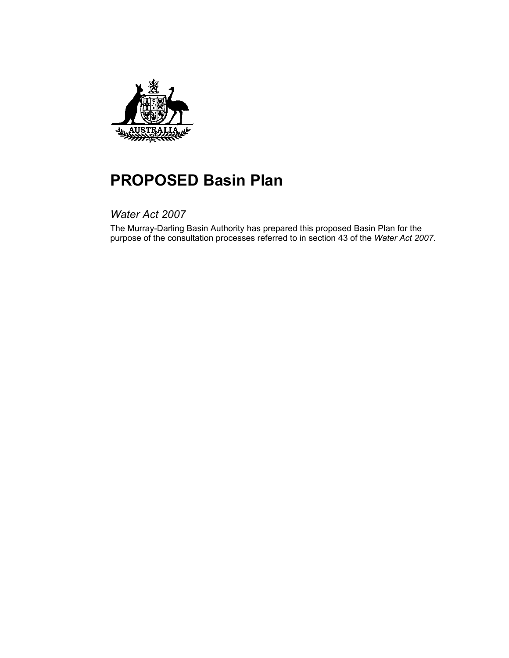

# **PROPOSED Basin Plan**

*Water Act 2007* 

The Murray-Darling Basin Authority has prepared this proposed Basin Plan for the purpose of the consultation processes referred to in section 43 of the *Water Act 2007*.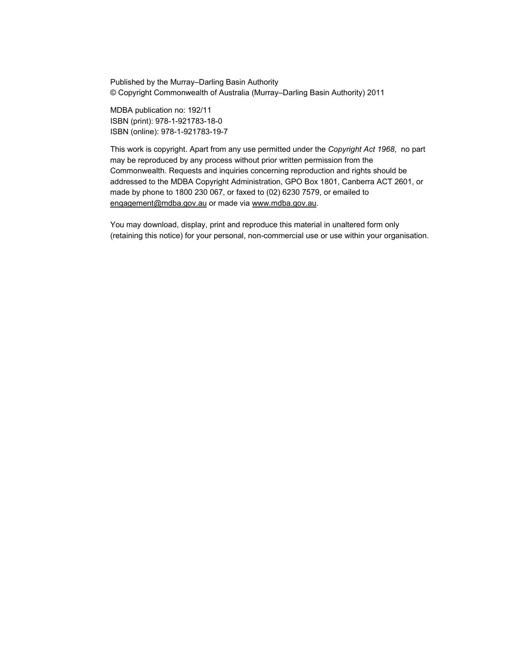Published by the Murray–Darling Basin Authority © Copyright Commonwealth of Australia (Murray–Darling Basin Authority) 2011

MDBA publication no: 192/11 ISBN (print): 978-1-921783-18-0 ISBN (online): 978-1-921783-19-7

This work is copyright. Apart from any use permitted under the *Copyright Act 1968*, no part may be reproduced by any process without prior written permission from the Commonwealth. Requests and inquiries concerning reproduction and rights should be addressed to the MDBA Copyright Administration, GPO Box 1801, Canberra ACT 2601, or made by phone to 1800 230 067, or faxed to (02) 6230 7579, or emailed to engagement@mdba.gov.au or made via www.mdba.gov.au.

You may download, display, print and reproduce this material in unaltered form only (retaining this notice) for your personal, non-commercial use or use within your organisation.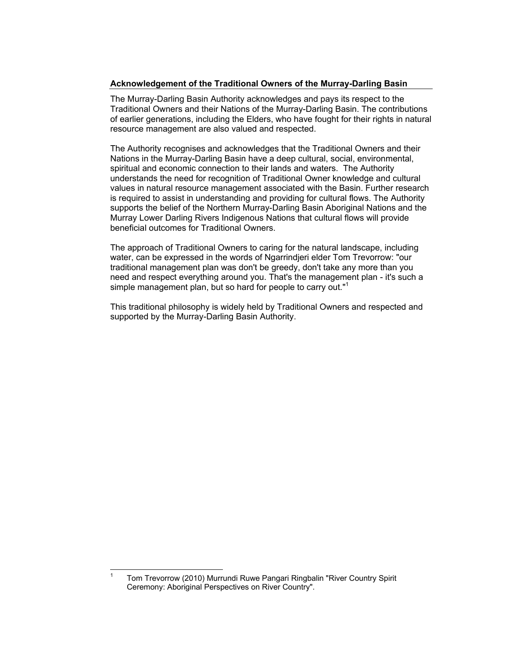#### **Acknowledgement of the Traditional Owners of the Murray-Darling Basin**

The Murray-Darling Basin Authority acknowledges and pays its respect to the Traditional Owners and their Nations of the Murray-Darling Basin. The contributions of earlier generations, including the Elders, who have fought for their rights in natural resource management are also valued and respected.

The Authority recognises and acknowledges that the Traditional Owners and their Nations in the Murray-Darling Basin have a deep cultural, social, environmental, spiritual and economic connection to their lands and waters. The Authority understands the need for recognition of Traditional Owner knowledge and cultural values in natural resource management associated with the Basin. Further research is required to assist in understanding and providing for cultural flows. The Authority supports the belief of the Northern Murray-Darling Basin Aboriginal Nations and the Murray Lower Darling Rivers Indigenous Nations that cultural flows will provide beneficial outcomes for Traditional Owners.

The approach of Traditional Owners to caring for the natural landscape, including water, can be expressed in the words of Ngarrindjeri elder Tom Trevorrow: "our traditional management plan was don't be greedy, don't take any more than you need and respect everything around you. That's the management plan - it's such a simple management plan, but so hard for people to carry out."<sup>1</sup>

This traditional philosophy is widely held by Traditional Owners and respected and supported by the Murray-Darling Basin Authority.

 $\overline{a}$ 

<sup>1</sup> Tom Trevorrow (2010) Murrundi Ruwe Pangari Ringbalin "River Country Spirit Ceremony: Aboriginal Perspectives on River Country".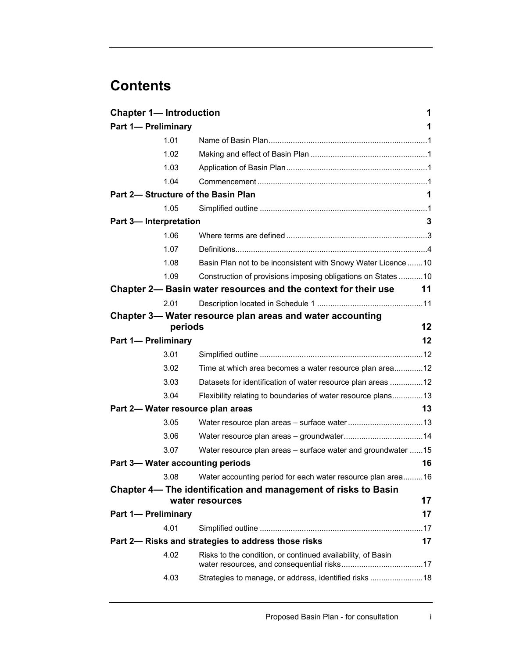# **Contents**

| <b>Chapter 1- Introduction</b> |         |                                                                                   | 1  |
|--------------------------------|---------|-----------------------------------------------------------------------------------|----|
| <b>Part 1- Preliminary</b>     |         |                                                                                   | 1  |
|                                | 1.01    |                                                                                   |    |
|                                | 1.02    |                                                                                   |    |
|                                | 1.03    |                                                                                   |    |
|                                | 1.04    |                                                                                   |    |
|                                |         | Part 2- Structure of the Basin Plan                                               | 1  |
|                                | 1.05    |                                                                                   |    |
| Part 3-Interpretation          |         |                                                                                   | 3  |
|                                | 1.06    |                                                                                   |    |
|                                | 1.07    |                                                                                   |    |
|                                | 1.08    | Basin Plan not to be inconsistent with Snowy Water Licence 10                     |    |
|                                | 1.09    | Construction of provisions imposing obligations on States  10                     |    |
|                                |         | Chapter 2— Basin water resources and the context for their use                    | 11 |
|                                | 2.01    |                                                                                   |    |
|                                |         | Chapter 3- Water resource plan areas and water accounting                         |    |
|                                | periods |                                                                                   | 12 |
| <b>Part 1- Preliminary</b>     |         |                                                                                   | 12 |
|                                | 3.01    |                                                                                   |    |
|                                | 3.02    | Time at which area becomes a water resource plan area12                           |    |
|                                | 3.03    | Datasets for identification of water resource plan areas  12                      |    |
|                                | 3.04    | Flexibility relating to boundaries of water resource plans 13                     |    |
|                                |         | Part 2- Water resource plan areas                                                 | 13 |
|                                | 3.05    |                                                                                   |    |
|                                | 3.06    |                                                                                   |    |
|                                | 3.07    | Water resource plan areas – surface water and groundwater 15                      |    |
|                                |         | Part 3- Water accounting periods                                                  | 16 |
|                                | 3.08    | Water accounting period for each water resource plan area16                       |    |
|                                |         | Chapter 4- The identification and management of risks to Basin<br>water resources | 17 |
| <b>Part 1- Preliminary</b>     |         |                                                                                   | 17 |
|                                | 4.01    |                                                                                   |    |
|                                |         | Part 2- Risks and strategies to address those risks                               | 17 |
|                                | 4.02    |                                                                                   |    |
|                                |         | Risks to the condition, or continued availability, of Basin                       |    |
|                                | 4.03    | Strategies to manage, or address, identified risks  18                            |    |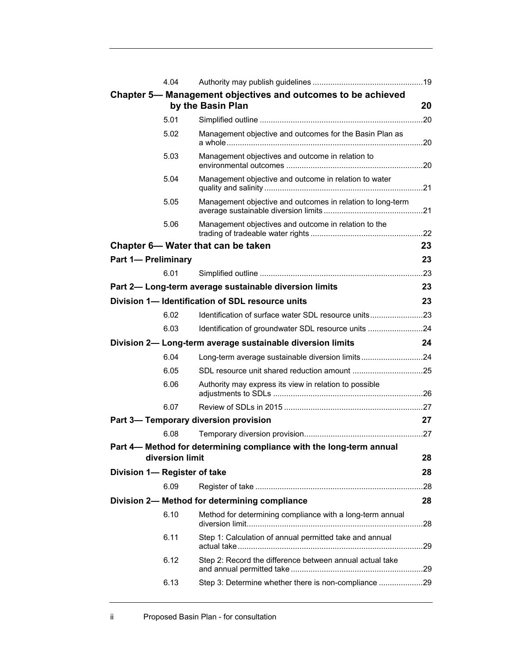|                              | 4.04            |                                                                                   |     |
|------------------------------|-----------------|-----------------------------------------------------------------------------------|-----|
|                              |                 | Chapter 5- Management objectives and outcomes to be achieved<br>by the Basin Plan | 20  |
|                              | 5.01            |                                                                                   |     |
|                              | 5.02            | Management objective and outcomes for the Basin Plan as                           |     |
|                              | 5.03            | Management objectives and outcome in relation to                                  |     |
|                              | 5.04            | Management objective and outcome in relation to water                             |     |
|                              | 5.05            | Management objective and outcomes in relation to long-term                        |     |
|                              | 5.06            | Management objectives and outcome in relation to the                              |     |
|                              |                 | Chapter 6- Water that can be taken                                                | 23  |
| <b>Part 1- Preliminary</b>   |                 |                                                                                   | 23  |
|                              | 6.01            |                                                                                   |     |
|                              |                 | Part 2- Long-term average sustainable diversion limits                            | 23  |
|                              |                 | Division 1- Identification of SDL resource units                                  | 23  |
|                              | 6.02            | Identification of surface water SDL resource units23                              |     |
|                              | 6.03            | Identification of groundwater SDL resource units 24                               |     |
|                              |                 |                                                                                   |     |
|                              |                 | Division 2- Long-term average sustainable diversion limits                        | 24  |
|                              | 6.04            | Long-term average sustainable diversion limits24                                  |     |
|                              | 6.05            |                                                                                   |     |
|                              | 6.06            | Authority may express its view in relation to possible                            |     |
|                              | 6.07            |                                                                                   |     |
|                              |                 | Part 3- Temporary diversion provision                                             | 27  |
|                              | 6.08            |                                                                                   |     |
|                              | diversion limit | Part 4— Method for determining compliance with the long-term annual               | 28  |
| Division 1- Register of take |                 |                                                                                   | 28  |
|                              | 6.09            |                                                                                   |     |
|                              |                 | Division 2- Method for determining compliance                                     | 28  |
|                              | 6.10            | Method for determining compliance with a long-term annual                         | .28 |
|                              | 6.11            | Step 1: Calculation of annual permitted take and annual                           |     |
|                              | 6.12            | Step 2: Record the difference between annual actual take                          |     |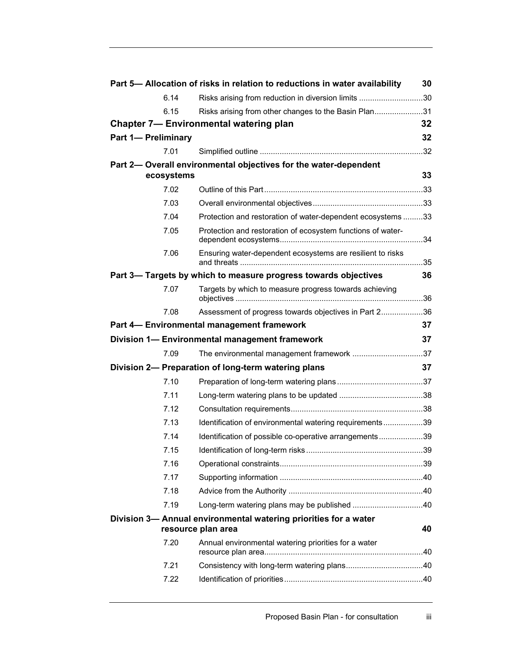|                            |            | Part 5- Allocation of risks in relation to reductions in water availability            | 30  |
|----------------------------|------------|----------------------------------------------------------------------------------------|-----|
|                            | 6.14       | Risks arising from reduction in diversion limits 30                                    |     |
|                            | 6.15       | Risks arising from other changes to the Basin Plan31                                   |     |
|                            |            | <b>Chapter 7— Environmental watering plan</b>                                          | 32  |
| <b>Part 1- Preliminary</b> |            |                                                                                        | 32  |
|                            | 7.01       |                                                                                        |     |
|                            |            | Part 2- Overall environmental objectives for the water-dependent                       |     |
|                            | ecosystems |                                                                                        | 33  |
|                            | 7.02       |                                                                                        |     |
|                            | 7.03       |                                                                                        |     |
|                            | 7.04       | Protection and restoration of water-dependent ecosystems 33                            |     |
|                            | 7.05       | Protection and restoration of ecosystem functions of water-                            |     |
|                            | 7.06       | Ensuring water-dependent ecosystems are resilient to risks                             |     |
|                            |            | Part 3- Targets by which to measure progress towards objectives                        | 36  |
|                            | 7.07       | Targets by which to measure progress towards achieving                                 |     |
|                            | 7.08       | Assessment of progress towards objectives in Part 236                                  |     |
|                            |            | Part 4- Environmental management framework                                             | 37  |
|                            |            | Division 1- Environmental management framework                                         | 37  |
|                            | 7.09       | The environmental management framework 37                                              |     |
|                            |            | Division 2- Preparation of long-term watering plans                                    | 37  |
|                            | 7.10       |                                                                                        |     |
|                            | 7.11       |                                                                                        |     |
|                            | 7.12       |                                                                                        |     |
|                            | 7.13       | Identification of environmental watering requirements39                                |     |
|                            | 7.14       | Identification of possible co-operative arrangements39                                 |     |
|                            | 7.15       |                                                                                        | .39 |
|                            | 7.16       |                                                                                        |     |
|                            | 7.17       |                                                                                        |     |
|                            | 7.18       |                                                                                        |     |
|                            | 7.19       |                                                                                        |     |
|                            |            | Division 3- Annual environmental watering priorities for a water<br>resource plan area | 40  |
|                            | 7.20       | Annual environmental watering priorities for a water                                   |     |
|                            | 7.21       |                                                                                        |     |
|                            | 7.22       |                                                                                        |     |
|                            |            |                                                                                        |     |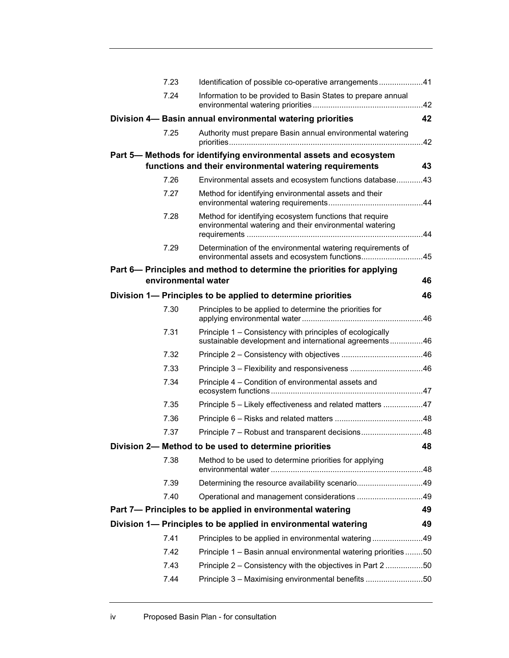| 7.23 | Identification of possible co-operative arrangements41                                                              |     |
|------|---------------------------------------------------------------------------------------------------------------------|-----|
| 7.24 | Information to be provided to Basin States to prepare annual                                                        |     |
|      | Division 4- Basin annual environmental watering priorities                                                          | 42  |
| 7.25 | Authority must prepare Basin annual environmental watering                                                          | .42 |
|      | Part 5- Methods for identifying environmental assets and ecosystem                                                  |     |
|      | functions and their environmental watering requirements                                                             | 43  |
| 7.26 | Environmental assets and ecosystem functions database43                                                             |     |
| 7.27 | Method for identifying environmental assets and their                                                               |     |
| 7.28 | Method for identifying ecosystem functions that require<br>environmental watering and their environmental watering  |     |
| 7.29 | Determination of the environmental watering requirements of<br>environmental assets and ecosystem functions         | .45 |
|      | Part 6– Principles and method to determine the priorities for applying                                              |     |
|      | environmental water                                                                                                 | 46  |
|      | Division 1— Principles to be applied to determine priorities                                                        | 46  |
| 7.30 | Principles to be applied to determine the priorities for                                                            |     |
| 7.31 | Principle 1 – Consistency with principles of ecologically<br>sustainable development and international agreements46 |     |
| 7.32 |                                                                                                                     |     |
| 7.33 |                                                                                                                     |     |
| 7.34 | Principle 4 – Condition of environmental assets and                                                                 |     |
| 7.35 | Principle 5 - Likely effectiveness and related matters 47                                                           |     |
| 7.36 |                                                                                                                     |     |
| 7.37 | Principle 7 - Robust and transparent decisions48                                                                    |     |
|      | Division 2- Method to be used to determine priorities                                                               | 48  |
| 7.38 | Method to be used to determine priorities for applying                                                              |     |
| 7.39 | Determining the resource availability scenario49                                                                    |     |
| 7.40 | Operational and management considerations 49                                                                        |     |
|      | Part 7- Principles to be applied in environmental watering                                                          | 49  |
|      | Division 1- Principles to be applied in environmental watering                                                      | 49  |
| 7.41 | Principles to be applied in environmental watering49                                                                |     |
| 7.42 | Principle 1 - Basin annual environmental watering priorities 50                                                     |     |
| 7.43 | Principle 2 – Consistency with the objectives in Part 250                                                           |     |
| 7.44 | Principle 3 - Maximising environmental benefits 50                                                                  |     |
|      |                                                                                                                     |     |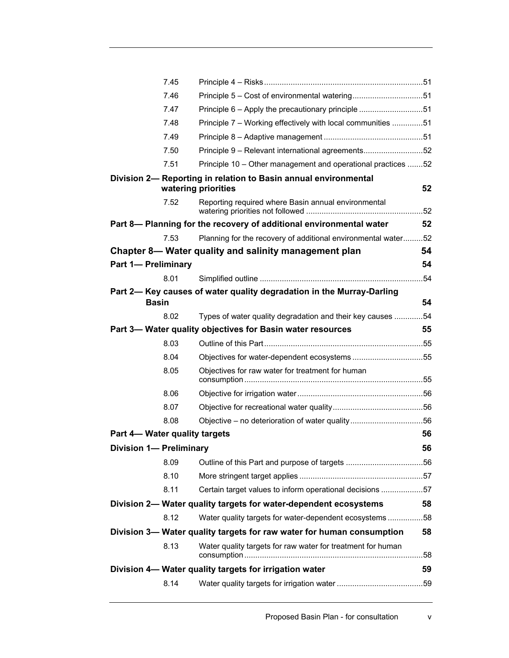|                                | 7.45         |                                                                                        |     |
|--------------------------------|--------------|----------------------------------------------------------------------------------------|-----|
|                                | 7.46         |                                                                                        |     |
|                                | 7.47         | Principle 6 – Apply the precautionary principle 51                                     |     |
|                                | 7.48         | Principle 7 – Working effectively with local communities 51                            |     |
|                                | 7.49         |                                                                                        |     |
|                                | 7.50         | Principle 9 - Relevant international agreements52                                      |     |
|                                | 7.51         | Principle 10 - Other management and operational practices 52                           |     |
|                                |              | Division 2- Reporting in relation to Basin annual environmental<br>watering priorities | 52  |
|                                | 7.52         | Reporting required where Basin annual environmental                                    |     |
|                                |              | Part 8- Planning for the recovery of additional environmental water                    | 52  |
|                                | 7.53         | Planning for the recovery of additional environmental water52                          |     |
|                                |              | Chapter 8— Water quality and salinity management plan                                  | 54  |
| <b>Part 1- Preliminary</b>     |              |                                                                                        | 54  |
|                                | 8.01         |                                                                                        | .54 |
|                                | <b>Basin</b> | Part 2- Key causes of water quality degradation in the Murray-Darling                  | 54  |
|                                | 8.02         | Types of water quality degradation and their key causes 54                             |     |
|                                |              | Part 3- Water quality objectives for Basin water resources                             | 55  |
|                                | 8.03         |                                                                                        |     |
|                                | 8.04         | Objectives for water-dependent ecosystems 55                                           |     |
|                                | 8.05         | Objectives for raw water for treatment for human                                       |     |
|                                | 8.06         |                                                                                        |     |
|                                | 8.07         |                                                                                        |     |
|                                | 8.08         | Objective - no deterioration of water quality56                                        |     |
| Part 4- Water quality targets  |              |                                                                                        | 56  |
| <b>Division 1- Preliminary</b> |              |                                                                                        | 56  |
|                                | 8.09         |                                                                                        |     |
|                                | 8.10         |                                                                                        |     |
|                                | 8.11         | Certain target values to inform operational decisions 57                               |     |
|                                |              | Division 2- Water quality targets for water-dependent ecosystems                       | 58  |
|                                | 8.12         | Water quality targets for water-dependent ecosystems58                                 |     |
|                                |              | Division 3— Water quality targets for raw water for human consumption                  | 58  |
|                                | 8.13         | Water quality targets for raw water for treatment for human                            |     |
|                                |              | Division 4- Water quality targets for irrigation water                                 | 59  |
|                                | 8.14         |                                                                                        |     |
|                                |              |                                                                                        |     |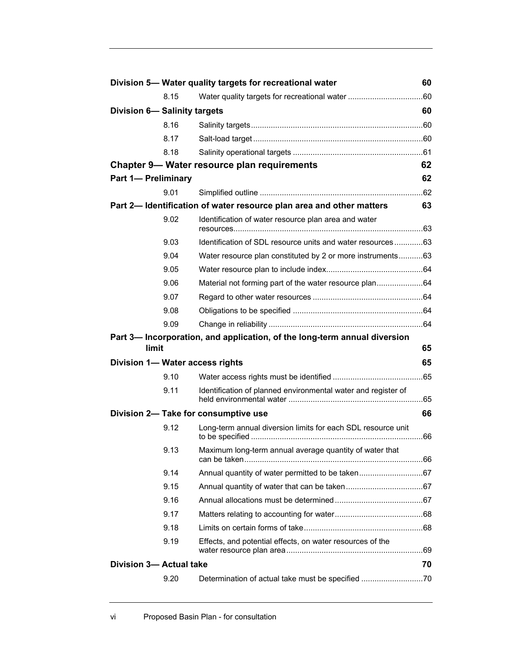|                             |       | Division 5- Water quality targets for recreational water                  | 60 |
|-----------------------------|-------|---------------------------------------------------------------------------|----|
|                             | 8.15  |                                                                           |    |
| Division 6-Salinity targets |       |                                                                           | 60 |
|                             | 8.16  |                                                                           |    |
|                             | 8.17  |                                                                           |    |
|                             | 8.18  |                                                                           |    |
|                             |       | Chapter 9- Water resource plan requirements                               | 62 |
| <b>Part 1- Preliminary</b>  |       |                                                                           | 62 |
|                             | 9.01  |                                                                           |    |
|                             |       | Part 2- Identification of water resource plan area and other matters      | 63 |
|                             | 9.02  | Identification of water resource plan area and water                      |    |
|                             | 9.03  | Identification of SDL resource units and water resources63                |    |
|                             | 9.04  | Water resource plan constituted by 2 or more instruments 63               |    |
|                             | 9.05  |                                                                           |    |
|                             | 9.06  | Material not forming part of the water resource plan64                    |    |
|                             | 9.07  |                                                                           |    |
|                             | 9.08  |                                                                           |    |
|                             | 9.09  |                                                                           |    |
|                             | limit | Part 3- Incorporation, and application, of the long-term annual diversion | 65 |
|                             |       | Division 1- Water access rights                                           | 65 |
|                             | 9.10  |                                                                           |    |
|                             | 9.11  | Identification of planned environmental water and register of             |    |
|                             |       | Division 2- Take for consumptive use                                      | 66 |
|                             | 9.12  | Long-term annual diversion limits for each SDL resource unit              |    |
|                             | 9.13  | Maximum long-term annual average quantity of water that                   |    |
|                             | 9.14  |                                                                           |    |
|                             | 9.15  |                                                                           |    |
|                             | 9.16  |                                                                           |    |
|                             | 9.17  |                                                                           |    |
|                             | 9.18  |                                                                           |    |
|                             | 9.19  | Effects, and potential effects, on water resources of the                 |    |
| Division 3- Actual take     |       |                                                                           | 70 |
|                             | 9.20  | Determination of actual take must be specified 70                         |    |
|                             |       |                                                                           |    |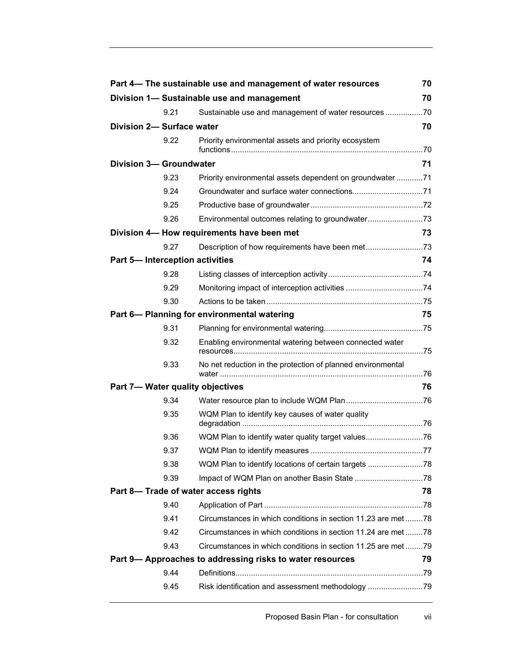|                                |      | Part 4- The sustainable use and management of water resources | 70 |
|--------------------------------|------|---------------------------------------------------------------|----|
|                                |      | Division 1- Sustainable use and management                    | 70 |
|                                | 9.21 | Sustainable use and management of water resources 70          |    |
| Division 2- Surface water      |      |                                                               | 70 |
|                                | 9.22 | Priority environmental assets and priority ecosystem          |    |
| <b>Division 3- Groundwater</b> |      |                                                               | 71 |
|                                | 9.23 | Priority environmental assets dependent on groundwater 71     |    |
|                                | 9.24 |                                                               |    |
|                                | 9.25 |                                                               |    |
|                                | 9.26 | Environmental outcomes relating to groundwater73              |    |
|                                |      | Division 4- How requirements have been met                    | 73 |
|                                | 9.27 | Description of how requirements have been met73               |    |
|                                |      | Part 5- Interception activities                               | 74 |
|                                | 9.28 |                                                               |    |
|                                | 9.29 |                                                               |    |
|                                | 9.30 |                                                               |    |
|                                |      | Part 6- Planning for environmental watering                   | 75 |
|                                | 9.31 |                                                               |    |
|                                | 9.32 | Enabling environmental watering between connected water       |    |
|                                | 9.33 | No net reduction in the protection of planned environmental   |    |
|                                |      | Part 7- Water quality objectives                              | 76 |
|                                | 9.34 |                                                               |    |
|                                | 9.35 | WQM Plan to identify key causes of water quality              |    |
|                                | 9.36 | WQM Plan to identify water quality target values76            |    |
|                                | 9.37 |                                                               |    |
|                                | 9.38 |                                                               |    |
|                                | 9.39 |                                                               |    |
|                                |      | Part 8- Trade of water access rights                          | 78 |
|                                | 9.40 |                                                               |    |
|                                | 9.41 | Circumstances in which conditions in section 11.23 are met78  |    |
|                                | 9.42 | Circumstances in which conditions in section 11.24 are met78  |    |
|                                | 9.43 | Circumstances in which conditions in section 11.25 are met79  |    |
|                                |      | Part 9-Approaches to addressing risks to water resources      | 79 |
|                                | 9.44 |                                                               |    |
|                                | 9.45 | Risk identification and assessment methodology 79             |    |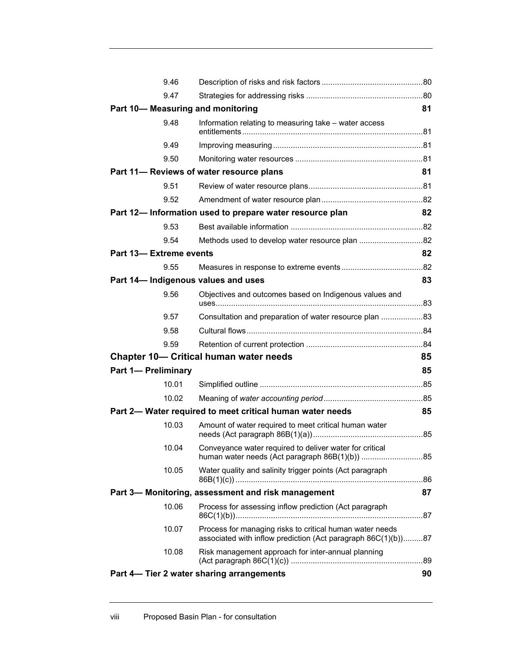|                                | 9.46  |                                                                                                                           |    |
|--------------------------------|-------|---------------------------------------------------------------------------------------------------------------------------|----|
|                                | 9.47  |                                                                                                                           |    |
|                                |       | Part 10-Measuring and monitoring                                                                                          | 81 |
|                                | 9.48  | Information relating to measuring take - water access                                                                     |    |
|                                | 9.49  |                                                                                                                           |    |
|                                | 9.50  |                                                                                                                           |    |
|                                |       | Part 11- Reviews of water resource plans                                                                                  | 81 |
|                                | 9.51  |                                                                                                                           |    |
|                                | 9.52  |                                                                                                                           |    |
|                                |       | Part 12- Information used to prepare water resource plan                                                                  | 82 |
|                                | 9.53  |                                                                                                                           |    |
|                                | 9.54  |                                                                                                                           |    |
| <b>Part 13- Extreme events</b> |       |                                                                                                                           | 82 |
|                                | 9.55  |                                                                                                                           |    |
|                                |       | Part 14- Indigenous values and uses                                                                                       | 83 |
|                                | 9.56  | Objectives and outcomes based on Indigenous values and                                                                    |    |
|                                | 9.57  | Consultation and preparation of water resource plan 83                                                                    |    |
|                                | 9.58  |                                                                                                                           |    |
|                                | 9.59  |                                                                                                                           |    |
|                                |       | <b>Chapter 10- Critical human water needs</b>                                                                             | 85 |
| <b>Part 1- Preliminary</b>     |       |                                                                                                                           | 85 |
|                                | 10.01 |                                                                                                                           |    |
|                                | 10.02 |                                                                                                                           |    |
|                                |       | Part 2- Water required to meet critical human water needs                                                                 | 85 |
|                                | 10.03 | Amount of water required to meet critical human water                                                                     |    |
|                                | 10.04 | Conveyance water required to deliver water for critical<br>human water needs (Act paragraph 86B(1)(b)) 85                 |    |
|                                | 10.05 | Water quality and salinity trigger points (Act paragraph                                                                  |    |
|                                |       | Part 3- Monitoring, assessment and risk management                                                                        | 87 |
|                                | 10.06 | Process for assessing inflow prediction (Act paragraph                                                                    |    |
|                                | 10.07 | Process for managing risks to critical human water needs<br>associated with inflow prediction (Act paragraph 86C(1)(b))87 |    |
|                                | 10.08 | Risk management approach for inter-annual planning                                                                        |    |
|                                |       | Part 4– Tier 2 water sharing arrangements                                                                                 | 90 |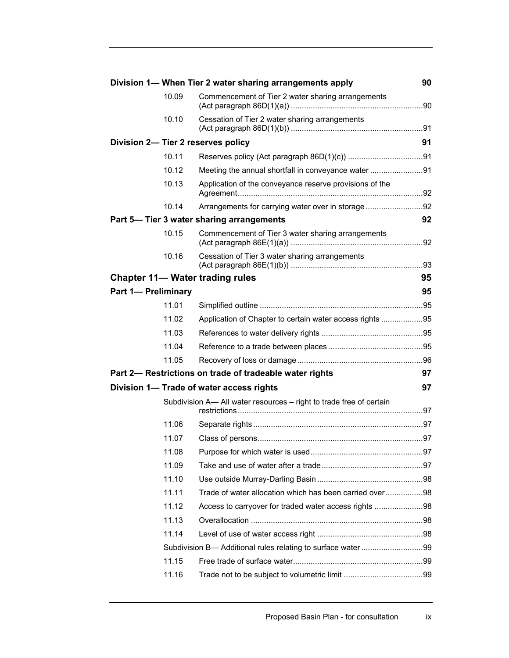|                            |       | Division 1- When Tier 2 water sharing arrangements apply            | 90 |
|----------------------------|-------|---------------------------------------------------------------------|----|
|                            | 10.09 | Commencement of Tier 2 water sharing arrangements                   |    |
|                            | 10.10 | Cessation of Tier 2 water sharing arrangements                      |    |
|                            |       | Division 2- Tier 2 reserves policy                                  | 91 |
|                            | 10.11 |                                                                     |    |
|                            | 10.12 | Meeting the annual shortfall in conveyance water 91                 |    |
|                            | 10.13 | Application of the conveyance reserve provisions of the             |    |
|                            | 10.14 | Arrangements for carrying water over in storage92                   |    |
|                            |       | Part 5- Tier 3 water sharing arrangements                           | 92 |
|                            | 10.15 | Commencement of Tier 3 water sharing arrangements                   |    |
|                            | 10.16 | Cessation of Tier 3 water sharing arrangements                      |    |
|                            |       | <b>Chapter 11— Water trading rules</b>                              | 95 |
| <b>Part 1- Preliminary</b> |       |                                                                     | 95 |
|                            | 11.01 |                                                                     |    |
|                            | 11.02 | Application of Chapter to certain water access rights 95            |    |
|                            | 11.03 |                                                                     |    |
|                            | 11.04 |                                                                     |    |
|                            | 11.05 |                                                                     |    |
|                            |       | Part 2- Restrictions on trade of tradeable water rights             | 97 |
|                            |       | Division 1- Trade of water access rights                            | 97 |
|                            |       | Subdivision A- All water resources - right to trade free of certain |    |
|                            | 11.06 |                                                                     |    |
|                            | 11.07 |                                                                     |    |
|                            | 11.08 |                                                                     |    |
|                            | 11.09 |                                                                     |    |
|                            | 11.10 |                                                                     |    |
|                            | 11.11 | Trade of water allocation which has been carried over98             |    |
|                            | 11.12 | Access to carryover for traded water access rights 98               |    |
|                            | 11.13 |                                                                     |    |
|                            | 11.14 |                                                                     |    |
|                            |       | Subdivision B- Additional rules relating to surface water99         |    |
|                            | 11.15 |                                                                     |    |
|                            | 11.16 |                                                                     |    |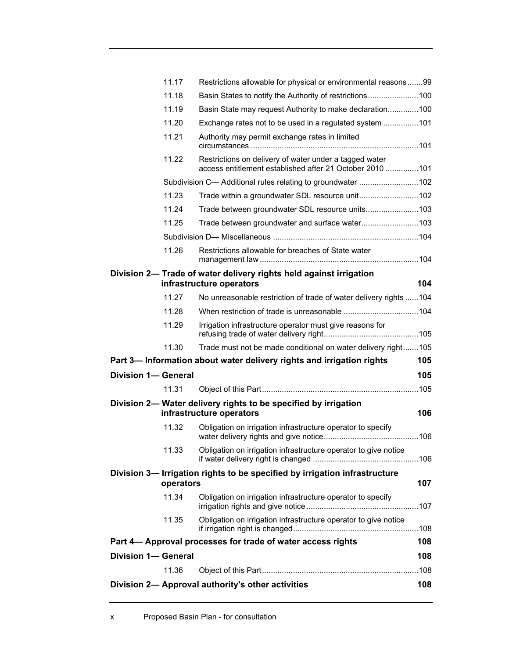|                            | 11.17     | Restrictions allowable for physical or environmental reasons99                                                     |     |
|----------------------------|-----------|--------------------------------------------------------------------------------------------------------------------|-----|
|                            | 11.18     | Basin States to notify the Authority of restrictions100                                                            |     |
|                            | 11.19     | Basin State may request Authority to make declaration100                                                           |     |
|                            | 11.20     | Exchange rates not to be used in a regulated system 101                                                            |     |
|                            | 11.21     | Authority may permit exchange rates in limited                                                                     |     |
|                            | 11.22     | Restrictions on delivery of water under a tagged water<br>access entitlement established after 21 October 2010 101 |     |
|                            |           | Subdivision C- Additional rules relating to groundwater 102                                                        |     |
|                            | 11.23     | Trade within a groundwater SDL resource unit102                                                                    |     |
|                            | 11.24     | Trade between groundwater SDL resource units103                                                                    |     |
|                            | 11.25     | Trade between groundwater and surface water103                                                                     |     |
|                            |           |                                                                                                                    |     |
|                            | 11.26     | Restrictions allowable for breaches of State water                                                                 |     |
|                            |           | Division 2- Trade of water delivery rights held against irrigation<br>infrastructure operators                     | 104 |
|                            | 11.27     | No unreasonable restriction of trade of water delivery rights 104                                                  |     |
|                            | 11.28     |                                                                                                                    |     |
|                            | 11.29     | Irrigation infrastructure operator must give reasons for                                                           |     |
|                            | 11.30     | Trade must not be made conditional on water delivery right105                                                      |     |
|                            |           | Part 3— Information about water delivery rights and irrigation rights                                              | 105 |
|                            |           |                                                                                                                    |     |
| <b>Division 1- General</b> |           |                                                                                                                    | 105 |
|                            | 11.31     |                                                                                                                    |     |
|                            |           | Division 2- Water delivery rights to be specified by irrigation<br>infrastructure operators                        | 106 |
|                            | 11.32     | Obligation on irrigation infrastructure operator to specify                                                        |     |
|                            | 11.33     | Obligation on irrigation infrastructure operator to give notice                                                    |     |
|                            | operators | Division 3- Irrigation rights to be specified by irrigation infrastructure                                         | 107 |
|                            | 11.34     | Obligation on irrigation infrastructure operator to specify                                                        |     |
|                            | 11.35     | Obligation on irrigation infrastructure operator to give notice                                                    |     |
|                            |           | Part 4- Approval processes for trade of water access rights                                                        | 108 |
| <b>Division 1- General</b> |           |                                                                                                                    | 108 |
|                            | 11.36     |                                                                                                                    |     |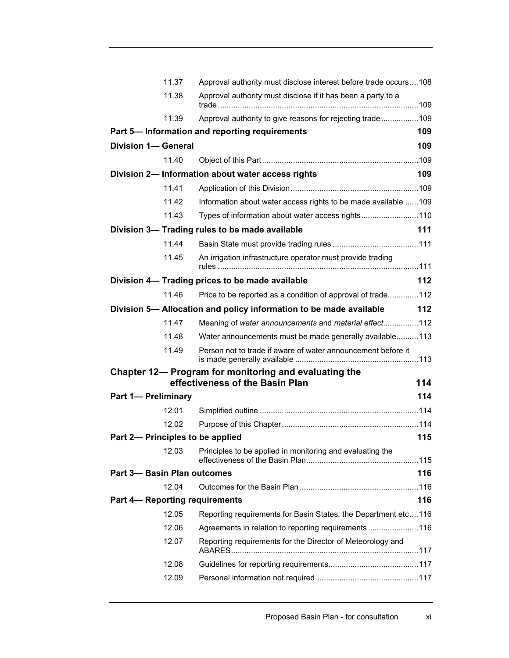|                             | 11.37 | Approval authority must disclose interest before trade occurs108   |            |
|-----------------------------|-------|--------------------------------------------------------------------|------------|
|                             | 11.38 | Approval authority must disclose if it has been a party to a       |            |
|                             | 11.39 | Approval authority to give reasons for rejecting trade109          |            |
|                             |       | Part 5-Information and reporting requirements                      | 109        |
| Division 1- General         |       |                                                                    | 109        |
|                             | 11.40 |                                                                    |            |
|                             |       | Division 2- Information about water access rights                  | 109        |
|                             | 11.41 |                                                                    |            |
|                             | 11.42 | Information about water access rights to be made available 109     |            |
|                             | 11.43 | Types of information about water access rights110                  |            |
|                             |       | Division 3- Trading rules to be made available                     | 111        |
|                             | 11.44 |                                                                    |            |
|                             | 11.45 | An irrigation infrastructure operator must provide trading         |            |
|                             |       | Division 4- Trading prices to be made available                    | 112        |
|                             | 11.46 | Price to be reported as a condition of approval of trade112        |            |
|                             |       | Division 5- Allocation and policy information to be made available | 112        |
|                             | 11.47 | Meaning of water announcements and material effect112              |            |
|                             | 11.48 | Water announcements must be made generally available113            |            |
|                             | 11.49 | Person not to trade if aware of water announcement before it       |            |
|                             |       | Chapter 12— Program for monitoring and evaluating the              |            |
|                             |       | effectiveness of the Basin Plan                                    | 114<br>114 |
| <b>Part 1- Preliminary</b>  |       |                                                                    |            |
|                             | 12.01 |                                                                    |            |
|                             | 12.02 | Part 2- Principles to be applied                                   | 115        |
|                             |       |                                                                    |            |
|                             | 12.03 | Principles to be applied in monitoring and evaluating the          |            |
| Part 3- Basin Plan outcomes |       |                                                                    | 116        |
|                             | 12.04 |                                                                    |            |
|                             |       | <b>Part 4- Reporting requirements</b>                              | 116        |
|                             | 12.05 | Reporting requirements for Basin States, the Department etc116     |            |
|                             | 12.06 | Agreements in relation to reporting requirements116                |            |
|                             | 12.07 | Reporting requirements for the Director of Meteorology and         |            |
|                             | 12.08 |                                                                    |            |
|                             | 12.09 |                                                                    |            |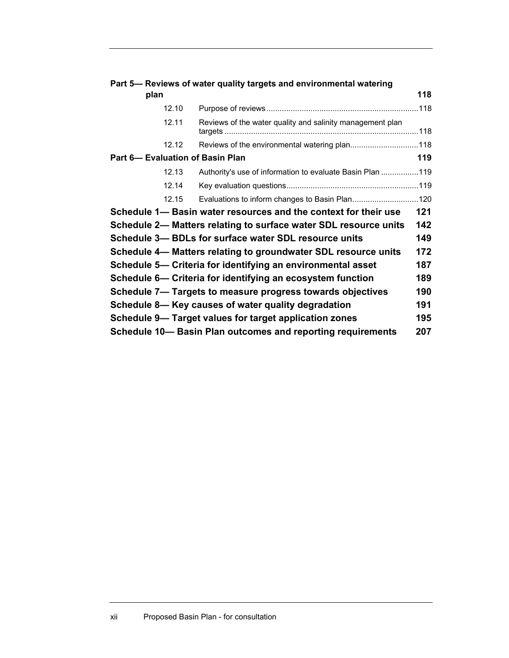|                                  | Part 5- Reviews of water quality targets and environmental watering |     |
|----------------------------------|---------------------------------------------------------------------|-----|
| plan                             |                                                                     | 118 |
| 12.10                            |                                                                     |     |
| 12.11                            | Reviews of the water quality and salinity management plan           |     |
| 12.12                            |                                                                     |     |
| Part 6- Evaluation of Basin Plan |                                                                     | 119 |
| 12.13                            | Authority's use of information to evaluate Basin Plan 119           |     |
| 12.14                            |                                                                     |     |
| 12.15                            | Evaluations to inform changes to Basin Plan120                      |     |
|                                  | Schedule 1— Basin water resources and the context for their use     | 121 |
|                                  | Schedule 2— Matters relating to surface water SDL resource units    | 142 |
|                                  | Schedule 3- BDLs for surface water SDL resource units               | 149 |
|                                  | Schedule 4— Matters relating to groundwater SDL resource units      | 172 |
|                                  | Schedule 5— Criteria for identifying an environmental asset         | 187 |
|                                  | Schedule 6- Criteria for identifying an ecosystem function          | 189 |
|                                  | Schedule 7- Targets to measure progress towards objectives          | 190 |
|                                  | Schedule 8- Key causes of water quality degradation                 | 191 |
|                                  | Schedule 9- Target values for target application zones              | 195 |
|                                  | Schedule 10– Basin Plan outcomes and reporting requirements         | 207 |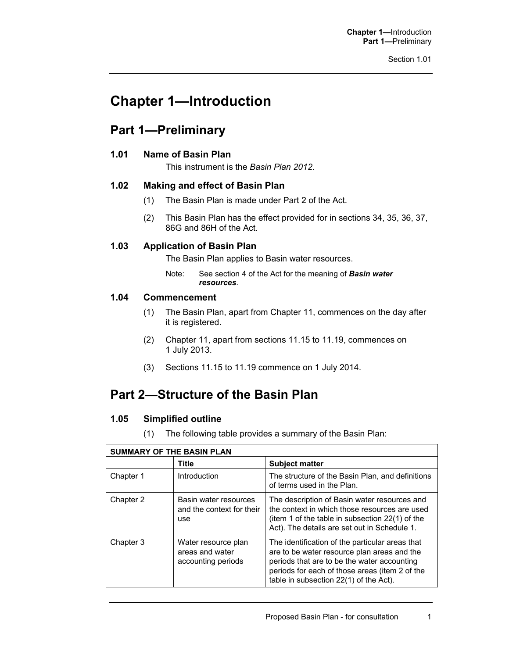**Chapter 1—**Introduction **Part 1—**Preliminary

## **Chapter 1—Introduction**

### **Part 1—Preliminary**

#### **1.01 Name of Basin Plan**

This instrument is the *Basin Plan 2012.*

#### **1.02 Making and effect of Basin Plan**

- (1) The Basin Plan is made under Part 2 of the Act*.*
- (2) This Basin Plan has the effect provided for in sections 34, 35, 36, 37, 86G and 86H of the Act*.*

#### **1.03 Application of Basin Plan**

The Basin Plan applies to Basin water resources.

Note: See section 4 of the Act for the meaning of *Basin water resources*.

#### **1.04 Commencement**

- (1) The Basin Plan, apart from Chapter 11, commences on the day after it is registered.
- (2) Chapter 11, apart from sections 11.15 to 11.19, commences on 1 July 2013.
- (3) Sections 11.15 to 11.19 commence on 1 July 2014.

## **Part 2—Structure of the Basin Plan**

#### **1.05 Simplified outline**

(1) The following table provides a summary of the Basin Plan:

| <b>SUMMARY OF THE BASIN PLAN</b> |                                                              |                                                                                                                                                                                                                                           |  |
|----------------------------------|--------------------------------------------------------------|-------------------------------------------------------------------------------------------------------------------------------------------------------------------------------------------------------------------------------------------|--|
|                                  | Title                                                        | <b>Subject matter</b>                                                                                                                                                                                                                     |  |
| Chapter 1                        | Introduction                                                 | The structure of the Basin Plan, and definitions<br>of terms used in the Plan.                                                                                                                                                            |  |
| Chapter 2                        | Basin water resources<br>and the context for their<br>use    | The description of Basin water resources and<br>the context in which those resources are used<br>(item 1 of the table in subsection 22(1) of the<br>Act). The details are set out in Schedule 1.                                          |  |
| Chapter 3                        | Water resource plan<br>areas and water<br>accounting periods | The identification of the particular areas that<br>are to be water resource plan areas and the<br>periods that are to be the water accounting<br>periods for each of those areas (item 2 of the<br>table in subsection 22(1) of the Act). |  |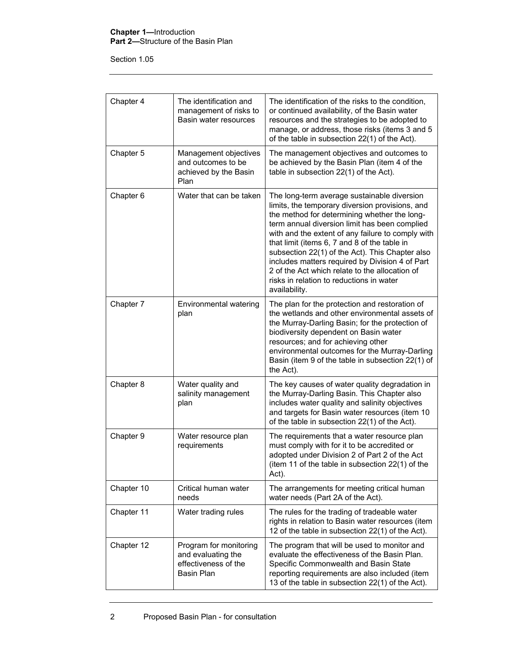#### **Chapter 1—**Introduction **Part 2—**Structure of the Basin Plan

Section 1.05

| Chapter 4  | The identification and<br>management of risks to<br>Basin water resources          | The identification of the risks to the condition,<br>or continued availability, of the Basin water<br>resources and the strategies to be adopted to<br>manage, or address, those risks (items 3 and 5<br>of the table in subsection 22(1) of the Act).                                                                                                                                                                                                                                                                    |
|------------|------------------------------------------------------------------------------------|---------------------------------------------------------------------------------------------------------------------------------------------------------------------------------------------------------------------------------------------------------------------------------------------------------------------------------------------------------------------------------------------------------------------------------------------------------------------------------------------------------------------------|
| Chapter 5  | Management objectives<br>and outcomes to be<br>achieved by the Basin<br>Plan       | The management objectives and outcomes to<br>be achieved by the Basin Plan (item 4 of the<br>table in subsection 22(1) of the Act).                                                                                                                                                                                                                                                                                                                                                                                       |
| Chapter 6  | Water that can be taken                                                            | The long-term average sustainable diversion<br>limits, the temporary diversion provisions, and<br>the method for determining whether the long-<br>term annual diversion limit has been complied<br>with and the extent of any failure to comply with<br>that limit (items 6, 7 and 8 of the table in<br>subsection 22(1) of the Act). This Chapter also<br>includes matters required by Division 4 of Part<br>2 of the Act which relate to the allocation of<br>risks in relation to reductions in water<br>availability. |
| Chapter 7  | Environmental watering<br>plan                                                     | The plan for the protection and restoration of<br>the wetlands and other environmental assets of<br>the Murray-Darling Basin; for the protection of<br>biodiversity dependent on Basin water<br>resources; and for achieving other<br>environmental outcomes for the Murray-Darling<br>Basin (item 9 of the table in subsection 22(1) of<br>the Act).                                                                                                                                                                     |
| Chapter 8  | Water quality and<br>salinity management<br>plan                                   | The key causes of water quality degradation in<br>the Murray-Darling Basin. This Chapter also<br>includes water quality and salinity objectives<br>and targets for Basin water resources (item 10<br>of the table in subsection 22(1) of the Act).                                                                                                                                                                                                                                                                        |
| Chapter 9  | Water resource plan<br>requirements                                                | The requirements that a water resource plan<br>must comply with for it to be accredited or<br>adopted under Division 2 of Part 2 of the Act<br>(item 11 of the table in subsection 22(1) of the<br>Act).                                                                                                                                                                                                                                                                                                                  |
| Chapter 10 | Critical human water<br>needs                                                      | The arrangements for meeting critical human<br>water needs (Part 2A of the Act).                                                                                                                                                                                                                                                                                                                                                                                                                                          |
| Chapter 11 | Water trading rules                                                                | The rules for the trading of tradeable water<br>rights in relation to Basin water resources (item<br>12 of the table in subsection 22(1) of the Act).                                                                                                                                                                                                                                                                                                                                                                     |
| Chapter 12 | Program for monitoring<br>and evaluating the<br>effectiveness of the<br>Basin Plan | The program that will be used to monitor and<br>evaluate the effectiveness of the Basin Plan.<br>Specific Commonwealth and Basin State<br>reporting requirements are also included (item<br>13 of the table in subsection 22(1) of the Act).                                                                                                                                                                                                                                                                              |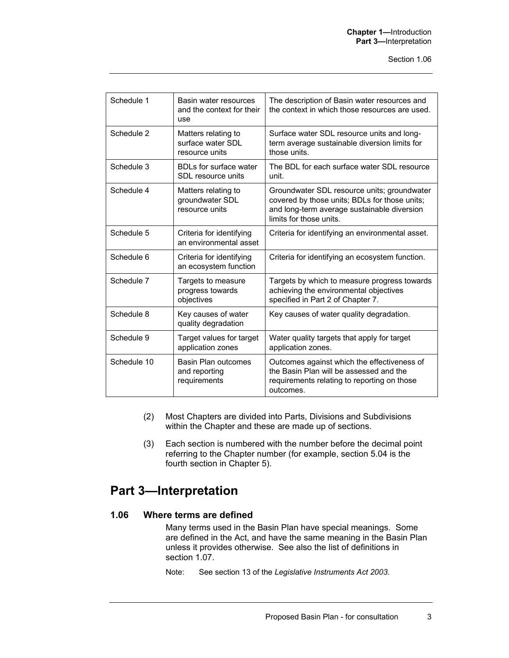| Schedule 1  | Basin water resources<br>and the context for their<br>use  | The description of Basin water resources and<br>the context in which those resources are used.                                                                         |
|-------------|------------------------------------------------------------|------------------------------------------------------------------------------------------------------------------------------------------------------------------------|
| Schedule 2  | Matters relating to<br>surface water SDL<br>resource units | Surface water SDL resource units and long-<br>term average sustainable diversion limits for<br>those units.                                                            |
| Schedule 3  | <b>BDLs for surface water</b><br>SDL resource units        | The BDL for each surface water SDL resource<br>unit.                                                                                                                   |
| Schedule 4  | Matters relating to<br>groundwater SDL<br>resource units   | Groundwater SDL resource units; groundwater<br>covered by those units; BDLs for those units;<br>and long-term average sustainable diversion<br>limits for those units. |
| Schedule 5  | Criteria for identifying<br>an environmental asset         | Criteria for identifying an environmental asset.                                                                                                                       |
| Schedule 6  | Criteria for identifying<br>an ecosystem function          | Criteria for identifying an ecosystem function.                                                                                                                        |
| Schedule 7  | Targets to measure<br>progress towards<br>objectives       | Targets by which to measure progress towards<br>achieving the environmental objectives<br>specified in Part 2 of Chapter 7.                                            |
| Schedule 8  | Key causes of water<br>quality degradation                 | Key causes of water quality degradation.                                                                                                                               |
| Schedule 9  | Target values for target<br>application zones              | Water quality targets that apply for target<br>application zones.                                                                                                      |
| Schedule 10 | Basin Plan outcomes<br>and reporting<br>requirements       | Outcomes against which the effectiveness of<br>the Basin Plan will be assessed and the<br>requirements relating to reporting on those<br>outcomes.                     |

- (2) Most Chapters are divided into Parts, Divisions and Subdivisions within the Chapter and these are made up of sections.
- (3) Each section is numbered with the number before the decimal point referring to the Chapter number (for example, section 5.04 is the fourth section in Chapter 5).

## **Part 3—Interpretation**

#### **1.06 Where terms are defined**

Many terms used in the Basin Plan have special meanings. Some are defined in the Act, and have the same meaning in the Basin Plan unless it provides otherwise. See also the list of definitions in section 1.07.

Note: See section 13 of the *Legislative Instruments Act 2003*.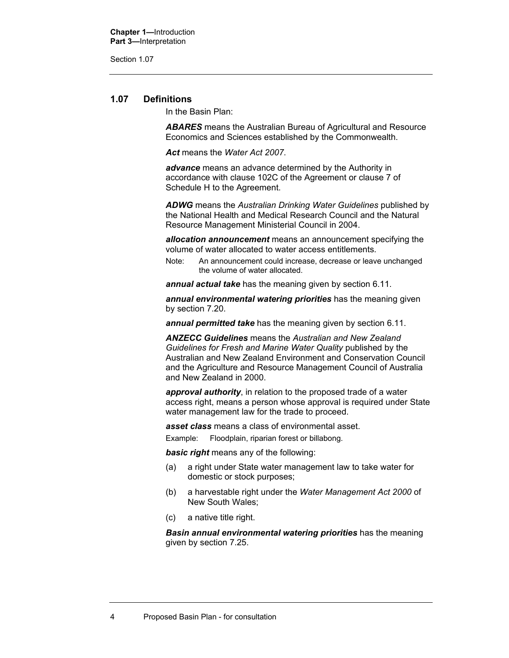Section 1.07

#### **1.07 Definitions**

In the Basin Plan:

*ABARES* means the Australian Bureau of Agricultural and Resource Economics and Sciences established by the Commonwealth.

*Act* means the *Water Act 2007*.

*advance* means an advance determined by the Authority in accordance with clause 102C of the Agreement or clause 7 of Schedule H to the Agreement.

*ADWG* means the *Australian Drinking Water Guidelines* published by the National Health and Medical Research Council and the Natural Resource Management Ministerial Council in 2004.

*allocation announcement* means an announcement specifying the volume of water allocated to water access entitlements.

Note: An announcement could increase, decrease or leave unchanged the volume of water allocated.

*annual actual take* has the meaning given by section 6.11.

*annual environmental watering priorities* has the meaning given by section 7.20.

*annual permitted take* has the meaning given by section 6.11.

*ANZECC Guidelines* means the *Australian and New Zealand Guidelines for Fresh and Marine Water Quality* published by the Australian and New Zealand Environment and Conservation Council and the Agriculture and Resource Management Council of Australia and New Zealand in 2000.

*approval authority*, in relation to the proposed trade of a water access right, means a person whose approval is required under State water management law for the trade to proceed.

*asset class* means a class of environmental asset.

Example: Floodplain, riparian forest or billabong.

*basic right* means any of the following:

- (a) a right under State water management law to take water for domestic or stock purposes;
- (b) a harvestable right under the *Water Management Act 2000* of New South Wales;
- (c) a native title right.

*Basin annual environmental watering priorities* has the meaning given by section 7.25.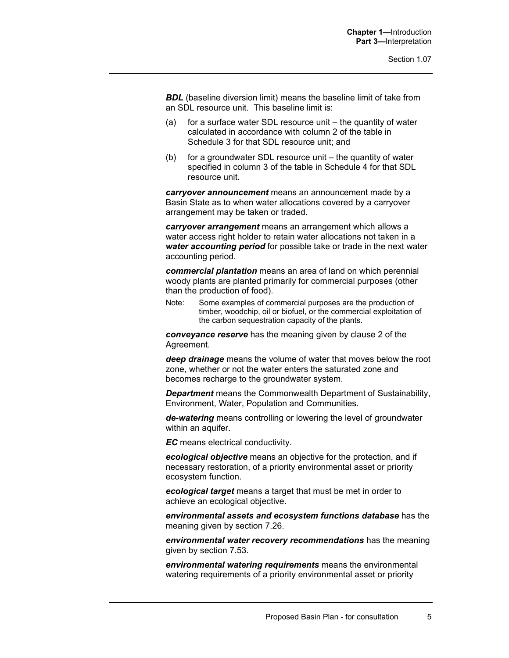**BDL** (baseline diversion limit) means the baseline limit of take from an SDL resource unit. This baseline limit is:

- (a) for a surface water SDL resource unit the quantity of water calculated in accordance with column 2 of the table in Schedule 3 for that SDL resource unit; and
- (b) for a groundwater SDL resource unit the quantity of water specified in column 3 of the table in Schedule 4 for that SDL resource unit.

*carryover announcement* means an announcement made by a Basin State as to when water allocations covered by a carryover arrangement may be taken or traded.

*carryover arrangement* means an arrangement which allows a water access right holder to retain water allocations not taken in a *water accounting period* for possible take or trade in the next water accounting period.

*commercial plantation* means an area of land on which perennial woody plants are planted primarily for commercial purposes (other than the production of food).

Note: Some examples of commercial purposes are the production of timber, woodchip, oil or biofuel, or the commercial exploitation of the carbon sequestration capacity of the plants.

*conveyance reserve* has the meaning given by clause 2 of the Agreement.

*deep drainage* means the volume of water that moves below the root zone, whether or not the water enters the saturated zone and becomes recharge to the groundwater system.

*Department* means the Commonwealth Department of Sustainability, Environment, Water, Population and Communities.

*de-watering* means controlling or lowering the level of groundwater within an aquifer.

*EC* means electrical conductivity.

*ecological objective* means an objective for the protection, and if necessary restoration, of a priority environmental asset or priority ecosystem function.

*ecological target* means a target that must be met in order to achieve an ecological objective.

*environmental assets and ecosystem functions database* has the meaning given by section 7.26.

*environmental water recovery recommendations* has the meaning given by section 7.53.

*environmental watering requirements* means the environmental watering requirements of a priority environmental asset or priority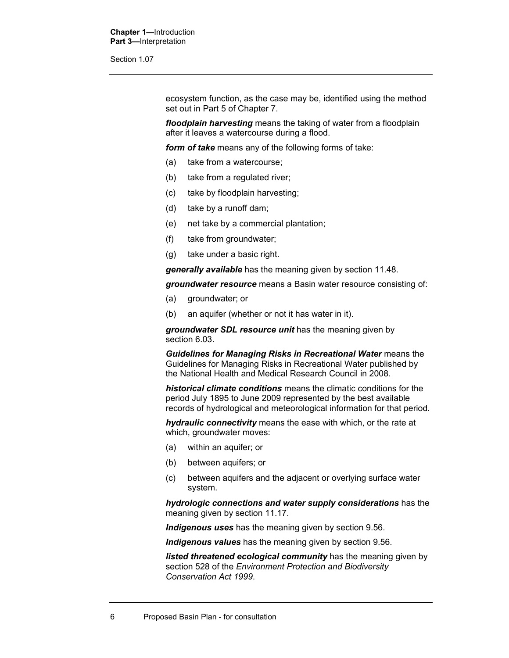Section 1.07

ecosystem function, as the case may be, identified using the method set out in Part 5 of Chapter 7.

*floodplain harvesting* means the taking of water from a floodplain after it leaves a watercourse during a flood.

*form of take* means any of the following forms of take:

- (a) take from a watercourse;
- (b) take from a regulated river;
- (c) take by floodplain harvesting;
- (d) take by a runoff dam;
- (e) net take by a commercial plantation;
- (f) take from groundwater;
- (g) take under a basic right.

*generally available* has the meaning given by section 11.48.

*groundwater resource* means a Basin water resource consisting of:

- (a) groundwater; or
- (b) an aquifer (whether or not it has water in it).

*groundwater SDL resource unit* has the meaning given by section 6.03.

*Guidelines for Managing Risks in Recreational Water* means the Guidelines for Managing Risks in Recreational Water published by the National Health and Medical Research Council in 2008.

*historical climate conditions* means the climatic conditions for the period July 1895 to June 2009 represented by the best available records of hydrological and meteorological information for that period.

*hydraulic connectivity* means the ease with which, or the rate at which, groundwater moves:

- (a) within an aquifer; or
- (b) between aquifers; or
- (c) between aquifers and the adjacent or overlying surface water system.

*hydrologic connections and water supply considerations* has the meaning given by section 11.17.

*Indigenous uses* has the meaning given by section 9.56.

*Indigenous values* has the meaning given by section 9.56.

*listed threatened ecological community* has the meaning given by section 528 of the *Environment Protection and Biodiversity Conservation Act 1999*.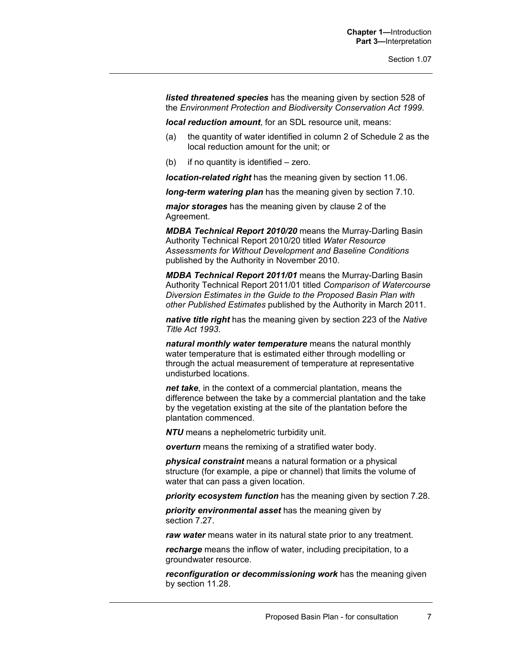*listed threatened species* has the meaning given by section 528 of the *Environment Protection and Biodiversity Conservation Act 1999*.

*local reduction amount*, for an SDL resource unit, means:

- (a) the quantity of water identified in column 2 of Schedule 2 as the local reduction amount for the unit; or
- (b) if no quantity is identified zero.

*location-related right* has the meaning given by section 11.06.

*long-term watering plan* has the meaning given by section 7.10.

*major storages* has the meaning given by clause 2 of the Agreement.

*MDBA Technical Report 2010/20* means the Murray-Darling Basin Authority Technical Report 2010/20 titled *Water Resource Assessments for Without Development and Baseline Conditions* published by the Authority in November 2010.

*MDBA Technical Report 2011/01* means the Murray-Darling Basin Authority Technical Report 2011/01 titled *Comparison of Watercourse Diversion Estimates in the Guide to the Proposed Basin Plan with other Published Estimates* published by the Authority in March 2011.

*native title right* has the meaning given by section 223 of the *Native Title Act 1993*.

*natural monthly water temperature* means the natural monthly water temperature that is estimated either through modelling or through the actual measurement of temperature at representative undisturbed locations.

*net take*, in the context of a commercial plantation, means the difference between the take by a commercial plantation and the take by the vegetation existing at the site of the plantation before the plantation commenced.

*NTU* means a nephelometric turbidity unit.

*overturn* means the remixing of a stratified water body.

*physical constraint* means a natural formation or a physical structure (for example, a pipe or channel) that limits the volume of water that can pass a given location.

*priority ecosystem function* has the meaning given by section 7.28.

*priority environmental asset* has the meaning given by section 7.27.

*raw water* means water in its natural state prior to any treatment.

*recharge* means the inflow of water, including precipitation, to a groundwater resource.

*reconfiguration or decommissioning work* has the meaning given by section 11.28.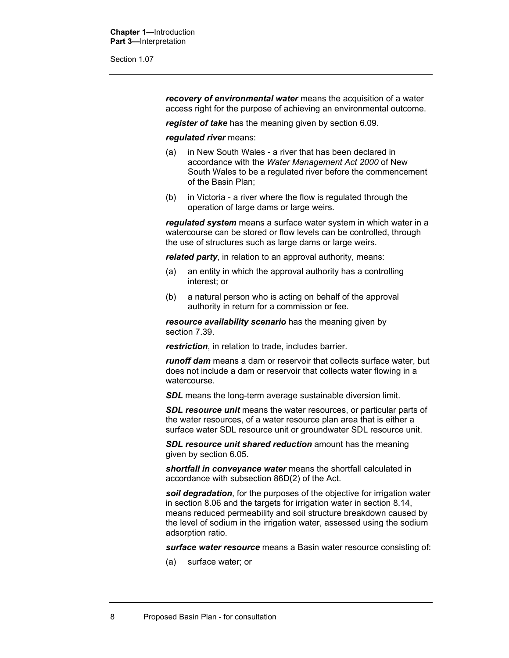Section 1.07

*recovery of environmental water* means the acquisition of a water access right for the purpose of achieving an environmental outcome.

*register of take* has the meaning given by section 6.09.

#### *regulated river* means:

- (a) in New South Wales a river that has been declared in accordance with the *Water Management Act 2000* of New South Wales to be a regulated river before the commencement of the Basin Plan;
- (b) in Victoria a river where the flow is regulated through the operation of large dams or large weirs.

*regulated system* means a surface water system in which water in a watercourse can be stored or flow levels can be controlled, through the use of structures such as large dams or large weirs.

*related party*, in relation to an approval authority, means:

- (a) an entity in which the approval authority has a controlling interest; or
- (b) a natural person who is acting on behalf of the approval authority in return for a commission or fee.

*resource availability scenario* has the meaning given by section 7.39.

*restriction*, in relation to trade, includes barrier.

*runoff dam* means a dam or reservoir that collects surface water, but does not include a dam or reservoir that collects water flowing in a watercourse.

**SDL** means the long-term average sustainable diversion limit.

**SDL resource unit** means the water resources, or particular parts of the water resources, of a water resource plan area that is either a surface water SDL resource unit or groundwater SDL resource unit.

**SDL resource unit shared reduction** amount has the meaning given by section 6.05.

*shortfall in conveyance water* means the shortfall calculated in accordance with subsection 86D(2) of the Act.

*soil degradation*, for the purposes of the objective for irrigation water in section 8.06 and the targets for irrigation water in section 8.14, means reduced permeability and soil structure breakdown caused by the level of sodium in the irrigation water, assessed using the sodium adsorption ratio.

*surface water resource* means a Basin water resource consisting of:

(a) surface water; or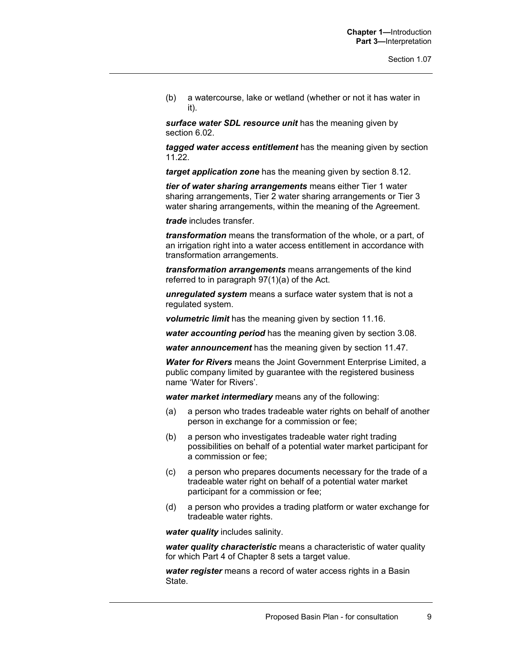(b) a watercourse, lake or wetland (whether or not it has water in it).

*surface water SDL resource unit* has the meaning given by section 6.02.

*tagged water access entitlement* has the meaning given by section 11.22.

*target application zone* has the meaning given by section 8.12.

*tier of water sharing arrangements* means either Tier 1 water sharing arrangements, Tier 2 water sharing arrangements or Tier 3 water sharing arrangements, within the meaning of the Agreement.

*trade* includes transfer.

*transformation* means the transformation of the whole, or a part, of an irrigation right into a water access entitlement in accordance with transformation arrangements.

*transformation arrangements* means arrangements of the kind referred to in paragraph 97(1)(a) of the Act.

*unregulated system* means a surface water system that is not a regulated system.

*volumetric limit* has the meaning given by section 11.16.

*water accounting period* has the meaning given by section 3.08.

*water announcement* has the meaning given by section 11.47.

*Water for Rivers* means the Joint Government Enterprise Limited, a public company limited by guarantee with the registered business name 'Water for Rivers'.

*water market intermediary* means any of the following:

- (a) a person who trades tradeable water rights on behalf of another person in exchange for a commission or fee;
- (b) a person who investigates tradeable water right trading possibilities on behalf of a potential water market participant for a commission or fee;
- (c) a person who prepares documents necessary for the trade of a tradeable water right on behalf of a potential water market participant for a commission or fee;
- (d) a person who provides a trading platform or water exchange for tradeable water rights.

*water quality* includes salinity.

*water quality characteristic* means a characteristic of water quality for which Part 4 of Chapter 8 sets a target value.

*water register* means a record of water access rights in a Basin State.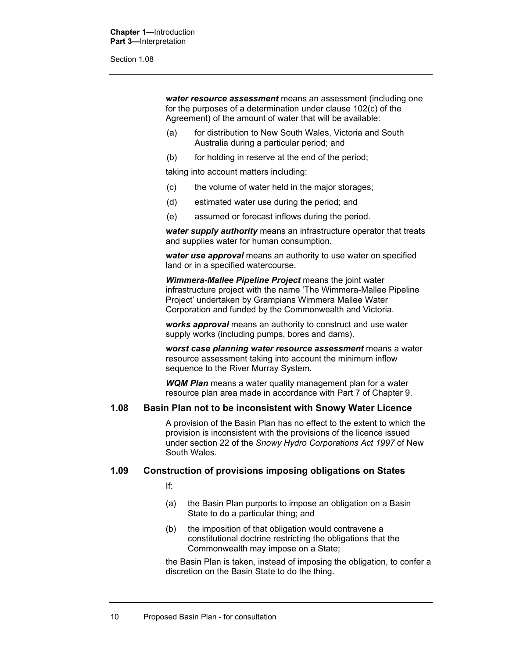Section 1.08

*water resource assessment* means an assessment (including one for the purposes of a determination under clause 102(c) of the Agreement) of the amount of water that will be available:

- (a) for distribution to New South Wales, Victoria and South Australia during a particular period; and
- (b) for holding in reserve at the end of the period;

taking into account matters including:

- (c) the volume of water held in the major storages;
- (d) estimated water use during the period; and
- (e) assumed or forecast inflows during the period.

*water supply authority* means an infrastructure operator that treats and supplies water for human consumption.

*water use approval* means an authority to use water on specified land or in a specified watercourse.

*Wimmera-Mallee Pipeline Project* means the joint water infrastructure project with the name 'The Wimmera-Mallee Pipeline Project' undertaken by Grampians Wimmera Mallee Water Corporation and funded by the Commonwealth and Victoria.

*works approval* means an authority to construct and use water supply works (including pumps, bores and dams).

*worst case planning water resource assessment* means a water resource assessment taking into account the minimum inflow sequence to the River Murray System.

*WQM Plan* means a water quality management plan for a water resource plan area made in accordance with Part 7 of Chapter 9.

#### **1.08 Basin Plan not to be inconsistent with Snowy Water Licence**

A provision of the Basin Plan has no effect to the extent to which the provision is inconsistent with the provisions of the licence issued under section 22 of the *Snowy Hydro Corporations Act 1997* of New South Wales.

#### **1.09 Construction of provisions imposing obligations on States**

If:

- (a) the Basin Plan purports to impose an obligation on a Basin State to do a particular thing; and
- (b) the imposition of that obligation would contravene a constitutional doctrine restricting the obligations that the Commonwealth may impose on a State;

the Basin Plan is taken, instead of imposing the obligation, to confer a discretion on the Basin State to do the thing.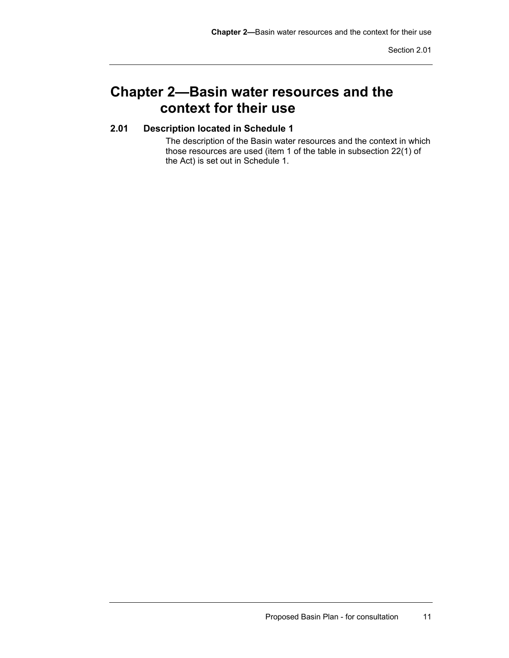## **Chapter 2—Basin water resources and the context for their use**

### **2.01 Description located in Schedule 1**

The description of the Basin water resources and the context in which those resources are used (item 1 of the table in subsection 22(1) of the Act) is set out in Schedule 1.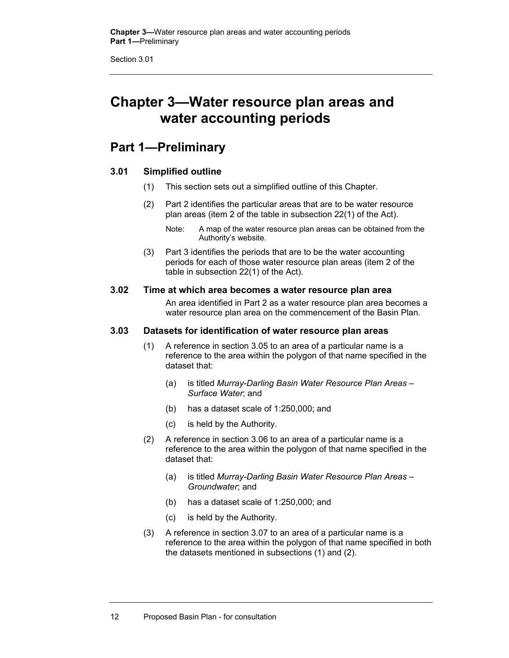Section 3.01

## **Chapter 3—Water resource plan areas and water accounting periods**

### **Part 1—Preliminary**

#### **3.01 Simplified outline**

- (1) This section sets out a simplified outline of this Chapter.
- (2) Part 2 identifies the particular areas that are to be water resource plan areas (item 2 of the table in subsection 22(1) of the Act).

(3) Part 3 identifies the periods that are to be the water accounting periods for each of those water resource plan areas (item 2 of the table in subsection 22(1) of the Act).

#### **3.02 Time at which area becomes a water resource plan area**

An area identified in Part 2 as a water resource plan area becomes a water resource plan area on the commencement of the Basin Plan.

#### **3.03 Datasets for identification of water resource plan areas**

- (1) A reference in section 3.05 to an area of a particular name is a reference to the area within the polygon of that name specified in the dataset that:
	- (a) is titled *Murray-Darling Basin Water Resource Plan Areas Surface Water*; and
	- (b) has a dataset scale of 1:250,000; and
	- (c) is held by the Authority.
- (2) A reference in section 3.06 to an area of a particular name is a reference to the area within the polygon of that name specified in the dataset that:
	- (a) is titled *Murray-Darling Basin Water Resource Plan Areas Groundwater*; and
	- (b) has a dataset scale of 1:250,000; and
	- (c) is held by the Authority.
- (3) A reference in section 3.07 to an area of a particular name is a reference to the area within the polygon of that name specified in both the datasets mentioned in subsections (1) and (2).

Note: A map of the water resource plan areas can be obtained from the Authority's website.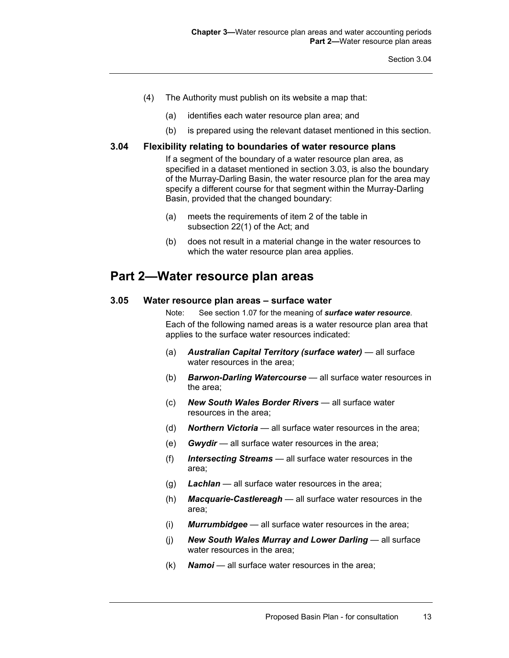- (4) The Authority must publish on its website a map that:
	- (a) identifies each water resource plan area; and
	- (b) is prepared using the relevant dataset mentioned in this section.

#### **3.04 Flexibility relating to boundaries of water resource plans**

If a segment of the boundary of a water resource plan area, as specified in a dataset mentioned in section 3.03, is also the boundary of the Murray-Darling Basin, the water resource plan for the area may specify a different course for that segment within the Murray-Darling Basin, provided that the changed boundary:

- (a) meets the requirements of item 2 of the table in subsection 22(1) of the Act; and
- (b) does not result in a material change in the water resources to which the water resource plan area applies.

### **Part 2—Water resource plan areas**

#### **3.05 Water resource plan areas** *–* **surface water**

Note: See section 1.07 for the meaning of *surface water resource*. Each of the following named areas is a water resource plan area that applies to the surface water resources indicated:

- (a) *Australian Capital Territory (surface water)* all surface water resources in the area;
- (b) *Barwon-Darling Watercourse* all surface water resources in the area;
- (c) *New South Wales Border Rivers* all surface water resources in the area;
- (d) *Northern Victoria* all surface water resources in the area;
- (e) *Gwydir* all surface water resources in the area;
- (f) *Intersecting Streams* all surface water resources in the area;
- (g) *Lachlan* all surface water resources in the area;
- (h) *Macquarie-Castlereagh* all surface water resources in the area;
- (i) *Murrumbidgee* all surface water resources in the area;
- (j) *New South Wales Murray and Lower Darling* all surface water resources in the area;
- (k) *Namoi* all surface water resources in the area;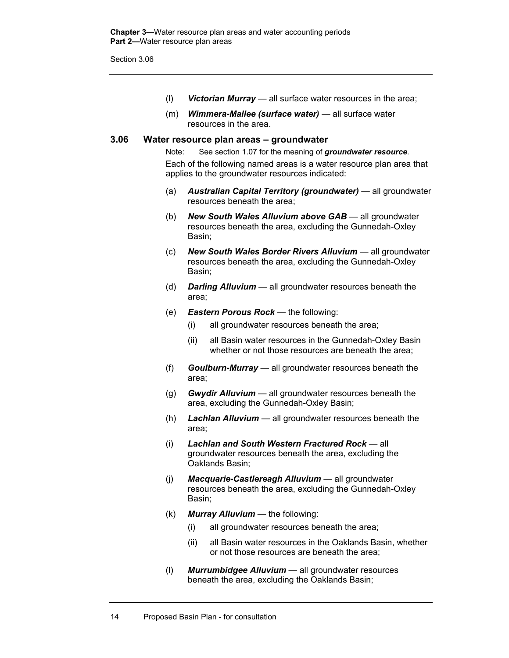Section 3.06

- (l) *Victorian Murray* all surface water resources in the area;
- (m) *Wimmera-Mallee (surface water)* all surface water resources in the area.

#### **3.06 Water resource plan areas – groundwater**

Note: See section 1.07 for the meaning of *groundwater resource*. Each of the following named areas is a water resource plan area that applies to the groundwater resources indicated:

- (a) *Australian Capital Territory (groundwater)* all groundwater resources beneath the area;
- (b) *New South Wales Alluvium above GAB* all groundwater resources beneath the area, excluding the Gunnedah-Oxley Basin;
- (c) *New South Wales Border Rivers Alluvium* all groundwater resources beneath the area, excluding the Gunnedah-Oxley Basin;
- (d) *Darling Alluvium* all groundwater resources beneath the area;
- (e) *Eastern Porous Rock* the following:
	- (i) all groundwater resources beneath the area;
	- (ii) all Basin water resources in the Gunnedah-Oxley Basin whether or not those resources are beneath the area;
- (f) *Goulburn-Murray* all groundwater resources beneath the area;
- (g) *Gwydir Alluvium* all groundwater resources beneath the area, excluding the Gunnedah-Oxley Basin;
- (h) *Lachlan Alluvium* all groundwater resources beneath the area;
- (i) *Lachlan and South Western Fractured Rock* all groundwater resources beneath the area, excluding the Oaklands Basin;
- (j) *Macquarie-Castlereagh Alluvium* all groundwater resources beneath the area, excluding the Gunnedah-Oxley Basin;
- (k) *Murray Alluvium* the following:
	- (i) all groundwater resources beneath the area;
	- (ii) all Basin water resources in the Oaklands Basin, whether or not those resources are beneath the area;
- (l) *Murrumbidgee Alluvium* all groundwater resources beneath the area, excluding the Oaklands Basin;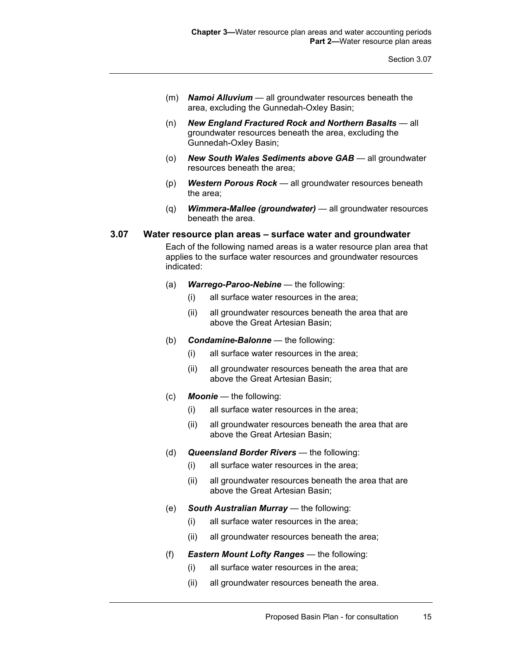- (m) *Namoi Alluvium* all groundwater resources beneath the area, excluding the Gunnedah-Oxley Basin;
- (n) *New England Fractured Rock and Northern Basalts* all groundwater resources beneath the area, excluding the Gunnedah-Oxley Basin;
- (o) *New South Wales Sediments above GAB* all groundwater resources beneath the area;
- (p) *Western Porous Rock* all groundwater resources beneath the area;
- (q) *Wimmera-Mallee (groundwater)* all groundwater resources beneath the area.

#### **3.07 Water resource plan areas – surface water and groundwater**

Each of the following named areas is a water resource plan area that applies to the surface water resources and groundwater resources indicated:

- (a) *Warrego-Paroo-Nebine* the following:
	- (i) all surface water resources in the area;
	- (ii) all groundwater resources beneath the area that are above the Great Artesian Basin;
- (b) *Condamine-Balonne* the following:
	- (i) all surface water resources in the area;
	- (ii) all groundwater resources beneath the area that are above the Great Artesian Basin;
- (c) *Moonie* the following:
	- (i) all surface water resources in the area;
	- (ii) all groundwater resources beneath the area that are above the Great Artesian Basin;
- (d) *Queensland Border Rivers* the following:
	- (i) all surface water resources in the area;
	- (ii) all groundwater resources beneath the area that are above the Great Artesian Basin;
- (e) *South Australian Murray* the following:
	- (i) all surface water resources in the area;
	- (ii) all groundwater resources beneath the area;
- (f) *Eastern Mount Lofty Ranges* the following:
	- (i) all surface water resources in the area;
	- (ii) all groundwater resources beneath the area.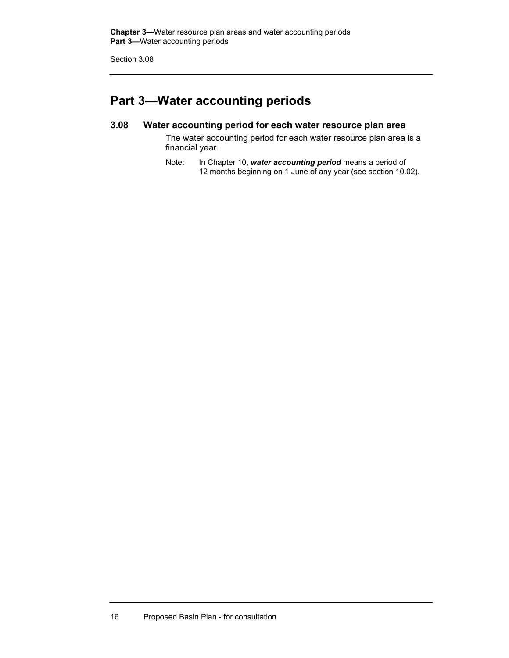Section 3.08

## **Part 3—Water accounting periods**

#### **3.08 Water accounting period for each water resource plan area**

The water accounting period for each water resource plan area is a financial year.

Note: In Chapter 10, *water accounting period* means a period of 12 months beginning on 1 June of any year (see section 10.02).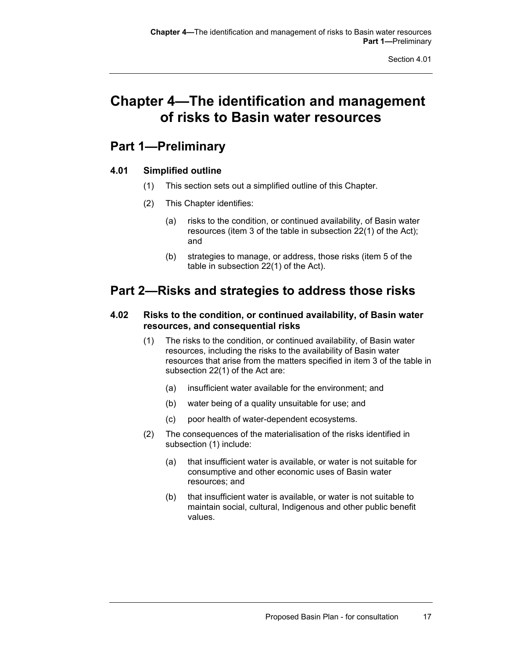## **Chapter 4—The identification and management of risks to Basin water resources**

## **Part 1—Preliminary**

#### **4.01 Simplified outline**

- (1) This section sets out a simplified outline of this Chapter.
- (2) This Chapter identifies:
	- (a) risks to the condition, or continued availability, of Basin water resources (item 3 of the table in subsection 22(1) of the Act); and
	- (b) strategies to manage, or address, those risks (item 5 of the table in subsection 22(1) of the Act).

## **Part 2—Risks and strategies to address those risks**

#### **4.02 Risks to the condition, or continued availability, of Basin water resources, and consequential risks**

- (1) The risks to the condition, or continued availability, of Basin water resources, including the risks to the availability of Basin water resources that arise from the matters specified in item 3 of the table in subsection 22(1) of the Act are:
	- (a) insufficient water available for the environment; and
	- (b) water being of a quality unsuitable for use; and
	- (c) poor health of water-dependent ecosystems.
- (2) The consequences of the materialisation of the risks identified in subsection (1) include:
	- (a) that insufficient water is available, or water is not suitable for consumptive and other economic uses of Basin water resources; and
	- (b) that insufficient water is available, or water is not suitable to maintain social, cultural, Indigenous and other public benefit values.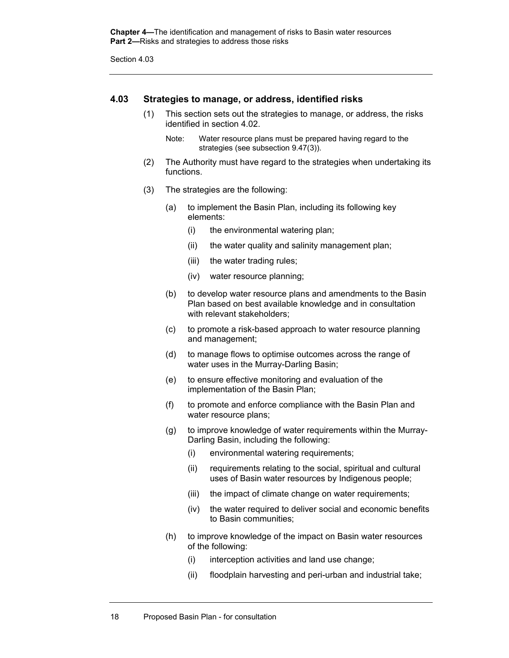**Chapter 4—**The identification and management of risks to Basin water resources **Part 2—**Risks and strategies to address those risks

Section 4.03

#### **4.03 Strategies to manage, or address, identified risks**

(1) This section sets out the strategies to manage, or address, the risks identified in section 4.02.

Note: Water resource plans must be prepared having regard to the strategies (see subsection 9.47(3)).

- (2) The Authority must have regard to the strategies when undertaking its functions.
- (3) The strategies are the following:
	- (a) to implement the Basin Plan, including its following key elements:
		- (i) the environmental watering plan;
		- (ii) the water quality and salinity management plan;
		- (iii) the water trading rules;
		- (iv) water resource planning;
	- (b) to develop water resource plans and amendments to the Basin Plan based on best available knowledge and in consultation with relevant stakeholders:
	- (c) to promote a risk-based approach to water resource planning and management;
	- (d) to manage flows to optimise outcomes across the range of water uses in the Murray-Darling Basin;
	- (e) to ensure effective monitoring and evaluation of the implementation of the Basin Plan;
	- (f) to promote and enforce compliance with the Basin Plan and water resource plans;
	- (g) to improve knowledge of water requirements within the Murray-Darling Basin, including the following:
		- (i) environmental watering requirements;
		- (ii) requirements relating to the social, spiritual and cultural uses of Basin water resources by Indigenous people;
		- (iii) the impact of climate change on water requirements;
		- (iv) the water required to deliver social and economic benefits to Basin communities;
	- (h) to improve knowledge of the impact on Basin water resources of the following:
		- (i) interception activities and land use change;
		- (ii) floodplain harvesting and peri-urban and industrial take;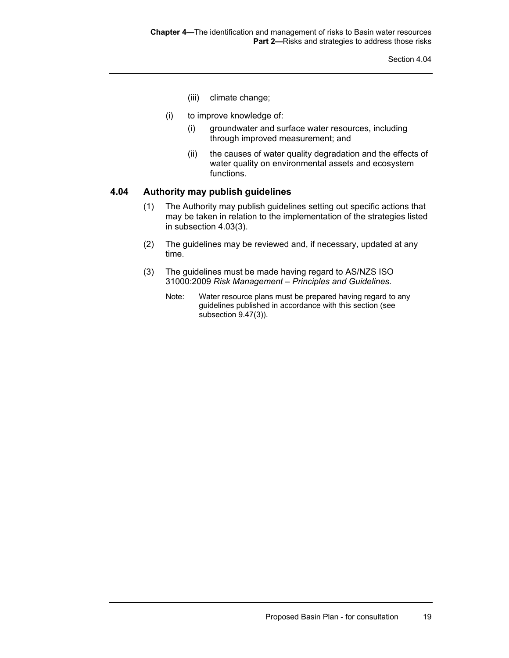Section 4.04

- (iii) climate change;
- (i) to improve knowledge of:
	- (i) groundwater and surface water resources, including through improved measurement; and
	- (ii) the causes of water quality degradation and the effects of water quality on environmental assets and ecosystem functions.

#### **4.04 Authority may publish guidelines**

- (1) The Authority may publish guidelines setting out specific actions that may be taken in relation to the implementation of the strategies listed in subsection 4.03(3).
- (2) The guidelines may be reviewed and, if necessary, updated at any time.
- (3) The guidelines must be made having regard to AS/NZS ISO 31000:2009 *Risk Management – Principles and Guidelines*.
	- Note: Water resource plans must be prepared having regard to any guidelines published in accordance with this section (see subsection 9.47(3)).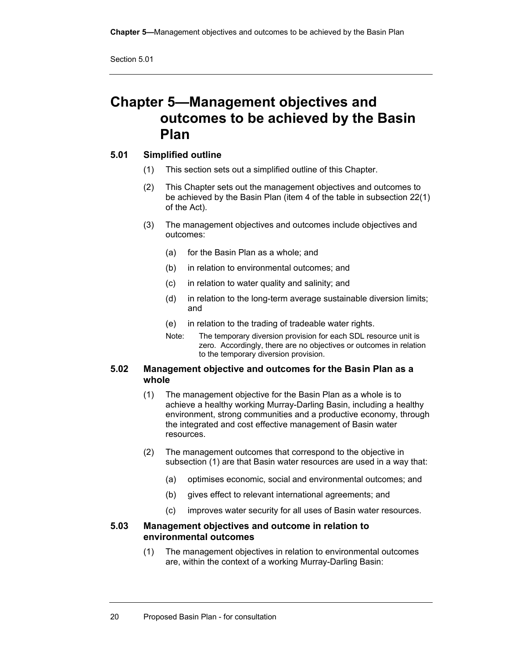## **Chapter 5—Management objectives and outcomes to be achieved by the Basin Plan**

#### **5.01 Simplified outline**

- (1) This section sets out a simplified outline of this Chapter.
- (2) This Chapter sets out the management objectives and outcomes to be achieved by the Basin Plan (item 4 of the table in subsection 22(1) of the Act).
- (3) The management objectives and outcomes include objectives and outcomes:
	- (a) for the Basin Plan as a whole; and
	- (b) in relation to environmental outcomes; and
	- (c) in relation to water quality and salinity; and
	- (d) in relation to the long-term average sustainable diversion limits; and
	- (e) in relation to the trading of tradeable water rights.
	- Note: The temporary diversion provision for each SDL resource unit is zero. Accordingly, there are no objectives or outcomes in relation to the temporary diversion provision.

#### **5.02 Management objective and outcomes for the Basin Plan as a whole**

- (1) The management objective for the Basin Plan as a whole is to achieve a healthy working Murray-Darling Basin, including a healthy environment, strong communities and a productive economy, through the integrated and cost effective management of Basin water resources.
- (2) The management outcomes that correspond to the objective in subsection (1) are that Basin water resources are used in a way that:
	- (a) optimises economic, social and environmental outcomes; and
	- (b) gives effect to relevant international agreements; and
	- (c) improves water security for all uses of Basin water resources.

#### **5.03 Management objectives and outcome in relation to environmental outcomes**

(1) The management objectives in relation to environmental outcomes are, within the context of a working Murray-Darling Basin: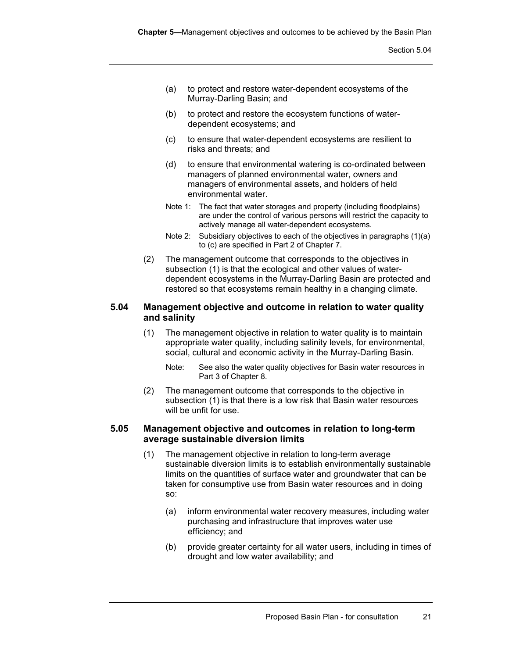- (a) to protect and restore water-dependent ecosystems of the Murray-Darling Basin; and
- (b) to protect and restore the ecosystem functions of waterdependent ecosystems; and
- (c) to ensure that water-dependent ecosystems are resilient to risks and threats; and
- (d) to ensure that environmental watering is co-ordinated between managers of planned environmental water, owners and managers of environmental assets, and holders of held environmental water.
- Note 1: The fact that water storages and property (including floodplains) are under the control of various persons will restrict the capacity to actively manage all water-dependent ecosystems.
- Note 2: Subsidiary objectives to each of the objectives in paragraphs (1)(a) to (c) are specified in Part 2 of Chapter 7.
- (2) The management outcome that corresponds to the objectives in subsection (1) is that the ecological and other values of waterdependent ecosystems in the Murray-Darling Basin are protected and restored so that ecosystems remain healthy in a changing climate.

#### **5.04 Management objective and outcome in relation to water quality and salinity**

- (1) The management objective in relation to water quality is to maintain appropriate water quality, including salinity levels, for environmental, social, cultural and economic activity in the Murray-Darling Basin.
	- Note: See also the water quality objectives for Basin water resources in Part 3 of Chapter 8.
- (2) The management outcome that corresponds to the objective in subsection (1) is that there is a low risk that Basin water resources will be unfit for use.

#### **5.05 Management objective and outcomes in relation to long-term average sustainable diversion limits**

- (1) The management objective in relation to long-term average sustainable diversion limits is to establish environmentally sustainable limits on the quantities of surface water and groundwater that can be taken for consumptive use from Basin water resources and in doing so:
	- (a) inform environmental water recovery measures, including water purchasing and infrastructure that improves water use efficiency; and
	- (b) provide greater certainty for all water users, including in times of drought and low water availability; and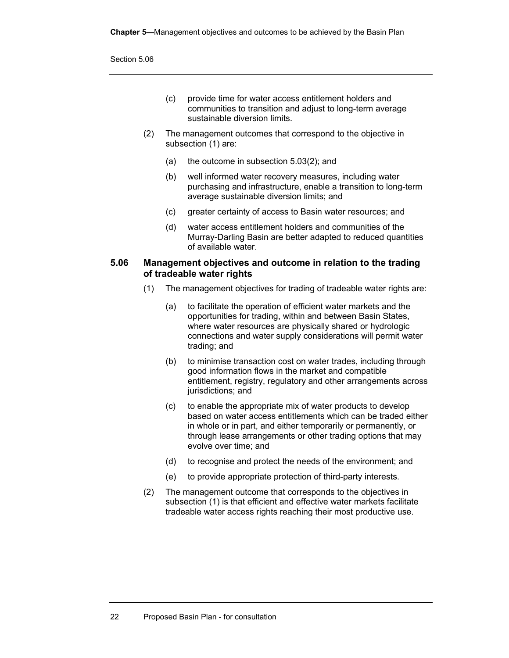- (c) provide time for water access entitlement holders and communities to transition and adjust to long-term average sustainable diversion limits.
- (2) The management outcomes that correspond to the objective in subsection (1) are:
	- (a) the outcome in subsection 5.03(2); and
	- (b) well informed water recovery measures, including water purchasing and infrastructure, enable a transition to long-term average sustainable diversion limits; and
	- (c) greater certainty of access to Basin water resources; and
	- (d) water access entitlement holders and communities of the Murray-Darling Basin are better adapted to reduced quantities of available water.

### **5.06 Management objectives and outcome in relation to the trading of tradeable water rights**

- (1) The management objectives for trading of tradeable water rights are:
	- (a) to facilitate the operation of efficient water markets and the opportunities for trading, within and between Basin States, where water resources are physically shared or hydrologic connections and water supply considerations will permit water trading; and
	- (b) to minimise transaction cost on water trades, including through good information flows in the market and compatible entitlement, registry, regulatory and other arrangements across jurisdictions; and
	- (c) to enable the appropriate mix of water products to develop based on water access entitlements which can be traded either in whole or in part, and either temporarily or permanently, or through lease arrangements or other trading options that may evolve over time; and
	- (d) to recognise and protect the needs of the environment; and
	- (e) to provide appropriate protection of third-party interests.
- (2) The management outcome that corresponds to the objectives in subsection (1) is that efficient and effective water markets facilitate tradeable water access rights reaching their most productive use.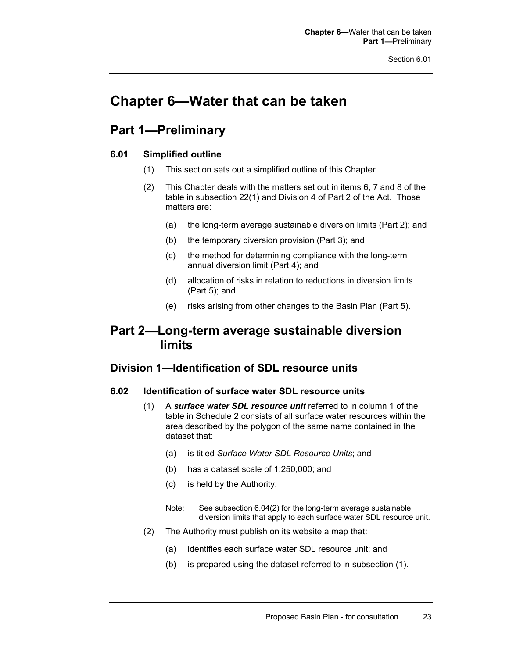# **Chapter 6—Water that can be taken**

## **Part 1—Preliminary**

## **6.01 Simplified outline**

- (1) This section sets out a simplified outline of this Chapter.
- (2) This Chapter deals with the matters set out in items 6, 7 and 8 of the table in subsection 22(1) and Division 4 of Part 2 of the Act. Those matters are:
	- (a) the long-term average sustainable diversion limits (Part 2); and
	- (b) the temporary diversion provision (Part 3); and
	- (c) the method for determining compliance with the long-term annual diversion limit (Part 4); and
	- (d) allocation of risks in relation to reductions in diversion limits (Part 5); and
	- (e) risks arising from other changes to the Basin Plan (Part 5).

## **Part 2—Long-term average sustainable diversion limits**

## **Division 1—Identification of SDL resource units**

#### **6.02 Identification of surface water SDL resource units**

- (1) A *surface water SDL resource unit* referred to in column 1 of the table in Schedule 2 consists of all surface water resources within the area described by the polygon of the same name contained in the dataset that:
	- (a) is titled *Surface Water SDL Resource Units*; and
	- (b) has a dataset scale of 1:250,000; and
	- (c) is held by the Authority.
	- Note: See subsection 6.04(2) for the long-term average sustainable diversion limits that apply to each surface water SDL resource unit.
- (2) The Authority must publish on its website a map that:
	- (a) identifies each surface water SDL resource unit; and
	- (b) is prepared using the dataset referred to in subsection (1).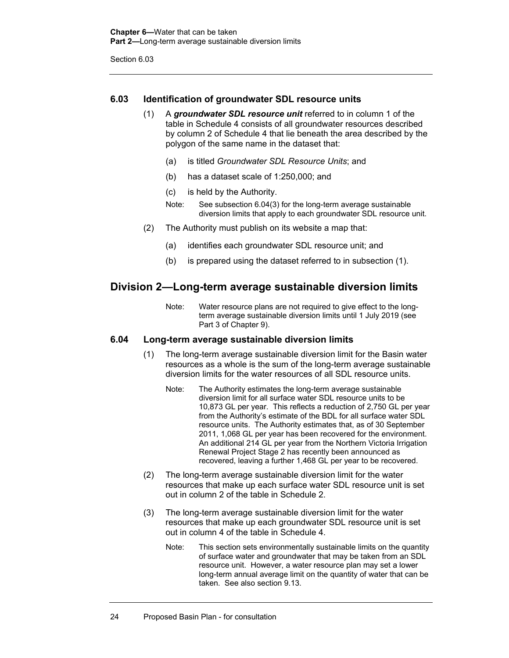## **6.03 Identification of groundwater SDL resource units**

- (1) A *groundwater SDL resource unit* referred to in column 1 of the table in Schedule 4 consists of all groundwater resources described by column 2 of Schedule 4 that lie beneath the area described by the polygon of the same name in the dataset that:
	- (a) is titled *Groundwater SDL Resource Units*; and
	- (b) has a dataset scale of 1:250,000; and
	- (c) is held by the Authority.
	- Note: See subsection 6.04(3) for the long-term average sustainable diversion limits that apply to each groundwater SDL resource unit.
- (2) The Authority must publish on its website a map that:
	- (a) identifies each groundwater SDL resource unit; and
	- (b) is prepared using the dataset referred to in subsection (1).

## **Division 2—Long-term average sustainable diversion limits**

Note: Water resource plans are not required to give effect to the longterm average sustainable diversion limits until 1 July 2019 (see Part 3 of Chapter 9).

### **6.04 Long-term average sustainable diversion limits**

- (1) The long-term average sustainable diversion limit for the Basin water resources as a whole is the sum of the long-term average sustainable diversion limits for the water resources of all SDL resource units.
	- Note: The Authority estimates the long-term average sustainable diversion limit for all surface water SDL resource units to be 10,873 GL per year. This reflects a reduction of 2,750 GL per year from the Authority's estimate of the BDL for all surface water SDL resource units. The Authority estimates that, as of 30 September 2011, 1,068 GL per year has been recovered for the environment. An additional 214 GL per year from the Northern Victoria Irrigation Renewal Project Stage 2 has recently been announced as recovered, leaving a further 1,468 GL per year to be recovered.
- (2) The long-term average sustainable diversion limit for the water resources that make up each surface water SDL resource unit is set out in column 2 of the table in Schedule 2.
- (3) The long-term average sustainable diversion limit for the water resources that make up each groundwater SDL resource unit is set out in column 4 of the table in Schedule 4.
	- Note: This section sets environmentally sustainable limits on the quantity of surface water and groundwater that may be taken from an SDL resource unit. However, a water resource plan may set a lower long-term annual average limit on the quantity of water that can be taken. See also section 9.13.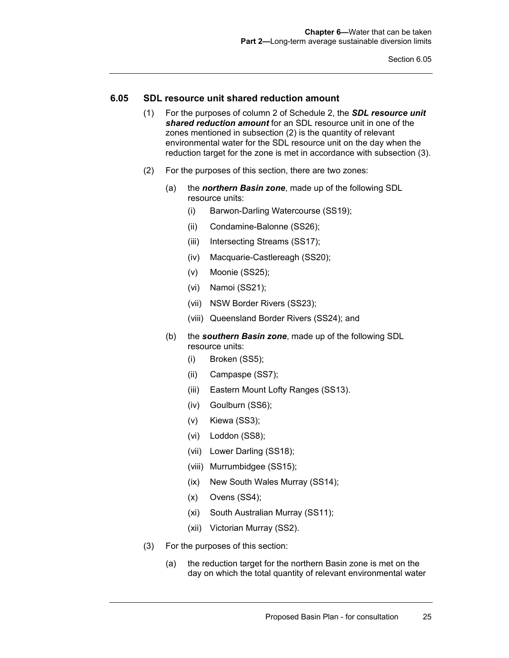### **6.05 SDL resource unit shared reduction amount**

- (1) For the purposes of column 2 of Schedule 2, the *SDL resource unit shared reduction amount* for an SDL resource unit in one of the zones mentioned in subsection (2) is the quantity of relevant environmental water for the SDL resource unit on the day when the reduction target for the zone is met in accordance with subsection (3).
- (2) For the purposes of this section, there are two zones:
	- (a) the *northern Basin zone*, made up of the following SDL resource units:
		- (i) Barwon-Darling Watercourse (SS19);
		- (ii) Condamine-Balonne (SS26);
		- (iii) Intersecting Streams (SS17);
		- (iv) Macquarie-Castlereagh (SS20);
		- (v) Moonie (SS25);
		- (vi) Namoi (SS21);
		- (vii) NSW Border Rivers (SS23);
		- (viii) Queensland Border Rivers (SS24); and
	- (b) the *southern Basin zone*, made up of the following SDL resource units:
		- (i) Broken (SS5);
		- (ii) Campaspe (SS7);
		- (iii) Eastern Mount Lofty Ranges (SS13).
		- (iv) Goulburn (SS6);
		- (v) Kiewa (SS3);
		- (vi) Loddon (SS8);
		- (vii) Lower Darling (SS18);
		- (viii) Murrumbidgee (SS15);
		- (ix) New South Wales Murray (SS14);
		- (x) Ovens (SS4);
		- (xi) South Australian Murray (SS11);
		- (xii) Victorian Murray (SS2).
- (3) For the purposes of this section:
	- (a) the reduction target for the northern Basin zone is met on the day on which the total quantity of relevant environmental water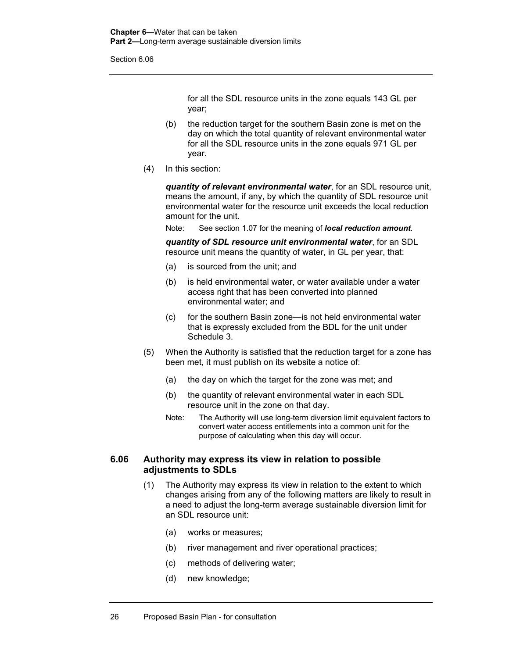for all the SDL resource units in the zone equals 143 GL per year;

- (b) the reduction target for the southern Basin zone is met on the day on which the total quantity of relevant environmental water for all the SDL resource units in the zone equals 971 GL per year.
- (4) In this section:

*quantity of relevant environmental water*, for an SDL resource unit, means the amount, if any, by which the quantity of SDL resource unit environmental water for the resource unit exceeds the local reduction amount for the unit.

Note: See section 1.07 for the meaning of *local reduction amount*.

*quantity of SDL resource unit environmental water*, for an SDL resource unit means the quantity of water, in GL per year, that:

- (a) is sourced from the unit; and
- (b) is held environmental water, or water available under a water access right that has been converted into planned environmental water; and
- (c) for the southern Basin zone—is not held environmental water that is expressly excluded from the BDL for the unit under Schedule 3.
- (5) When the Authority is satisfied that the reduction target for a zone has been met, it must publish on its website a notice of:
	- (a) the day on which the target for the zone was met; and
	- (b) the quantity of relevant environmental water in each SDL resource unit in the zone on that day.
	- Note: The Authority will use long-term diversion limit equivalent factors to convert water access entitlements into a common unit for the purpose of calculating when this day will occur.

## **6.06 Authority may express its view in relation to possible adjustments to SDLs**

- (1) The Authority may express its view in relation to the extent to which changes arising from any of the following matters are likely to result in a need to adjust the long-term average sustainable diversion limit for an SDL resource unit:
	- (a) works or measures;
	- (b) river management and river operational practices;
	- (c) methods of delivering water;
	- (d) new knowledge;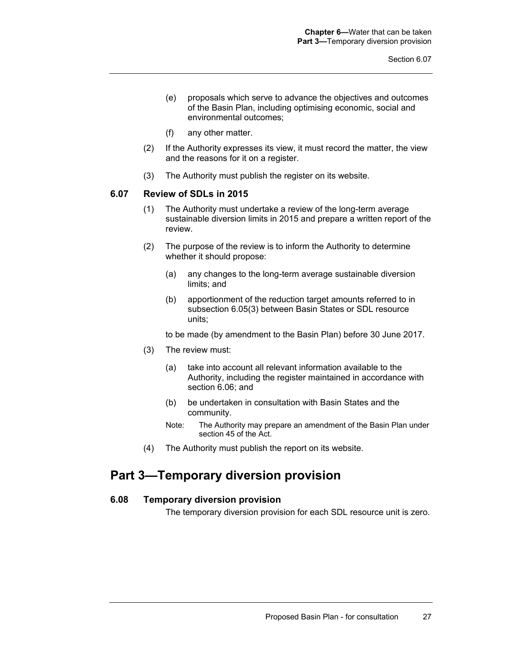- (e) proposals which serve to advance the objectives and outcomes of the Basin Plan, including optimising economic, social and environmental outcomes;
- (f) any other matter.
- (2) If the Authority expresses its view, it must record the matter, the view and the reasons for it on a register.
- (3) The Authority must publish the register on its website.

#### **6.07 Review of SDLs in 2015**

- (1) The Authority must undertake a review of the long-term average sustainable diversion limits in 2015 and prepare a written report of the review.
- (2) The purpose of the review is to inform the Authority to determine whether it should propose:
	- (a) any changes to the long-term average sustainable diversion limits; and
	- (b) apportionment of the reduction target amounts referred to in subsection 6.05(3) between Basin States or SDL resource units;

to be made (by amendment to the Basin Plan) before 30 June 2017.

- (3) The review must:
	- (a) take into account all relevant information available to the Authority, including the register maintained in accordance with section 6.06; and
	- (b) be undertaken in consultation with Basin States and the community.
	- Note: The Authority may prepare an amendment of the Basin Plan under section 45 of the Act.
- (4) The Authority must publish the report on its website.

## **Part 3—Temporary diversion provision**

## **6.08 Temporary diversion provision**

The temporary diversion provision for each SDL resource unit is zero.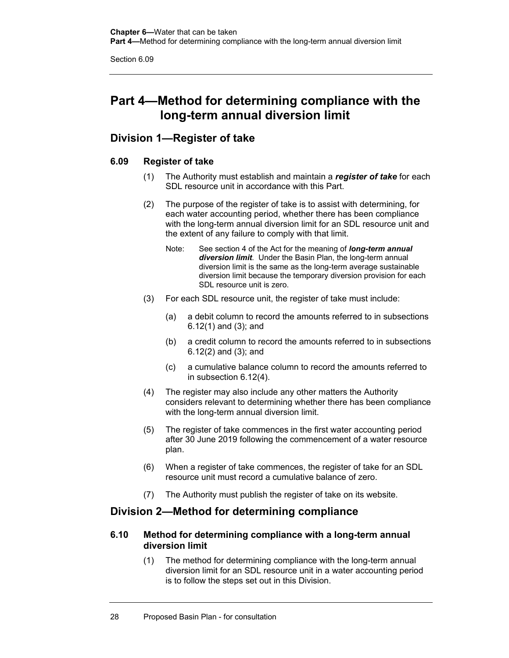## **Part 4—Method for determining compliance with the long-term annual diversion limit**

## **Division 1—Register of take**

## **6.09 Register of take**

- (1) The Authority must establish and maintain a *register of take* for each SDL resource unit in accordance with this Part.
- (2) The purpose of the register of take is to assist with determining, for each water accounting period, whether there has been compliance with the long-term annual diversion limit for an SDL resource unit and the extent of any failure to comply with that limit.
	- Note: See section 4 of the Act for the meaning of *long-term annual diversion limit*. Under the Basin Plan, the long-term annual diversion limit is the same as the long-term average sustainable diversion limit because the temporary diversion provision for each SDL resource unit is zero.
- (3) For each SDL resource unit, the register of take must include:
	- (a) a debit column to record the amounts referred to in subsections 6.12(1) and (3); and
	- (b) a credit column to record the amounts referred to in subsections 6.12(2) and (3); and
	- (c) a cumulative balance column to record the amounts referred to in subsection 6.12(4).
- (4) The register may also include any other matters the Authority considers relevant to determining whether there has been compliance with the long-term annual diversion limit.
- (5) The register of take commences in the first water accounting period after 30 June 2019 following the commencement of a water resource plan.
- (6) When a register of take commences, the register of take for an SDL resource unit must record a cumulative balance of zero.
- (7) The Authority must publish the register of take on its website.

## **Division 2—Method for determining compliance**

## **6.10 Method for determining compliance with a long-term annual diversion limit**

(1) The method for determining compliance with the long-term annual diversion limit for an SDL resource unit in a water accounting period is to follow the steps set out in this Division.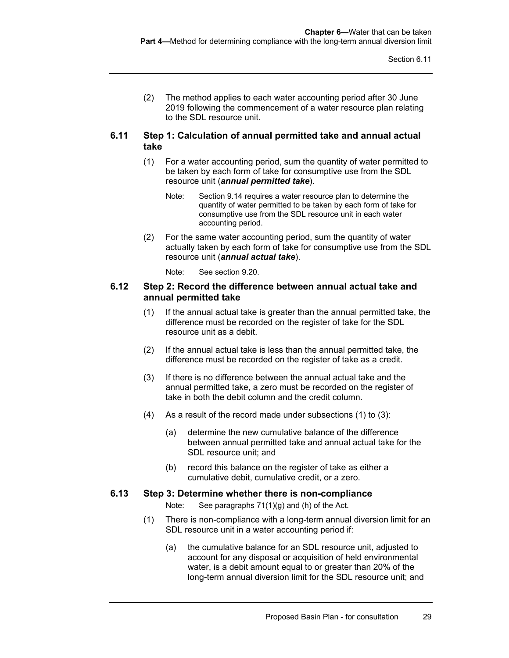(2) The method applies to each water accounting period after 30 June 2019 following the commencement of a water resource plan relating to the SDL resource unit.

#### **6.11 Step 1: Calculation of annual permitted take and annual actual take**

- (1) For a water accounting period, sum the quantity of water permitted to be taken by each form of take for consumptive use from the SDL resource unit (*annual permitted take*).
	- Note: Section 9.14 requires a water resource plan to determine the quantity of water permitted to be taken by each form of take for consumptive use from the SDL resource unit in each water accounting period.
- (2) For the same water accounting period, sum the quantity of water actually taken by each form of take for consumptive use from the SDL resource unit (*annual actual take*).
	- Note: See section 9.20.

#### **6.12 Step 2: Record the difference between annual actual take and annual permitted take**

- (1) If the annual actual take is greater than the annual permitted take, the difference must be recorded on the register of take for the SDL resource unit as a debit.
- (2) If the annual actual take is less than the annual permitted take, the difference must be recorded on the register of take as a credit.
- (3) If there is no difference between the annual actual take and the annual permitted take, a zero must be recorded on the register of take in both the debit column and the credit column.
- (4) As a result of the record made under subsections (1) to (3):
	- (a) determine the new cumulative balance of the difference between annual permitted take and annual actual take for the SDL resource unit; and
	- (b) record this balance on the register of take as either a cumulative debit, cumulative credit, or a zero.

#### **6.13 Step 3: Determine whether there is non-compliance**

Note: See paragraphs 71(1)(g) and (h) of the Act.

- (1) There is non-compliance with a long-term annual diversion limit for an SDL resource unit in a water accounting period if:
	- (a) the cumulative balance for an SDL resource unit, adjusted to account for any disposal or acquisition of held environmental water, is a debit amount equal to or greater than 20% of the long-term annual diversion limit for the SDL resource unit; and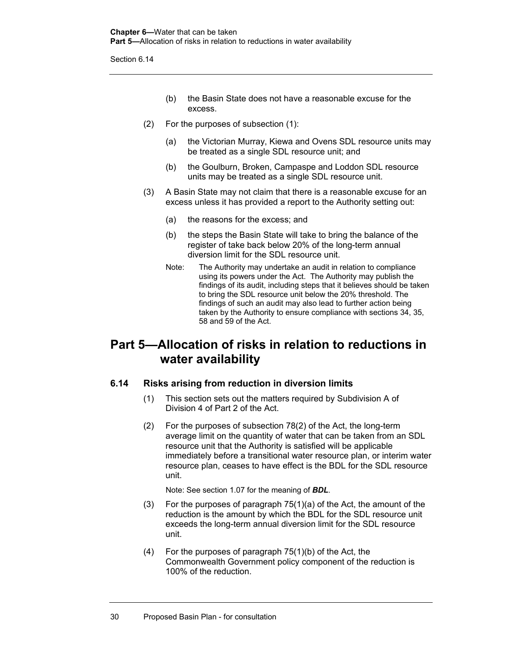- (b) the Basin State does not have a reasonable excuse for the excess.
- (2) For the purposes of subsection (1):
	- (a) the Victorian Murray, Kiewa and Ovens SDL resource units may be treated as a single SDL resource unit; and
	- (b) the Goulburn, Broken, Campaspe and Loddon SDL resource units may be treated as a single SDL resource unit.
- (3) A Basin State may not claim that there is a reasonable excuse for an excess unless it has provided a report to the Authority setting out:
	- (a) the reasons for the excess; and
	- (b) the steps the Basin State will take to bring the balance of the register of take back below 20% of the long-term annual diversion limit for the SDL resource unit.
	- Note: The Authority may undertake an audit in relation to compliance using its powers under the Act. The Authority may publish the findings of its audit, including steps that it believes should be taken to bring the SDL resource unit below the 20% threshold. The findings of such an audit may also lead to further action being taken by the Authority to ensure compliance with sections 34, 35, 58 and 59 of the Act.

## **Part 5—Allocation of risks in relation to reductions in water availability**

## **6.14 Risks arising from reduction in diversion limits**

- (1) This section sets out the matters required by Subdivision A of Division 4 of Part 2 of the Act.
- (2) For the purposes of subsection 78(2) of the Act, the long-term average limit on the quantity of water that can be taken from an SDL resource unit that the Authority is satisfied will be applicable immediately before a transitional water resource plan, or interim water resource plan, ceases to have effect is the BDL for the SDL resource unit.

Note: See section 1.07 for the meaning of *BDL*.

- (3) For the purposes of paragraph 75(1)(a) of the Act, the amount of the reduction is the amount by which the BDL for the SDL resource unit exceeds the long-term annual diversion limit for the SDL resource unit.
- (4) For the purposes of paragraph 75(1)(b) of the Act, the Commonwealth Government policy component of the reduction is 100% of the reduction.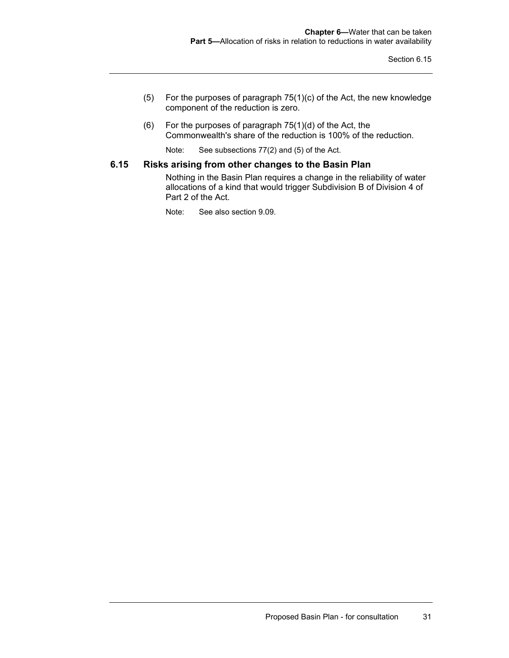- (5) For the purposes of paragraph 75(1)(c) of the Act, the new knowledge component of the reduction is zero.
- (6) For the purposes of paragraph 75(1)(d) of the Act, the Commonwealth's share of the reduction is 100% of the reduction.

Note: See subsections 77(2) and (5) of the Act.

### **6.15 Risks arising from other changes to the Basin Plan**

Nothing in the Basin Plan requires a change in the reliability of water allocations of a kind that would trigger Subdivision B of Division 4 of Part 2 of the Act.

Note: See also section 9.09.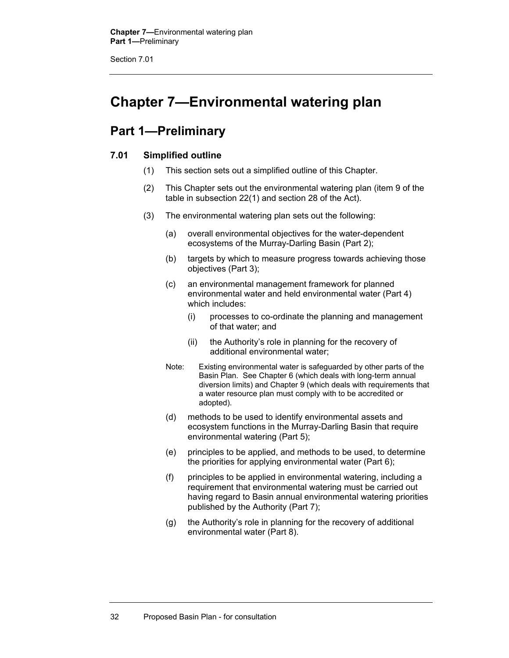# **Chapter 7—Environmental watering plan**

## **Part 1—Preliminary**

## **7.01 Simplified outline**

- (1) This section sets out a simplified outline of this Chapter.
- (2) This Chapter sets out the environmental watering plan (item 9 of the table in subsection 22(1) and section 28 of the Act).
- (3) The environmental watering plan sets out the following:
	- (a) overall environmental objectives for the water-dependent ecosystems of the Murray-Darling Basin (Part 2);
	- (b) targets by which to measure progress towards achieving those objectives (Part 3);
	- (c) an environmental management framework for planned environmental water and held environmental water (Part 4) which includes:
		- (i) processes to co-ordinate the planning and management of that water; and
		- (ii) the Authority's role in planning for the recovery of additional environmental water;
	- Note: Existing environmental water is safeguarded by other parts of the Basin Plan. See Chapter 6 (which deals with long-term annual diversion limits) and Chapter 9 (which deals with requirements that a water resource plan must comply with to be accredited or adopted).
	- (d) methods to be used to identify environmental assets and ecosystem functions in the Murray-Darling Basin that require environmental watering (Part 5);
	- (e) principles to be applied, and methods to be used, to determine the priorities for applying environmental water (Part 6);
	- (f) principles to be applied in environmental watering, including a requirement that environmental watering must be carried out having regard to Basin annual environmental watering priorities published by the Authority (Part 7);
	- (g) the Authority's role in planning for the recovery of additional environmental water (Part 8).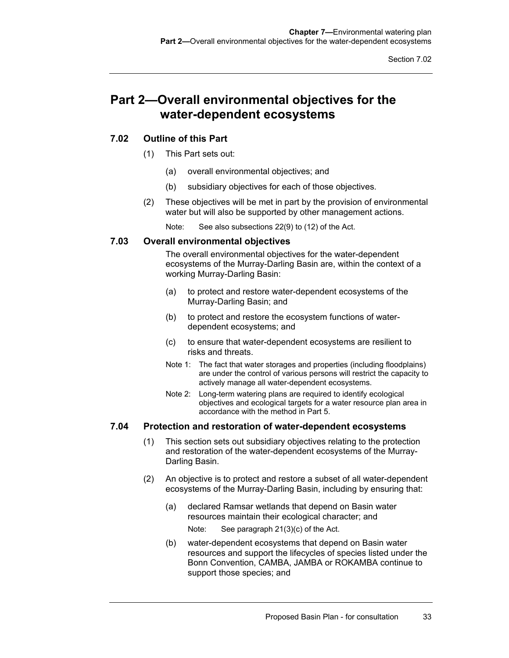## **Part 2—Overall environmental objectives for the water-dependent ecosystems**

## **7.02 Outline of this Part**

- (1) This Part sets out:
	- (a) overall environmental objectives; and
	- (b) subsidiary objectives for each of those objectives.
- (2) These objectives will be met in part by the provision of environmental water but will also be supported by other management actions.

Note: See also subsections 22(9) to (12) of the Act.

### **7.03 Overall environmental objectives**

The overall environmental objectives for the water-dependent ecosystems of the Murray-Darling Basin are, within the context of a working Murray-Darling Basin:

- (a) to protect and restore water-dependent ecosystems of the Murray-Darling Basin; and
- (b) to protect and restore the ecosystem functions of waterdependent ecosystems; and
- (c) to ensure that water-dependent ecosystems are resilient to risks and threats.
- Note 1: The fact that water storages and properties (including floodplains) are under the control of various persons will restrict the capacity to actively manage all water-dependent ecosystems.
- Note 2: Long-term watering plans are required to identify ecological objectives and ecological targets for a water resource plan area in accordance with the method in Part 5.

#### **7.04 Protection and restoration of water-dependent ecosystems**

- (1) This section sets out subsidiary objectives relating to the protection and restoration of the water-dependent ecosystems of the Murray-Darling Basin.
- (2) An objective is to protect and restore a subset of all water-dependent ecosystems of the Murray-Darling Basin, including by ensuring that:
	- (a) declared Ramsar wetlands that depend on Basin water resources maintain their ecological character; and Note: See paragraph 21(3)(c) of the Act.
	- (b) water-dependent ecosystems that depend on Basin water resources and support the lifecycles of species listed under the Bonn Convention, CAMBA, JAMBA or ROKAMBA continue to support those species; and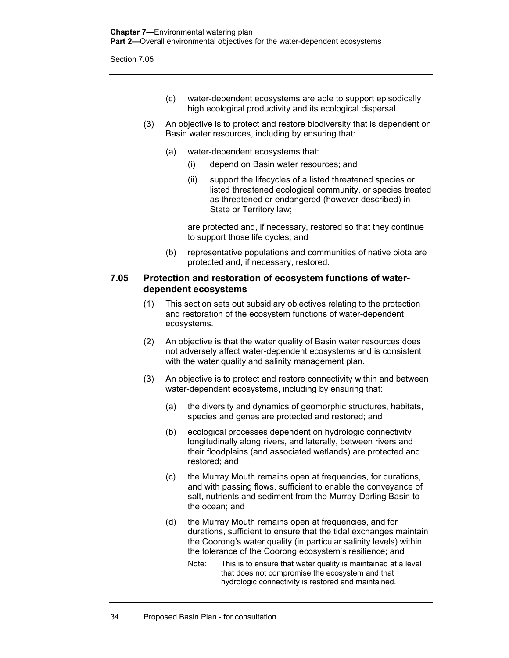- (c) water-dependent ecosystems are able to support episodically high ecological productivity and its ecological dispersal.
- (3) An objective is to protect and restore biodiversity that is dependent on Basin water resources, including by ensuring that:
	- (a) water-dependent ecosystems that:
		- (i) depend on Basin water resources; and
		- (ii) support the lifecycles of a listed threatened species or listed threatened ecological community, or species treated as threatened or endangered (however described) in State or Territory law;

are protected and, if necessary, restored so that they continue to support those life cycles; and

(b) representative populations and communities of native biota are protected and, if necessary, restored.

#### **7.05 Protection and restoration of ecosystem functions of waterdependent ecosystems**

- (1) This section sets out subsidiary objectives relating to the protection and restoration of the ecosystem functions of water-dependent ecosystems.
- (2) An objective is that the water quality of Basin water resources does not adversely affect water-dependent ecosystems and is consistent with the water quality and salinity management plan.
- (3) An objective is to protect and restore connectivity within and between water-dependent ecosystems, including by ensuring that:
	- (a) the diversity and dynamics of geomorphic structures, habitats, species and genes are protected and restored; and
	- (b) ecological processes dependent on hydrologic connectivity longitudinally along rivers, and laterally, between rivers and their floodplains (and associated wetlands) are protected and restored; and
	- (c) the Murray Mouth remains open at frequencies, for durations, and with passing flows, sufficient to enable the conveyance of salt, nutrients and sediment from the Murray-Darling Basin to the ocean; and
	- (d) the Murray Mouth remains open at frequencies, and for durations, sufficient to ensure that the tidal exchanges maintain the Coorong's water quality (in particular salinity levels) within the tolerance of the Coorong ecosystem's resilience; and
		- Note: This is to ensure that water quality is maintained at a level that does not compromise the ecosystem and that hydrologic connectivity is restored and maintained.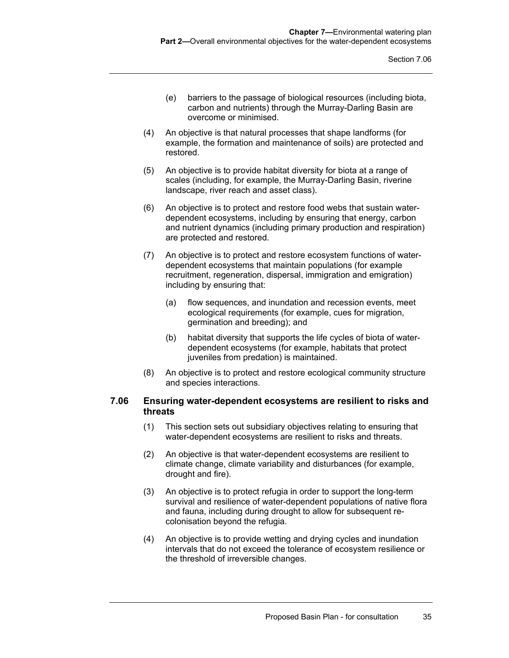- (e) barriers to the passage of biological resources (including biota, carbon and nutrients) through the Murray-Darling Basin are overcome or minimised.
- (4) An objective is that natural processes that shape landforms (for example, the formation and maintenance of soils) are protected and restored.
- (5) An objective is to provide habitat diversity for biota at a range of scales (including, for example, the Murray-Darling Basin, riverine landscape, river reach and asset class).
- (6) An objective is to protect and restore food webs that sustain waterdependent ecosystems, including by ensuring that energy, carbon and nutrient dynamics (including primary production and respiration) are protected and restored.
- (7) An objective is to protect and restore ecosystem functions of waterdependent ecosystems that maintain populations (for example recruitment, regeneration, dispersal, immigration and emigration) including by ensuring that:
	- (a) flow sequences, and inundation and recession events, meet ecological requirements (for example, cues for migration, germination and breeding); and
	- (b) habitat diversity that supports the life cycles of biota of waterdependent ecosystems (for example, habitats that protect juveniles from predation) is maintained.
- (8) An objective is to protect and restore ecological community structure and species interactions.

### **7.06 Ensuring water-dependent ecosystems are resilient to risks and threats**

- (1) This section sets out subsidiary objectives relating to ensuring that water-dependent ecosystems are resilient to risks and threats.
- (2) An objective is that water-dependent ecosystems are resilient to climate change, climate variability and disturbances (for example, drought and fire).
- (3) An objective is to protect refugia in order to support the long-term survival and resilience of water-dependent populations of native flora and fauna, including during drought to allow for subsequent recolonisation beyond the refugia.
- (4) An objective is to provide wetting and drying cycles and inundation intervals that do not exceed the tolerance of ecosystem resilience or the threshold of irreversible changes.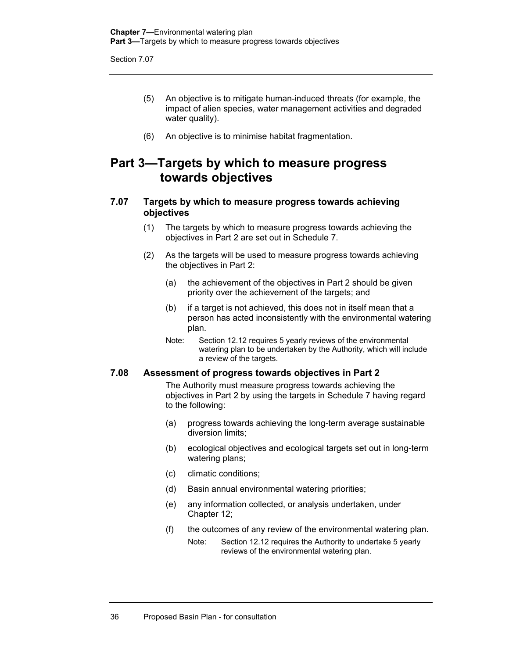- (5) An objective is to mitigate human-induced threats (for example, the impact of alien species, water management activities and degraded water quality).
- (6) An objective is to minimise habitat fragmentation.

## **Part 3—Targets by which to measure progress towards objectives**

## **7.07 Targets by which to measure progress towards achieving objectives**

- (1) The targets by which to measure progress towards achieving the objectives in Part 2 are set out in Schedule 7.
- (2) As the targets will be used to measure progress towards achieving the objectives in Part 2:
	- (a) the achievement of the objectives in Part 2 should be given priority over the achievement of the targets; and
	- (b) if a target is not achieved, this does not in itself mean that a person has acted inconsistently with the environmental watering plan.
	- Note: Section 12.12 requires 5 yearly reviews of the environmental watering plan to be undertaken by the Authority, which will include a review of the targets.

#### **7.08 Assessment of progress towards objectives in Part 2**

The Authority must measure progress towards achieving the objectives in Part 2 by using the targets in Schedule 7 having regard to the following:

- (a) progress towards achieving the long-term average sustainable diversion limits;
- (b) ecological objectives and ecological targets set out in long-term watering plans;
- (c) climatic conditions;
- (d) Basin annual environmental watering priorities;
- (e) any information collected, or analysis undertaken, under Chapter 12;
- (f) the outcomes of any review of the environmental watering plan.
	- Note: Section 12.12 requires the Authority to undertake 5 yearly reviews of the environmental watering plan.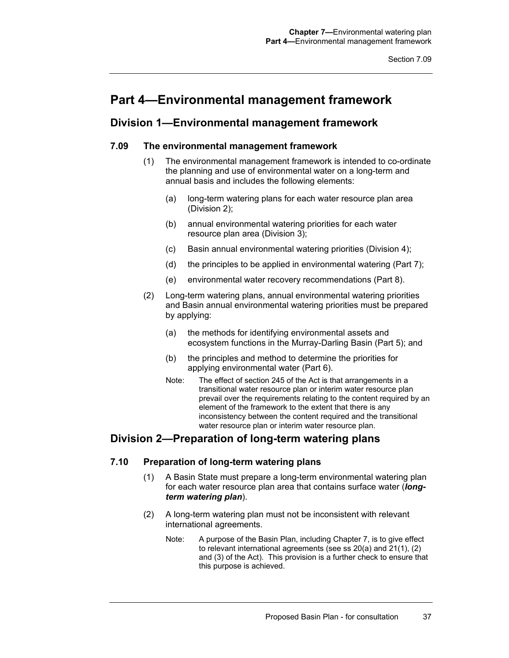## **Part 4—Environmental management framework**

## **Division 1—Environmental management framework**

## **7.09 The environmental management framework**

- (1) The environmental management framework is intended to co-ordinate the planning and use of environmental water on a long-term and annual basis and includes the following elements:
	- (a) long-term watering plans for each water resource plan area (Division 2);
	- (b) annual environmental watering priorities for each water resource plan area (Division 3);
	- (c) Basin annual environmental watering priorities (Division 4);
	- (d) the principles to be applied in environmental watering (Part 7);
	- (e) environmental water recovery recommendations (Part 8).
- (2) Long-term watering plans, annual environmental watering priorities and Basin annual environmental watering priorities must be prepared by applying:
	- (a) the methods for identifying environmental assets and ecosystem functions in the Murray-Darling Basin (Part 5); and
	- (b) the principles and method to determine the priorities for applying environmental water (Part 6).
	- Note: The effect of section 245 of the Act is that arrangements in a transitional water resource plan or interim water resource plan prevail over the requirements relating to the content required by an element of the framework to the extent that there is any inconsistency between the content required and the transitional water resource plan or interim water resource plan.

## **Division 2—Preparation of long-term watering plans**

## **7.10 Preparation of long-term watering plans**

- (1) A Basin State must prepare a long-term environmental watering plan for each water resource plan area that contains surface water (*longterm watering plan*).
- (2) A long-term watering plan must not be inconsistent with relevant international agreements.
	- Note: A purpose of the Basin Plan, including Chapter 7, is to give effect to relevant international agreements (see ss 20(a) and 21(1), (2) and (3) of the Act). This provision is a further check to ensure that this purpose is achieved.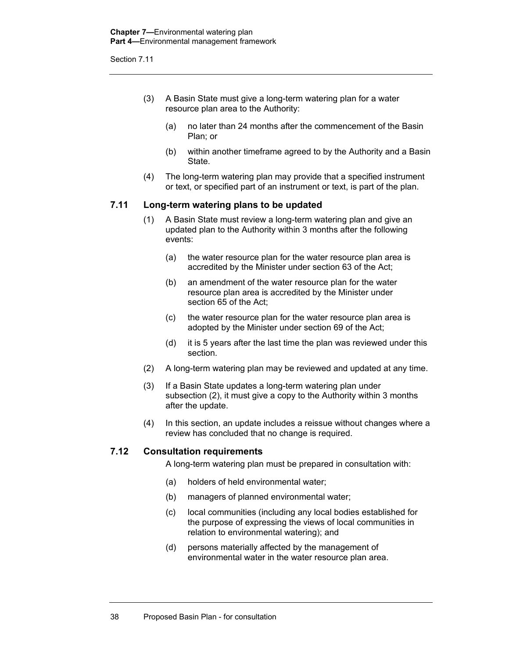- (3) A Basin State must give a long-term watering plan for a water resource plan area to the Authority:
	- (a) no later than 24 months after the commencement of the Basin Plan; or
	- (b) within another timeframe agreed to by the Authority and a Basin State.
- (4) The long-term watering plan may provide that a specified instrument or text, or specified part of an instrument or text, is part of the plan.

#### **7.11 Long-term watering plans to be updated**

- (1) A Basin State must review a long-term watering plan and give an updated plan to the Authority within 3 months after the following events:
	- (a) the water resource plan for the water resource plan area is accredited by the Minister under section 63 of the Act;
	- (b) an amendment of the water resource plan for the water resource plan area is accredited by the Minister under section 65 of the Act;
	- (c) the water resource plan for the water resource plan area is adopted by the Minister under section 69 of the Act;
	- (d) it is 5 years after the last time the plan was reviewed under this section.
- (2) A long-term watering plan may be reviewed and updated at any time.
- (3) If a Basin State updates a long-term watering plan under subsection (2), it must give a copy to the Authority within 3 months after the update.
- (4) In this section, an update includes a reissue without changes where a review has concluded that no change is required.

#### **7.12 Consultation requirements**

A long-term watering plan must be prepared in consultation with:

- (a) holders of held environmental water;
- (b) managers of planned environmental water;
- (c) local communities (including any local bodies established for the purpose of expressing the views of local communities in relation to environmental watering); and
- (d) persons materially affected by the management of environmental water in the water resource plan area.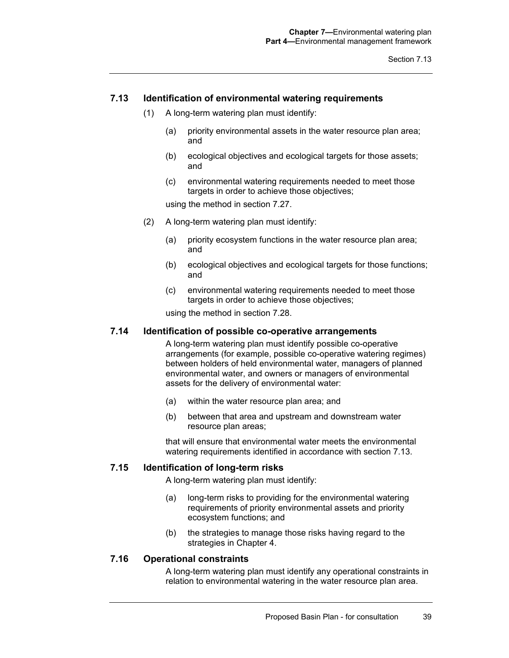#### **7.13 Identification of environmental watering requirements**

- (1) A long-term watering plan must identify:
	- (a) priority environmental assets in the water resource plan area; and
	- (b) ecological objectives and ecological targets for those assets; and
	- (c) environmental watering requirements needed to meet those targets in order to achieve those objectives;

using the method in section 7.27.

- (2) A long-term watering plan must identify:
	- (a) priority ecosystem functions in the water resource plan area; and
	- (b) ecological objectives and ecological targets for those functions; and
	- (c) environmental watering requirements needed to meet those targets in order to achieve those objectives;

using the method in section 7.28.

#### **7.14 Identification of possible co-operative arrangements**

A long-term watering plan must identify possible co-operative arrangements (for example, possible co-operative watering regimes) between holders of held environmental water, managers of planned environmental water, and owners or managers of environmental assets for the delivery of environmental water:

- (a) within the water resource plan area; and
- (b) between that area and upstream and downstream water resource plan areas;

that will ensure that environmental water meets the environmental watering requirements identified in accordance with section 7.13.

#### **7.15 Identification of long-term risks**

A long-term watering plan must identify:

- (a) long-term risks to providing for the environmental watering requirements of priority environmental assets and priority ecosystem functions; and
- (b) the strategies to manage those risks having regard to the strategies in Chapter 4.

#### **7.16 Operational constraints**

A long-term watering plan must identify any operational constraints in relation to environmental watering in the water resource plan area.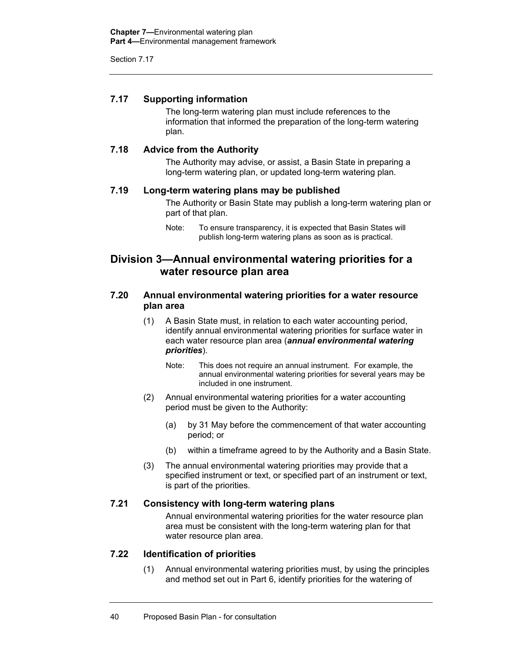## **7.17 Supporting information**

The long-term watering plan must include references to the information that informed the preparation of the long-term watering plan.

## **7.18 Advice from the Authority**

The Authority may advise, or assist, a Basin State in preparing a long-term watering plan, or updated long-term watering plan.

## **7.19 Long-term watering plans may be published**

The Authority or Basin State may publish a long-term watering plan or part of that plan.

## **Division 3—Annual environmental watering priorities for a water resource plan area**

## **7.20 Annual environmental watering priorities for a water resource plan area**

- (1) A Basin State must, in relation to each water accounting period, identify annual environmental watering priorities for surface water in each water resource plan area (*annual environmental watering priorities*).
	- Note: This does not require an annual instrument. For example, the annual environmental watering priorities for several years may be included in one instrument.
- (2) Annual environmental watering priorities for a water accounting period must be given to the Authority:
	- (a) by 31 May before the commencement of that water accounting period; or
	- (b) within a timeframe agreed to by the Authority and a Basin State.
- (3) The annual environmental watering priorities may provide that a specified instrument or text, or specified part of an instrument or text, is part of the priorities.

## **7.21 Consistency with long-term watering plans**

Annual environmental watering priorities for the water resource plan area must be consistent with the long-term watering plan for that water resource plan area.

#### **7.22 Identification of priorities**

(1) Annual environmental watering priorities must, by using the principles and method set out in Part 6, identify priorities for the watering of

Note: To ensure transparency, it is expected that Basin States will publish long-term watering plans as soon as is practical.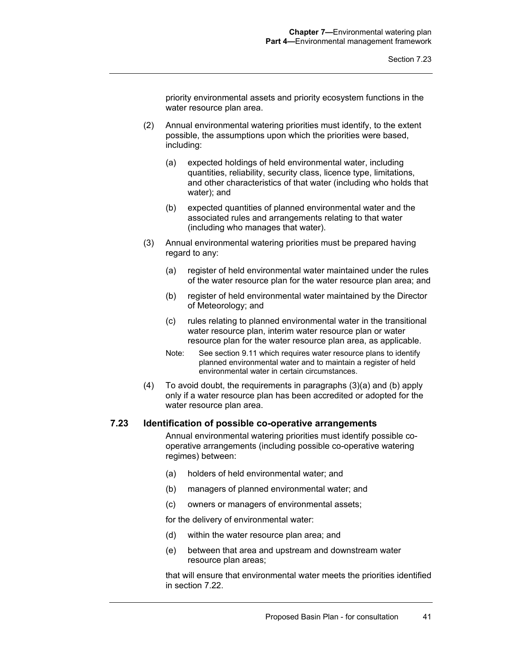priority environmental assets and priority ecosystem functions in the water resource plan area.

- (2) Annual environmental watering priorities must identify, to the extent possible, the assumptions upon which the priorities were based, including:
	- (a) expected holdings of held environmental water, including quantities, reliability, security class, licence type, limitations, and other characteristics of that water (including who holds that water); and
	- (b) expected quantities of planned environmental water and the associated rules and arrangements relating to that water (including who manages that water).
- (3) Annual environmental watering priorities must be prepared having regard to any:
	- (a) register of held environmental water maintained under the rules of the water resource plan for the water resource plan area; and
	- (b) register of held environmental water maintained by the Director of Meteorology; and
	- (c) rules relating to planned environmental water in the transitional water resource plan, interim water resource plan or water resource plan for the water resource plan area, as applicable.
	- Note: See section 9.11 which requires water resource plans to identify planned environmental water and to maintain a register of held environmental water in certain circumstances.
- (4) To avoid doubt, the requirements in paragraphs (3)(a) and (b) apply only if a water resource plan has been accredited or adopted for the water resource plan area.

#### **7.23 Identification of possible co-operative arrangements**

Annual environmental watering priorities must identify possible cooperative arrangements (including possible co-operative watering regimes) between:

- (a) holders of held environmental water; and
- (b) managers of planned environmental water; and
- (c) owners or managers of environmental assets;

for the delivery of environmental water:

- (d) within the water resource plan area; and
- (e) between that area and upstream and downstream water resource plan areas;

that will ensure that environmental water meets the priorities identified in section 7.22.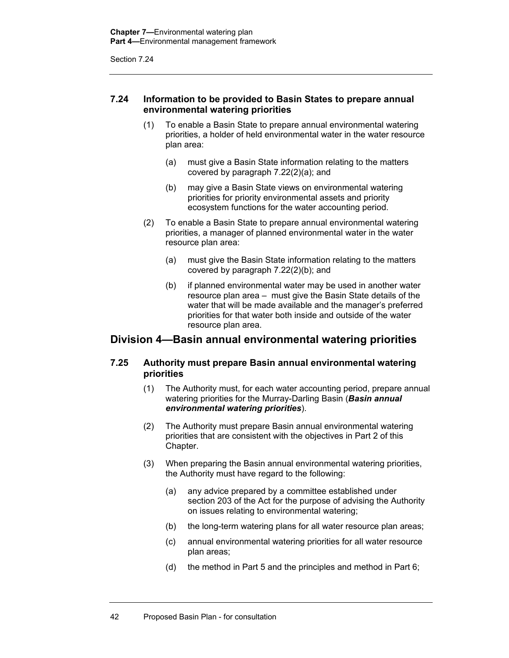## **7.24 Information to be provided to Basin States to prepare annual environmental watering priorities**

- (1) To enable a Basin State to prepare annual environmental watering priorities, a holder of held environmental water in the water resource plan area:
	- (a) must give a Basin State information relating to the matters covered by paragraph 7.22(2)(a); and
	- (b) may give a Basin State views on environmental watering priorities for priority environmental assets and priority ecosystem functions for the water accounting period.
- (2) To enable a Basin State to prepare annual environmental watering priorities, a manager of planned environmental water in the water resource plan area:
	- (a) must give the Basin State information relating to the matters covered by paragraph 7.22(2)(b); and
	- (b) if planned environmental water may be used in another water resource plan area – must give the Basin State details of the water that will be made available and the manager's preferred priorities for that water both inside and outside of the water resource plan area.

## **Division 4—Basin annual environmental watering priorities**

## **7.25 Authority must prepare Basin annual environmental watering priorities**

- (1) The Authority must, for each water accounting period, prepare annual watering priorities for the Murray-Darling Basin (*Basin annual environmental watering priorities*).
- (2) The Authority must prepare Basin annual environmental watering priorities that are consistent with the objectives in Part 2 of this Chapter.
- (3) When preparing the Basin annual environmental watering priorities, the Authority must have regard to the following:
	- (a) any advice prepared by a committee established under section 203 of the Act for the purpose of advising the Authority on issues relating to environmental watering;
	- (b) the long-term watering plans for all water resource plan areas;
	- (c) annual environmental watering priorities for all water resource plan areas;
	- (d) the method in Part 5 and the principles and method in Part 6;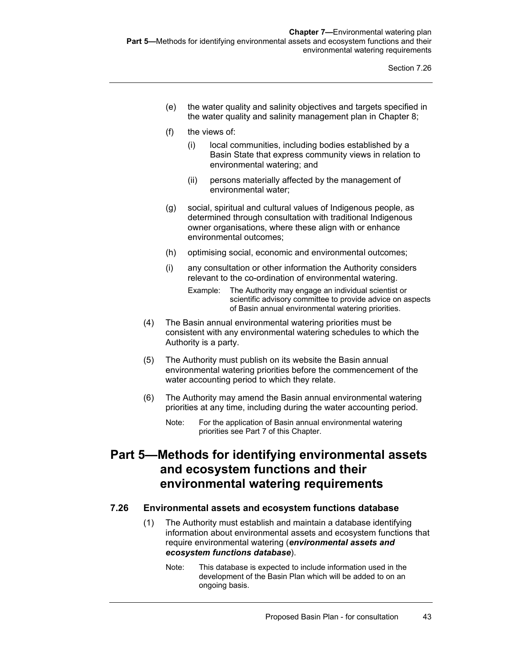- (e) the water quality and salinity objectives and targets specified in the water quality and salinity management plan in Chapter 8;
- (f) the views of:
	- (i) local communities, including bodies established by a Basin State that express community views in relation to environmental watering; and
	- (ii) persons materially affected by the management of environmental water;
- (g) social, spiritual and cultural values of Indigenous people, as determined through consultation with traditional Indigenous owner organisations, where these align with or enhance environmental outcomes;
- (h) optimising social, economic and environmental outcomes;
- (i) any consultation or other information the Authority considers relevant to the co-ordination of environmental watering.
	- Example: The Authority may engage an individual scientist or scientific advisory committee to provide advice on aspects of Basin annual environmental watering priorities.
- (4) The Basin annual environmental watering priorities must be consistent with any environmental watering schedules to which the Authority is a party.
- (5) The Authority must publish on its website the Basin annual environmental watering priorities before the commencement of the water accounting period to which they relate.
- (6) The Authority may amend the Basin annual environmental watering priorities at any time, including during the water accounting period.
	- Note: For the application of Basin annual environmental watering priorities see Part 7 of this Chapter.

## **Part 5—Methods for identifying environmental assets and ecosystem functions and their environmental watering requirements**

## **7.26 Environmental assets and ecosystem functions database**

- (1) The Authority must establish and maintain a database identifying information about environmental assets and ecosystem functions that require environmental watering (*environmental assets and ecosystem functions database*).
	- Note: This database is expected to include information used in the development of the Basin Plan which will be added to on an ongoing basis.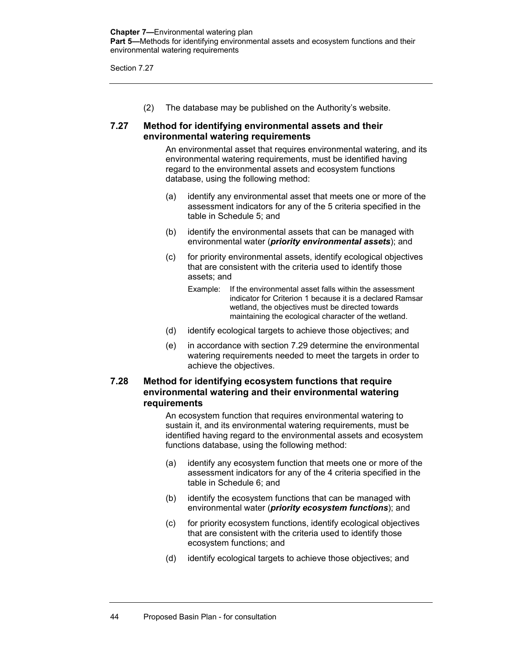(2) The database may be published on the Authority's website.

## **7.27 Method for identifying environmental assets and their environmental watering requirements**

An environmental asset that requires environmental watering, and its environmental watering requirements, must be identified having regard to the environmental assets and ecosystem functions database, using the following method:

- (a) identify any environmental asset that meets one or more of the assessment indicators for any of the 5 criteria specified in the table in Schedule 5; and
- (b) identify the environmental assets that can be managed with environmental water (*priority environmental assets*); and
- (c) for priority environmental assets, identify ecological objectives that are consistent with the criteria used to identify those assets; and
	- Example: If the environmental asset falls within the assessment indicator for Criterion 1 because it is a declared Ramsar wetland, the objectives must be directed towards maintaining the ecological character of the wetland.
- (d) identify ecological targets to achieve those objectives; and
- (e) in accordance with section 7.29 determine the environmental watering requirements needed to meet the targets in order to achieve the objectives.

## **7.28 Method for identifying ecosystem functions that require environmental watering and their environmental watering requirements**

An ecosystem function that requires environmental watering to sustain it, and its environmental watering requirements, must be identified having regard to the environmental assets and ecosystem functions database, using the following method:

- (a) identify any ecosystem function that meets one or more of the assessment indicators for any of the 4 criteria specified in the table in Schedule 6; and
- (b) identify the ecosystem functions that can be managed with environmental water (*priority ecosystem functions*); and
- (c) for priority ecosystem functions, identify ecological objectives that are consistent with the criteria used to identify those ecosystem functions; and
- (d) identify ecological targets to achieve those objectives; and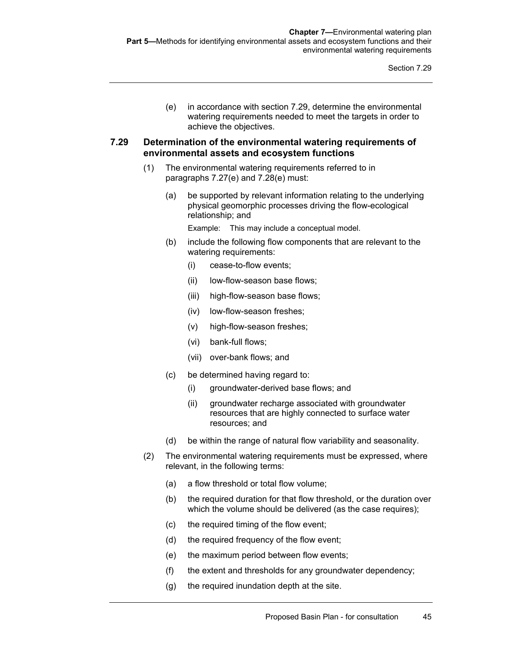(e) in accordance with section 7.29, determine the environmental watering requirements needed to meet the targets in order to achieve the objectives.

## **7.29 Determination of the environmental watering requirements of environmental assets and ecosystem functions**

- (1) The environmental watering requirements referred to in paragraphs 7.27(e) and 7.28(e) must:
	- (a) be supported by relevant information relating to the underlying physical geomorphic processes driving the flow-ecological relationship; and

Example: This may include a conceptual model.

- (b) include the following flow components that are relevant to the watering requirements:
	- (i) cease-to-flow events;
	- (ii) low-flow-season base flows;
	- (iii) high-flow-season base flows;
	- (iv) low-flow-season freshes;
	- (v) high-flow-season freshes;
	- (vi) bank-full flows;
	- (vii) over-bank flows; and
- (c) be determined having regard to:
	- (i) groundwater-derived base flows; and
	- (ii) groundwater recharge associated with groundwater resources that are highly connected to surface water resources; and
- (d) be within the range of natural flow variability and seasonality.
- (2) The environmental watering requirements must be expressed, where relevant, in the following terms:
	- (a) a flow threshold or total flow volume;
	- (b) the required duration for that flow threshold, or the duration over which the volume should be delivered (as the case requires);
	- (c) the required timing of the flow event;
	- (d) the required frequency of the flow event;
	- (e) the maximum period between flow events;
	- (f) the extent and thresholds for any groundwater dependency;
	- (g) the required inundation depth at the site.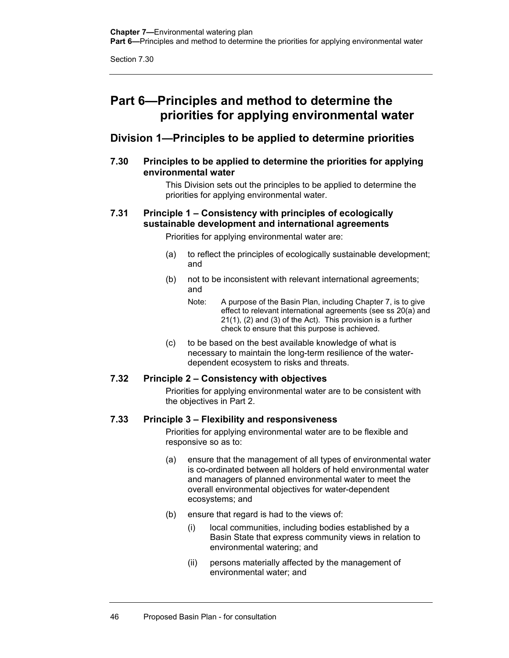## **Part 6—Principles and method to determine the priorities for applying environmental water**

## **Division 1—Principles to be applied to determine priorities**

**7.30 Principles to be applied to determine the priorities for applying environmental water** 

> This Division sets out the principles to be applied to determine the priorities for applying environmental water.

## **7.31 Principle 1 – Consistency with principles of ecologically sustainable development and international agreements**

Priorities for applying environmental water are:

- (a) to reflect the principles of ecologically sustainable development; and
- (b) not to be inconsistent with relevant international agreements; and
	- Note: A purpose of the Basin Plan, including Chapter 7, is to give effect to relevant international agreements (see ss 20(a) and 21(1), (2) and (3) of the Act). This provision is a further check to ensure that this purpose is achieved.
- (c) to be based on the best available knowledge of what is necessary to maintain the long-term resilience of the waterdependent ecosystem to risks and threats.

## **7.32 Principle 2 – Consistency with objectives**

Priorities for applying environmental water are to be consistent with the objectives in Part 2.

## **7.33 Principle 3 – Flexibility and responsiveness**

Priorities for applying environmental water are to be flexible and responsive so as to:

- (a) ensure that the management of all types of environmental water is co-ordinated between all holders of held environmental water and managers of planned environmental water to meet the overall environmental objectives for water-dependent ecosystems; and
- (b) ensure that regard is had to the views of:
	- (i) local communities, including bodies established by a Basin State that express community views in relation to environmental watering; and
	- (ii) persons materially affected by the management of environmental water; and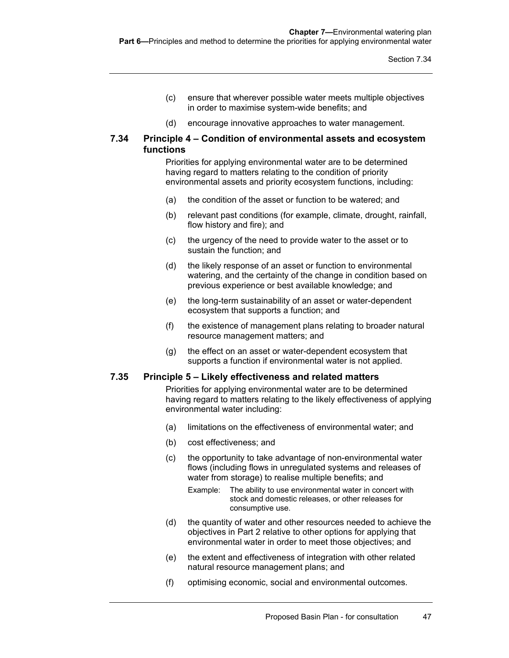- (c) ensure that wherever possible water meets multiple objectives in order to maximise system-wide benefits; and
- (d) encourage innovative approaches to water management.

### **7.34 Principle 4 – Condition of environmental assets and ecosystem functions**

Priorities for applying environmental water are to be determined having regard to matters relating to the condition of priority environmental assets and priority ecosystem functions, including:

- (a) the condition of the asset or function to be watered; and
- (b) relevant past conditions (for example, climate, drought, rainfall, flow history and fire); and
- (c) the urgency of the need to provide water to the asset or to sustain the function; and
- (d) the likely response of an asset or function to environmental watering, and the certainty of the change in condition based on previous experience or best available knowledge; and
- (e) the long-term sustainability of an asset or water-dependent ecosystem that supports a function; and
- (f) the existence of management plans relating to broader natural resource management matters; and
- (g) the effect on an asset or water-dependent ecosystem that supports a function if environmental water is not applied.

## **7.35 Principle 5 – Likely effectiveness and related matters**

Priorities for applying environmental water are to be determined having regard to matters relating to the likely effectiveness of applying environmental water including:

- (a) limitations on the effectiveness of environmental water; and
- (b) cost effectiveness; and
- (c) the opportunity to take advantage of non-environmental water flows (including flows in unregulated systems and releases of water from storage) to realise multiple benefits; and
	- Example: The ability to use environmental water in concert with stock and domestic releases, or other releases for consumptive use.
- (d) the quantity of water and other resources needed to achieve the objectives in Part 2 relative to other options for applying that environmental water in order to meet those objectives; and
- (e) the extent and effectiveness of integration with other related natural resource management plans; and
- (f) optimising economic, social and environmental outcomes.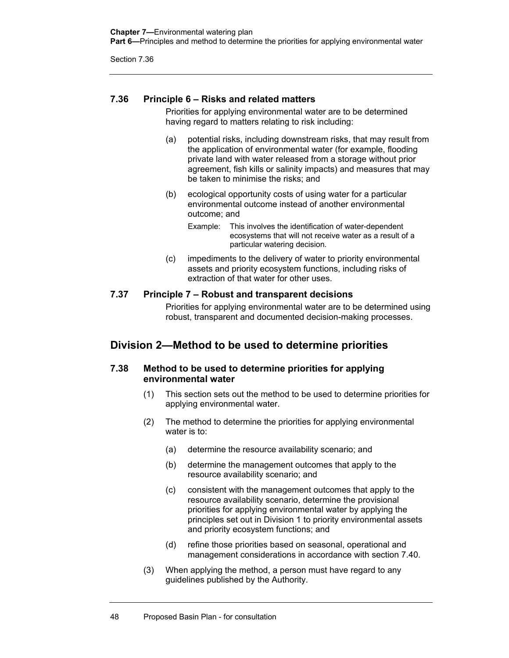## **7.36 Principle 6 – Risks and related matters**

Priorities for applying environmental water are to be determined having regard to matters relating to risk including:

- (a) potential risks, including downstream risks, that may result from the application of environmental water (for example, flooding private land with water released from a storage without prior agreement, fish kills or salinity impacts) and measures that may be taken to minimise the risks; and
- (b) ecological opportunity costs of using water for a particular environmental outcome instead of another environmental outcome; and
	- Example: This involves the identification of water-dependent ecosystems that will not receive water as a result of a particular watering decision.
- (c) impediments to the delivery of water to priority environmental assets and priority ecosystem functions, including risks of extraction of that water for other uses.

## **7.37 Principle 7 – Robust and transparent decisions**

Priorities for applying environmental water are to be determined using robust, transparent and documented decision-making processes.

## **Division 2—Method to be used to determine priorities**

## **7.38 Method to be used to determine priorities for applying environmental water**

- (1) This section sets out the method to be used to determine priorities for applying environmental water.
- (2) The method to determine the priorities for applying environmental water is to:
	- (a) determine the resource availability scenario; and
	- (b) determine the management outcomes that apply to the resource availability scenario; and
	- (c) consistent with the management outcomes that apply to the resource availability scenario, determine the provisional priorities for applying environmental water by applying the principles set out in Division 1 to priority environmental assets and priority ecosystem functions; and
	- (d) refine those priorities based on seasonal, operational and management considerations in accordance with section 7.40.
- (3) When applying the method, a person must have regard to any guidelines published by the Authority.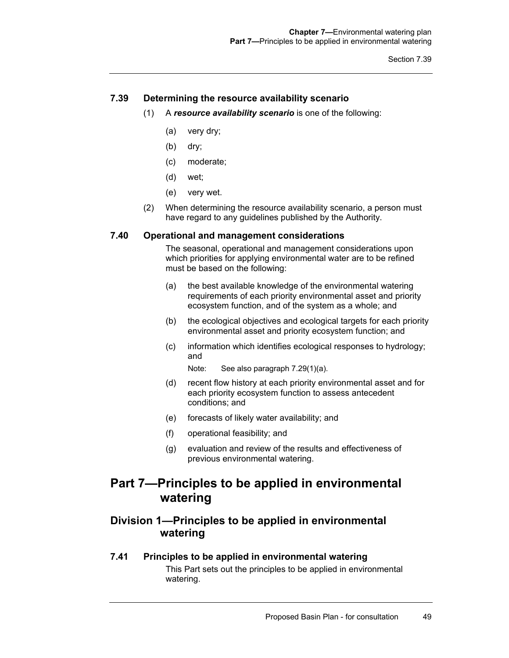## **7.39 Determining the resource availability scenario**

- (1) A *resource availability scenario* is one of the following:
	- (a) very dry;
	- (b) dry;
	- (c) moderate;
	- (d) wet;
	- (e) very wet.
- (2) When determining the resource availability scenario, a person must have regard to any guidelines published by the Authority.

#### **7.40 Operational and management considerations**

The seasonal, operational and management considerations upon which priorities for applying environmental water are to be refined must be based on the following:

- (a) the best available knowledge of the environmental watering requirements of each priority environmental asset and priority ecosystem function, and of the system as a whole; and
- (b) the ecological objectives and ecological targets for each priority environmental asset and priority ecosystem function; and
- (c) information which identifies ecological responses to hydrology; and
	- Note: See also paragraph 7.29(1)(a).
- (d) recent flow history at each priority environmental asset and for each priority ecosystem function to assess antecedent conditions; and
- (e) forecasts of likely water availability; and
- (f) operational feasibility; and
- (g) evaluation and review of the results and effectiveness of previous environmental watering.

## **Part 7—Principles to be applied in environmental watering**

## **Division 1—Principles to be applied in environmental watering**

#### **7.41 Principles to be applied in environmental watering**

This Part sets out the principles to be applied in environmental watering.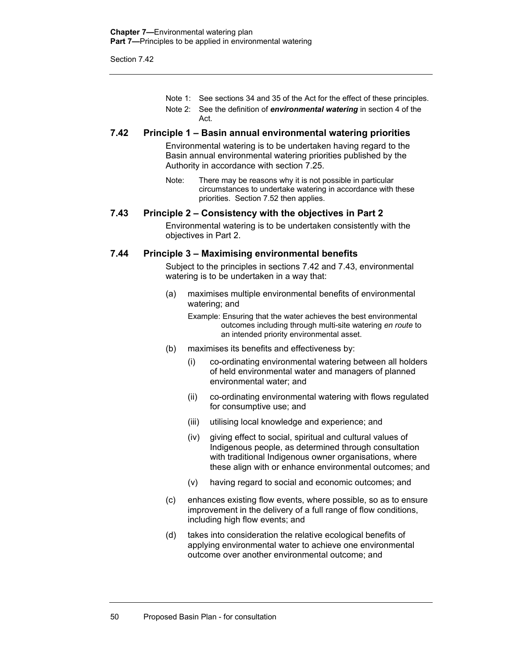Note 1: See sections 34 and 35 of the Act for the effect of these principles. Note 2: See the definition of *environmental watering* in section 4 of the Act.

#### **7.42 Principle 1 – Basin annual environmental watering priorities**

Environmental watering is to be undertaken having regard to the Basin annual environmental watering priorities published by the Authority in accordance with section 7.25.

Note: There may be reasons why it is not possible in particular circumstances to undertake watering in accordance with these priorities. Section 7.52 then applies.

#### **7.43 Principle 2 – Consistency with the objectives in Part 2**

Environmental watering is to be undertaken consistently with the objectives in Part 2.

#### **7.44 Principle 3 – Maximising environmental benefits**

Subject to the principles in sections 7.42 and 7.43, environmental watering is to be undertaken in a way that:

(a) maximises multiple environmental benefits of environmental watering; and

Example: Ensuring that the water achieves the best environmental outcomes including through multi-site watering *en route* to an intended priority environmental asset.

- (b) maximises its benefits and effectiveness by:
	- (i) co-ordinating environmental watering between all holders of held environmental water and managers of planned environmental water; and
	- (ii) co-ordinating environmental watering with flows regulated for consumptive use; and
	- (iii) utilising local knowledge and experience; and
	- (iv) giving effect to social, spiritual and cultural values of Indigenous people, as determined through consultation with traditional Indigenous owner organisations, where these align with or enhance environmental outcomes; and
	- (v) having regard to social and economic outcomes; and
- (c) enhances existing flow events, where possible, so as to ensure improvement in the delivery of a full range of flow conditions, including high flow events; and
- (d) takes into consideration the relative ecological benefits of applying environmental water to achieve one environmental outcome over another environmental outcome; and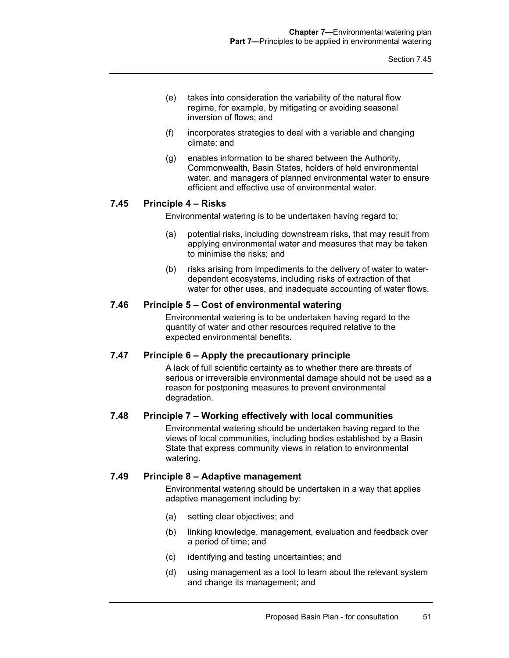- (e) takes into consideration the variability of the natural flow regime, for example, by mitigating or avoiding seasonal inversion of flows; and
- (f) incorporates strategies to deal with a variable and changing climate; and
- (g) enables information to be shared between the Authority, Commonwealth, Basin States, holders of held environmental water, and managers of planned environmental water to ensure efficient and effective use of environmental water.

## **7.45 Principle 4 – Risks**

Environmental watering is to be undertaken having regard to:

- (a) potential risks, including downstream risks, that may result from applying environmental water and measures that may be taken to minimise the risks; and
- (b) risks arising from impediments to the delivery of water to waterdependent ecosystems, including risks of extraction of that water for other uses, and inadequate accounting of water flows.

## **7.46 Principle 5 – Cost of environmental watering**

Environmental watering is to be undertaken having regard to the quantity of water and other resources required relative to the expected environmental benefits.

#### **7.47 Principle 6 – Apply the precautionary principle**

A lack of full scientific certainty as to whether there are threats of serious or irreversible environmental damage should not be used as a reason for postponing measures to prevent environmental degradation.

## **7.48 Principle 7 – Working effectively with local communities**

Environmental watering should be undertaken having regard to the views of local communities, including bodies established by a Basin State that express community views in relation to environmental watering.

#### **7.49 Principle 8 – Adaptive management**

Environmental watering should be undertaken in a way that applies adaptive management including by:

- (a) setting clear objectives; and
- (b) linking knowledge, management, evaluation and feedback over a period of time; and
- (c) identifying and testing uncertainties; and
- (d) using management as a tool to learn about the relevant system and change its management; and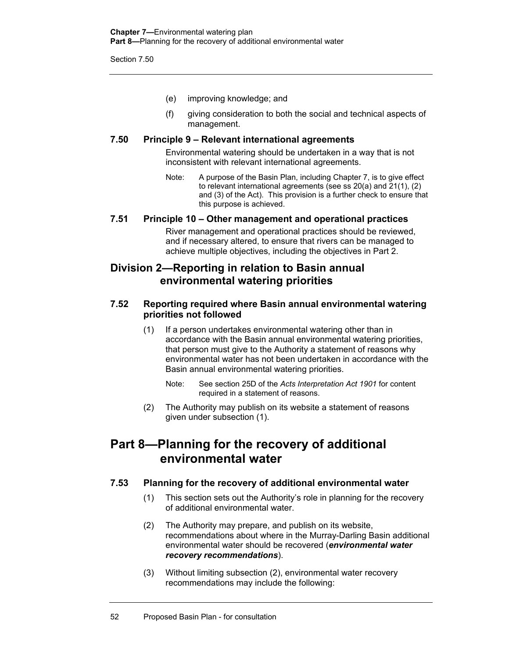- (e) improving knowledge; and
- (f) giving consideration to both the social and technical aspects of management.

### **7.50 Principle 9 – Relevant international agreements**

Environmental watering should be undertaken in a way that is not inconsistent with relevant international agreements.

Note: A purpose of the Basin Plan, including Chapter 7, is to give effect to relevant international agreements (see ss 20(a) and 21(1), (2) and (3) of the Act). This provision is a further check to ensure that this purpose is achieved.

## **7.51 Principle 10 – Other management and operational practices**

River management and operational practices should be reviewed, and if necessary altered, to ensure that rivers can be managed to achieve multiple objectives, including the objectives in Part 2.

## **Division 2—Reporting in relation to Basin annual environmental watering priorities**

## **7.52 Reporting required where Basin annual environmental watering priorities not followed**

- (1) If a person undertakes environmental watering other than in accordance with the Basin annual environmental watering priorities, that person must give to the Authority a statement of reasons why environmental water has not been undertaken in accordance with the Basin annual environmental watering priorities.
	- Note: See section 25D of the *Acts Interpretation Act 1901* for content required in a statement of reasons.
- (2) The Authority may publish on its website a statement of reasons given under subsection (1).

## **Part 8—Planning for the recovery of additional environmental water**

## **7.53 Planning for the recovery of additional environmental water**

- (1) This section sets out the Authority's role in planning for the recovery of additional environmental water.
- (2) The Authority may prepare, and publish on its website, recommendations about where in the Murray-Darling Basin additional environmental water should be recovered (*environmental water recovery recommendations*).
- (3) Without limiting subsection (2), environmental water recovery recommendations may include the following: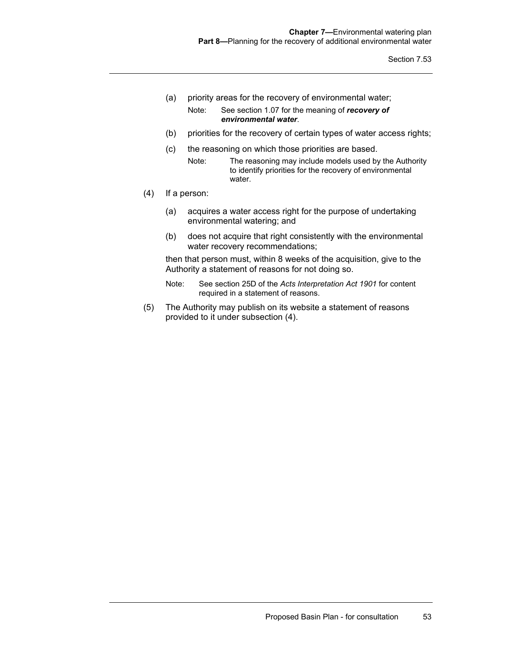- (a) priority areas for the recovery of environmental water;
	- Note: See section 1.07 for the meaning of *recovery of environmental water*.
- (b) priorities for the recovery of certain types of water access rights;
- (c) the reasoning on which those priorities are based.
	- Note: The reasoning may include models used by the Authority to identify priorities for the recovery of environmental water.
- (4) If a person:
	- (a) acquires a water access right for the purpose of undertaking environmental watering; and
	- (b) does not acquire that right consistently with the environmental water recovery recommendations;

then that person must, within 8 weeks of the acquisition, give to the Authority a statement of reasons for not doing so.

- Note: See section 25D of the *Acts Interpretation Act 1901* for content required in a statement of reasons.
- (5) The Authority may publish on its website a statement of reasons provided to it under subsection (4).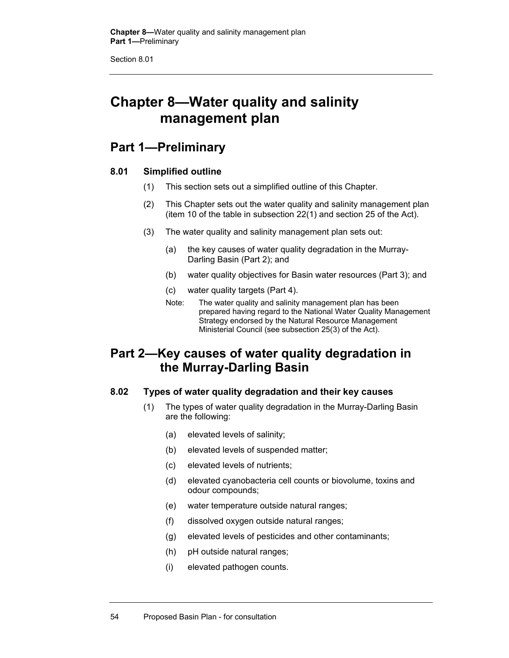Section 8.01

# **Chapter 8—Water quality and salinity management plan**

## **Part 1—Preliminary**

## **8.01 Simplified outline**

- (1) This section sets out a simplified outline of this Chapter.
- (2) This Chapter sets out the water quality and salinity management plan (item 10 of the table in subsection 22(1) and section 25 of the Act).
- (3) The water quality and salinity management plan sets out:
	- (a) the key causes of water quality degradation in the Murray-Darling Basin (Part 2); and
	- (b) water quality objectives for Basin water resources (Part 3); and
	- (c) water quality targets (Part 4).
	- Note: The water quality and salinity management plan has been prepared having regard to the National Water Quality Management Strategy endorsed by the Natural Resource Management Ministerial Council (see subsection 25(3) of the Act).

## **Part 2—Key causes of water quality degradation in the Murray-Darling Basin**

## **8.02 Types of water quality degradation and their key causes**

- (1) The types of water quality degradation in the Murray-Darling Basin are the following:
	- (a) elevated levels of salinity;
	- (b) elevated levels of suspended matter;
	- (c) elevated levels of nutrients;
	- (d) elevated cyanobacteria cell counts or biovolume, toxins and odour compounds;
	- (e) water temperature outside natural ranges;
	- (f) dissolved oxygen outside natural ranges;
	- (g) elevated levels of pesticides and other contaminants;
	- (h) pH outside natural ranges;
	- (i) elevated pathogen counts.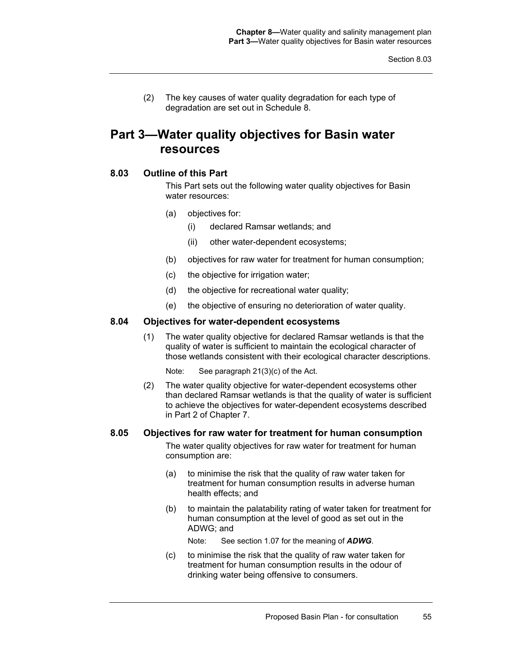(2) The key causes of water quality degradation for each type of degradation are set out in Schedule 8.

## **Part 3—Water quality objectives for Basin water resources**

## **8.03 Outline of this Part**

This Part sets out the following water quality objectives for Basin water resources:

- (a) objectives for:
	- (i) declared Ramsar wetlands; and
	- (ii) other water-dependent ecosystems;
- (b) objectives for raw water for treatment for human consumption;
- (c) the objective for irrigation water;
- (d) the objective for recreational water quality;
- (e) the objective of ensuring no deterioration of water quality.

## **8.04 Objectives for water-dependent ecosystems**

- (1) The water quality objective for declared Ramsar wetlands is that the quality of water is sufficient to maintain the ecological character of those wetlands consistent with their ecological character descriptions.
	- Note: See paragraph 21(3)(c) of the Act.
- (2) The water quality objective for water-dependent ecosystems other than declared Ramsar wetlands is that the quality of water is sufficient to achieve the objectives for water-dependent ecosystems described in Part 2 of Chapter 7.

#### **8.05 Objectives for raw water for treatment for human consumption**

The water quality objectives for raw water for treatment for human consumption are:

- (a) to minimise the risk that the quality of raw water taken for treatment for human consumption results in adverse human health effects; and
- (b) to maintain the palatability rating of water taken for treatment for human consumption at the level of good as set out in the ADWG; and

Note: See section 1.07 for the meaning of *ADWG*.

(c) to minimise the risk that the quality of raw water taken for treatment for human consumption results in the odour of drinking water being offensive to consumers.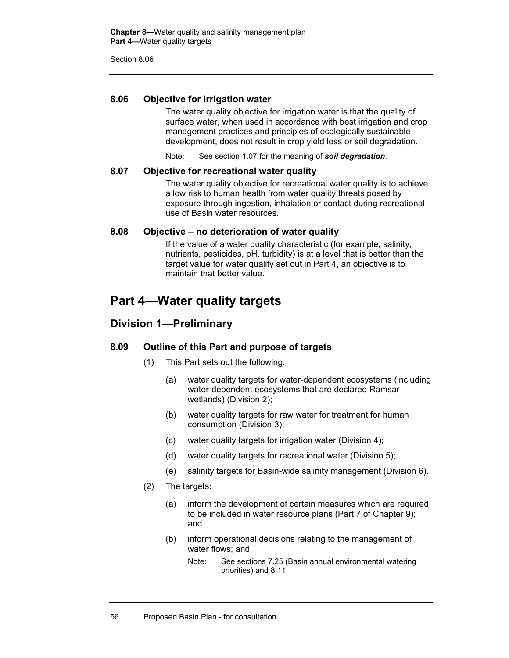Section 8.06

## **8.06 Objective for irrigation water**

The water quality objective for irrigation water is that the quality of surface water, when used in accordance with best irrigation and crop management practices and principles of ecologically sustainable development, does not result in crop yield loss or soil degradation.

Note: See section 1.07 for the meaning of *soil degradation*.

#### **8.07 Objective for recreational water quality**

The water quality objective for recreational water quality is to achieve a low risk to human health from water quality threats posed by exposure through ingestion, inhalation or contact during recreational use of Basin water resources.

#### **8.08 Objective – no deterioration of water quality**

If the value of a water quality characteristic (for example, salinity, nutrients, pesticides, pH, turbidity) is at a level that is better than the target value for water quality set out in Part 4, an objective is to maintain that better value.

## **Part 4—Water quality targets**

## **Division 1—Preliminary**

#### **8.09 Outline of this Part and purpose of targets**

- (1) This Part sets out the following:
	- (a) water quality targets for water-dependent ecosystems (including water-dependent ecosystems that are declared Ramsar wetlands) (Division 2);
	- (b) water quality targets for raw water for treatment for human consumption (Division 3);
	- (c) water quality targets for irrigation water (Division 4);
	- (d) water quality targets for recreational water (Division 5);
	- (e) salinity targets for Basin-wide salinity management (Division 6).
- (2) The targets:
	- (a) inform the development of certain measures which are required to be included in water resource plans (Part 7 of Chapter 9); and
	- (b) inform operational decisions relating to the management of water flows; and
		- Note: See sections 7.25 (Basin annual environmental watering priorities) and 8.11.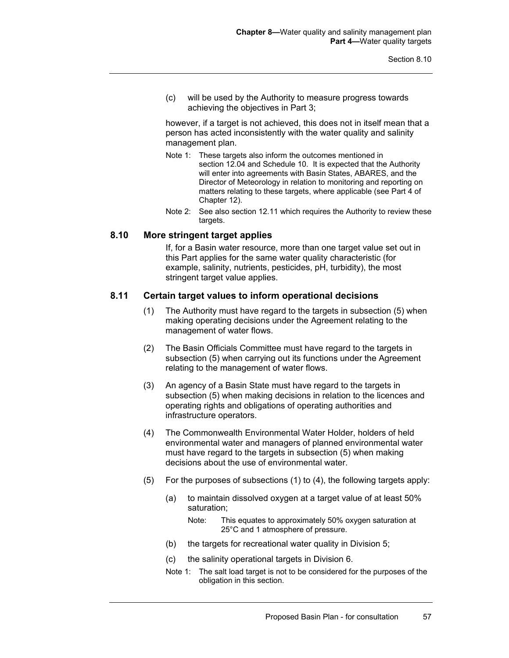(c) will be used by the Authority to measure progress towards achieving the objectives in Part 3;

however, if a target is not achieved, this does not in itself mean that a person has acted inconsistently with the water quality and salinity management plan.

- Note 1: These targets also inform the outcomes mentioned in section 12.04 and Schedule 10. It is expected that the Authority will enter into agreements with Basin States, ABARES, and the Director of Meteorology in relation to monitoring and reporting on matters relating to these targets, where applicable (see Part 4 of Chapter 12).
- Note 2: See also section 12.11 which requires the Authority to review these targets.

#### **8.10 More stringent target applies**

If, for a Basin water resource, more than one target value set out in this Part applies for the same water quality characteristic (for example, salinity, nutrients, pesticides, pH, turbidity), the most stringent target value applies.

#### **8.11 Certain target values to inform operational decisions**

- (1) The Authority must have regard to the targets in subsection (5) when making operating decisions under the Agreement relating to the management of water flows.
- (2) The Basin Officials Committee must have regard to the targets in subsection (5) when carrying out its functions under the Agreement relating to the management of water flows.
- (3) An agency of a Basin State must have regard to the targets in subsection (5) when making decisions in relation to the licences and operating rights and obligations of operating authorities and infrastructure operators.
- (4) The Commonwealth Environmental Water Holder, holders of held environmental water and managers of planned environmental water must have regard to the targets in subsection (5) when making decisions about the use of environmental water.
- (5) For the purposes of subsections (1) to (4), the following targets apply:
	- (a) to maintain dissolved oxygen at a target value of at least 50% saturation;
		- Note: This equates to approximately 50% oxygen saturation at 25°C and 1 atmosphere of pressure.
	- (b) the targets for recreational water quality in Division 5;
	- (c) the salinity operational targets in Division 6.
	- Note 1: The salt load target is not to be considered for the purposes of the obligation in this section.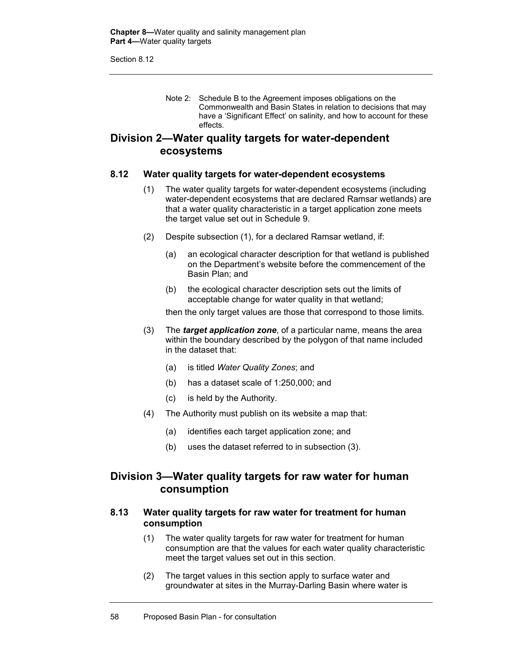Section 8.12

Note 2: Schedule B to the Agreement imposes obligations on the Commonwealth and Basin States in relation to decisions that may have a 'Significant Effect' on salinity, and how to account for these effects.

## **Division 2—Water quality targets for water-dependent ecosystems**

### **8.12 Water quality targets for water-dependent ecosystems**

- (1) The water quality targets for water-dependent ecosystems (including water-dependent ecosystems that are declared Ramsar wetlands) are that a water quality characteristic in a target application zone meets the target value set out in Schedule 9.
- (2) Despite subsection (1), for a declared Ramsar wetland, if:
	- (a) an ecological character description for that wetland is published on the Department's website before the commencement of the Basin Plan; and
	- (b) the ecological character description sets out the limits of acceptable change for water quality in that wetland;

then the only target values are those that correspond to those limits.

- (3) The *target application zone*, of a particular name, means the area within the boundary described by the polygon of that name included in the dataset that:
	- (a) is titled *Water Quality Zones*; and
	- (b) has a dataset scale of 1:250,000; and
	- (c) is held by the Authority.
- (4) The Authority must publish on its website a map that:
	- (a) identifies each target application zone; and
	- (b) uses the dataset referred to in subsection (3).

## **Division 3—Water quality targets for raw water for human consumption**

### **8.13 Water quality targets for raw water for treatment for human consumption**

- (1) The water quality targets for raw water for treatment for human consumption are that the values for each water quality characteristic meet the target values set out in this section.
- (2) The target values in this section apply to surface water and groundwater at sites in the Murray-Darling Basin where water is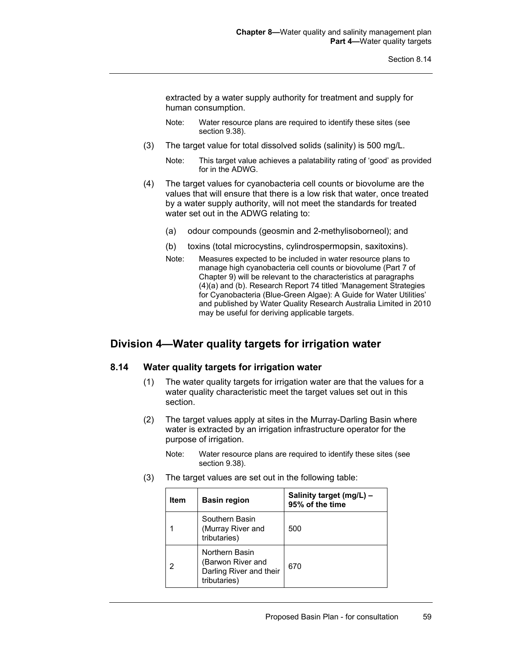extracted by a water supply authority for treatment and supply for human consumption.

- Note: Water resource plans are required to identify these sites (see section 9.38).
- (3) The target value for total dissolved solids (salinity) is 500 mg/L.
	- Note: This target value achieves a palatability rating of 'good' as provided for in the ADWG.
- (4) The target values for cyanobacteria cell counts or biovolume are the values that will ensure that there is a low risk that water, once treated by a water supply authority, will not meet the standards for treated water set out in the ADWG relating to:
	- (a) odour compounds (geosmin and 2-methylisoborneol); and
	- (b) toxins (total microcystins, cylindrospermopsin, saxitoxins).
	- Note: Measures expected to be included in water resource plans to manage high cyanobacteria cell counts or biovolume (Part 7 of Chapter 9) will be relevant to the characteristics at paragraphs (4)(a) and (b). Research Report 74 titled 'Management Strategies for Cyanobacteria (Blue-Green Algae): A Guide for Water Utilities' and published by Water Quality Research Australia Limited in 2010 may be useful for deriving applicable targets.

## **Division 4—Water quality targets for irrigation water**

#### **8.14 Water quality targets for irrigation water**

- (1) The water quality targets for irrigation water are that the values for a water quality characteristic meet the target values set out in this section.
- (2) The target values apply at sites in the Murray-Darling Basin where water is extracted by an irrigation infrastructure operator for the purpose of irrigation.
	- Note: Water resource plans are required to identify these sites (see section 9.38).
- (3) The target values are set out in the following table:

| Item | <b>Basin region</b>                                                            | Salinity target (mg/L) -<br>95% of the time |
|------|--------------------------------------------------------------------------------|---------------------------------------------|
|      | Southern Basin<br>(Murray River and<br>tributaries)                            | 500                                         |
|      | Northern Basin<br>(Barwon River and<br>Darling River and their<br>tributaries) | 670                                         |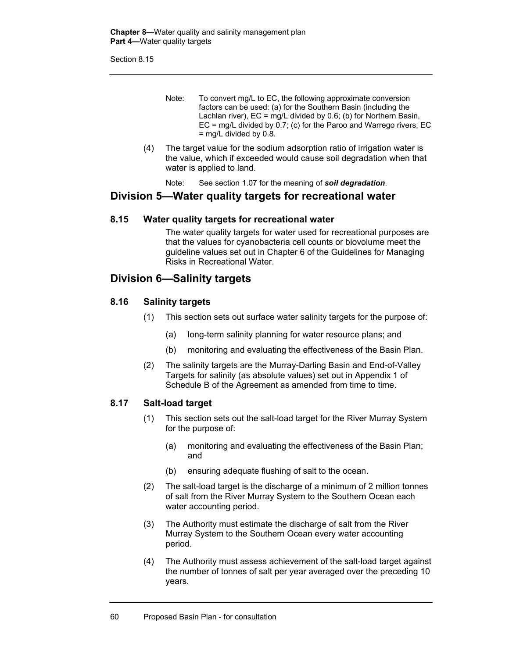Section 8.15

- Note: To convert mg/L to EC, the following approximate conversion factors can be used: (a) for the Southern Basin (including the Lachlan river),  $EC = \text{mq/L}$  divided by 0.6; (b) for Northern Basin,  $EC = mg/L$  divided by 0.7; (c) for the Paroo and Warrego rivers,  $EC$  $=$  mg/L divided by 0.8.
- (4) The target value for the sodium adsorption ratio of irrigation water is the value, which if exceeded would cause soil degradation when that water is applied to land.

Note: See section 1.07 for the meaning of *soil degradation*.

## **Division 5—Water quality targets for recreational water**

### **8.15 Water quality targets for recreational water**

The water quality targets for water used for recreational purposes are that the values for cyanobacteria cell counts or biovolume meet the guideline values set out in Chapter 6 of the Guidelines for Managing Risks in Recreational Water.

## **Division 6—Salinity targets**

### **8.16 Salinity targets**

- (1) This section sets out surface water salinity targets for the purpose of:
	- (a) long-term salinity planning for water resource plans; and
	- (b) monitoring and evaluating the effectiveness of the Basin Plan.
- (2) The salinity targets are the Murray-Darling Basin and End-of-Valley Targets for salinity (as absolute values) set out in Appendix 1 of Schedule B of the Agreement as amended from time to time.

### **8.17 Salt-load target**

- (1) This section sets out the salt-load target for the River Murray System for the purpose of:
	- (a) monitoring and evaluating the effectiveness of the Basin Plan; and
	- (b) ensuring adequate flushing of salt to the ocean.
- (2) The salt-load target is the discharge of a minimum of 2 million tonnes of salt from the River Murray System to the Southern Ocean each water accounting period.
- (3) The Authority must estimate the discharge of salt from the River Murray System to the Southern Ocean every water accounting period.
- (4) The Authority must assess achievement of the salt-load target against the number of tonnes of salt per year averaged over the preceding 10 years.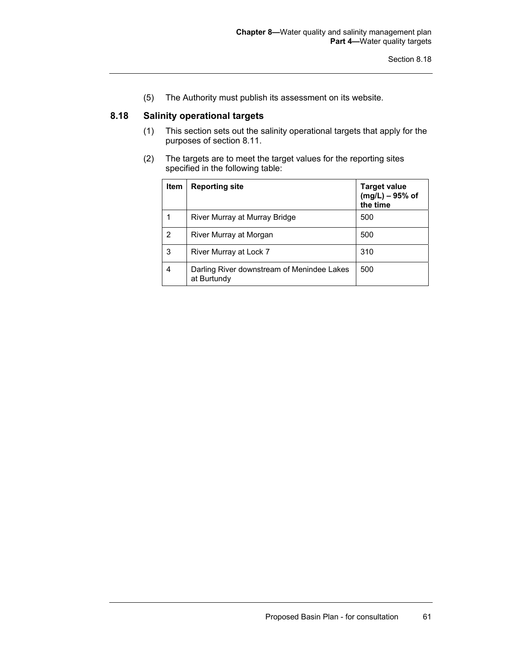(5) The Authority must publish its assessment on its website.

## **8.18 Salinity operational targets**

- (1) This section sets out the salinity operational targets that apply for the purposes of section 8.11.
- (2) The targets are to meet the target values for the reporting sites specified in the following table:

| <b>Item</b> | <b>Reporting site</b>                                     | <b>Target value</b><br>$(mg/L) - 95%$ of<br>the time |
|-------------|-----------------------------------------------------------|------------------------------------------------------|
|             | River Murray at Murray Bridge                             | 500                                                  |
| 2           | River Murray at Morgan                                    | 500                                                  |
| 3           | River Murray at Lock 7                                    | 310                                                  |
|             | Darling River downstream of Menindee Lakes<br>at Burtundy | 500                                                  |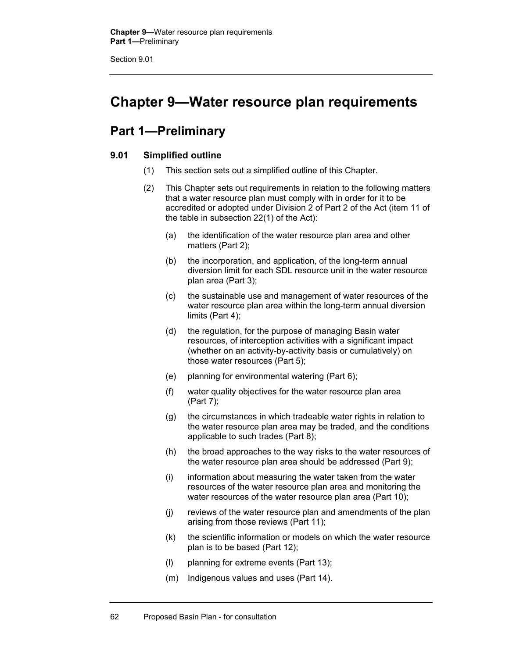# **Chapter 9—Water resource plan requirements**

# **Part 1—Preliminary**

### **9.01 Simplified outline**

- (1) This section sets out a simplified outline of this Chapter.
- (2) This Chapter sets out requirements in relation to the following matters that a water resource plan must comply with in order for it to be accredited or adopted under Division 2 of Part 2 of the Act (item 11 of the table in subsection 22(1) of the Act):
	- (a) the identification of the water resource plan area and other matters (Part 2);
	- (b) the incorporation, and application, of the long-term annual diversion limit for each SDL resource unit in the water resource plan area (Part 3);
	- (c) the sustainable use and management of water resources of the water resource plan area within the long-term annual diversion limits (Part 4);
	- (d) the regulation, for the purpose of managing Basin water resources, of interception activities with a significant impact (whether on an activity-by-activity basis or cumulatively) on those water resources (Part 5);
	- (e) planning for environmental watering (Part 6);
	- (f) water quality objectives for the water resource plan area (Part 7);
	- (g) the circumstances in which tradeable water rights in relation to the water resource plan area may be traded, and the conditions applicable to such trades (Part 8);
	- (h) the broad approaches to the way risks to the water resources of the water resource plan area should be addressed (Part 9);
	- (i) information about measuring the water taken from the water resources of the water resource plan area and monitoring the water resources of the water resource plan area (Part 10);
	- (j) reviews of the water resource plan and amendments of the plan arising from those reviews (Part 11);
	- (k) the scientific information or models on which the water resource plan is to be based (Part 12);
	- (l) planning for extreme events (Part 13);
	- (m) Indigenous values and uses (Part 14).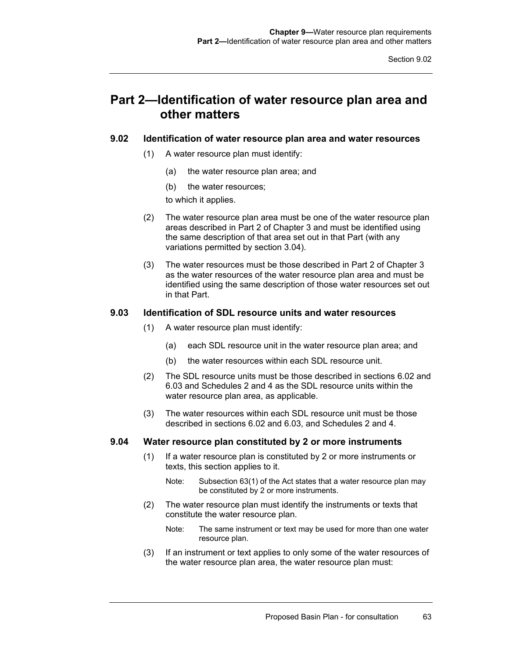# **Part 2—Identification of water resource plan area and other matters**

### **9.02 Identification of water resource plan area and water resources**

- (1) A water resource plan must identify:
	- (a) the water resource plan area; and
	- (b) the water resources;

to which it applies.

- (2) The water resource plan area must be one of the water resource plan areas described in Part 2 of Chapter 3 and must be identified using the same description of that area set out in that Part (with any variations permitted by section 3.04).
- (3) The water resources must be those described in Part 2 of Chapter 3 as the water resources of the water resource plan area and must be identified using the same description of those water resources set out in that Part.

#### **9.03 Identification of SDL resource units and water resources**

- (1) A water resource plan must identify:
	- (a) each SDL resource unit in the water resource plan area; and
	- (b) the water resources within each SDL resource unit.
- (2) The SDL resource units must be those described in sections 6.02 and 6.03 and Schedules 2 and 4 as the SDL resource units within the water resource plan area, as applicable.
- (3) The water resources within each SDL resource unit must be those described in sections 6.02 and 6.03, and Schedules 2 and 4.

#### **9.04 Water resource plan constituted by 2 or more instruments**

- (1) If a water resource plan is constituted by 2 or more instruments or texts, this section applies to it.
	- Note: Subsection 63(1) of the Act states that a water resource plan may be constituted by 2 or more instruments.
- (2) The water resource plan must identify the instruments or texts that constitute the water resource plan.
	- Note: The same instrument or text may be used for more than one water resource plan.
- (3) If an instrument or text applies to only some of the water resources of the water resource plan area, the water resource plan must: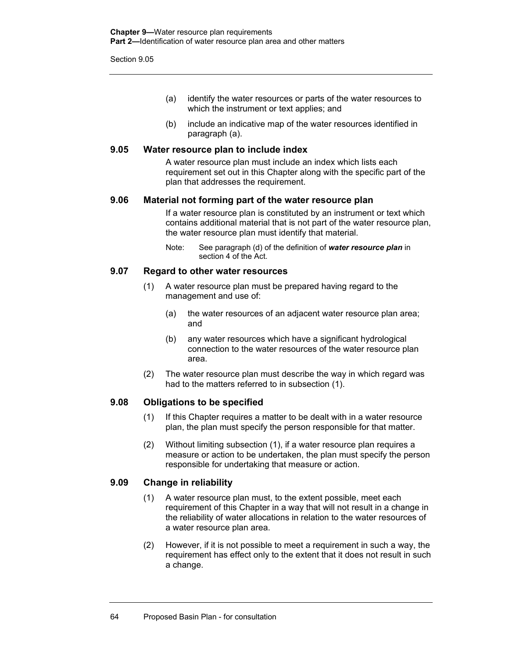- (a) identify the water resources or parts of the water resources to which the instrument or text applies; and
- (b) include an indicative map of the water resources identified in paragraph (a).

#### **9.05 Water resource plan to include index**

A water resource plan must include an index which lists each requirement set out in this Chapter along with the specific part of the plan that addresses the requirement.

#### **9.06 Material not forming part of the water resource plan**

If a water resource plan is constituted by an instrument or text which contains additional material that is not part of the water resource plan, the water resource plan must identify that material.

Note: See paragraph (d) of the definition of *water resource plan* in section 4 of the Act.

#### **9.07 Regard to other water resources**

- (1) A water resource plan must be prepared having regard to the management and use of:
	- (a) the water resources of an adjacent water resource plan area; and
	- (b) any water resources which have a significant hydrological connection to the water resources of the water resource plan area.
- (2) The water resource plan must describe the way in which regard was had to the matters referred to in subsection (1).

### **9.08 Obligations to be specified**

- (1) If this Chapter requires a matter to be dealt with in a water resource plan, the plan must specify the person responsible for that matter.
- (2) Without limiting subsection (1), if a water resource plan requires a measure or action to be undertaken, the plan must specify the person responsible for undertaking that measure or action.

#### **9.09 Change in reliability**

- (1) A water resource plan must, to the extent possible, meet each requirement of this Chapter in a way that will not result in a change in the reliability of water allocations in relation to the water resources of a water resource plan area.
- (2) However, if it is not possible to meet a requirement in such a way, the requirement has effect only to the extent that it does not result in such a change.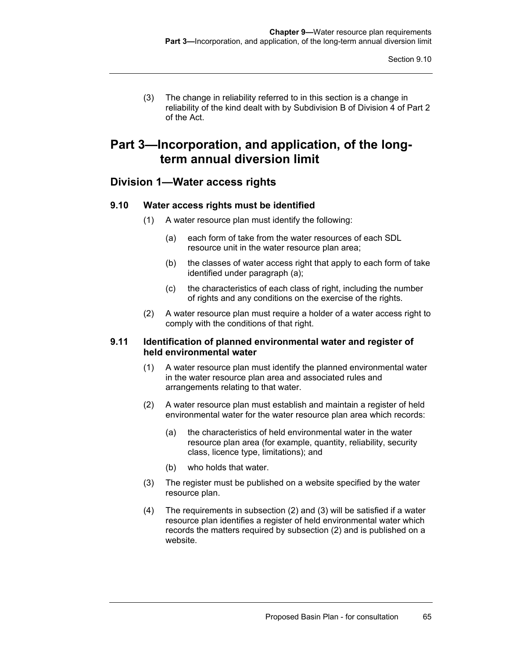(3) The change in reliability referred to in this section is a change in reliability of the kind dealt with by Subdivision B of Division 4 of Part 2 of the Act.

# **Part 3—Incorporation, and application, of the longterm annual diversion limit**

## **Division 1—Water access rights**

### **9.10 Water access rights must be identified**

- (1) A water resource plan must identify the following:
	- (a) each form of take from the water resources of each SDL resource unit in the water resource plan area;
	- (b) the classes of water access right that apply to each form of take identified under paragraph (a);
	- (c) the characteristics of each class of right, including the number of rights and any conditions on the exercise of the rights.
- (2) A water resource plan must require a holder of a water access right to comply with the conditions of that right.

#### **9.11 Identification of planned environmental water and register of held environmental water**

- (1) A water resource plan must identify the planned environmental water in the water resource plan area and associated rules and arrangements relating to that water.
- (2) A water resource plan must establish and maintain a register of held environmental water for the water resource plan area which records:
	- (a) the characteristics of held environmental water in the water resource plan area (for example, quantity, reliability, security class, licence type, limitations); and
	- (b) who holds that water.
- (3) The register must be published on a website specified by the water resource plan.
- (4) The requirements in subsection (2) and (3) will be satisfied if a water resource plan identifies a register of held environmental water which records the matters required by subsection (2) and is published on a website.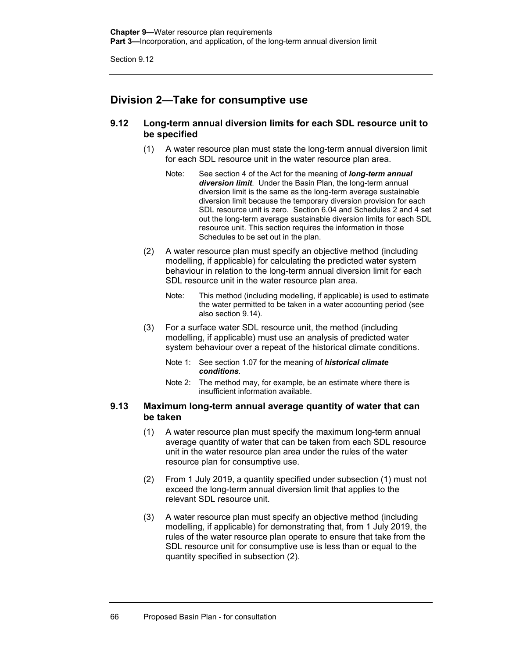## **Division 2—Take for consumptive use**

### **9.12 Long-term annual diversion limits for each SDL resource unit to be specified**

- (1) A water resource plan must state the long-term annual diversion limit for each SDL resource unit in the water resource plan area.
	- Note: See section 4 of the Act for the meaning of *long-term annual diversion limit*. Under the Basin Plan, the long-term annual diversion limit is the same as the long-term average sustainable diversion limit because the temporary diversion provision for each SDL resource unit is zero. Section 6.04 and Schedules 2 and 4 set out the long-term average sustainable diversion limits for each SDL resource unit. This section requires the information in those Schedules to be set out in the plan.
- (2) A water resource plan must specify an objective method (including modelling, if applicable) for calculating the predicted water system behaviour in relation to the long-term annual diversion limit for each SDL resource unit in the water resource plan area.
	- Note: This method (including modelling, if applicable) is used to estimate the water permitted to be taken in a water accounting period (see also section 9.14).
- (3) For a surface water SDL resource unit, the method (including modelling, if applicable) must use an analysis of predicted water system behaviour over a repeat of the historical climate conditions.
	- Note 1: See section 1.07 for the meaning of *historical climate conditions*.
	- Note 2: The method may, for example, be an estimate where there is insufficient information available.

### **9.13 Maximum long-term annual average quantity of water that can be taken**

- (1) A water resource plan must specify the maximum long-term annual average quantity of water that can be taken from each SDL resource unit in the water resource plan area under the rules of the water resource plan for consumptive use.
- (2) From 1 July 2019, a quantity specified under subsection (1) must not exceed the long-term annual diversion limit that applies to the relevant SDL resource unit.
- (3) A water resource plan must specify an objective method (including modelling, if applicable) for demonstrating that, from 1 July 2019, the rules of the water resource plan operate to ensure that take from the SDL resource unit for consumptive use is less than or equal to the quantity specified in subsection (2).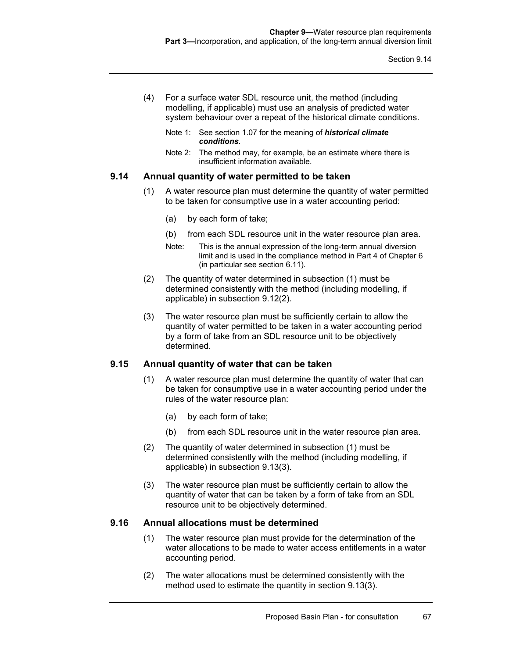- (4) For a surface water SDL resource unit, the method (including modelling, if applicable) must use an analysis of predicted water system behaviour over a repeat of the historical climate conditions.
	- Note 1: See section 1.07 for the meaning of *historical climate conditions*.
	- Note 2: The method may, for example, be an estimate where there is insufficient information available.

#### **9.14 Annual quantity of water permitted to be taken**

- (1) A water resource plan must determine the quantity of water permitted to be taken for consumptive use in a water accounting period:
	- (a) by each form of take;
	- (b) from each SDL resource unit in the water resource plan area.
	- Note: This is the annual expression of the long-term annual diversion limit and is used in the compliance method in Part 4 of Chapter 6 (in particular see section 6.11).
- (2) The quantity of water determined in subsection (1) must be determined consistently with the method (including modelling, if applicable) in subsection 9.12(2).
- (3) The water resource plan must be sufficiently certain to allow the quantity of water permitted to be taken in a water accounting period by a form of take from an SDL resource unit to be objectively determined.

#### **9.15 Annual quantity of water that can be taken**

- (1) A water resource plan must determine the quantity of water that can be taken for consumptive use in a water accounting period under the rules of the water resource plan:
	- (a) by each form of take;
	- (b) from each SDL resource unit in the water resource plan area.
- (2) The quantity of water determined in subsection (1) must be determined consistently with the method (including modelling, if applicable) in subsection 9.13(3).
- (3) The water resource plan must be sufficiently certain to allow the quantity of water that can be taken by a form of take from an SDL resource unit to be objectively determined.

#### **9.16 Annual allocations must be determined**

- (1) The water resource plan must provide for the determination of the water allocations to be made to water access entitlements in a water accounting period.
- (2) The water allocations must be determined consistently with the method used to estimate the quantity in section 9.13(3).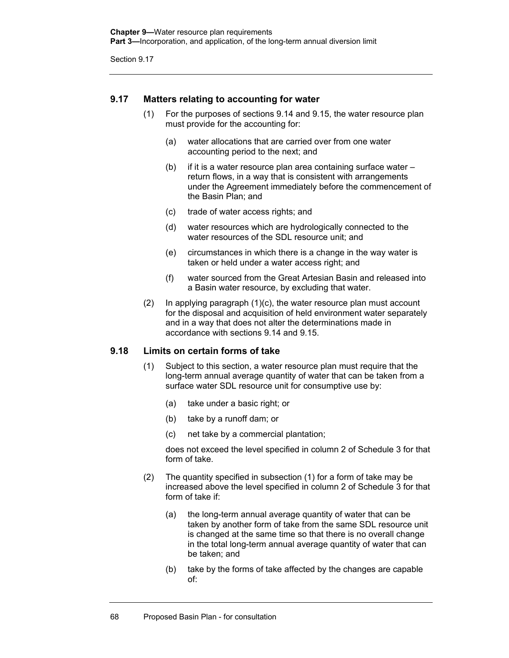### **9.17 Matters relating to accounting for water**

- (1) For the purposes of sections 9.14 and 9.15, the water resource plan must provide for the accounting for:
	- (a) water allocations that are carried over from one water accounting period to the next; and
	- (b) if it is a water resource plan area containing surface water return flows, in a way that is consistent with arrangements under the Agreement immediately before the commencement of the Basin Plan; and
	- (c) trade of water access rights; and
	- (d) water resources which are hydrologically connected to the water resources of the SDL resource unit; and
	- (e) circumstances in which there is a change in the way water is taken or held under a water access right; and
	- (f) water sourced from the Great Artesian Basin and released into a Basin water resource, by excluding that water.
- (2) In applying paragraph (1)(c), the water resource plan must account for the disposal and acquisition of held environment water separately and in a way that does not alter the determinations made in accordance with sections 9.14 and 9.15.

#### **9.18 Limits on certain forms of take**

- (1) Subject to this section, a water resource plan must require that the long-term annual average quantity of water that can be taken from a surface water SDL resource unit for consumptive use by:
	- (a) take under a basic right; or
	- (b) take by a runoff dam; or
	- (c) net take by a commercial plantation;

does not exceed the level specified in column 2 of Schedule 3 for that form of take.

- (2) The quantity specified in subsection (1) for a form of take may be increased above the level specified in column 2 of Schedule 3 for that form of take if:
	- (a) the long-term annual average quantity of water that can be taken by another form of take from the same SDL resource unit is changed at the same time so that there is no overall change in the total long-term annual average quantity of water that can be taken; and
	- (b) take by the forms of take affected by the changes are capable of: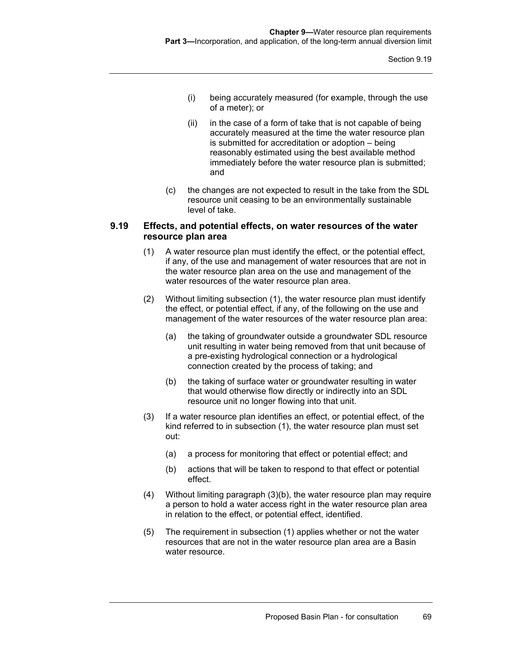- (i) being accurately measured (for example, through the use of a meter); or
- (ii) in the case of a form of take that is not capable of being accurately measured at the time the water resource plan is submitted for accreditation or adoption – being reasonably estimated using the best available method immediately before the water resource plan is submitted; and
- (c) the changes are not expected to result in the take from the SDL resource unit ceasing to be an environmentally sustainable level of take.

#### **9.19 Effects, and potential effects, on water resources of the water resource plan area**

- (1) A water resource plan must identify the effect, or the potential effect, if any, of the use and management of water resources that are not in the water resource plan area on the use and management of the water resources of the water resource plan area.
- (2) Without limiting subsection (1), the water resource plan must identify the effect, or potential effect, if any, of the following on the use and management of the water resources of the water resource plan area:
	- (a) the taking of groundwater outside a groundwater SDL resource unit resulting in water being removed from that unit because of a pre-existing hydrological connection or a hydrological connection created by the process of taking; and
	- (b) the taking of surface water or groundwater resulting in water that would otherwise flow directly or indirectly into an SDL resource unit no longer flowing into that unit.
- (3) If a water resource plan identifies an effect, or potential effect, of the kind referred to in subsection (1), the water resource plan must set out:
	- (a) a process for monitoring that effect or potential effect; and
	- (b) actions that will be taken to respond to that effect or potential effect.
- (4) Without limiting paragraph (3)(b), the water resource plan may require a person to hold a water access right in the water resource plan area in relation to the effect, or potential effect, identified.
- (5) The requirement in subsection (1) applies whether or not the water resources that are not in the water resource plan area are a Basin water resource.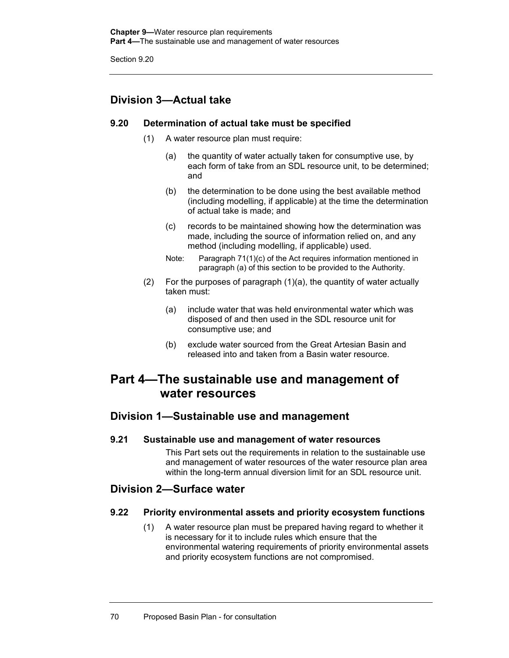# **Division 3—Actual take**

### **9.20 Determination of actual take must be specified**

- (1) A water resource plan must require:
	- (a) the quantity of water actually taken for consumptive use, by each form of take from an SDL resource unit, to be determined; and
	- (b) the determination to be done using the best available method (including modelling, if applicable) at the time the determination of actual take is made; and
	- (c) records to be maintained showing how the determination was made, including the source of information relied on, and any method (including modelling, if applicable) used.
	- Note: Paragraph 71(1)(c) of the Act requires information mentioned in paragraph (a) of this section to be provided to the Authority.
- (2) For the purposes of paragraph (1)(a), the quantity of water actually taken must:
	- (a) include water that was held environmental water which was disposed of and then used in the SDL resource unit for consumptive use; and
	- (b) exclude water sourced from the Great Artesian Basin and released into and taken from a Basin water resource.

# **Part 4—The sustainable use and management of water resources**

## **Division 1—Sustainable use and management**

**9.21 Sustainable use and management of water resources** 

This Part sets out the requirements in relation to the sustainable use and management of water resources of the water resource plan area within the long-term annual diversion limit for an SDL resource unit.

## **Division 2—Surface water**

### **9.22 Priority environmental assets and priority ecosystem functions**

(1) A water resource plan must be prepared having regard to whether it is necessary for it to include rules which ensure that the environmental watering requirements of priority environmental assets and priority ecosystem functions are not compromised.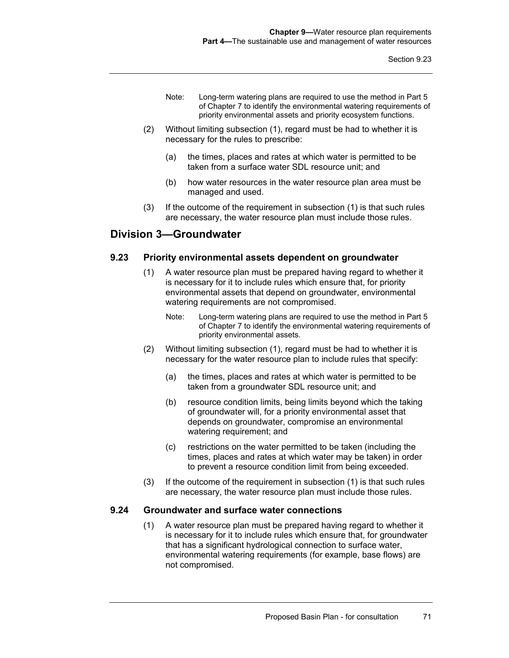- Note: Long-term watering plans are required to use the method in Part 5 of Chapter 7 to identify the environmental watering requirements of priority environmental assets and priority ecosystem functions.
- (2) Without limiting subsection (1), regard must be had to whether it is necessary for the rules to prescribe:
	- (a) the times, places and rates at which water is permitted to be taken from a surface water SDL resource unit; and
	- (b) how water resources in the water resource plan area must be managed and used.
- (3) If the outcome of the requirement in subsection (1) is that such rules are necessary, the water resource plan must include those rules.

## **Division 3—Groundwater**

#### **9.23 Priority environmental assets dependent on groundwater**

- (1) A water resource plan must be prepared having regard to whether it is necessary for it to include rules which ensure that, for priority environmental assets that depend on groundwater, environmental watering requirements are not compromised.
	- Note: Long-term watering plans are required to use the method in Part 5 of Chapter 7 to identify the environmental watering requirements of priority environmental assets.
- (2) Without limiting subsection (1), regard must be had to whether it is necessary for the water resource plan to include rules that specify:
	- (a) the times, places and rates at which water is permitted to be taken from a groundwater SDL resource unit; and
	- (b) resource condition limits, being limits beyond which the taking of groundwater will, for a priority environmental asset that depends on groundwater, compromise an environmental watering requirement; and
	- (c) restrictions on the water permitted to be taken (including the times, places and rates at which water may be taken) in order to prevent a resource condition limit from being exceeded.
- (3) If the outcome of the requirement in subsection (1) is that such rules are necessary, the water resource plan must include those rules.

#### **9.24 Groundwater and surface water connections**

(1) A water resource plan must be prepared having regard to whether it is necessary for it to include rules which ensure that, for groundwater that has a significant hydrological connection to surface water, environmental watering requirements (for example, base flows) are not compromised.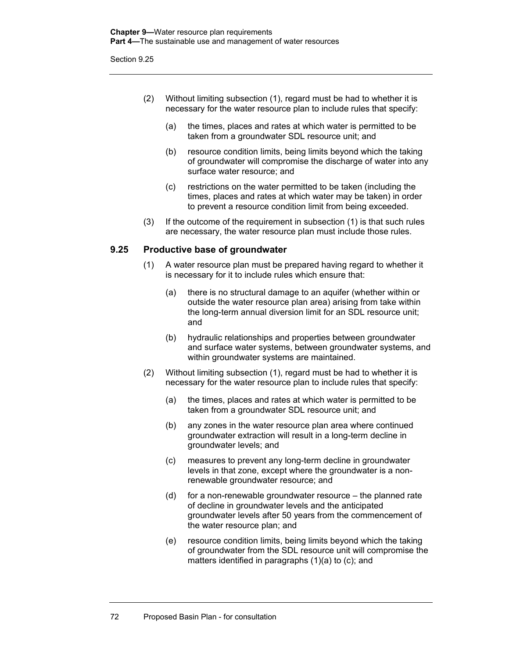- (2) Without limiting subsection (1), regard must be had to whether it is necessary for the water resource plan to include rules that specify:
	- (a) the times, places and rates at which water is permitted to be taken from a groundwater SDL resource unit; and
	- (b) resource condition limits, being limits beyond which the taking of groundwater will compromise the discharge of water into any surface water resource; and
	- (c) restrictions on the water permitted to be taken (including the times, places and rates at which water may be taken) in order to prevent a resource condition limit from being exceeded.
- (3) If the outcome of the requirement in subsection (1) is that such rules are necessary, the water resource plan must include those rules.

### **9.25 Productive base of groundwater**

- (1) A water resource plan must be prepared having regard to whether it is necessary for it to include rules which ensure that:
	- (a) there is no structural damage to an aquifer (whether within or outside the water resource plan area) arising from take within the long-term annual diversion limit for an SDL resource unit; and
	- (b) hydraulic relationships and properties between groundwater and surface water systems, between groundwater systems, and within groundwater systems are maintained.
- (2) Without limiting subsection (1), regard must be had to whether it is necessary for the water resource plan to include rules that specify:
	- (a) the times, places and rates at which water is permitted to be taken from a groundwater SDL resource unit; and
	- (b) any zones in the water resource plan area where continued groundwater extraction will result in a long-term decline in groundwater levels; and
	- (c) measures to prevent any long-term decline in groundwater levels in that zone, except where the groundwater is a nonrenewable groundwater resource; and
	- (d) for a non-renewable groundwater resource the planned rate of decline in groundwater levels and the anticipated groundwater levels after 50 years from the commencement of the water resource plan; and
	- (e) resource condition limits, being limits beyond which the taking of groundwater from the SDL resource unit will compromise the matters identified in paragraphs (1)(a) to (c); and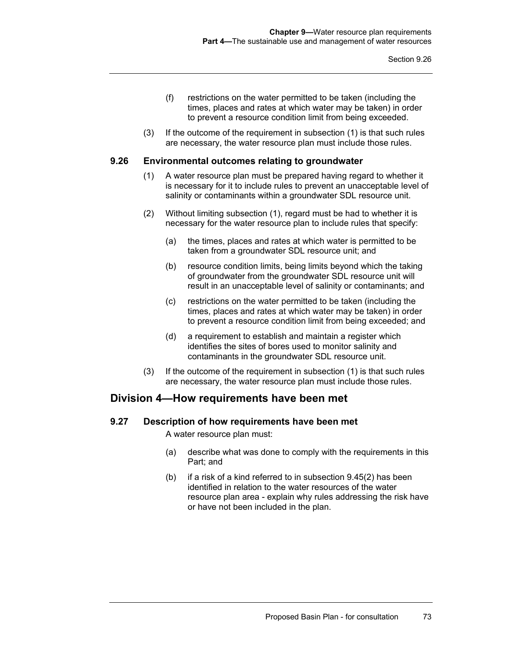- (f) restrictions on the water permitted to be taken (including the times, places and rates at which water may be taken) in order to prevent a resource condition limit from being exceeded.
- (3) If the outcome of the requirement in subsection (1) is that such rules are necessary, the water resource plan must include those rules.

#### **9.26 Environmental outcomes relating to groundwater**

- (1) A water resource plan must be prepared having regard to whether it is necessary for it to include rules to prevent an unacceptable level of salinity or contaminants within a groundwater SDL resource unit.
- (2) Without limiting subsection (1), regard must be had to whether it is necessary for the water resource plan to include rules that specify:
	- (a) the times, places and rates at which water is permitted to be taken from a groundwater SDL resource unit; and
	- (b) resource condition limits, being limits beyond which the taking of groundwater from the groundwater SDL resource unit will result in an unacceptable level of salinity or contaminants; and
	- (c) restrictions on the water permitted to be taken (including the times, places and rates at which water may be taken) in order to prevent a resource condition limit from being exceeded; and
	- (d) a requirement to establish and maintain a register which identifies the sites of bores used to monitor salinity and contaminants in the groundwater SDL resource unit.
- (3) If the outcome of the requirement in subsection (1) is that such rules are necessary, the water resource plan must include those rules.

### **Division 4—How requirements have been met**

#### **9.27 Description of how requirements have been met**

A water resource plan must:

- (a) describe what was done to comply with the requirements in this Part; and
- (b) if a risk of a kind referred to in subsection 9.45(2) has been identified in relation to the water resources of the water resource plan area - explain why rules addressing the risk have or have not been included in the plan.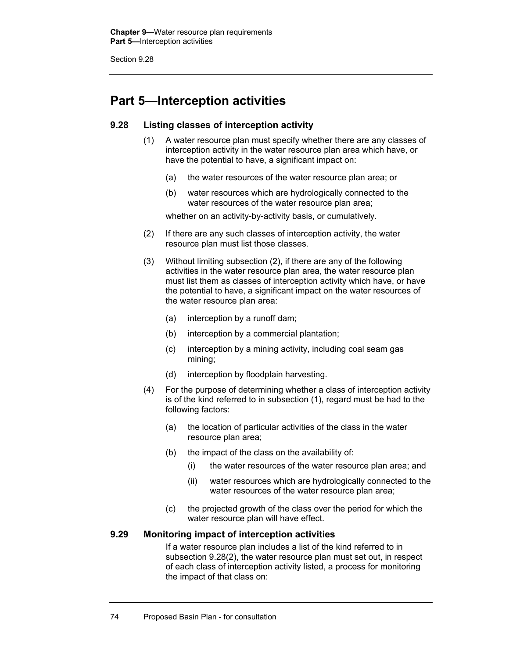# **Part 5—Interception activities**

### **9.28 Listing classes of interception activity**

- (1) A water resource plan must specify whether there are any classes of interception activity in the water resource plan area which have, or have the potential to have, a significant impact on:
	- (a) the water resources of the water resource plan area; or
	- (b) water resources which are hydrologically connected to the water resources of the water resource plan area;

whether on an activity-by-activity basis, or cumulatively.

- (2) If there are any such classes of interception activity, the water resource plan must list those classes.
- (3) Without limiting subsection (2), if there are any of the following activities in the water resource plan area, the water resource plan must list them as classes of interception activity which have, or have the potential to have, a significant impact on the water resources of the water resource plan area:
	- (a) interception by a runoff dam;
	- (b) interception by a commercial plantation;
	- (c) interception by a mining activity, including coal seam gas mining;
	- (d) interception by floodplain harvesting.
- (4) For the purpose of determining whether a class of interception activity is of the kind referred to in subsection (1), regard must be had to the following factors:
	- (a) the location of particular activities of the class in the water resource plan area;
	- (b) the impact of the class on the availability of:
		- (i) the water resources of the water resource plan area; and
		- (ii) water resources which are hydrologically connected to the water resources of the water resource plan area;
	- (c) the projected growth of the class over the period for which the water resource plan will have effect.

### **9.29 Monitoring impact of interception activities**

If a water resource plan includes a list of the kind referred to in subsection 9.28(2), the water resource plan must set out, in respect of each class of interception activity listed, a process for monitoring the impact of that class on: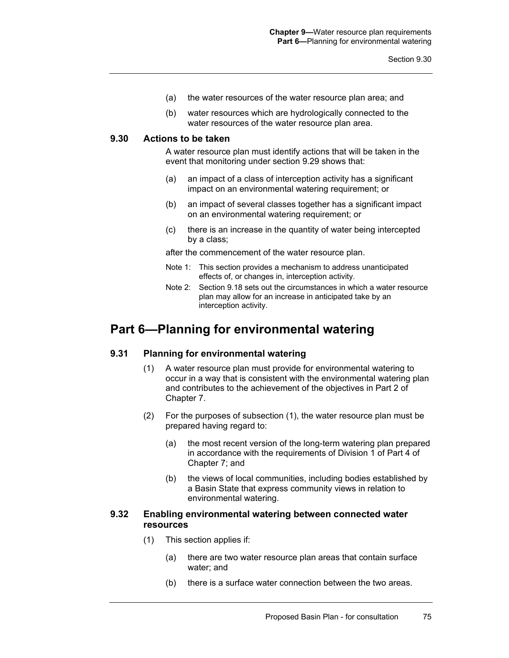- (a) the water resources of the water resource plan area; and
- (b) water resources which are hydrologically connected to the water resources of the water resource plan area.

#### **9.30 Actions to be taken**

A water resource plan must identify actions that will be taken in the event that monitoring under section 9.29 shows that:

- (a) an impact of a class of interception activity has a significant impact on an environmental watering requirement; or
- (b) an impact of several classes together has a significant impact on an environmental watering requirement; or
- (c) there is an increase in the quantity of water being intercepted by a class;

after the commencement of the water resource plan.

- Note 1: This section provides a mechanism to address unanticipated effects of, or changes in, interception activity.
- Note 2: Section 9.18 sets out the circumstances in which a water resource plan may allow for an increase in anticipated take by an interception activity.

# **Part 6—Planning for environmental watering**

#### **9.31 Planning for environmental watering**

- (1) A water resource plan must provide for environmental watering to occur in a way that is consistent with the environmental watering plan and contributes to the achievement of the objectives in Part 2 of Chapter 7.
- (2) For the purposes of subsection (1), the water resource plan must be prepared having regard to:
	- (a) the most recent version of the long-term watering plan prepared in accordance with the requirements of Division 1 of Part 4 of Chapter 7; and
	- (b) the views of local communities, including bodies established by a Basin State that express community views in relation to environmental watering.

### **9.32 Enabling environmental watering between connected water resources**

- (1) This section applies if:
	- (a) there are two water resource plan areas that contain surface water; and
	- (b) there is a surface water connection between the two areas.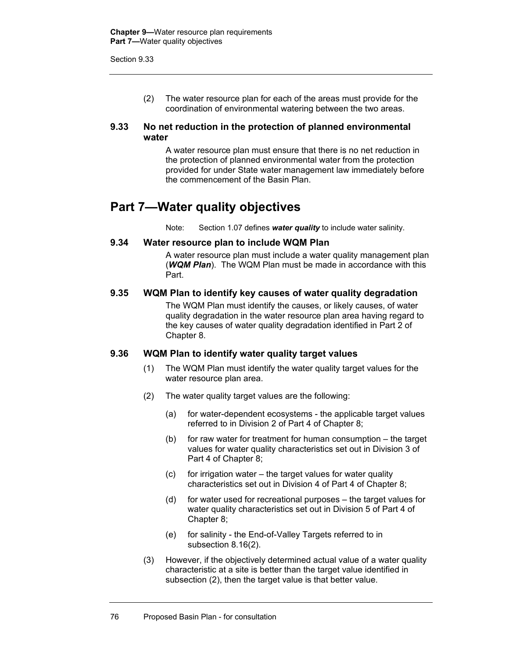(2) The water resource plan for each of the areas must provide for the coordination of environmental watering between the two areas.

#### **9.33 No net reduction in the protection of planned environmental water**

A water resource plan must ensure that there is no net reduction in the protection of planned environmental water from the protection provided for under State water management law immediately before the commencement of the Basin Plan.

# **Part 7—Water quality objectives**

Note: Section 1.07 defines *water quality* to include water salinity.

### **9.34 Water resource plan to include WQM Plan**

A water resource plan must include a water quality management plan (*WQM Plan*). The WQM Plan must be made in accordance with this Part.

#### **9.35 WQM Plan to identify key causes of water quality degradation**

The WQM Plan must identify the causes, or likely causes, of water quality degradation in the water resource plan area having regard to the key causes of water quality degradation identified in Part 2 of Chapter 8.

#### **9.36 WQM Plan to identify water quality target values**

- (1) The WQM Plan must identify the water quality target values for the water resource plan area.
- (2) The water quality target values are the following:
	- (a) for water-dependent ecosystems the applicable target values referred to in Division 2 of Part 4 of Chapter 8;
	- (b) for raw water for treatment for human consumption the target values for water quality characteristics set out in Division 3 of Part 4 of Chapter 8;
	- (c) for irrigation water the target values for water quality characteristics set out in Division 4 of Part 4 of Chapter 8;
	- (d) for water used for recreational purposes the target values for water quality characteristics set out in Division 5 of Part 4 of Chapter 8;
	- (e) for salinity the End-of-Valley Targets referred to in subsection 8.16(2).
- (3) However, if the objectively determined actual value of a water quality characteristic at a site is better than the target value identified in subsection (2), then the target value is that better value.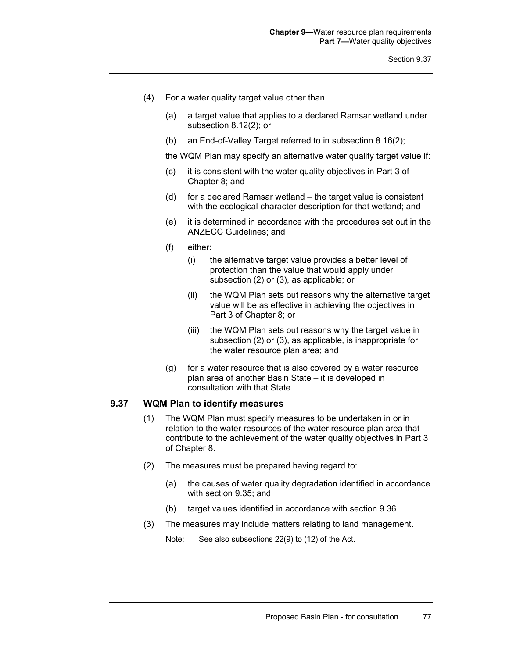- (4) For a water quality target value other than:
	- (a) a target value that applies to a declared Ramsar wetland under subsection 8.12(2); or
	- (b) an End-of-Valley Target referred to in subsection 8.16(2);

the WQM Plan may specify an alternative water quality target value if:

- (c) it is consistent with the water quality objectives in Part 3 of Chapter 8; and
- (d) for a declared Ramsar wetland the target value is consistent with the ecological character description for that wetland; and
- (e) it is determined in accordance with the procedures set out in the ANZECC Guidelines; and
- (f) either:
	- (i) the alternative target value provides a better level of protection than the value that would apply under subsection (2) or (3), as applicable; or
	- (ii) the WQM Plan sets out reasons why the alternative target value will be as effective in achieving the objectives in Part 3 of Chapter 8; or
	- (iii) the WQM Plan sets out reasons why the target value in subsection (2) or (3), as applicable, is inappropriate for the water resource plan area; and
- (g) for a water resource that is also covered by a water resource plan area of another Basin State – it is developed in consultation with that State.

### **9.37 WQM Plan to identify measures**

- (1) The WQM Plan must specify measures to be undertaken in or in relation to the water resources of the water resource plan area that contribute to the achievement of the water quality objectives in Part 3 of Chapter 8.
- (2) The measures must be prepared having regard to:
	- (a) the causes of water quality degradation identified in accordance with section 9.35; and
	- (b) target values identified in accordance with section 9.36.
- (3) The measures may include matters relating to land management.

Note: See also subsections 22(9) to (12) of the Act.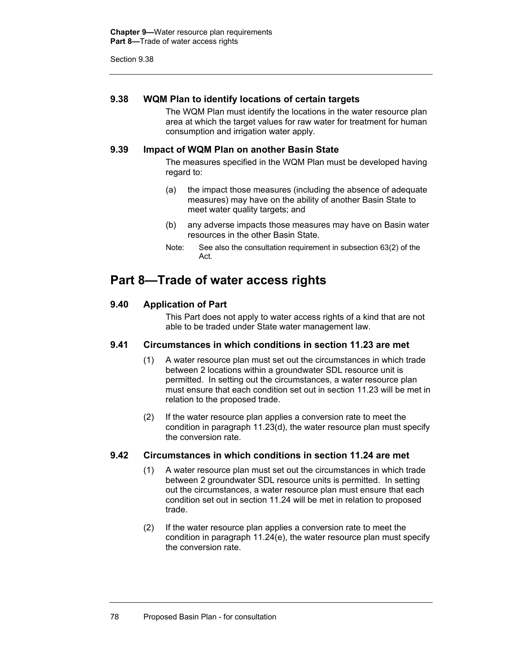#### **9.38 WQM Plan to identify locations of certain targets**

The WQM Plan must identify the locations in the water resource plan area at which the target values for raw water for treatment for human consumption and irrigation water apply.

### **9.39 Impact of WQM Plan on another Basin State**

The measures specified in the WQM Plan must be developed having regard to:

- (a) the impact those measures (including the absence of adequate measures) may have on the ability of another Basin State to meet water quality targets; and
- (b) any adverse impacts those measures may have on Basin water resources in the other Basin State.
- Note: See also the consultation requirement in subsection 63(2) of the Act.

# **Part 8—Trade of water access rights**

### **9.40 Application of Part**

This Part does not apply to water access rights of a kind that are not able to be traded under State water management law.

#### **9.41 Circumstances in which conditions in section 11.23 are met**

- (1) A water resource plan must set out the circumstances in which trade between 2 locations within a groundwater SDL resource unit is permitted. In setting out the circumstances, a water resource plan must ensure that each condition set out in section 11.23 will be met in relation to the proposed trade.
- (2) If the water resource plan applies a conversion rate to meet the condition in paragraph 11.23(d), the water resource plan must specify the conversion rate.

### **9.42 Circumstances in which conditions in section 11.24 are met**

- (1) A water resource plan must set out the circumstances in which trade between 2 groundwater SDL resource units is permitted. In setting out the circumstances, a water resource plan must ensure that each condition set out in section 11.24 will be met in relation to proposed trade.
- (2) If the water resource plan applies a conversion rate to meet the condition in paragraph 11.24(e), the water resource plan must specify the conversion rate.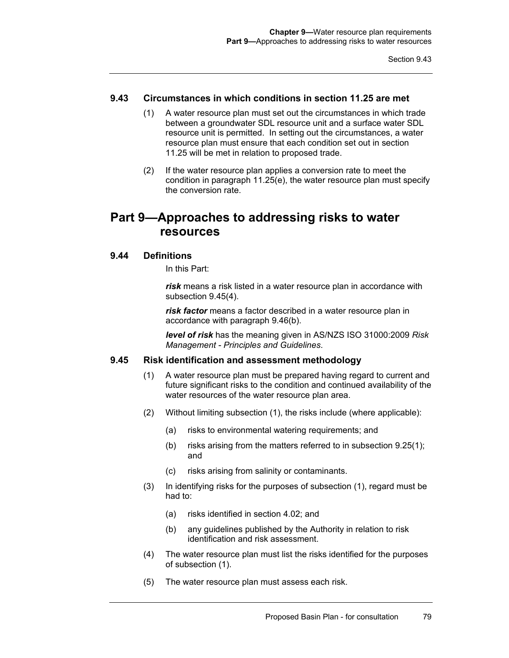### **9.43 Circumstances in which conditions in section 11.25 are met**

- (1) A water resource plan must set out the circumstances in which trade between a groundwater SDL resource unit and a surface water SDL resource unit is permitted. In setting out the circumstances, a water resource plan must ensure that each condition set out in section 11.25 will be met in relation to proposed trade.
- (2) If the water resource plan applies a conversion rate to meet the condition in paragraph 11.25(e), the water resource plan must specify the conversion rate.

# **Part 9—Approaches to addressing risks to water resources**

#### **9.44 Definitions**

In this Part:

*risk* means a risk listed in a water resource plan in accordance with subsection 9.45(4).

*risk factor* means a factor described in a water resource plan in accordance with paragraph 9.46(b).

*level of risk* has the meaning given in AS/NZS ISO 31000:2009 *Risk Management - Principles and Guidelines*.

#### **9.45 Risk identification and assessment methodology**

- (1) A water resource plan must be prepared having regard to current and future significant risks to the condition and continued availability of the water resources of the water resource plan area.
- (2) Without limiting subsection (1), the risks include (where applicable):
	- (a) risks to environmental watering requirements; and
	- (b) risks arising from the matters referred to in subsection 9.25(1); and
	- (c) risks arising from salinity or contaminants.
- (3) In identifying risks for the purposes of subsection (1), regard must be had to:
	- (a) risks identified in section 4.02; and
	- (b) any guidelines published by the Authority in relation to risk identification and risk assessment.
- (4) The water resource plan must list the risks identified for the purposes of subsection (1).
- (5) The water resource plan must assess each risk.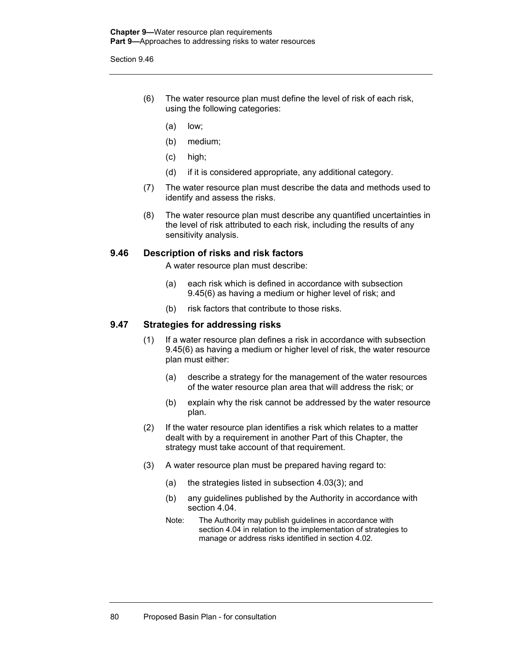- (6) The water resource plan must define the level of risk of each risk, using the following categories:
	- (a) low;
	- (b) medium;
	- (c) high;
	- (d) if it is considered appropriate, any additional category.
- (7) The water resource plan must describe the data and methods used to identify and assess the risks.
- (8) The water resource plan must describe any quantified uncertainties in the level of risk attributed to each risk, including the results of any sensitivity analysis.

#### **9.46 Description of risks and risk factors**

A water resource plan must describe:

- (a) each risk which is defined in accordance with subsection 9.45(6) as having a medium or higher level of risk; and
- (b) risk factors that contribute to those risks.

#### **9.47 Strategies for addressing risks**

- (1) If a water resource plan defines a risk in accordance with subsection 9.45(6) as having a medium or higher level of risk, the water resource plan must either:
	- (a) describe a strategy for the management of the water resources of the water resource plan area that will address the risk; or
	- (b) explain why the risk cannot be addressed by the water resource plan.
- (2) If the water resource plan identifies a risk which relates to a matter dealt with by a requirement in another Part of this Chapter, the strategy must take account of that requirement.
- (3) A water resource plan must be prepared having regard to:
	- (a) the strategies listed in subsection 4.03(3); and
	- (b) any guidelines published by the Authority in accordance with section 4.04.
	- Note: The Authority may publish guidelines in accordance with section 4.04 in relation to the implementation of strategies to manage or address risks identified in section 4.02.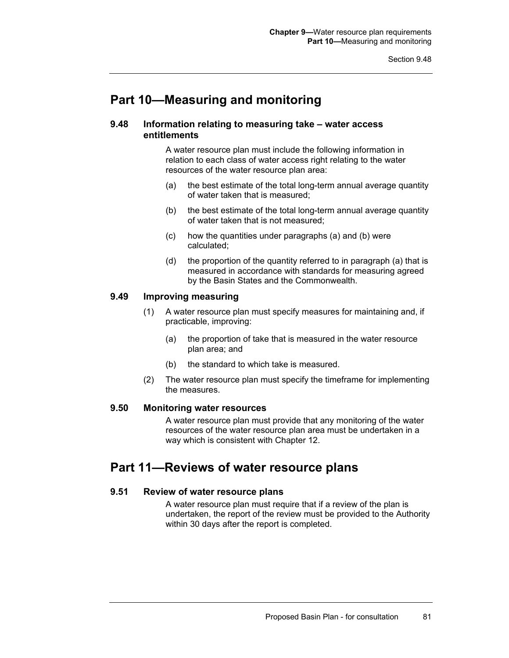# **Part 10—Measuring and monitoring**

#### **9.48 Information relating to measuring take – water access entitlements**

A water resource plan must include the following information in relation to each class of water access right relating to the water resources of the water resource plan area:

- (a) the best estimate of the total long-term annual average quantity of water taken that is measured;
- (b) the best estimate of the total long-term annual average quantity of water taken that is not measured;
- (c) how the quantities under paragraphs (a) and (b) were calculated;
- (d) the proportion of the quantity referred to in paragraph (a) that is measured in accordance with standards for measuring agreed by the Basin States and the Commonwealth.

#### **9.49 Improving measuring**

- (1) A water resource plan must specify measures for maintaining and, if practicable, improving:
	- (a) the proportion of take that is measured in the water resource plan area; and
	- (b) the standard to which take is measured.
- (2) The water resource plan must specify the timeframe for implementing the measures.

### **9.50 Monitoring water resources**

A water resource plan must provide that any monitoring of the water resources of the water resource plan area must be undertaken in a way which is consistent with Chapter 12.

# **Part 11—Reviews of water resource plans**

#### **9.51 Review of water resource plans**

A water resource plan must require that if a review of the plan is undertaken, the report of the review must be provided to the Authority within 30 days after the report is completed.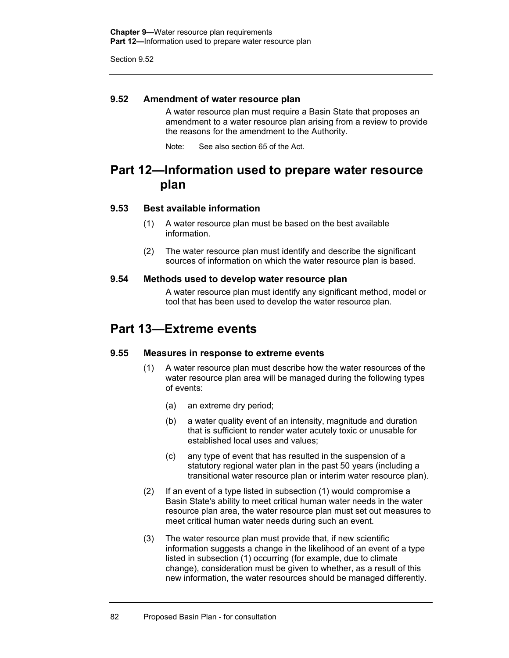#### **9.52 Amendment of water resource plan**

A water resource plan must require a Basin State that proposes an amendment to a water resource plan arising from a review to provide the reasons for the amendment to the Authority.

Note: See also section 65 of the Act.

# **Part 12—Information used to prepare water resource plan**

### **9.53 Best available information**

- (1) A water resource plan must be based on the best available information.
- (2) The water resource plan must identify and describe the significant sources of information on which the water resource plan is based.

#### **9.54 Methods used to develop water resource plan**

A water resource plan must identify any significant method, model or tool that has been used to develop the water resource plan.

# **Part 13—Extreme events**

#### **9.55 Measures in response to extreme events**

- (1) A water resource plan must describe how the water resources of the water resource plan area will be managed during the following types of events:
	- (a) an extreme dry period;
	- (b) a water quality event of an intensity, magnitude and duration that is sufficient to render water acutely toxic or unusable for established local uses and values;
	- (c) any type of event that has resulted in the suspension of a statutory regional water plan in the past 50 years (including a transitional water resource plan or interim water resource plan).
- (2) If an event of a type listed in subsection (1) would compromise a Basin State's ability to meet critical human water needs in the water resource plan area, the water resource plan must set out measures to meet critical human water needs during such an event.
- (3) The water resource plan must provide that, if new scientific information suggests a change in the likelihood of an event of a type listed in subsection (1) occurring (for example, due to climate change), consideration must be given to whether, as a result of this new information, the water resources should be managed differently.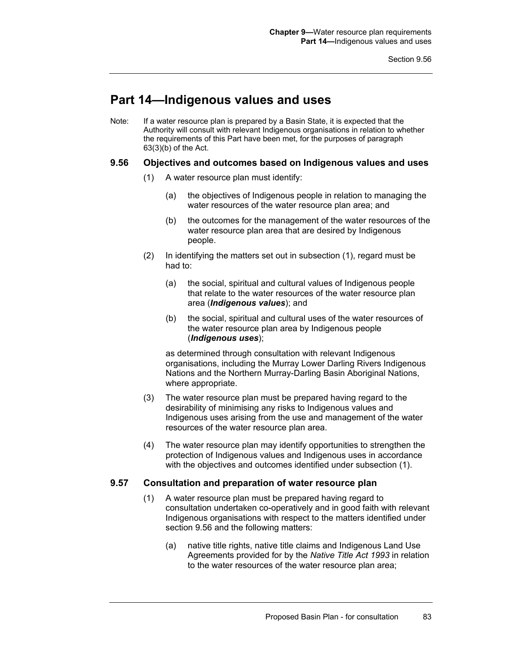# **Part 14—Indigenous values and uses**

Note: If a water resource plan is prepared by a Basin State, it is expected that the Authority will consult with relevant Indigenous organisations in relation to whether the requirements of this Part have been met, for the purposes of paragraph 63(3)(b) of the Act.

#### **9.56 Objectives and outcomes based on Indigenous values and uses**

- (1) A water resource plan must identify:
	- (a) the objectives of Indigenous people in relation to managing the water resources of the water resource plan area; and
	- (b) the outcomes for the management of the water resources of the water resource plan area that are desired by Indigenous people.
- (2) In identifying the matters set out in subsection (1), regard must be had to:
	- (a) the social, spiritual and cultural values of Indigenous people that relate to the water resources of the water resource plan area (*Indigenous values*); and
	- (b) the social, spiritual and cultural uses of the water resources of the water resource plan area by Indigenous people (*Indigenous uses*);

as determined through consultation with relevant Indigenous organisations, including the Murray Lower Darling Rivers Indigenous Nations and the Northern Murray-Darling Basin Aboriginal Nations, where appropriate.

- (3) The water resource plan must be prepared having regard to the desirability of minimising any risks to Indigenous values and Indigenous uses arising from the use and management of the water resources of the water resource plan area.
- (4) The water resource plan may identify opportunities to strengthen the protection of Indigenous values and Indigenous uses in accordance with the objectives and outcomes identified under subsection (1).

#### **9.57 Consultation and preparation of water resource plan**

- (1) A water resource plan must be prepared having regard to consultation undertaken co-operatively and in good faith with relevant Indigenous organisations with respect to the matters identified under section 9.56 and the following matters:
	- (a) native title rights, native title claims and Indigenous Land Use Agreements provided for by the *Native Title Act 1993* in relation to the water resources of the water resource plan area;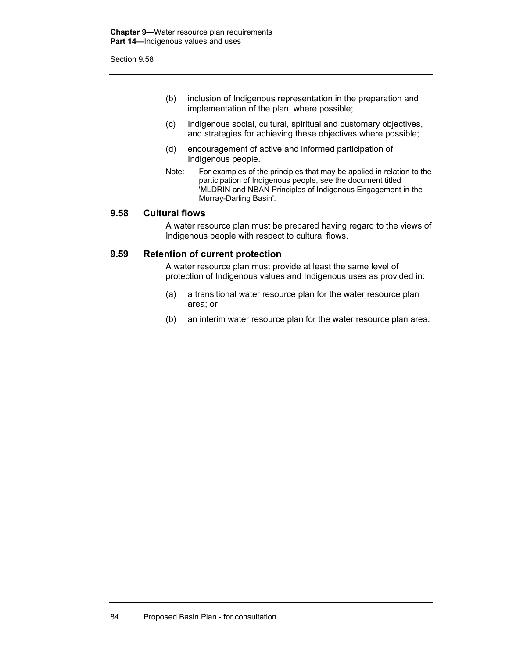- (b) inclusion of Indigenous representation in the preparation and implementation of the plan, where possible;
- (c) Indigenous social, cultural, spiritual and customary objectives, and strategies for achieving these objectives where possible;
- (d) encouragement of active and informed participation of Indigenous people.
- Note: For examples of the principles that may be applied in relation to the participation of Indigenous people, see the document titled 'MLDRIN and NBAN Principles of Indigenous Engagement in the Murray-Darling Basin'.

#### **9.58 Cultural flows**

A water resource plan must be prepared having regard to the views of Indigenous people with respect to cultural flows.

#### **9.59 Retention of current protection**

A water resource plan must provide at least the same level of protection of Indigenous values and Indigenous uses as provided in:

- (a) a transitional water resource plan for the water resource plan area; or
- (b) an interim water resource plan for the water resource plan area.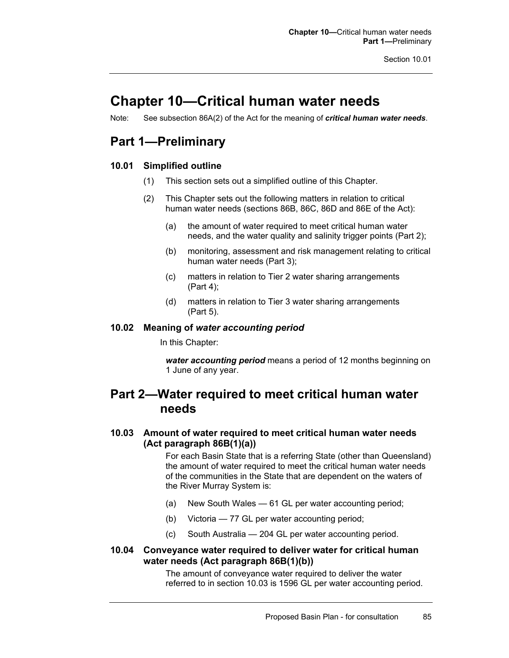# **Chapter 10—Critical human water needs**

Note: See subsection 86A(2) of the Act for the meaning of *critical human water needs*.

# **Part 1—Preliminary**

### **10.01 Simplified outline**

- (1) This section sets out a simplified outline of this Chapter.
- (2) This Chapter sets out the following matters in relation to critical human water needs (sections 86B, 86C, 86D and 86E of the Act):
	- (a) the amount of water required to meet critical human water needs, and the water quality and salinity trigger points (Part 2);
	- (b) monitoring, assessment and risk management relating to critical human water needs (Part 3);
	- (c) matters in relation to Tier 2 water sharing arrangements (Part 4);
	- (d) matters in relation to Tier 3 water sharing arrangements (Part 5).

#### **10.02 Meaning of** *water accounting period*

In this Chapter:

*water accounting period* means a period of 12 months beginning on 1 June of any year.

# **Part 2—Water required to meet critical human water needs**

### **10.03 Amount of water required to meet critical human water needs (Act paragraph 86B(1)(a))**

For each Basin State that is a referring State (other than Queensland) the amount of water required to meet the critical human water needs of the communities in the State that are dependent on the waters of the River Murray System is:

- (a) New South Wales 61 GL per water accounting period;
- (b) Victoria 77 GL per water accounting period;
- (c) South Australia 204 GL per water accounting period.

### **10.04 Conveyance water required to deliver water for critical human water needs (Act paragraph 86B(1)(b))**

The amount of conveyance water required to deliver the water referred to in section 10.03 is 1596 GL per water accounting period.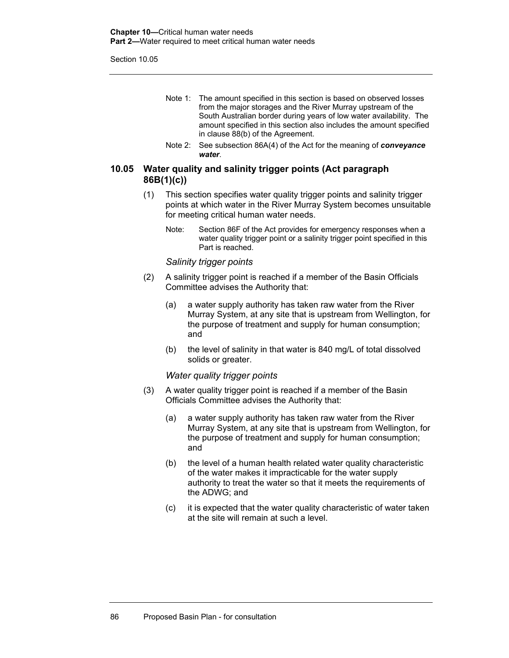Section 10.05

- Note 1: The amount specified in this section is based on observed losses from the major storages and the River Murray upstream of the South Australian border during years of low water availability. The amount specified in this section also includes the amount specified in clause 88(b) of the Agreement.
- Note 2: See subsection 86A(4) of the Act for the meaning of *conveyance water*.

### **10.05 Water quality and salinity trigger points (Act paragraph 86B(1)(c))**

- (1) This section specifies water quality trigger points and salinity trigger points at which water in the River Murray System becomes unsuitable for meeting critical human water needs.
	- Note: Section 86F of the Act provides for emergency responses when a water quality trigger point or a salinity trigger point specified in this Part is reached.

#### *Salinity trigger points*

- (2) A salinity trigger point is reached if a member of the Basin Officials Committee advises the Authority that:
	- (a) a water supply authority has taken raw water from the River Murray System, at any site that is upstream from Wellington, for the purpose of treatment and supply for human consumption; and
	- (b) the level of salinity in that water is 840 mg/L of total dissolved solids or greater.

#### *Water quality trigger points*

- (3) A water quality trigger point is reached if a member of the Basin Officials Committee advises the Authority that:
	- (a) a water supply authority has taken raw water from the River Murray System, at any site that is upstream from Wellington, for the purpose of treatment and supply for human consumption; and
	- (b) the level of a human health related water quality characteristic of the water makes it impracticable for the water supply authority to treat the water so that it meets the requirements of the ADWG; and
	- (c) it is expected that the water quality characteristic of water taken at the site will remain at such a level.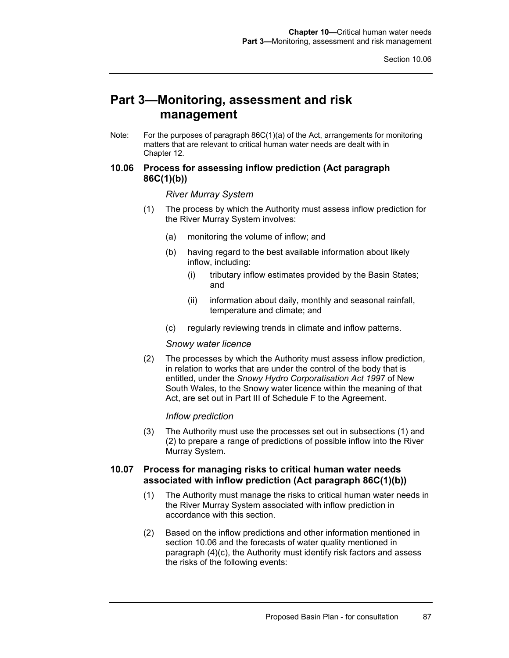# **Part 3—Monitoring, assessment and risk management**

Note: For the purposes of paragraph 86C(1)(a) of the Act, arrangements for monitoring matters that are relevant to critical human water needs are dealt with in Chapter 12.

### **10.06 Process for assessing inflow prediction (Act paragraph 86C(1)(b))**

#### *River Murray System*

- (1) The process by which the Authority must assess inflow prediction for the River Murray System involves:
	- (a) monitoring the volume of inflow; and
	- (b) having regard to the best available information about likely inflow, including:
		- (i) tributary inflow estimates provided by the Basin States; and
		- (ii) information about daily, monthly and seasonal rainfall, temperature and climate; and
	- (c) regularly reviewing trends in climate and inflow patterns.

#### *Snowy water licence*

(2) The processes by which the Authority must assess inflow prediction, in relation to works that are under the control of the body that is entitled, under the *Snowy Hydro Corporatisation Act 1997* of New South Wales, to the Snowy water licence within the meaning of that Act, are set out in Part III of Schedule F to the Agreement.

#### *Inflow prediction*

(3) The Authority must use the processes set out in subsections (1) and (2) to prepare a range of predictions of possible inflow into the River Murray System.

#### **10.07 Process for managing risks to critical human water needs associated with inflow prediction (Act paragraph 86C(1)(b))**

- (1) The Authority must manage the risks to critical human water needs in the River Murray System associated with inflow prediction in accordance with this section.
- (2) Based on the inflow predictions and other information mentioned in section 10.06 and the forecasts of water quality mentioned in paragraph (4)(c), the Authority must identify risk factors and assess the risks of the following events: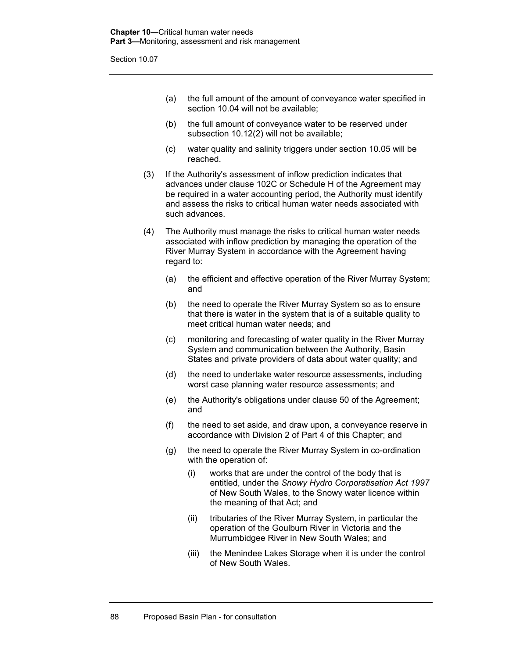Section 10.07

- (a) the full amount of the amount of conveyance water specified in section 10.04 will not be available;
- (b) the full amount of conveyance water to be reserved under subsection 10.12(2) will not be available;
- (c) water quality and salinity triggers under section 10.05 will be reached.
- (3) If the Authority's assessment of inflow prediction indicates that advances under clause 102C or Schedule H of the Agreement may be required in a water accounting period, the Authority must identify and assess the risks to critical human water needs associated with such advances.
- (4) The Authority must manage the risks to critical human water needs associated with inflow prediction by managing the operation of the River Murray System in accordance with the Agreement having regard to:
	- (a) the efficient and effective operation of the River Murray System; and
	- (b) the need to operate the River Murray System so as to ensure that there is water in the system that is of a suitable quality to meet critical human water needs; and
	- (c) monitoring and forecasting of water quality in the River Murray System and communication between the Authority, Basin States and private providers of data about water quality; and
	- (d) the need to undertake water resource assessments, including worst case planning water resource assessments; and
	- (e) the Authority's obligations under clause 50 of the Agreement; and
	- (f) the need to set aside, and draw upon, a conveyance reserve in accordance with Division 2 of Part 4 of this Chapter; and
	- (g) the need to operate the River Murray System in co-ordination with the operation of:
		- (i) works that are under the control of the body that is entitled, under the *Snowy Hydro Corporatisation Act 1997* of New South Wales, to the Snowy water licence within the meaning of that Act; and
		- (ii) tributaries of the River Murray System, in particular the operation of the Goulburn River in Victoria and the Murrumbidgee River in New South Wales; and
		- (iii) the Menindee Lakes Storage when it is under the control of New South Wales.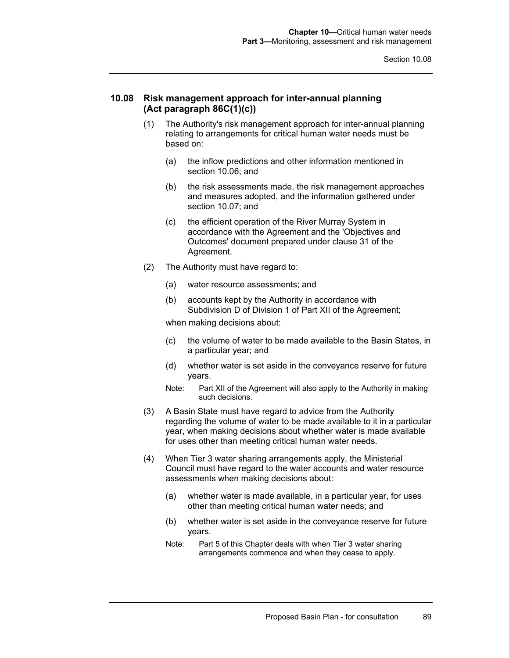#### **10.08 Risk management approach for inter-annual planning (Act paragraph 86C(1)(c))**

- (1) The Authority's risk management approach for inter-annual planning relating to arrangements for critical human water needs must be based on:
	- (a) the inflow predictions and other information mentioned in section 10.06; and
	- (b) the risk assessments made, the risk management approaches and measures adopted, and the information gathered under section 10.07; and
	- (c) the efficient operation of the River Murray System in accordance with the Agreement and the 'Objectives and Outcomes' document prepared under clause 31 of the Agreement.
- (2) The Authority must have regard to:
	- (a) water resource assessments; and
	- (b) accounts kept by the Authority in accordance with Subdivision D of Division 1 of Part XII of the Agreement;

when making decisions about:

- (c) the volume of water to be made available to the Basin States, in a particular year; and
- (d) whether water is set aside in the conveyance reserve for future years.
- Note: Part XII of the Agreement will also apply to the Authority in making such decisions.
- (3) A Basin State must have regard to advice from the Authority regarding the volume of water to be made available to it in a particular year, when making decisions about whether water is made available for uses other than meeting critical human water needs.
- (4) When Tier 3 water sharing arrangements apply, the Ministerial Council must have regard to the water accounts and water resource assessments when making decisions about:
	- (a) whether water is made available, in a particular year, for uses other than meeting critical human water needs; and
	- (b) whether water is set aside in the conveyance reserve for future years.
	- Note: Part 5 of this Chapter deals with when Tier 3 water sharing arrangements commence and when they cease to apply.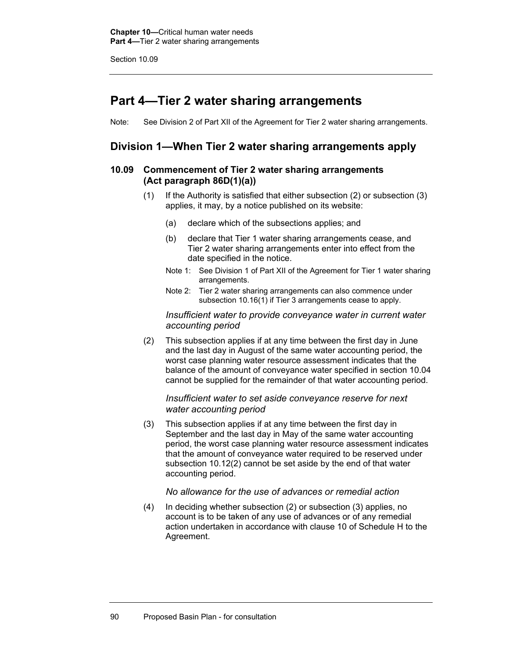Section 10.09

# **Part 4—Tier 2 water sharing arrangements**

Note: See Division 2 of Part XII of the Agreement for Tier 2 water sharing arrangements.

## **Division 1—When Tier 2 water sharing arrangements apply**

### **10.09 Commencement of Tier 2 water sharing arrangements (Act paragraph 86D(1)(a))**

- (1) If the Authority is satisfied that either subsection (2) or subsection (3) applies, it may, by a notice published on its website:
	- (a) declare which of the subsections applies; and
	- (b) declare that Tier 1 water sharing arrangements cease, and Tier 2 water sharing arrangements enter into effect from the date specified in the notice.
	- Note 1: See Division 1 of Part XII of the Agreement for Tier 1 water sharing arrangements.
	- Note 2: Tier 2 water sharing arrangements can also commence under subsection 10.16(1) if Tier 3 arrangements cease to apply.

#### *Insufficient water to provide conveyance water in current water accounting period*

(2) This subsection applies if at any time between the first day in June and the last day in August of the same water accounting period, the worst case planning water resource assessment indicates that the balance of the amount of conveyance water specified in section 10.04 cannot be supplied for the remainder of that water accounting period.

#### *Insufficient water to set aside conveyance reserve for next water accounting period*

(3) This subsection applies if at any time between the first day in September and the last day in May of the same water accounting period, the worst case planning water resource assessment indicates that the amount of conveyance water required to be reserved under subsection 10.12(2) cannot be set aside by the end of that water accounting period.

#### *No allowance for the use of advances or remedial action*

(4) In deciding whether subsection (2) or subsection (3) applies, no account is to be taken of any use of advances or of any remedial action undertaken in accordance with clause 10 of Schedule H to the Agreement.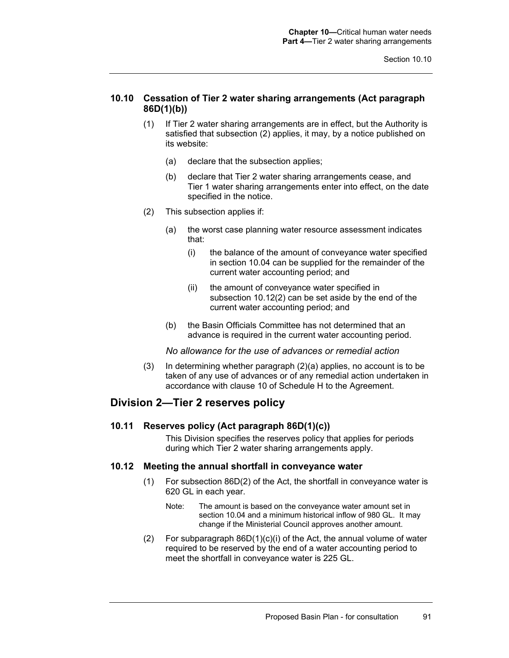### **10.10 Cessation of Tier 2 water sharing arrangements (Act paragraph 86D(1)(b))**

- (1) If Tier 2 water sharing arrangements are in effect, but the Authority is satisfied that subsection (2) applies, it may, by a notice published on its website:
	- (a) declare that the subsection applies;
	- (b) declare that Tier 2 water sharing arrangements cease, and Tier 1 water sharing arrangements enter into effect, on the date specified in the notice.
- (2) This subsection applies if:
	- (a) the worst case planning water resource assessment indicates that:
		- (i) the balance of the amount of conveyance water specified in section 10.04 can be supplied for the remainder of the current water accounting period; and
		- (ii) the amount of conveyance water specified in subsection 10.12(2) can be set aside by the end of the current water accounting period; and
	- (b) the Basin Officials Committee has not determined that an advance is required in the current water accounting period.

*No allowance for the use of advances or remedial action* 

(3) In determining whether paragraph (2)(a) applies, no account is to be taken of any use of advances or of any remedial action undertaken in accordance with clause 10 of Schedule H to the Agreement.

## **Division 2—Tier 2 reserves policy**

#### **10.11 Reserves policy (Act paragraph 86D(1)(c))**

This Division specifies the reserves policy that applies for periods during which Tier 2 water sharing arrangements apply.

#### **10.12 Meeting the annual shortfall in conveyance water**

- (1) For subsection 86D(2) of the Act, the shortfall in conveyance water is 620 GL in each year.
	- Note: The amount is based on the conveyance water amount set in section 10.04 and a minimum historical inflow of 980 GL. It may change if the Ministerial Council approves another amount.
- (2) For subparagraph 86D(1)(c)(i) of the Act, the annual volume of water required to be reserved by the end of a water accounting period to meet the shortfall in conveyance water is 225 GL.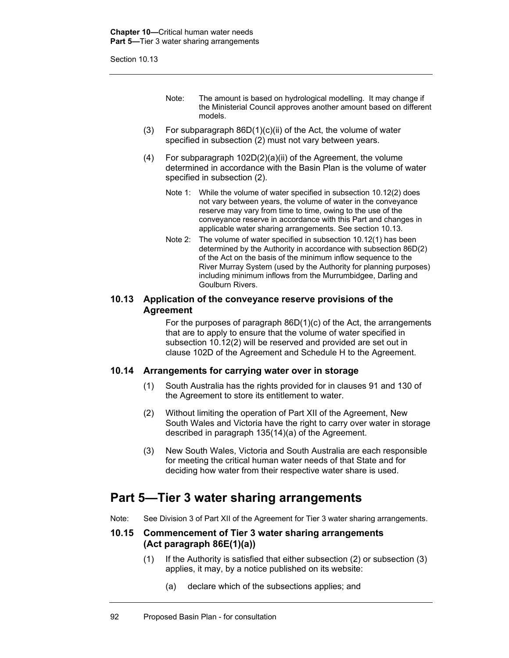Section 10.13

- Note: The amount is based on hydrological modelling. It may change if the Ministerial Council approves another amount based on different models.
- (3) For subparagraph 86D(1)(c)(ii) of the Act, the volume of water specified in subsection (2) must not vary between years.
- (4) For subparagraph 102D(2)(a)(ii) of the Agreement, the volume determined in accordance with the Basin Plan is the volume of water specified in subsection (2).
	- Note 1: While the volume of water specified in subsection 10.12(2) does not vary between years, the volume of water in the conveyance reserve may vary from time to time, owing to the use of the conveyance reserve in accordance with this Part and changes in applicable water sharing arrangements. See section 10.13.
	- Note 2: The volume of water specified in subsection 10.12(1) has been determined by the Authority in accordance with subsection 86D(2) of the Act on the basis of the minimum inflow sequence to the River Murray System (used by the Authority for planning purposes) including minimum inflows from the Murrumbidgee, Darling and Goulburn Rivers.

#### **10.13 Application of the conveyance reserve provisions of the Agreement**

For the purposes of paragraph 86D(1)(c) of the Act, the arrangements that are to apply to ensure that the volume of water specified in subsection 10.12(2) will be reserved and provided are set out in clause 102D of the Agreement and Schedule H to the Agreement.

#### **10.14 Arrangements for carrying water over in storage**

- (1) South Australia has the rights provided for in clauses 91 and 130 of the Agreement to store its entitlement to water.
- (2) Without limiting the operation of Part XII of the Agreement, New South Wales and Victoria have the right to carry over water in storage described in paragraph 135(14)(a) of the Agreement.
- (3) New South Wales, Victoria and South Australia are each responsible for meeting the critical human water needs of that State and for deciding how water from their respective water share is used.

# **Part 5—Tier 3 water sharing arrangements**

Note: See Division 3 of Part XII of the Agreement for Tier 3 water sharing arrangements.

#### **10.15 Commencement of Tier 3 water sharing arrangements (Act paragraph 86E(1)(a))**

- (1) If the Authority is satisfied that either subsection (2) or subsection (3) applies, it may, by a notice published on its website:
	- (a) declare which of the subsections applies; and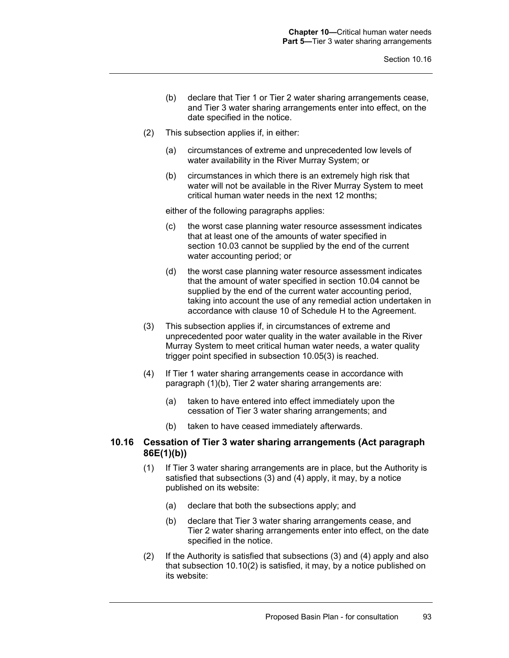- (b) declare that Tier 1 or Tier 2 water sharing arrangements cease, and Tier 3 water sharing arrangements enter into effect, on the date specified in the notice.
- (2) This subsection applies if, in either:
	- (a) circumstances of extreme and unprecedented low levels of water availability in the River Murray System; or
	- (b) circumstances in which there is an extremely high risk that water will not be available in the River Murray System to meet critical human water needs in the next 12 months;

either of the following paragraphs applies:

- (c) the worst case planning water resource assessment indicates that at least one of the amounts of water specified in section 10.03 cannot be supplied by the end of the current water accounting period; or
- (d) the worst case planning water resource assessment indicates that the amount of water specified in section 10.04 cannot be supplied by the end of the current water accounting period, taking into account the use of any remedial action undertaken in accordance with clause 10 of Schedule H to the Agreement.
- (3) This subsection applies if, in circumstances of extreme and unprecedented poor water quality in the water available in the River Murray System to meet critical human water needs, a water quality trigger point specified in subsection 10.05(3) is reached.
- (4) If Tier 1 water sharing arrangements cease in accordance with paragraph (1)(b), Tier 2 water sharing arrangements are:
	- (a) taken to have entered into effect immediately upon the cessation of Tier 3 water sharing arrangements; and
	- (b) taken to have ceased immediately afterwards.

## **10.16 Cessation of Tier 3 water sharing arrangements (Act paragraph 86E(1)(b))**

- (1) If Tier 3 water sharing arrangements are in place, but the Authority is satisfied that subsections (3) and (4) apply, it may, by a notice published on its website:
	- (a) declare that both the subsections apply; and
	- (b) declare that Tier 3 water sharing arrangements cease, and Tier 2 water sharing arrangements enter into effect, on the date specified in the notice.
- (2) If the Authority is satisfied that subsections (3) and (4) apply and also that subsection 10.10(2) is satisfied, it may, by a notice published on its website: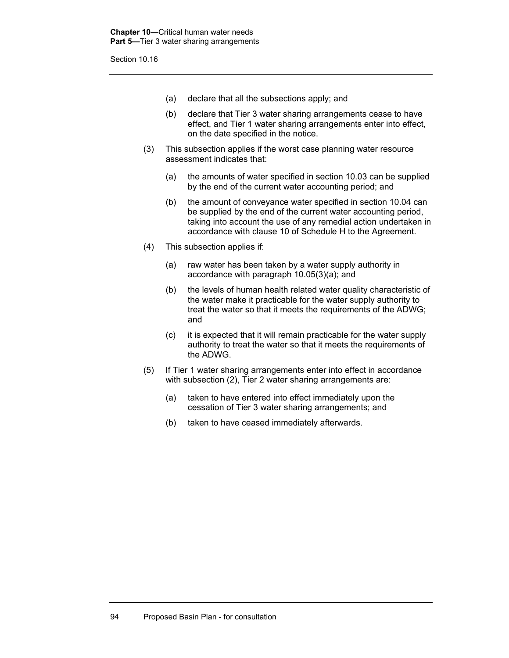- (a) declare that all the subsections apply; and
- (b) declare that Tier 3 water sharing arrangements cease to have effect, and Tier 1 water sharing arrangements enter into effect, on the date specified in the notice.
- (3) This subsection applies if the worst case planning water resource assessment indicates that:
	- (a) the amounts of water specified in section 10.03 can be supplied by the end of the current water accounting period; and
	- (b) the amount of conveyance water specified in section 10.04 can be supplied by the end of the current water accounting period, taking into account the use of any remedial action undertaken in accordance with clause 10 of Schedule H to the Agreement.
- (4) This subsection applies if:
	- (a) raw water has been taken by a water supply authority in accordance with paragraph 10.05(3)(a); and
	- (b) the levels of human health related water quality characteristic of the water make it practicable for the water supply authority to treat the water so that it meets the requirements of the ADWG; and
	- (c) it is expected that it will remain practicable for the water supply authority to treat the water so that it meets the requirements of the ADWG.
- (5) If Tier 1 water sharing arrangements enter into effect in accordance with subsection (2), Tier 2 water sharing arrangements are:
	- (a) taken to have entered into effect immediately upon the cessation of Tier 3 water sharing arrangements; and
	- (b) taken to have ceased immediately afterwards.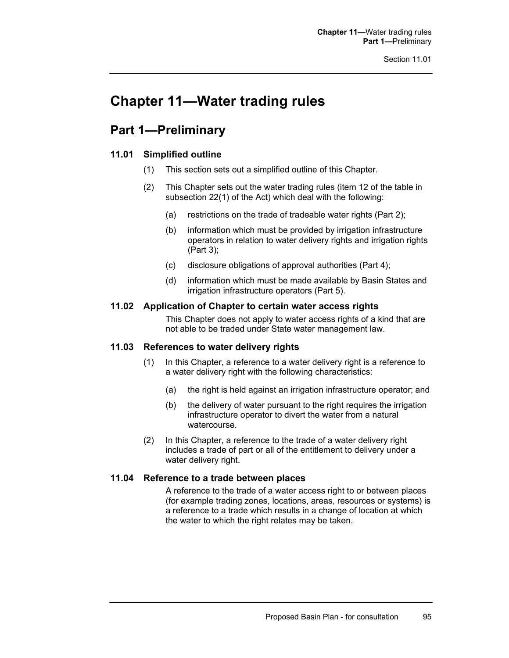# **Chapter 11—Water trading rules**

# **Part 1—Preliminary**

## **11.01 Simplified outline**

- (1) This section sets out a simplified outline of this Chapter.
- (2) This Chapter sets out the water trading rules (item 12 of the table in subsection 22(1) of the Act) which deal with the following:
	- (a) restrictions on the trade of tradeable water rights (Part 2);
	- (b) information which must be provided by irrigation infrastructure operators in relation to water delivery rights and irrigation rights (Part 3);
	- (c) disclosure obligations of approval authorities (Part 4);
	- (d) information which must be made available by Basin States and irrigation infrastructure operators (Part 5).

## **11.02 Application of Chapter to certain water access rights**

This Chapter does not apply to water access rights of a kind that are not able to be traded under State water management law.

## **11.03 References to water delivery rights**

- (1) In this Chapter, a reference to a water delivery right is a reference to a water delivery right with the following characteristics:
	- (a) the right is held against an irrigation infrastructure operator; and
	- (b) the delivery of water pursuant to the right requires the irrigation infrastructure operator to divert the water from a natural watercourse.
- (2) In this Chapter, a reference to the trade of a water delivery right includes a trade of part or all of the entitlement to delivery under a water delivery right.

#### **11.04 Reference to a trade between places**

A reference to the trade of a water access right to or between places (for example trading zones, locations, areas, resources or systems) is a reference to a trade which results in a change of location at which the water to which the right relates may be taken.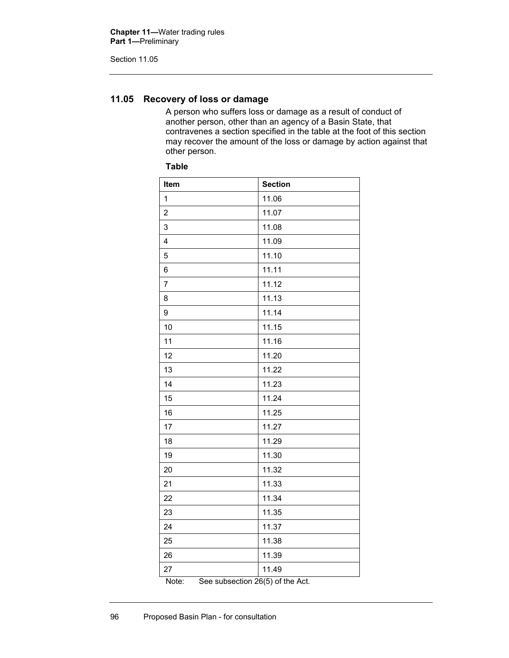## **11.05 Recovery of loss or damage**

A person who suffers loss or damage as a result of conduct of another person, other than an agency of a Basin State, that contravenes a section specified in the table at the foot of this section may recover the amount of the loss or damage by action against that other person.

## **Table**

| 11.06                                           |
|-------------------------------------------------|
| 11.07                                           |
| 11.08                                           |
| 11.09                                           |
| 11.10                                           |
| 11.11                                           |
| 11.12                                           |
| 11.13                                           |
| 11.14                                           |
| 11.15                                           |
| 11.16                                           |
| 11.20                                           |
| 11.22                                           |
| 11.23                                           |
| 11.24                                           |
| 11.25                                           |
| 11.27                                           |
| 11.29                                           |
| 11.30                                           |
| 11.32                                           |
| 11.33                                           |
| 11.34                                           |
| 11.35                                           |
| 11.37                                           |
| 11.38                                           |
| 11.39                                           |
| 11.49<br>$S_{00}$ cubcootion $26(5)$ of the Act |
|                                                 |

Note: See subsection 26(5) of the Act.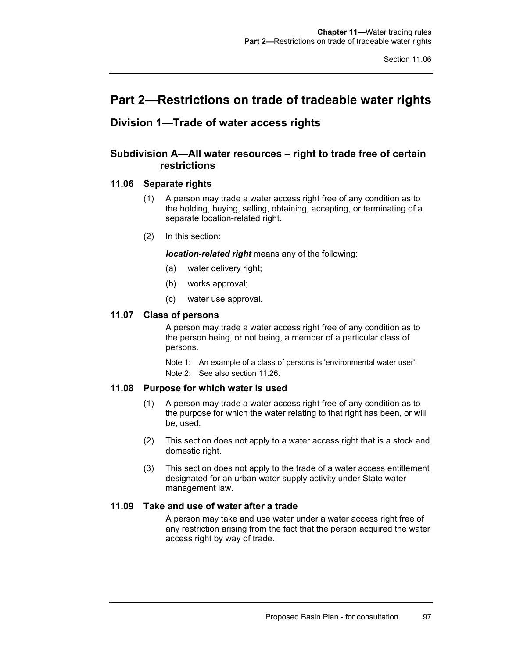# **Part 2—Restrictions on trade of tradeable water rights**

# **Division 1—Trade of water access rights**

## **Subdivision A—All water resources – right to trade free of certain restrictions**

## **11.06 Separate rights**

- (1) A person may trade a water access right free of any condition as to the holding, buying, selling, obtaining, accepting, or terminating of a separate location-related right.
- (2) In this section:

*location-related right* means any of the following:

- (a) water delivery right;
- (b) works approval;
- (c) water use approval.

### **11.07 Class of persons**

A person may trade a water access right free of any condition as to the person being, or not being, a member of a particular class of persons.

Note 1: An example of a class of persons is 'environmental water user'. Note 2: See also section 11.26.

## **11.08 Purpose for which water is used**

- (1) A person may trade a water access right free of any condition as to the purpose for which the water relating to that right has been, or will be, used.
- (2) This section does not apply to a water access right that is a stock and domestic right.
- (3) This section does not apply to the trade of a water access entitlement designated for an urban water supply activity under State water management law.

## **11.09 Take and use of water after a trade**

A person may take and use water under a water access right free of any restriction arising from the fact that the person acquired the water access right by way of trade.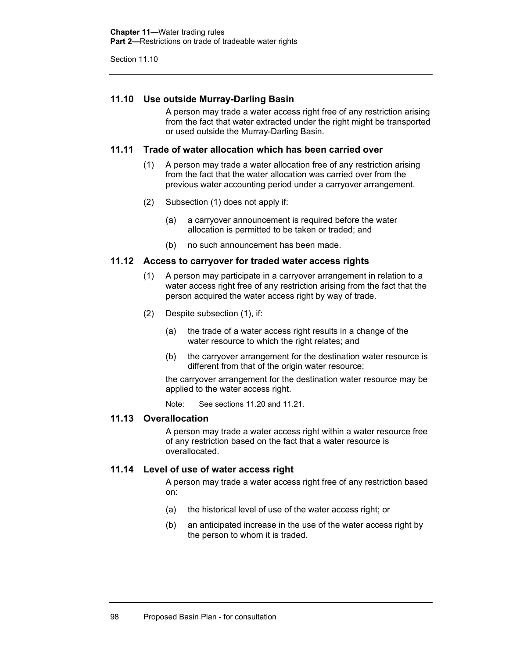## **11.10 Use outside Murray-Darling Basin**

A person may trade a water access right free of any restriction arising from the fact that water extracted under the right might be transported or used outside the Murray-Darling Basin.

### **11.11 Trade of water allocation which has been carried over**

- (1) A person may trade a water allocation free of any restriction arising from the fact that the water allocation was carried over from the previous water accounting period under a carryover arrangement.
- (2) Subsection (1) does not apply if:
	- (a) a carryover announcement is required before the water allocation is permitted to be taken or traded; and
	- (b) no such announcement has been made.

### **11.12 Access to carryover for traded water access rights**

- (1) A person may participate in a carryover arrangement in relation to a water access right free of any restriction arising from the fact that the person acquired the water access right by way of trade.
- (2) Despite subsection (1), if:
	- (a) the trade of a water access right results in a change of the water resource to which the right relates; and
	- (b) the carryover arrangement for the destination water resource is different from that of the origin water resource;

the carryover arrangement for the destination water resource may be applied to the water access right.

Note: See sections 11.20 and 11.21.

## **11.13 Overallocation**

A person may trade a water access right within a water resource free of any restriction based on the fact that a water resource is overallocated.

## **11.14 Level of use of water access right**

A person may trade a water access right free of any restriction based on:

- (a) the historical level of use of the water access right; or
- (b) an anticipated increase in the use of the water access right by the person to whom it is traded.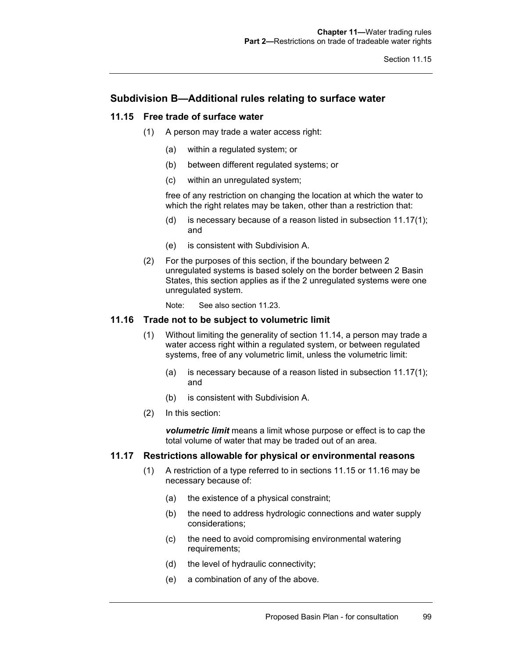## **Subdivision B—Additional rules relating to surface water**

## **11.15 Free trade of surface water**

- (1) A person may trade a water access right:
	- (a) within a regulated system; or
	- (b) between different regulated systems; or
	- (c) within an unregulated system;

free of any restriction on changing the location at which the water to which the right relates may be taken, other than a restriction that:

- (d) is necessary because of a reason listed in subsection 11.17(1); and
- (e) is consistent with Subdivision A.
- (2) For the purposes of this section, if the boundary between 2 unregulated systems is based solely on the border between 2 Basin States, this section applies as if the 2 unregulated systems were one unregulated system.

Note: See also section 11.23.

## **11.16 Trade not to be subject to volumetric limit**

- (1) Without limiting the generality of section 11.14, a person may trade a water access right within a regulated system, or between regulated systems, free of any volumetric limit, unless the volumetric limit:
	- (a) is necessary because of a reason listed in subsection 11.17(1); and
	- (b) is consistent with Subdivision A.
- (2) In this section:

*volumetric limit* means a limit whose purpose or effect is to cap the total volume of water that may be traded out of an area.

## **11.17 Restrictions allowable for physical or environmental reasons**

- (1) A restriction of a type referred to in sections 11.15 or 11.16 may be necessary because of:
	- (a) the existence of a physical constraint;
	- (b) the need to address hydrologic connections and water supply considerations;
	- (c) the need to avoid compromising environmental watering requirements;
	- (d) the level of hydraulic connectivity;
	- (e) a combination of any of the above.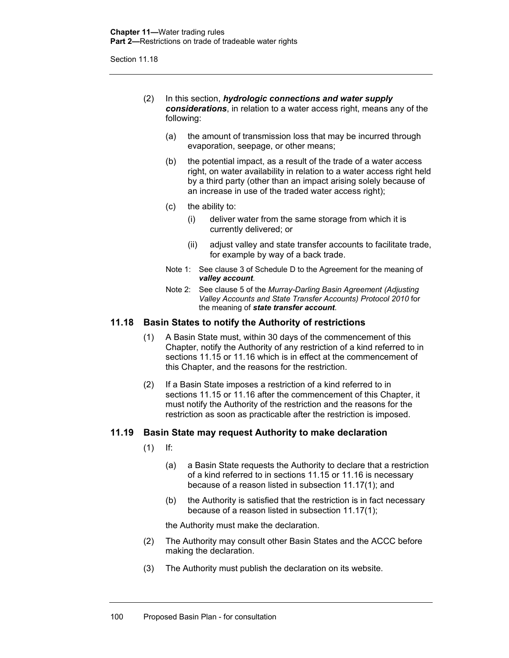- (2) In this section, *hydrologic connections and water supply considerations*, in relation to a water access right, means any of the following:
	- (a) the amount of transmission loss that may be incurred through evaporation, seepage, or other means;
	- (b) the potential impact, as a result of the trade of a water access right, on water availability in relation to a water access right held by a third party (other than an impact arising solely because of an increase in use of the traded water access right);
	- (c) the ability to:
		- (i) deliver water from the same storage from which it is currently delivered; or
		- (ii) adjust valley and state transfer accounts to facilitate trade, for example by way of a back trade.
	- Note 1: See clause 3 of Schedule D to the Agreement for the meaning of *valley account*.
	- Note 2: See clause 5 of the *Murray-Darling Basin Agreement (Adjusting Valley Accounts and State Transfer Accounts) Protocol 2010* for the meaning of *state transfer account*.

### **11.18 Basin States to notify the Authority of restrictions**

- (1) A Basin State must, within 30 days of the commencement of this Chapter, notify the Authority of any restriction of a kind referred to in sections 11.15 or 11.16 which is in effect at the commencement of this Chapter, and the reasons for the restriction.
- (2) If a Basin State imposes a restriction of a kind referred to in sections 11.15 or 11.16 after the commencement of this Chapter, it must notify the Authority of the restriction and the reasons for the restriction as soon as practicable after the restriction is imposed.

#### **11.19 Basin State may request Authority to make declaration**

- $(1)$  If:
	- (a) a Basin State requests the Authority to declare that a restriction of a kind referred to in sections 11.15 or 11.16 is necessary because of a reason listed in subsection 11.17(1); and
	- (b) the Authority is satisfied that the restriction is in fact necessary because of a reason listed in subsection 11.17(1);

the Authority must make the declaration.

- (2) The Authority may consult other Basin States and the ACCC before making the declaration.
- (3) The Authority must publish the declaration on its website.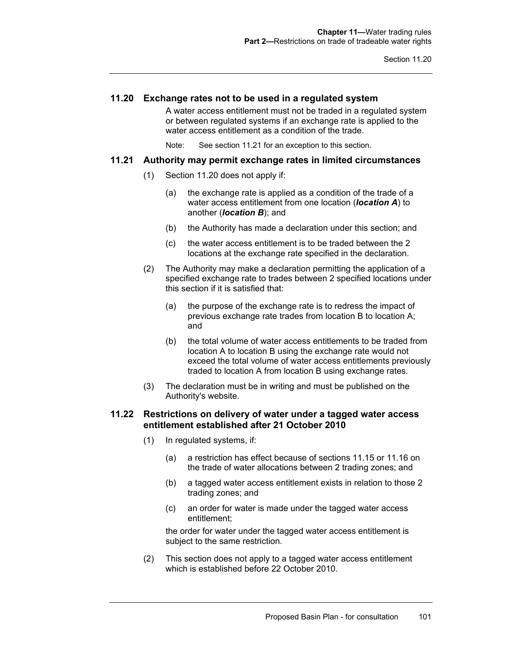## **11.20 Exchange rates not to be used in a regulated system**

A water access entitlement must not be traded in a regulated system or between regulated systems if an exchange rate is applied to the water access entitlement as a condition of the trade.

Note: See section 11.21 for an exception to this section.

#### **11.21 Authority may permit exchange rates in limited circumstances**

- (1) Section 11.20 does not apply if:
	- (a) the exchange rate is applied as a condition of the trade of a water access entitlement from one location (*location A*) to another (*location B*); and
	- (b) the Authority has made a declaration under this section; and
	- (c) the water access entitlement is to be traded between the 2 locations at the exchange rate specified in the declaration.
- (2) The Authority may make a declaration permitting the application of a specified exchange rate to trades between 2 specified locations under this section if it is satisfied that:
	- (a) the purpose of the exchange rate is to redress the impact of previous exchange rate trades from location B to location A; and
	- (b) the total volume of water access entitlements to be traded from location A to location B using the exchange rate would not exceed the total volume of water access entitlements previously traded to location A from location B using exchange rates.
- (3) The declaration must be in writing and must be published on the Authority's website.

### **11.22 Restrictions on delivery of water under a tagged water access entitlement established after 21 October 2010**

- (1) In regulated systems, if:
	- (a) a restriction has effect because of sections 11.15 or 11.16 on the trade of water allocations between 2 trading zones; and
	- (b) a tagged water access entitlement exists in relation to those 2 trading zones; and
	- (c) an order for water is made under the tagged water access entitlement;

the order for water under the tagged water access entitlement is subject to the same restriction.

(2) This section does not apply to a tagged water access entitlement which is established before 22 October 2010.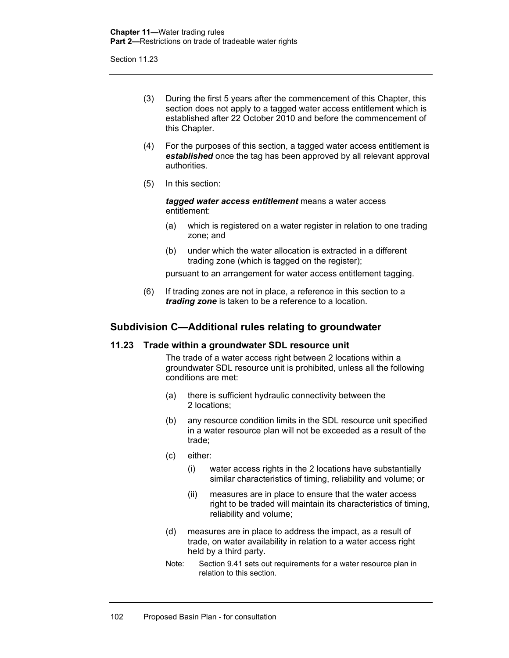- (3) During the first 5 years after the commencement of this Chapter, this section does not apply to a tagged water access entitlement which is established after 22 October 2010 and before the commencement of this Chapter.
- (4) For the purposes of this section, a tagged water access entitlement is *established* once the tag has been approved by all relevant approval authorities.
- (5) In this section:

*tagged water access entitlement* means a water access entitlement:

- (a) which is registered on a water register in relation to one trading zone; and
- (b) under which the water allocation is extracted in a different trading zone (which is tagged on the register);

pursuant to an arrangement for water access entitlement tagging.

(6) If trading zones are not in place, a reference in this section to a *trading zone* is taken to be a reference to a location.

## **Subdivision C—Additional rules relating to groundwater**

## **11.23 Trade within a groundwater SDL resource unit**

The trade of a water access right between 2 locations within a groundwater SDL resource unit is prohibited, unless all the following conditions are met:

- (a) there is sufficient hydraulic connectivity between the 2 locations;
- (b) any resource condition limits in the SDL resource unit specified in a water resource plan will not be exceeded as a result of the trade;
- (c) either:
	- (i) water access rights in the 2 locations have substantially similar characteristics of timing, reliability and volume; or
	- (ii) measures are in place to ensure that the water access right to be traded will maintain its characteristics of timing, reliability and volume;
- (d) measures are in place to address the impact, as a result of trade, on water availability in relation to a water access right held by a third party.
- Note: Section 9.41 sets out requirements for a water resource plan in relation to this section.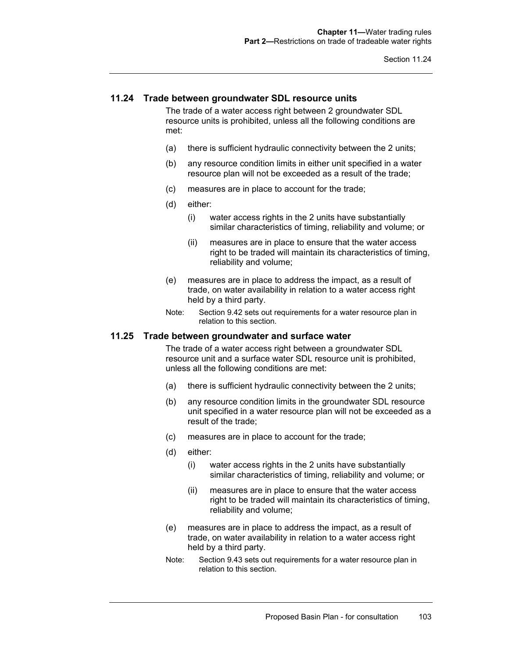## **11.24 Trade between groundwater SDL resource units**

The trade of a water access right between 2 groundwater SDL resource units is prohibited, unless all the following conditions are met:

- (a) there is sufficient hydraulic connectivity between the 2 units;
- (b) any resource condition limits in either unit specified in a water resource plan will not be exceeded as a result of the trade;
- (c) measures are in place to account for the trade;
- (d) either:
	- (i) water access rights in the 2 units have substantially similar characteristics of timing, reliability and volume; or
	- (ii) measures are in place to ensure that the water access right to be traded will maintain its characteristics of timing, reliability and volume;
- (e) measures are in place to address the impact, as a result of trade, on water availability in relation to a water access right held by a third party.
- Note: Section 9.42 sets out requirements for a water resource plan in relation to this section.

#### **11.25 Trade between groundwater and surface water**

The trade of a water access right between a groundwater SDL resource unit and a surface water SDL resource unit is prohibited, unless all the following conditions are met:

- (a) there is sufficient hydraulic connectivity between the 2 units;
- (b) any resource condition limits in the groundwater SDL resource unit specified in a water resource plan will not be exceeded as a result of the trade;
- (c) measures are in place to account for the trade;
- (d) either:
	- (i) water access rights in the 2 units have substantially similar characteristics of timing, reliability and volume; or
	- (ii) measures are in place to ensure that the water access right to be traded will maintain its characteristics of timing, reliability and volume;
- (e) measures are in place to address the impact, as a result of trade, on water availability in relation to a water access right held by a third party.
- Note: Section 9.43 sets out requirements for a water resource plan in relation to this section.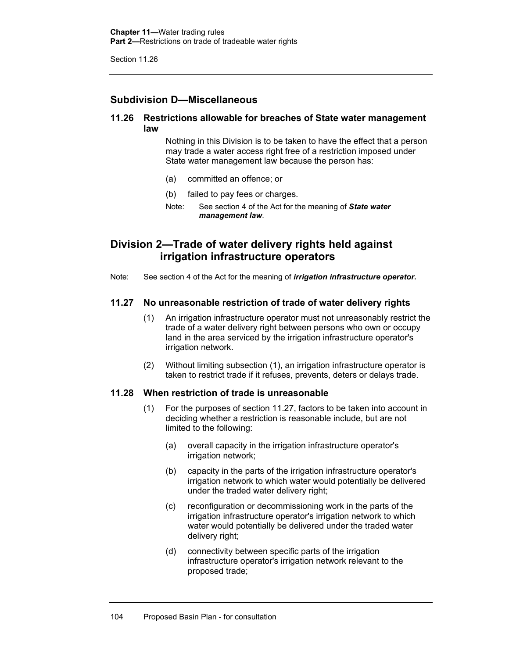# **Subdivision D—Miscellaneous**

## **11.26 Restrictions allowable for breaches of State water management law**

Nothing in this Division is to be taken to have the effect that a person may trade a water access right free of a restriction imposed under State water management law because the person has:

- (a) committed an offence; or
- (b) failed to pay fees or charges.

Note: See section 4 of the Act for the meaning of *State water management law*.

# **Division 2—Trade of water delivery rights held against irrigation infrastructure operators**

Note: See section 4 of the Act for the meaning of *irrigation infrastructure operator***.** 

## **11.27 No unreasonable restriction of trade of water delivery rights**

- (1) An irrigation infrastructure operator must not unreasonably restrict the trade of a water delivery right between persons who own or occupy land in the area serviced by the irrigation infrastructure operator's irrigation network.
- (2) Without limiting subsection (1), an irrigation infrastructure operator is taken to restrict trade if it refuses, prevents, deters or delays trade.

## **11.28 When restriction of trade is unreasonable**

- (1) For the purposes of section 11.27, factors to be taken into account in deciding whether a restriction is reasonable include, but are not limited to the following:
	- (a) overall capacity in the irrigation infrastructure operator's irrigation network;
	- (b) capacity in the parts of the irrigation infrastructure operator's irrigation network to which water would potentially be delivered under the traded water delivery right;
	- (c) reconfiguration or decommissioning work in the parts of the irrigation infrastructure operator's irrigation network to which water would potentially be delivered under the traded water delivery right;
	- (d) connectivity between specific parts of the irrigation infrastructure operator's irrigation network relevant to the proposed trade;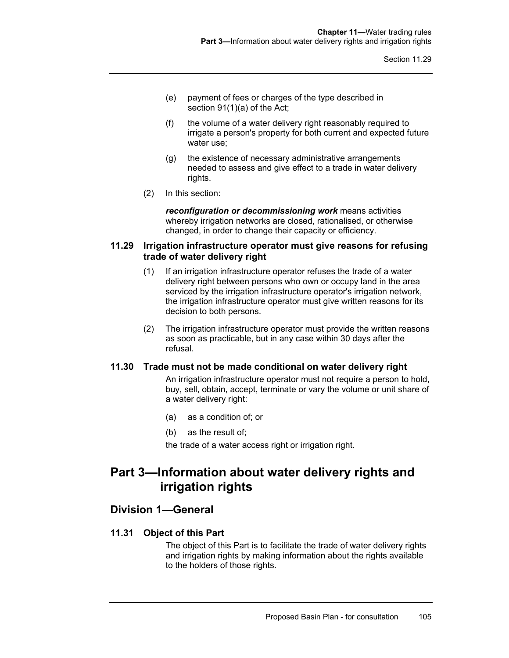- (e) payment of fees or charges of the type described in section 91(1)(a) of the Act;
- (f) the volume of a water delivery right reasonably required to irrigate a person's property for both current and expected future water use;
- (g) the existence of necessary administrative arrangements needed to assess and give effect to a trade in water delivery rights.
- (2) In this section:

*reconfiguration or decommissioning work* means activities whereby irrigation networks are closed, rationalised, or otherwise changed, in order to change their capacity or efficiency.

## **11.29 Irrigation infrastructure operator must give reasons for refusing trade of water delivery right**

- (1) If an irrigation infrastructure operator refuses the trade of a water delivery right between persons who own or occupy land in the area serviced by the irrigation infrastructure operator's irrigation network, the irrigation infrastructure operator must give written reasons for its decision to both persons.
- (2) The irrigation infrastructure operator must provide the written reasons as soon as practicable, but in any case within 30 days after the refusal.

## **11.30 Trade must not be made conditional on water delivery right**

An irrigation infrastructure operator must not require a person to hold, buy, sell, obtain, accept, terminate or vary the volume or unit share of a water delivery right:

- (a) as a condition of; or
- (b) as the result of;

the trade of a water access right or irrigation right.

# **Part 3—Information about water delivery rights and irrigation rights**

# **Division 1—General**

## **11.31 Object of this Part**

The object of this Part is to facilitate the trade of water delivery rights and irrigation rights by making information about the rights available to the holders of those rights.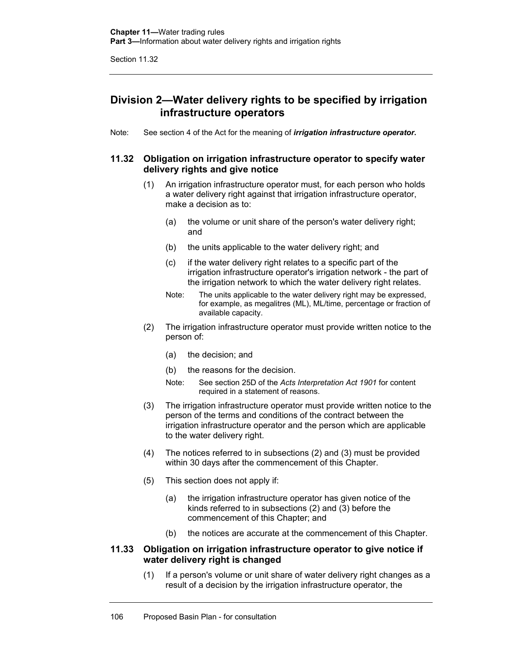# **Division 2—Water delivery rights to be specified by irrigation infrastructure operators**

Note: See section 4 of the Act for the meaning of *irrigation infrastructure operator***.** 

## **11.32 Obligation on irrigation infrastructure operator to specify water delivery rights and give notice**

- (1) An irrigation infrastructure operator must, for each person who holds a water delivery right against that irrigation infrastructure operator, make a decision as to:
	- (a) the volume or unit share of the person's water delivery right; and
	- (b) the units applicable to the water delivery right; and
	- (c) if the water delivery right relates to a specific part of the irrigation infrastructure operator's irrigation network - the part of the irrigation network to which the water delivery right relates.
	- Note: The units applicable to the water delivery right may be expressed, for example, as megalitres (ML), ML/time, percentage or fraction of available capacity.
- (2) The irrigation infrastructure operator must provide written notice to the person of:
	- (a) the decision; and
	- (b) the reasons for the decision.
	- Note: See section 25D of the *Acts Interpretation Act 1901* for content required in a statement of reasons.
- (3) The irrigation infrastructure operator must provide written notice to the person of the terms and conditions of the contract between the irrigation infrastructure operator and the person which are applicable to the water delivery right.
- (4) The notices referred to in subsections (2) and (3) must be provided within 30 days after the commencement of this Chapter.
- (5) This section does not apply if:
	- (a) the irrigation infrastructure operator has given notice of the kinds referred to in subsections (2) and (3) before the commencement of this Chapter; and
	- (b) the notices are accurate at the commencement of this Chapter.

## **11.33 Obligation on irrigation infrastructure operator to give notice if water delivery right is changed**

(1) If a person's volume or unit share of water delivery right changes as a result of a decision by the irrigation infrastructure operator, the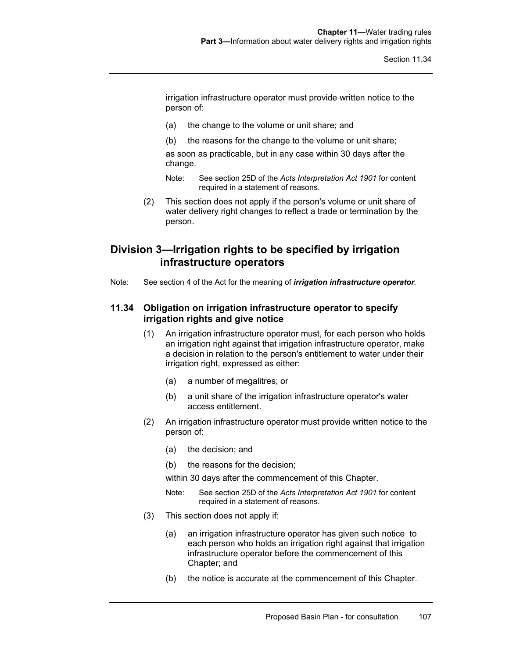irrigation infrastructure operator must provide written notice to the person of:

- (a) the change to the volume or unit share; and
- (b) the reasons for the change to the volume or unit share;

as soon as practicable, but in any case within 30 days after the change.

- Note: See section 25D of the *Acts Interpretation Act 1901* for content required in a statement of reasons.
- (2) This section does not apply if the person's volume or unit share of water delivery right changes to reflect a trade or termination by the person.

# **Division 3—Irrigation rights to be specified by irrigation infrastructure operators**

Note: See section 4 of the Act for the meaning of *irrigation infrastructure operator.* 

## **11.34 Obligation on irrigation infrastructure operator to specify irrigation rights and give notice**

- (1) An irrigation infrastructure operator must, for each person who holds an irrigation right against that irrigation infrastructure operator, make a decision in relation to the person's entitlement to water under their irrigation right, expressed as either:
	- (a) a number of megalitres; or
	- (b) a unit share of the irrigation infrastructure operator's water access entitlement.
- (2) An irrigation infrastructure operator must provide written notice to the person of:
	- (a) the decision; and
	- (b) the reasons for the decision;

within 30 days after the commencement of this Chapter.

- Note: See section 25D of the *Acts Interpretation Act 1901* for content required in a statement of reasons.
- (3) This section does not apply if:
	- (a) an irrigation infrastructure operator has given such notice to each person who holds an irrigation right against that irrigation infrastructure operator before the commencement of this Chapter; and
	- (b) the notice is accurate at the commencement of this Chapter.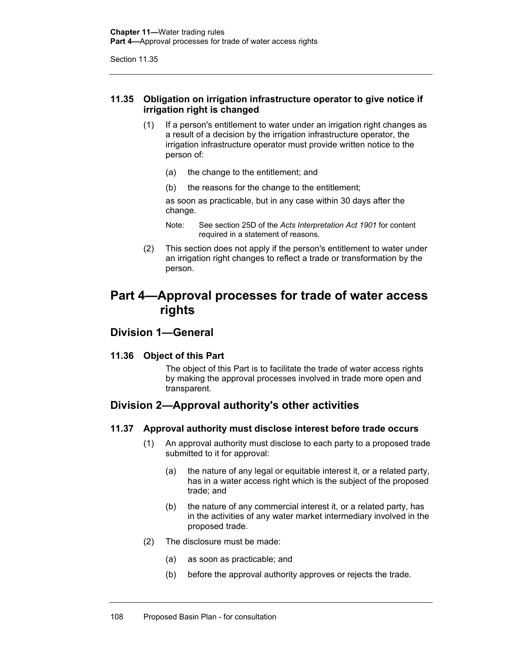## **11.35 Obligation on irrigation infrastructure operator to give notice if irrigation right is changed**

- (1) If a person's entitlement to water under an irrigation right changes as a result of a decision by the irrigation infrastructure operator, the irrigation infrastructure operator must provide written notice to the person of:
	- (a) the change to the entitlement; and
	- (b) the reasons for the change to the entitlement;

as soon as practicable, but in any case within 30 days after the change.

- Note: See section 25D of the *Acts Interpretation Act 1901* for content required in a statement of reasons.
- (2) This section does not apply if the person's entitlement to water under an irrigation right changes to reflect a trade or transformation by the person.

# **Part 4—Approval processes for trade of water access rights**

# **Division 1—General**

## **11.36 Object of this Part**

The object of this Part is to facilitate the trade of water access rights by making the approval processes involved in trade more open and transparent.

# **Division 2—Approval authority's other activities**

## **11.37 Approval authority must disclose interest before trade occurs**

- (1) An approval authority must disclose to each party to a proposed trade submitted to it for approval:
	- (a) the nature of any legal or equitable interest it, or a related party, has in a water access right which is the subject of the proposed trade; and
	- (b) the nature of any commercial interest it, or a related party, has in the activities of any water market intermediary involved in the proposed trade.
- (2) The disclosure must be made:
	- (a) as soon as practicable; and
	- (b) before the approval authority approves or rejects the trade.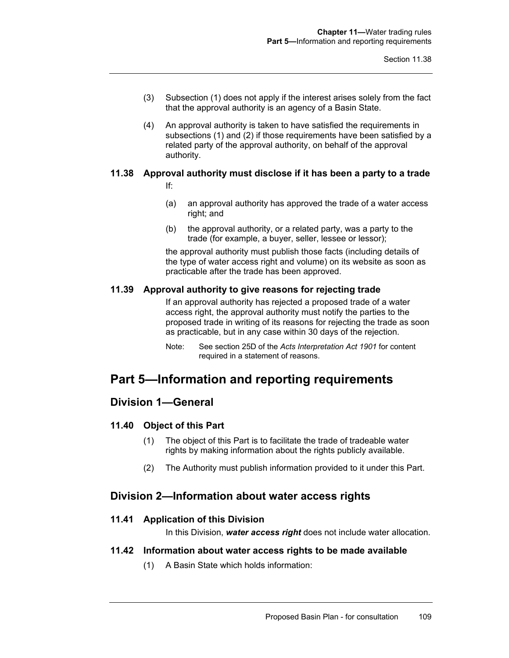- (3) Subsection (1) does not apply if the interest arises solely from the fact that the approval authority is an agency of a Basin State.
- (4) An approval authority is taken to have satisfied the requirements in subsections (1) and (2) if those requirements have been satisfied by a related party of the approval authority, on behalf of the approval authority.

# **11.38 Approval authority must disclose if it has been a party to a trade**

- If:
- (a) an approval authority has approved the trade of a water access right; and
- (b) the approval authority, or a related party, was a party to the trade (for example, a buyer, seller, lessee or lessor);

the approval authority must publish those facts (including details of the type of water access right and volume) on its website as soon as practicable after the trade has been approved.

## **11.39 Approval authority to give reasons for rejecting trade**

If an approval authority has rejected a proposed trade of a water access right, the approval authority must notify the parties to the proposed trade in writing of its reasons for rejecting the trade as soon as practicable, but in any case within 30 days of the rejection.

Note: See section 25D of the *Acts Interpretation Act 1901* for content required in a statement of reasons.

# **Part 5—Information and reporting requirements**

# **Division 1—General**

## **11.40 Object of this Part**

- (1) The object of this Part is to facilitate the trade of tradeable water rights by making information about the rights publicly available.
- (2) The Authority must publish information provided to it under this Part.

# **Division 2—Information about water access rights**

## **11.41 Application of this Division**

In this Division, *water access right* does not include water allocation.

## **11.42 Information about water access rights to be made available**

(1) A Basin State which holds information: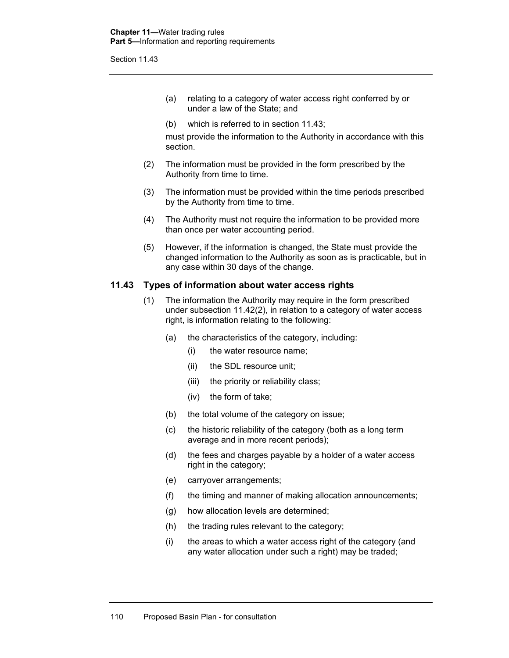- (a) relating to a category of water access right conferred by or under a law of the State; and
- (b) which is referred to in section 11.43;

must provide the information to the Authority in accordance with this section.

- (2) The information must be provided in the form prescribed by the Authority from time to time.
- (3) The information must be provided within the time periods prescribed by the Authority from time to time.
- (4) The Authority must not require the information to be provided more than once per water accounting period.
- (5) However, if the information is changed, the State must provide the changed information to the Authority as soon as is practicable, but in any case within 30 days of the change.

#### **11.43 Types of information about water access rights**

- (1) The information the Authority may require in the form prescribed under subsection 11.42(2), in relation to a category of water access right, is information relating to the following:
	- (a) the characteristics of the category, including:
		- (i) the water resource name;
		- (ii) the SDL resource unit;
		- (iii) the priority or reliability class;
		- (iv) the form of take;
	- (b) the total volume of the category on issue;
	- (c) the historic reliability of the category (both as a long term average and in more recent periods);
	- (d) the fees and charges payable by a holder of a water access right in the category;
	- (e) carryover arrangements;
	- (f) the timing and manner of making allocation announcements;
	- (g) how allocation levels are determined;
	- (h) the trading rules relevant to the category;
	- (i) the areas to which a water access right of the category (and any water allocation under such a right) may be traded;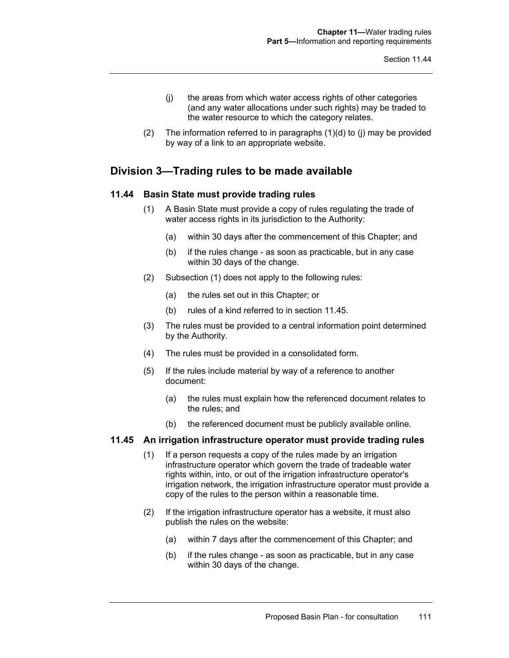- (j) the areas from which water access rights of other categories (and any water allocations under such rights) may be traded to the water resource to which the category relates.
- (2) The information referred to in paragraphs (1)(d) to (j) may be provided by way of a link to an appropriate website.

# **Division 3—Trading rules to be made available**

## **11.44 Basin State must provide trading rules**

- (1) A Basin State must provide a copy of rules regulating the trade of water access rights in its jurisdiction to the Authority:
	- (a) within 30 days after the commencement of this Chapter; and
	- (b) if the rules change as soon as practicable, but in any case within 30 days of the change.
- (2) Subsection (1) does not apply to the following rules:
	- (a) the rules set out in this Chapter; or
	- (b) rules of a kind referred to in section 11.45.
- (3) The rules must be provided to a central information point determined by the Authority.
- (4) The rules must be provided in a consolidated form.
- (5) If the rules include material by way of a reference to another document:
	- (a) the rules must explain how the referenced document relates to the rules; and
	- (b) the referenced document must be publicly available online.

#### **11.45 An irrigation infrastructure operator must provide trading rules**

- (1) If a person requests a copy of the rules made by an irrigation infrastructure operator which govern the trade of tradeable water rights within, into, or out of the irrigation infrastructure operator's irrigation network, the irrigation infrastructure operator must provide a copy of the rules to the person within a reasonable time.
- (2) If the irrigation infrastructure operator has a website, it must also publish the rules on the website:
	- (a) within 7 days after the commencement of this Chapter; and
	- (b) if the rules change as soon as practicable, but in any case within 30 days of the change.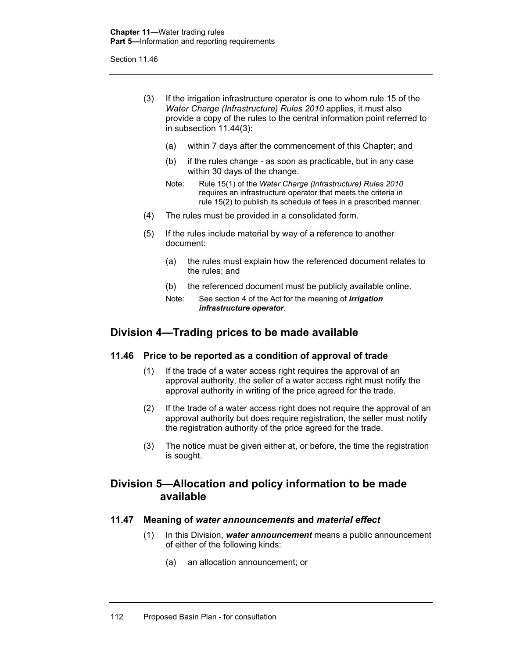- (3) If the irrigation infrastructure operator is one to whom rule 15 of the *Water Charge (Infrastructure) Rules 2010* applies, it must also provide a copy of the rules to the central information point referred to in subsection 11.44(3):
	- (a) within 7 days after the commencement of this Chapter; and
	- (b) if the rules change as soon as practicable, but in any case within 30 days of the change.
	- Note: Rule 15(1) of the *Water Charge (Infrastructure) Rules 2010* requires an infrastructure operator that meets the criteria in rule 15(2) to publish its schedule of fees in a prescribed manner.
- (4) The rules must be provided in a consolidated form.
- (5) If the rules include material by way of a reference to another document:
	- (a) the rules must explain how the referenced document relates to the rules; and
	- (b) the referenced document must be publicly available online.
	- Note: See section 4 of the Act for the meaning of *irrigation infrastructure operator*.

# **Division 4—Trading prices to be made available**

## **11.46 Price to be reported as a condition of approval of trade**

- (1) If the trade of a water access right requires the approval of an approval authority, the seller of a water access right must notify the approval authority in writing of the price agreed for the trade.
- (2) If the trade of a water access right does not require the approval of an approval authority but does require registration, the seller must notify the registration authority of the price agreed for the trade.
- (3) The notice must be given either at, or before, the time the registration is sought.

# **Division 5—Allocation and policy information to be made available**

## **11.47 Meaning of** *water announcements* **and** *material effect*

- (1) In this Division, *water announcement* means a public announcement of either of the following kinds:
	- (a) an allocation announcement; or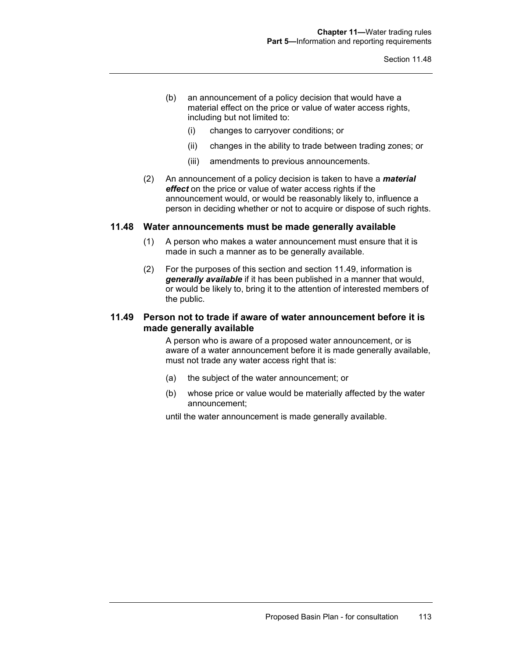- (b) an announcement of a policy decision that would have a material effect on the price or value of water access rights, including but not limited to:
	- (i) changes to carryover conditions; or
	- (ii) changes in the ability to trade between trading zones; or
	- (iii) amendments to previous announcements.
- (2) An announcement of a policy decision is taken to have a *material effect* on the price or value of water access rights if the announcement would, or would be reasonably likely to, influence a person in deciding whether or not to acquire or dispose of such rights.

#### **11.48 Water announcements must be made generally available**

- (1) A person who makes a water announcement must ensure that it is made in such a manner as to be generally available.
- (2) For the purposes of this section and section 11.49, information is *generally available* if it has been published in a manner that would, or would be likely to, bring it to the attention of interested members of the public.

## **11.49 Person not to trade if aware of water announcement before it is made generally available**

A person who is aware of a proposed water announcement, or is aware of a water announcement before it is made generally available, must not trade any water access right that is:

- (a) the subject of the water announcement; or
- (b) whose price or value would be materially affected by the water announcement;

until the water announcement is made generally available.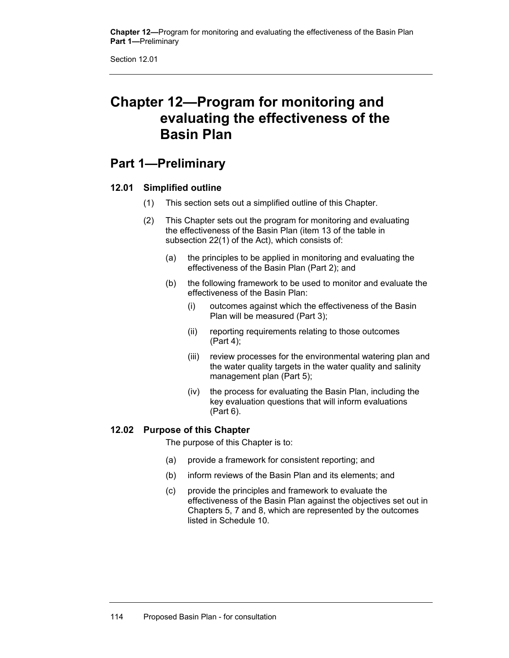**Chapter 12—**Program for monitoring and evaluating the effectiveness of the Basin Plan **Part 1—**Preliminary

Section 12.01

# **Chapter 12—Program for monitoring and evaluating the effectiveness of the Basin Plan**

# **Part 1—Preliminary**

## **12.01 Simplified outline**

- (1) This section sets out a simplified outline of this Chapter.
- (2) This Chapter sets out the program for monitoring and evaluating the effectiveness of the Basin Plan (item 13 of the table in subsection 22(1) of the Act), which consists of:
	- (a) the principles to be applied in monitoring and evaluating the effectiveness of the Basin Plan (Part 2); and
	- (b) the following framework to be used to monitor and evaluate the effectiveness of the Basin Plan:
		- (i) outcomes against which the effectiveness of the Basin Plan will be measured (Part 3);
		- (ii) reporting requirements relating to those outcomes (Part 4);
		- (iii) review processes for the environmental watering plan and the water quality targets in the water quality and salinity management plan (Part 5);
		- (iv) the process for evaluating the Basin Plan, including the key evaluation questions that will inform evaluations (Part 6).

## **12.02 Purpose of this Chapter**

The purpose of this Chapter is to:

- (a) provide a framework for consistent reporting; and
- (b) inform reviews of the Basin Plan and its elements; and
- (c) provide the principles and framework to evaluate the effectiveness of the Basin Plan against the objectives set out in Chapters 5, 7 and 8, which are represented by the outcomes listed in Schedule 10.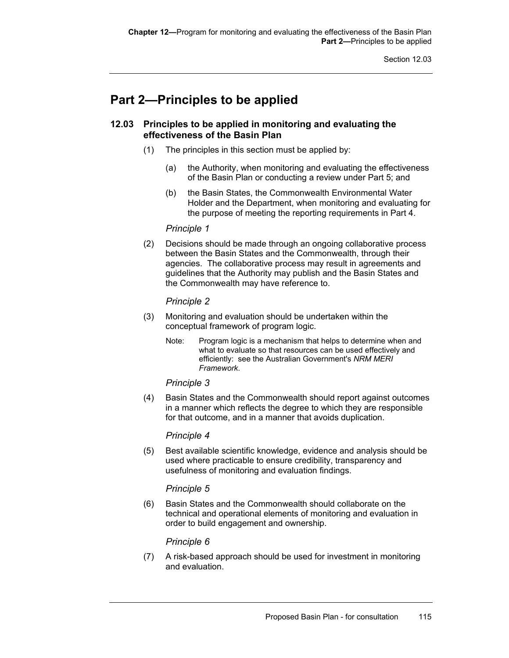# **Part 2—Principles to be applied**

## **12.03 Principles to be applied in monitoring and evaluating the effectiveness of the Basin Plan**

- (1) The principles in this section must be applied by:
	- (a) the Authority, when monitoring and evaluating the effectiveness of the Basin Plan or conducting a review under Part 5; and
	- (b) the Basin States, the Commonwealth Environmental Water Holder and the Department, when monitoring and evaluating for the purpose of meeting the reporting requirements in Part 4.

### *Principle 1*

(2) Decisions should be made through an ongoing collaborative process between the Basin States and the Commonwealth, through their agencies. The collaborative process may result in agreements and guidelines that the Authority may publish and the Basin States and the Commonwealth may have reference to.

## *Principle 2*

- (3) Monitoring and evaluation should be undertaken within the conceptual framework of program logic.
	- Note: Program logic is a mechanism that helps to determine when and what to evaluate so that resources can be used effectively and efficiently: see the Australian Government's *NRM MERI Framework*.

## *Principle 3*

(4) Basin States and the Commonwealth should report against outcomes in a manner which reflects the degree to which they are responsible for that outcome, and in a manner that avoids duplication.

## *Principle 4*

(5) Best available scientific knowledge, evidence and analysis should be used where practicable to ensure credibility, transparency and usefulness of monitoring and evaluation findings.

## *Principle 5*

(6) Basin States and the Commonwealth should collaborate on the technical and operational elements of monitoring and evaluation in order to build engagement and ownership.

## *Principle 6*

(7) A risk-based approach should be used for investment in monitoring and evaluation.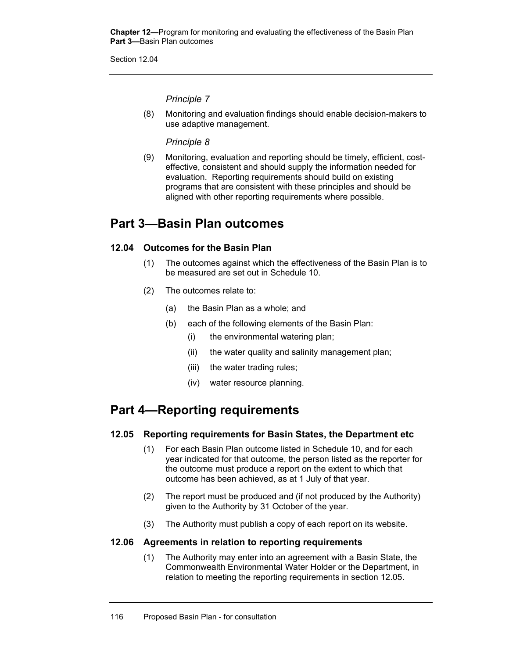**Chapter 12—**Program for monitoring and evaluating the effectiveness of the Basin Plan **Part 3—**Basin Plan outcomes

Section 12.04

*Principle 7* 

(8) Monitoring and evaluation findings should enable decision-makers to use adaptive management.

*Principle 8* 

(9) Monitoring, evaluation and reporting should be timely, efficient, costeffective, consistent and should supply the information needed for evaluation. Reporting requirements should build on existing programs that are consistent with these principles and should be aligned with other reporting requirements where possible.

# **Part 3—Basin Plan outcomes**

## **12.04 Outcomes for the Basin Plan**

- (1) The outcomes against which the effectiveness of the Basin Plan is to be measured are set out in Schedule 10.
- (2) The outcomes relate to:
	- (a) the Basin Plan as a whole; and
	- (b) each of the following elements of the Basin Plan:
		- (i) the environmental watering plan;
		- (ii) the water quality and salinity management plan;
		- (iii) the water trading rules;
		- (iv) water resource planning.

# **Part 4—Reporting requirements**

## **12.05 Reporting requirements for Basin States, the Department etc**

- (1) For each Basin Plan outcome listed in Schedule 10, and for each year indicated for that outcome, the person listed as the reporter for the outcome must produce a report on the extent to which that outcome has been achieved, as at 1 July of that year.
- (2) The report must be produced and (if not produced by the Authority) given to the Authority by 31 October of the year.
- (3) The Authority must publish a copy of each report on its website.

## **12.06 Agreements in relation to reporting requirements**

(1) The Authority may enter into an agreement with a Basin State, the Commonwealth Environmental Water Holder or the Department, in relation to meeting the reporting requirements in section 12.05.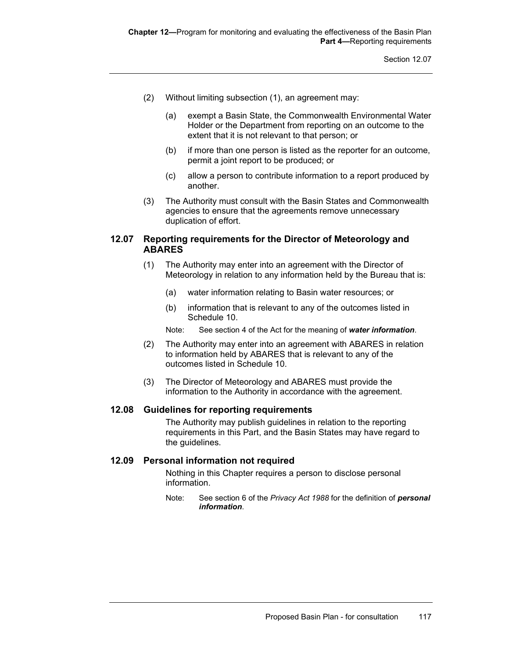- (2) Without limiting subsection (1), an agreement may:
	- (a) exempt a Basin State, the Commonwealth Environmental Water Holder or the Department from reporting on an outcome to the extent that it is not relevant to that person; or
	- (b) if more than one person is listed as the reporter for an outcome, permit a joint report to be produced; or
	- (c) allow a person to contribute information to a report produced by another.
- (3) The Authority must consult with the Basin States and Commonwealth agencies to ensure that the agreements remove unnecessary duplication of effort.

## **12.07 Reporting requirements for the Director of Meteorology and ABARES**

- (1) The Authority may enter into an agreement with the Director of Meteorology in relation to any information held by the Bureau that is:
	- (a) water information relating to Basin water resources; or
	- (b) information that is relevant to any of the outcomes listed in Schedule 10.
	- Note: See section 4 of the Act for the meaning of *water information*.
- (2) The Authority may enter into an agreement with ABARES in relation to information held by ABARES that is relevant to any of the outcomes listed in Schedule 10.
- (3) The Director of Meteorology and ABARES must provide the information to the Authority in accordance with the agreement.

#### **12.08 Guidelines for reporting requirements**

The Authority may publish guidelines in relation to the reporting requirements in this Part, and the Basin States may have regard to the guidelines.

#### **12.09 Personal information not required**

Nothing in this Chapter requires a person to disclose personal information.

Note: See section 6 of the *Privacy Act 1988* for the definition of *personal information*.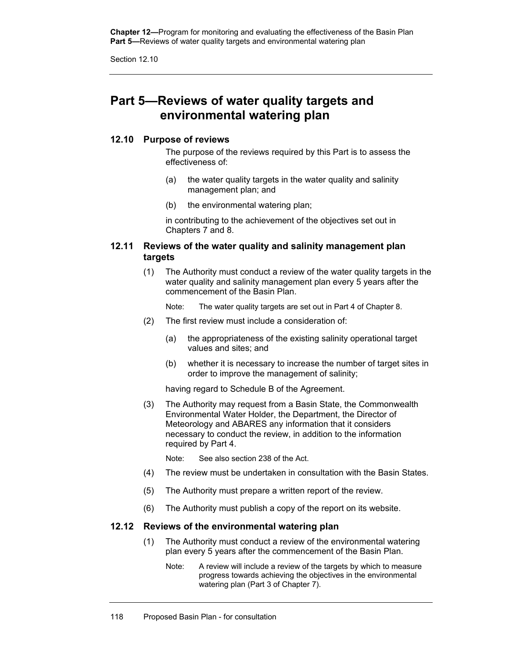**Chapter 12—**Program for monitoring and evaluating the effectiveness of the Basin Plan Part 5-Reviews of water quality targets and environmental watering plan

Section 12.10

# **Part 5—Reviews of water quality targets and environmental watering plan**

## **12.10 Purpose of reviews**

The purpose of the reviews required by this Part is to assess the effectiveness of:

- (a) the water quality targets in the water quality and salinity management plan; and
- (b) the environmental watering plan;

in contributing to the achievement of the objectives set out in Chapters 7 and 8.

## **12.11 Reviews of the water quality and salinity management plan targets**

(1) The Authority must conduct a review of the water quality targets in the water quality and salinity management plan every 5 years after the commencement of the Basin Plan.

Note: The water quality targets are set out in Part 4 of Chapter 8.

- (2) The first review must include a consideration of:
	- (a) the appropriateness of the existing salinity operational target values and sites; and
	- (b) whether it is necessary to increase the number of target sites in order to improve the management of salinity;

having regard to Schedule B of the Agreement.

(3) The Authority may request from a Basin State, the Commonwealth Environmental Water Holder, the Department, the Director of Meteorology and ABARES any information that it considers necessary to conduct the review, in addition to the information required by Part 4.

Note: See also section 238 of the Act.

- (4) The review must be undertaken in consultation with the Basin States.
- (5) The Authority must prepare a written report of the review.
- (6) The Authority must publish a copy of the report on its website.

## **12.12 Reviews of the environmental watering plan**

- (1) The Authority must conduct a review of the environmental watering plan every 5 years after the commencement of the Basin Plan.
	- Note: A review will include a review of the targets by which to measure progress towards achieving the objectives in the environmental watering plan (Part 3 of Chapter 7).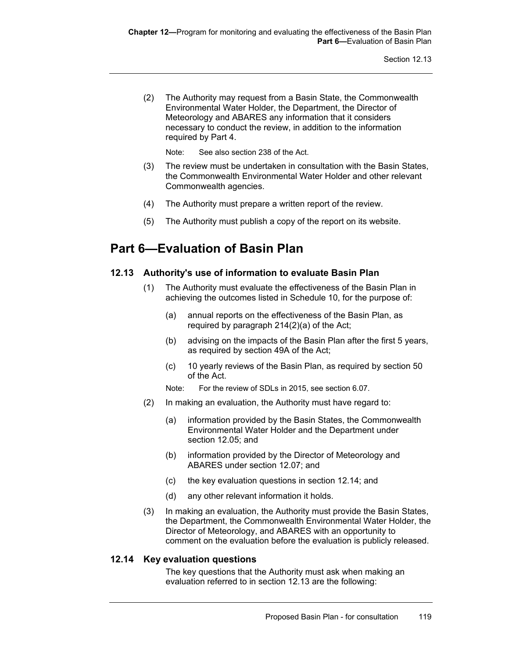(2) The Authority may request from a Basin State, the Commonwealth Environmental Water Holder, the Department, the Director of Meteorology and ABARES any information that it considers necessary to conduct the review, in addition to the information required by Part 4.

Note: See also section 238 of the Act.

- (3) The review must be undertaken in consultation with the Basin States, the Commonwealth Environmental Water Holder and other relevant Commonwealth agencies.
- (4) The Authority must prepare a written report of the review.
- (5) The Authority must publish a copy of the report on its website.

# **Part 6—Evaluation of Basin Plan**

## **12.13 Authority's use of information to evaluate Basin Plan**

- (1) The Authority must evaluate the effectiveness of the Basin Plan in achieving the outcomes listed in Schedule 10, for the purpose of:
	- (a) annual reports on the effectiveness of the Basin Plan, as required by paragraph 214(2)(a) of the Act;
	- (b) advising on the impacts of the Basin Plan after the first 5 years, as required by section 49A of the Act;
	- (c) 10 yearly reviews of the Basin Plan, as required by section 50 of the Act.
	- Note: For the review of SDLs in 2015, see section 6.07.
- (2) In making an evaluation, the Authority must have regard to:
	- (a) information provided by the Basin States, the Commonwealth Environmental Water Holder and the Department under section 12.05; and
	- (b) information provided by the Director of Meteorology and ABARES under section 12.07; and
	- (c) the key evaluation questions in section 12.14; and
	- (d) any other relevant information it holds.
- (3) In making an evaluation, the Authority must provide the Basin States, the Department, the Commonwealth Environmental Water Holder, the Director of Meteorology, and ABARES with an opportunity to comment on the evaluation before the evaluation is publicly released.

## **12.14 Key evaluation questions**

The key questions that the Authority must ask when making an evaluation referred to in section 12.13 are the following: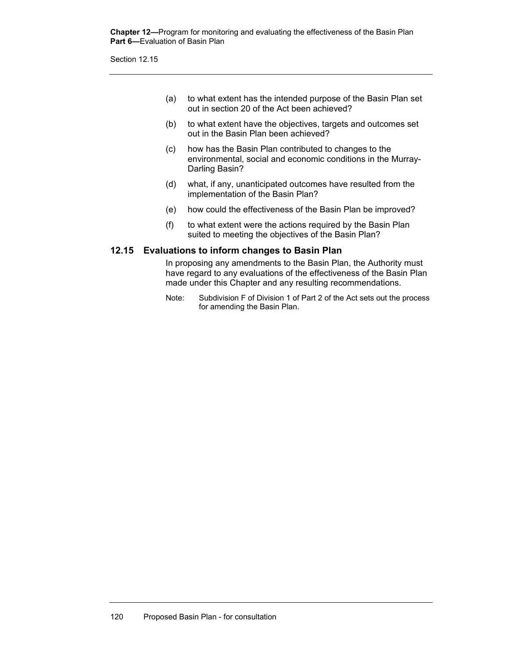**Chapter 12—**Program for monitoring and evaluating the effectiveness of the Basin Plan **Part 6—**Evaluation of Basin Plan

Section 12.15

- (a) to what extent has the intended purpose of the Basin Plan set out in section 20 of the Act been achieved?
- (b) to what extent have the objectives, targets and outcomes set out in the Basin Plan been achieved?
- (c) how has the Basin Plan contributed to changes to the environmental, social and economic conditions in the Murray-Darling Basin?
- (d) what, if any, unanticipated outcomes have resulted from the implementation of the Basin Plan?
- (e) how could the effectiveness of the Basin Plan be improved?
- (f) to what extent were the actions required by the Basin Plan suited to meeting the objectives of the Basin Plan?

#### **12.15 Evaluations to inform changes to Basin Plan**

In proposing any amendments to the Basin Plan, the Authority must have regard to any evaluations of the effectiveness of the Basin Plan made under this Chapter and any resulting recommendations.

Note: Subdivision F of Division 1 of Part 2 of the Act sets out the process for amending the Basin Plan.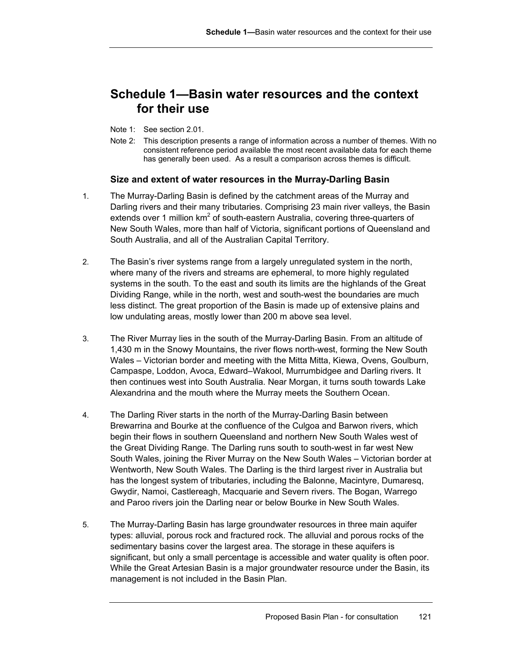# **Schedule 1—Basin water resources and the context for their use**

- Note 1: See section 2.01.
- Note 2: This description presents a range of information across a number of themes. With no consistent reference period available the most recent available data for each theme has generally been used. As a result a comparison across themes is difficult.

## **Size and extent of water resources in the Murray-Darling Basin**

- 1. The Murray-Darling Basin is defined by the catchment areas of the Murray and Darling rivers and their many tributaries. Comprising 23 main river valleys, the Basin extends over 1 million km<sup>2</sup> of south-eastern Australia, covering three-quarters of New South Wales, more than half of Victoria, significant portions of Queensland and South Australia, and all of the Australian Capital Territory.
- 2. The Basin's river systems range from a largely unregulated system in the north, where many of the rivers and streams are ephemeral, to more highly regulated systems in the south. To the east and south its limits are the highlands of the Great Dividing Range, while in the north, west and south-west the boundaries are much less distinct. The great proportion of the Basin is made up of extensive plains and low undulating areas, mostly lower than 200 m above sea level.
- 3. The River Murray lies in the south of the Murray-Darling Basin. From an altitude of 1,430 m in the Snowy Mountains, the river flows north-west, forming the New South Wales – Victorian border and meeting with the Mitta Mitta, Kiewa, Ovens, Goulburn, Campaspe, Loddon, Avoca, Edward–Wakool, Murrumbidgee and Darling rivers. It then continues west into South Australia. Near Morgan, it turns south towards Lake Alexandrina and the mouth where the Murray meets the Southern Ocean.
- 4. The Darling River starts in the north of the Murray-Darling Basin between Brewarrina and Bourke at the confluence of the Culgoa and Barwon rivers, which begin their flows in southern Queensland and northern New South Wales west of the Great Dividing Range. The Darling runs south to south-west in far west New South Wales, joining the River Murray on the New South Wales – Victorian border at Wentworth, New South Wales. The Darling is the third largest river in Australia but has the longest system of tributaries, including the Balonne, Macintyre, Dumaresq, Gwydir, Namoi, Castlereagh, Macquarie and Severn rivers. The Bogan, Warrego and Paroo rivers join the Darling near or below Bourke in New South Wales.
- 5. The Murray-Darling Basin has large groundwater resources in three main aquifer types: alluvial, porous rock and fractured rock. The alluvial and porous rocks of the sedimentary basins cover the largest area. The storage in these aquifers is significant, but only a small percentage is accessible and water quality is often poor. While the Great Artesian Basin is a major groundwater resource under the Basin, its management is not included in the Basin Plan.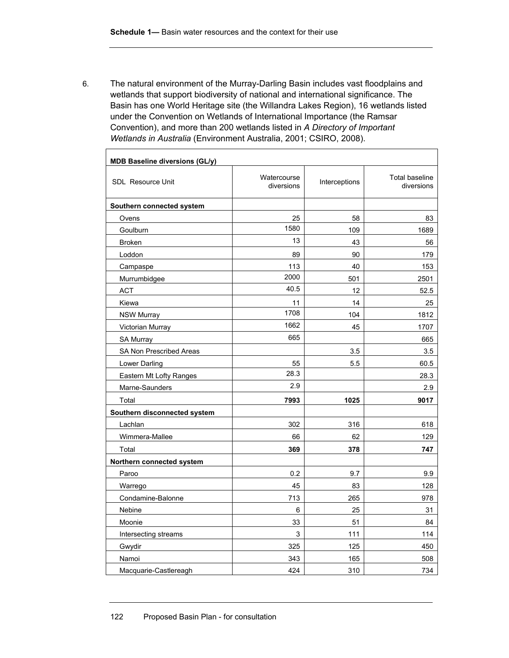$\mathbf{r}$ 

6. The natural environment of the Murray-Darling Basin includes vast floodplains and wetlands that support biodiversity of national and international significance. The Basin has one World Heritage site (the Willandra Lakes Region), 16 wetlands listed under the Convention on Wetlands of International Importance (the Ramsar Convention), and more than 200 wetlands listed in *A Directory of Important Wetlands in Australia* (Environment Australia, 2001; CSIRO, 2008).

| <b>MDB Baseline diversions (GL/y)</b> |                           |               |                                     |
|---------------------------------------|---------------------------|---------------|-------------------------------------|
| <b>SDL Resource Unit</b>              | Watercourse<br>diversions | Interceptions | <b>Total baseline</b><br>diversions |
| Southern connected system             |                           |               |                                     |
| Ovens                                 | 25                        | 58            | 83                                  |
| Goulburn                              | 1580                      | 109           | 1689                                |
| <b>Broken</b>                         | 13                        | 43            | 56                                  |
| Loddon                                | 89                        | 90            | 179                                 |
| Campaspe                              | 113                       | 40            | 153                                 |
| Murrumbidgee                          | 2000                      | 501           | 2501                                |
| <b>ACT</b>                            | 40.5                      | 12            | 52.5                                |
| Kiewa                                 | 11                        | 14            | 25                                  |
| <b>NSW Murray</b>                     | 1708                      | 104           | 1812                                |
| Victorian Murray                      | 1662                      | 45            | 1707                                |
| <b>SA Murray</b>                      | 665                       |               | 665                                 |
| SA Non Prescribed Areas               |                           | 3.5           | 3.5                                 |
| Lower Darling                         | 55                        | 5.5           | 60.5                                |
| <b>Eastern Mt Lofty Ranges</b>        | 28.3                      |               | 28.3                                |
| Marne-Saunders                        | 2.9                       |               | 2.9                                 |
| Total                                 | 7993                      | 1025          | 9017                                |
| Southern disconnected system          |                           |               |                                     |
| Lachlan                               | 302                       | 316           | 618                                 |
| Wimmera-Mallee                        | 66                        | 62            | 129                                 |
| Total                                 | 369                       | 378           | 747                                 |
| Northern connected system             |                           |               |                                     |
| Paroo                                 | 0.2                       | 9.7           | 9.9                                 |
| Warrego                               | 45                        | 83            | 128                                 |
| Condamine-Balonne                     | 713                       | 265           | 978                                 |
| Nebine                                | 6                         | 25            | 31                                  |
| Moonie                                | 33                        | 51            | 84                                  |
| Intersecting streams                  | $\mathsf 3$               | 111           | 114                                 |
| Gwydir                                | 325                       | 125           | 450                                 |
| Namoi                                 | 343                       | 165           | 508                                 |
| Macquarie-Castlereagh                 | 424                       | 310           | 734                                 |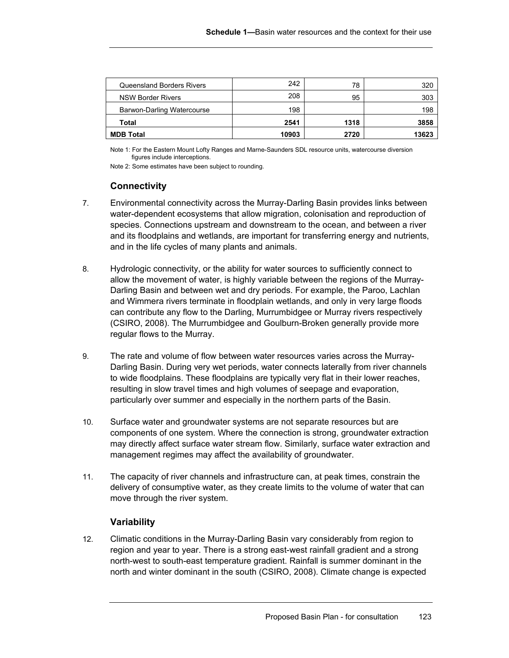| Queensland Borders Rivers  | 242<br>208 | 78   | 320   |
|----------------------------|------------|------|-------|
| <b>NSW Border Rivers</b>   |            | 95   | 303   |
| Barwon-Darling Watercourse | 198        |      | 198   |
| Total                      | 2541       | 1318 | 3858  |
| <b>MDB Total</b>           | 10903      | 2720 | 13623 |

Note 1: For the Eastern Mount Lofty Ranges and Marne-Saunders SDL resource units, watercourse diversion figures include interceptions.

Note 2: Some estimates have been subject to rounding.

## **Connectivity**

- 7. Environmental connectivity across the Murray-Darling Basin provides links between water-dependent ecosystems that allow migration, colonisation and reproduction of species. Connections upstream and downstream to the ocean, and between a river and its floodplains and wetlands, are important for transferring energy and nutrients, and in the life cycles of many plants and animals.
- 8. Hydrologic connectivity, or the ability for water sources to sufficiently connect to allow the movement of water, is highly variable between the regions of the Murray-Darling Basin and between wet and dry periods. For example, the Paroo, Lachlan and Wimmera rivers terminate in floodplain wetlands, and only in very large floods can contribute any flow to the Darling, Murrumbidgee or Murray rivers respectively (CSIRO, 2008). The Murrumbidgee and Goulburn-Broken generally provide more regular flows to the Murray.
- 9. The rate and volume of flow between water resources varies across the Murray-Darling Basin. During very wet periods, water connects laterally from river channels to wide floodplains. These floodplains are typically very flat in their lower reaches, resulting in slow travel times and high volumes of seepage and evaporation, particularly over summer and especially in the northern parts of the Basin.
- 10. Surface water and groundwater systems are not separate resources but are components of one system. Where the connection is strong, groundwater extraction may directly affect surface water stream flow. Similarly, surface water extraction and management regimes may affect the availability of groundwater.
- 11. The capacity of river channels and infrastructure can, at peak times, constrain the delivery of consumptive water, as they create limits to the volume of water that can move through the river system.

## **Variability**

12. Climatic conditions in the Murray-Darling Basin vary considerably from region to region and year to year. There is a strong east-west rainfall gradient and a strong north-west to south-east temperature gradient. Rainfall is summer dominant in the north and winter dominant in the south (CSIRO, 2008). Climate change is expected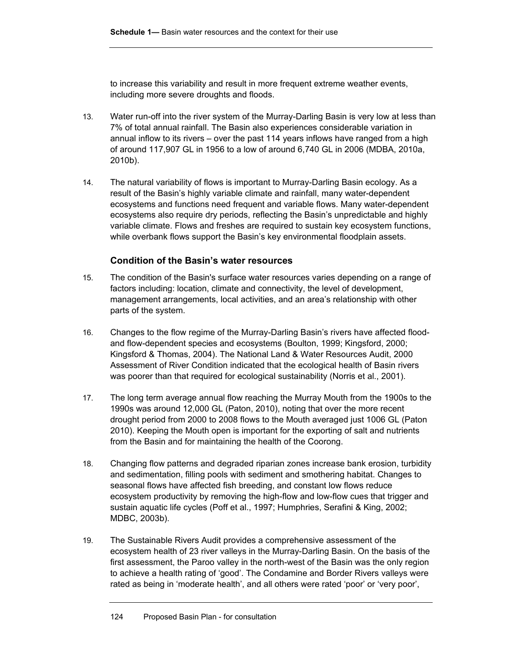to increase this variability and result in more frequent extreme weather events, including more severe droughts and floods.

- 13. Water run-off into the river system of the Murray-Darling Basin is very low at less than 7% of total annual rainfall. The Basin also experiences considerable variation in annual inflow to its rivers – over the past 114 years inflows have ranged from a high of around 117,907 GL in 1956 to a low of around 6,740 GL in 2006 (MDBA, 2010a, 2010b).
- 14. The natural variability of flows is important to Murray-Darling Basin ecology. As a result of the Basin's highly variable climate and rainfall, many water-dependent ecosystems and functions need frequent and variable flows. Many water-dependent ecosystems also require dry periods, reflecting the Basin's unpredictable and highly variable climate. Flows and freshes are required to sustain key ecosystem functions, while overbank flows support the Basin's key environmental floodplain assets.

## **Condition of the Basin's water resources**

- 15. The condition of the Basin's surface water resources varies depending on a range of factors including: location, climate and connectivity, the level of development, management arrangements, local activities, and an area's relationship with other parts of the system.
- 16. Changes to the flow regime of the Murray-Darling Basin's rivers have affected floodand flow-dependent species and ecosystems (Boulton, 1999; Kingsford, 2000; Kingsford & Thomas, 2004). The National Land & Water Resources Audit, 2000 Assessment of River Condition indicated that the ecological health of Basin rivers was poorer than that required for ecological sustainability (Norris et al., 2001).
- 17. The long term average annual flow reaching the Murray Mouth from the 1900s to the 1990s was around 12,000 GL (Paton, 2010), noting that over the more recent drought period from 2000 to 2008 flows to the Mouth averaged just 1006 GL (Paton 2010). Keeping the Mouth open is important for the exporting of salt and nutrients from the Basin and for maintaining the health of the Coorong.
- 18. Changing flow patterns and degraded riparian zones increase bank erosion, turbidity and sedimentation, filling pools with sediment and smothering habitat. Changes to seasonal flows have affected fish breeding, and constant low flows reduce ecosystem productivity by removing the high-flow and low-flow cues that trigger and sustain aquatic life cycles (Poff et al., 1997; Humphries, Serafini & King, 2002; MDBC, 2003b).
- 19. The Sustainable Rivers Audit provides a comprehensive assessment of the ecosystem health of 23 river valleys in the Murray-Darling Basin. On the basis of the first assessment, the Paroo valley in the north-west of the Basin was the only region to achieve a health rating of 'good'. The Condamine and Border Rivers valleys were rated as being in 'moderate health', and all others were rated 'poor' or 'very poor',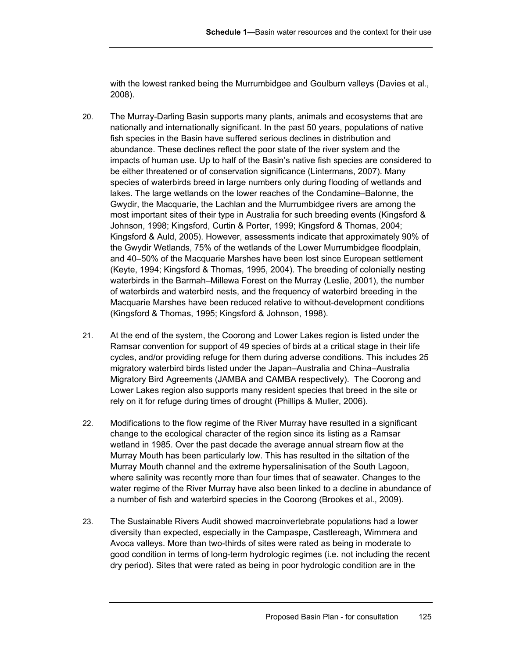with the lowest ranked being the Murrumbidgee and Goulburn valleys (Davies et al., 2008).

- 20. The Murray-Darling Basin supports many plants, animals and ecosystems that are nationally and internationally significant. In the past 50 years, populations of native fish species in the Basin have suffered serious declines in distribution and abundance. These declines reflect the poor state of the river system and the impacts of human use. Up to half of the Basin's native fish species are considered to be either threatened or of conservation significance (Lintermans, 2007). Many species of waterbirds breed in large numbers only during flooding of wetlands and lakes. The large wetlands on the lower reaches of the Condamine–Balonne, the Gwydir, the Macquarie, the Lachlan and the Murrumbidgee rivers are among the most important sites of their type in Australia for such breeding events (Kingsford & Johnson, 1998; Kingsford, Curtin & Porter, 1999; Kingsford & Thomas, 2004; Kingsford & Auld, 2005). However, assessments indicate that approximately 90% of the Gwydir Wetlands, 75% of the wetlands of the Lower Murrumbidgee floodplain, and 40–50% of the Macquarie Marshes have been lost since European settlement (Keyte, 1994; Kingsford & Thomas, 1995, 2004). The breeding of colonially nesting waterbirds in the Barmah–Millewa Forest on the Murray (Leslie, 2001), the number of waterbirds and waterbird nests, and the frequency of waterbird breeding in the Macquarie Marshes have been reduced relative to without-development conditions (Kingsford & Thomas, 1995; Kingsford & Johnson, 1998).
- 21. At the end of the system, the Coorong and Lower Lakes region is listed under the Ramsar convention for support of 49 species of birds at a critical stage in their life cycles, and/or providing refuge for them during adverse conditions. This includes 25 migratory waterbird birds listed under the Japan–Australia and China–Australia Migratory Bird Agreements (JAMBA and CAMBA respectively). The Coorong and Lower Lakes region also supports many resident species that breed in the site or rely on it for refuge during times of drought (Phillips & Muller, 2006).
- 22. Modifications to the flow regime of the River Murray have resulted in a significant change to the ecological character of the region since its listing as a Ramsar wetland in 1985. Over the past decade the average annual stream flow at the Murray Mouth has been particularly low. This has resulted in the siltation of the Murray Mouth channel and the extreme hypersalinisation of the South Lagoon, where salinity was recently more than four times that of seawater. Changes to the water regime of the River Murray have also been linked to a decline in abundance of a number of fish and waterbird species in the Coorong (Brookes et al., 2009).
- 23. The Sustainable Rivers Audit showed macroinvertebrate populations had a lower diversity than expected, especially in the Campaspe, Castlereagh, Wimmera and Avoca valleys. More than two-thirds of sites were rated as being in moderate to good condition in terms of long-term hydrologic regimes (i.e. not including the recent dry period). Sites that were rated as being in poor hydrologic condition are in the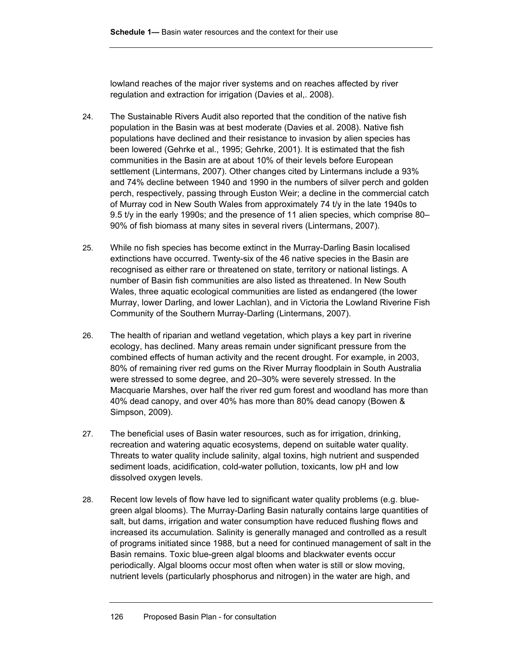lowland reaches of the major river systems and on reaches affected by river regulation and extraction for irrigation (Davies et al,. 2008).

- 24. The Sustainable Rivers Audit also reported that the condition of the native fish population in the Basin was at best moderate (Davies et al. 2008). Native fish populations have declined and their resistance to invasion by alien species has been lowered (Gehrke et al., 1995; Gehrke, 2001). It is estimated that the fish communities in the Basin are at about 10% of their levels before European settlement (Lintermans, 2007). Other changes cited by Lintermans include a 93% and 74% decline between 1940 and 1990 in the numbers of silver perch and golden perch, respectively, passing through Euston Weir; a decline in the commercial catch of Murray cod in New South Wales from approximately 74 t/y in the late 1940s to 9.5 t/y in the early 1990s; and the presence of 11 alien species, which comprise 80– 90% of fish biomass at many sites in several rivers (Lintermans, 2007).
- 25. While no fish species has become extinct in the Murray-Darling Basin localised extinctions have occurred. Twenty-six of the 46 native species in the Basin are recognised as either rare or threatened on state, territory or national listings. A number of Basin fish communities are also listed as threatened. In New South Wales, three aquatic ecological communities are listed as endangered (the lower Murray, lower Darling, and lower Lachlan), and in Victoria the Lowland Riverine Fish Community of the Southern Murray-Darling (Lintermans, 2007).
- 26. The health of riparian and wetland vegetation, which plays a key part in riverine ecology, has declined. Many areas remain under significant pressure from the combined effects of human activity and the recent drought. For example, in 2003, 80% of remaining river red gums on the River Murray floodplain in South Australia were stressed to some degree, and 20–30% were severely stressed. In the Macquarie Marshes, over half the river red gum forest and woodland has more than 40% dead canopy, and over 40% has more than 80% dead canopy (Bowen & Simpson, 2009).
- 27. The beneficial uses of Basin water resources, such as for irrigation, drinking, recreation and watering aquatic ecosystems, depend on suitable water quality. Threats to water quality include salinity, algal toxins, high nutrient and suspended sediment loads, acidification, cold-water pollution, toxicants, low pH and low dissolved oxygen levels.
- 28. Recent low levels of flow have led to significant water quality problems (e.g. bluegreen algal blooms). The Murray-Darling Basin naturally contains large quantities of salt, but dams, irrigation and water consumption have reduced flushing flows and increased its accumulation. Salinity is generally managed and controlled as a result of programs initiated since 1988, but a need for continued management of salt in the Basin remains. Toxic blue-green algal blooms and blackwater events occur periodically. Algal blooms occur most often when water is still or slow moving, nutrient levels (particularly phosphorus and nitrogen) in the water are high, and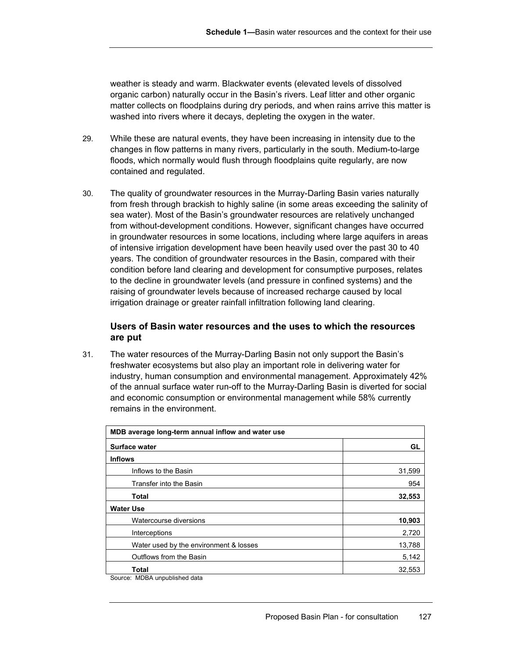weather is steady and warm. Blackwater events (elevated levels of dissolved organic carbon) naturally occur in the Basin's rivers. Leaf litter and other organic matter collects on floodplains during dry periods, and when rains arrive this matter is washed into rivers where it decays, depleting the oxygen in the water.

- 29. While these are natural events, they have been increasing in intensity due to the changes in flow patterns in many rivers, particularly in the south. Medium-to-large floods, which normally would flush through floodplains quite regularly, are now contained and regulated.
- 30. The quality of groundwater resources in the Murray-Darling Basin varies naturally from fresh through brackish to highly saline (in some areas exceeding the salinity of sea water). Most of the Basin's groundwater resources are relatively unchanged from without-development conditions. However, significant changes have occurred in groundwater resources in some locations, including where large aquifers in areas of intensive irrigation development have been heavily used over the past 30 to 40 years. The condition of groundwater resources in the Basin, compared with their condition before land clearing and development for consumptive purposes, relates to the decline in groundwater levels (and pressure in confined systems) and the raising of groundwater levels because of increased recharge caused by local irrigation drainage or greater rainfall infiltration following land clearing.

## **Users of Basin water resources and the uses to which the resources are put**

31. The water resources of the Murray-Darling Basin not only support the Basin's freshwater ecosystems but also play an important role in delivering water for industry, human consumption and environmental management. Approximately 42% of the annual surface water run-off to the Murray-Darling Basin is diverted for social and economic consumption or environmental management while 58% currently remains in the environment.

| MDB average long-term annual inflow and water use                 |        |  |  |
|-------------------------------------------------------------------|--------|--|--|
| <b>Surface water</b>                                              | GL     |  |  |
| <b>Inflows</b>                                                    |        |  |  |
| Inflows to the Basin                                              | 31,599 |  |  |
| Transfer into the Basin                                           | 954    |  |  |
| <b>Total</b>                                                      | 32,553 |  |  |
| <b>Water Use</b>                                                  |        |  |  |
| Watercourse diversions                                            | 10,903 |  |  |
| Interceptions                                                     | 2,720  |  |  |
| Water used by the environment & losses                            | 13,788 |  |  |
| Outflows from the Basin                                           | 5,142  |  |  |
| Total<br>$MOMA$ . $A = A + B + A + A + C$<br>$\sim$ $\sim$ $\sim$ | 32,553 |  |  |

Source: MDBA unpublished data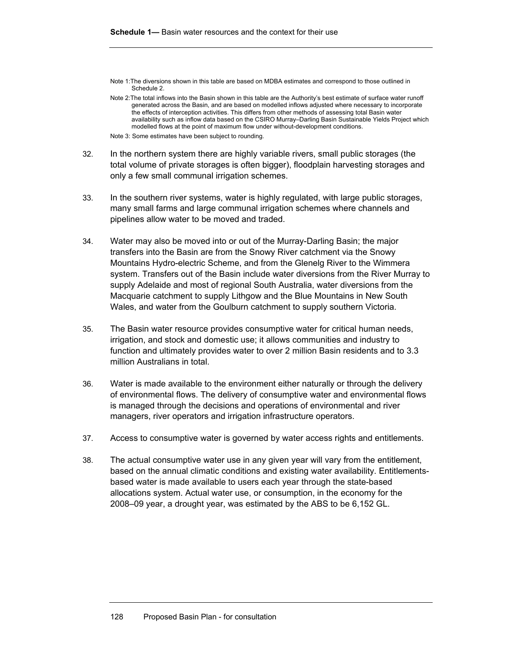Note 1:The diversions shown in this table are based on MDBA estimates and correspond to those outlined in Schedule 2.

Note 3: Some estimates have been subject to rounding.

- 32. In the northern system there are highly variable rivers, small public storages (the total volume of private storages is often bigger), floodplain harvesting storages and only a few small communal irrigation schemes.
- 33. In the southern river systems, water is highly regulated, with large public storages, many small farms and large communal irrigation schemes where channels and pipelines allow water to be moved and traded.
- 34. Water may also be moved into or out of the Murray-Darling Basin; the major transfers into the Basin are from the Snowy River catchment via the Snowy Mountains Hydro-electric Scheme, and from the Glenelg River to the Wimmera system. Transfers out of the Basin include water diversions from the River Murray to supply Adelaide and most of regional South Australia, water diversions from the Macquarie catchment to supply Lithgow and the Blue Mountains in New South Wales, and water from the Goulburn catchment to supply southern Victoria.
- 35. The Basin water resource provides consumptive water for critical human needs, irrigation, and stock and domestic use; it allows communities and industry to function and ultimately provides water to over 2 million Basin residents and to 3.3 million Australians in total.
- 36. Water is made available to the environment either naturally or through the delivery of environmental flows. The delivery of consumptive water and environmental flows is managed through the decisions and operations of environmental and river managers, river operators and irrigation infrastructure operators.
- 37. Access to consumptive water is governed by water access rights and entitlements.
- 38. The actual consumptive water use in any given year will vary from the entitlement, based on the annual climatic conditions and existing water availability. Entitlementsbased water is made available to users each year through the state-based allocations system. Actual water use, or consumption, in the economy for the 2008–09 year, a drought year, was estimated by the ABS to be 6,152 GL.

Note 2:The total inflows into the Basin shown in this table are the Authority's best estimate of surface water runoff generated across the Basin, and are based on modelled inflows adjusted where necessary to incorporate the effects of interception activities. This differs from other methods of assessing total Basin water availability such as inflow data based on the CSIRO Murray–Darling Basin Sustainable Yields Project which modelled flows at the point of maximum flow under without-development conditions.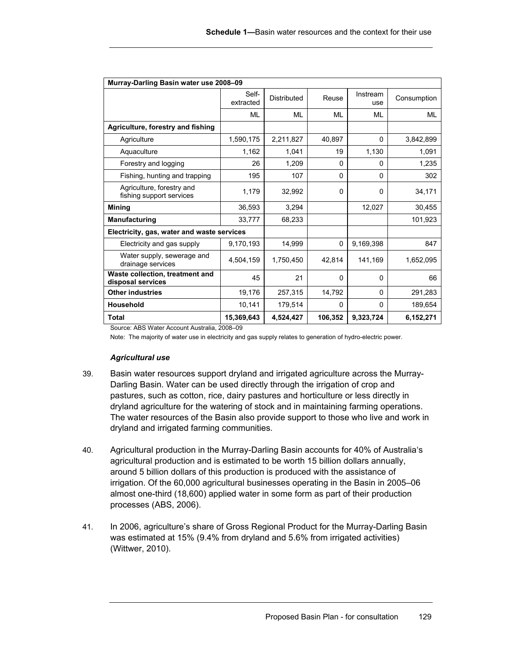| Murray-Darling Basin water use 2008-09                |                    |                    |          |                 |             |
|-------------------------------------------------------|--------------------|--------------------|----------|-----------------|-------------|
|                                                       | Self-<br>extracted | <b>Distributed</b> | Reuse    | Instream<br>use | Consumption |
|                                                       | MI                 | ML                 | ML       | ML              | ML          |
| Agriculture, forestry and fishing                     |                    |                    |          |                 |             |
| Agriculture                                           | 1,590,175          | 2,211,827          | 40,897   | $\Omega$        | 3,842,899   |
| Aquaculture                                           | 1,162              | 1,041              | 19       | 1,130           | 1,091       |
| Forestry and logging                                  | 26                 | 1,209              | $\Omega$ | 0               | 1,235       |
| Fishing, hunting and trapping                         | 195                | 107                | $\Omega$ | 0               | 302         |
| Agriculture, forestry and<br>fishing support services | 1,179              | 32,992             | $\Omega$ | $\Omega$        | 34,171      |
| <b>Mining</b>                                         | 36,593             | 3,294              |          | 12,027          | 30,455      |
| Manufacturing                                         | 33,777             | 68,233             |          |                 | 101,923     |
| Electricity, gas, water and waste services            |                    |                    |          |                 |             |
| Electricity and gas supply                            | 9,170,193          | 14,999             | 0        | 9.169.398       | 847         |
| Water supply, sewerage and<br>drainage services       | 4,504,159          | 1,750,450          | 42,814   | 141,169         | 1,652,095   |
| Waste collection, treatment and<br>disposal services  | 45                 | 21                 | $\Omega$ | $\Omega$        | 66          |
| <b>Other industries</b>                               | 19,176             | 257,315            | 14,792   | $\Omega$        | 291,283     |
| <b>Household</b>                                      | 10,141             | 179,514            | $\Omega$ | 0               | 189,654     |
| Total                                                 | 15,369,643         | 4,524,427          | 106,352  | 9,323,724       | 6,152,271   |

Source: ABS Water Account Australia, 2008–09

Note: The majority of water use in electricity and gas supply relates to generation of hydro-electric power.

### *Agricultural use*

- 39. Basin water resources support dryland and irrigated agriculture across the Murray-Darling Basin. Water can be used directly through the irrigation of crop and pastures, such as cotton, rice, dairy pastures and horticulture or less directly in dryland agriculture for the watering of stock and in maintaining farming operations. The water resources of the Basin also provide support to those who live and work in dryland and irrigated farming communities.
- 40. Agricultural production in the Murray-Darling Basin accounts for 40% of Australia's agricultural production and is estimated to be worth 15 billion dollars annually, around 5 billion dollars of this production is produced with the assistance of irrigation. Of the 60,000 agricultural businesses operating in the Basin in 2005–06 almost one-third (18,600) applied water in some form as part of their production processes (ABS, 2006).
- 41. In 2006, agriculture's share of Gross Regional Product for the Murray-Darling Basin was estimated at 15% (9.4% from dryland and 5.6% from irrigated activities) (Wittwer, 2010).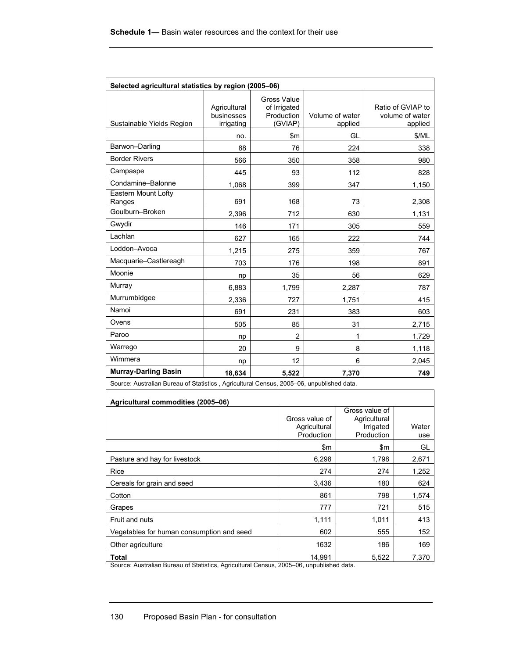| Selected agricultural statistics by region (2005-06)                                    |                                          |                                                             |                            |                                                 |  |
|-----------------------------------------------------------------------------------------|------------------------------------------|-------------------------------------------------------------|----------------------------|-------------------------------------------------|--|
| Sustainable Yields Region                                                               | Agricultural<br>businesses<br>irrigating | <b>Gross Value</b><br>of Irrigated<br>Production<br>(GVIAP) | Volume of water<br>applied | Ratio of GVIAP to<br>volume of water<br>applied |  |
|                                                                                         | no.                                      | \$m\$                                                       | GL                         | \$/ML                                           |  |
| Barwon-Darling                                                                          | 88                                       | 76                                                          | 224                        | 338                                             |  |
| <b>Border Rivers</b>                                                                    | 566                                      | 350                                                         | 358                        | 980                                             |  |
| Campaspe                                                                                | 445                                      | 93                                                          | 112                        | 828                                             |  |
| Condamine-Balonne                                                                       | 1,068                                    | 399                                                         | 347                        | 1,150                                           |  |
| Eastern Mount Lofty<br>Ranges                                                           | 691                                      | 168                                                         | 73                         | 2,308                                           |  |
| Goulburn-Broken                                                                         | 2,396                                    | 712                                                         | 630                        | 1,131                                           |  |
| Gwydir                                                                                  | 146                                      | 171                                                         | 305                        | 559                                             |  |
| Lachlan                                                                                 | 627                                      | 165                                                         | 222                        | 744                                             |  |
| Loddon-Avoca                                                                            | 1,215                                    | 275                                                         | 359                        | 767                                             |  |
| Macquarie-Castlereagh                                                                   | 703                                      | 176                                                         | 198                        | 891                                             |  |
| Moonie                                                                                  | np                                       | 35                                                          | 56                         | 629                                             |  |
| Murray                                                                                  | 6,883                                    | 1,799                                                       | 2,287                      | 787                                             |  |
| Murrumbidgee                                                                            | 2,336                                    | 727                                                         | 1,751                      | 415                                             |  |
| Namoi                                                                                   | 691                                      | 231                                                         | 383                        | 603                                             |  |
| Ovens                                                                                   | 505                                      | 85                                                          | 31                         | 2,715                                           |  |
| Paroo                                                                                   | np                                       | $\overline{2}$                                              | 1                          | 1,729                                           |  |
| Warrego                                                                                 | 20                                       | 9                                                           | 8                          | 1,118                                           |  |
| Wimmera                                                                                 | np                                       | 12                                                          | 6                          | 2,045                                           |  |
| <b>Murray-Darling Basin</b>                                                             | 18,634                                   | 5,522                                                       | 7,370                      | 749                                             |  |
| Source: Augtralian Purcau of Statistics - Agricultural Concus 2005, 06 unpublished data |                                          |                                                             |                            |                                                 |  |

Source: Australian Bureau of Statistics , Agricultural Census, 2005–06, unpublished data.

| Agricultural commodities (2005-06)        |                            |                                |              |  |  |
|-------------------------------------------|----------------------------|--------------------------------|--------------|--|--|
|                                           | Gross value of             | Gross value of<br>Agricultural |              |  |  |
|                                           | Agricultural<br>Production | Irrigated<br>Production        | Water<br>use |  |  |
|                                           | \$m                        | \$m                            | GL           |  |  |
| Pasture and hay for livestock             | 6,298                      | 1,798                          | 2,671        |  |  |
| Rice                                      | 274                        | 274                            | 1,252        |  |  |
| Cereals for grain and seed                | 3,436                      | 180                            | 624          |  |  |
| Cotton                                    | 861                        | 798                            | 1,574        |  |  |
| Grapes                                    | 777                        | 721                            | 515          |  |  |
| Fruit and nuts                            | 1,111                      | 1,011                          | 413          |  |  |
| Vegetables for human consumption and seed | 602                        | 555                            | 152          |  |  |
| Other agriculture                         | 1632                       | 186                            | 169          |  |  |
| <b>Total</b>                              | 14,991                     | 5,522                          | 7,370        |  |  |

٦

Source: Australian Bureau of Statistics, Agricultural Census, 2005–06, unpublished data.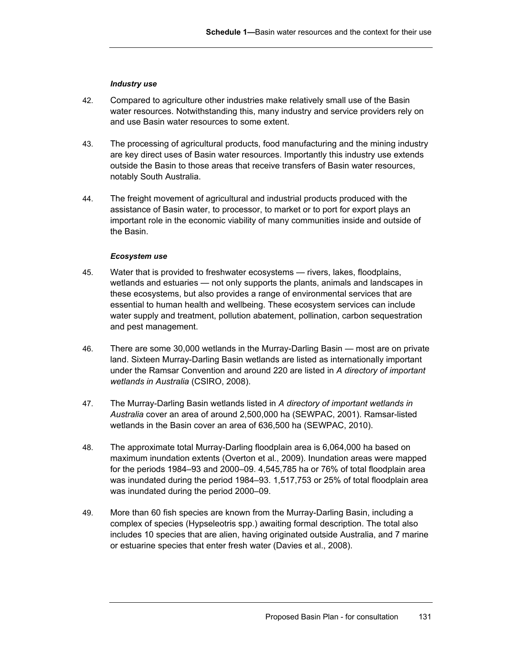#### *Industry use*

- 42. Compared to agriculture other industries make relatively small use of the Basin water resources. Notwithstanding this, many industry and service providers rely on and use Basin water resources to some extent.
- 43. The processing of agricultural products, food manufacturing and the mining industry are key direct uses of Basin water resources. Importantly this industry use extends outside the Basin to those areas that receive transfers of Basin water resources, notably South Australia.
- 44. The freight movement of agricultural and industrial products produced with the assistance of Basin water, to processor, to market or to port for export plays an important role in the economic viability of many communities inside and outside of the Basin.

#### *Ecosystem use*

- 45. Water that is provided to freshwater ecosystems rivers, lakes, floodplains, wetlands and estuaries — not only supports the plants, animals and landscapes in these ecosystems, but also provides a range of environmental services that are essential to human health and wellbeing. These ecosystem services can include water supply and treatment, pollution abatement, pollination, carbon sequestration and pest management.
- 46. There are some 30,000 wetlands in the Murray-Darling Basin most are on private land. Sixteen Murray-Darling Basin wetlands are listed as internationally important under the Ramsar Convention and around 220 are listed in *A directory of important wetlands in Australia* (CSIRO, 2008).
- 47. The Murray-Darling Basin wetlands listed in *A directory of important wetlands in Australia* cover an area of around 2,500,000 ha (SEWPAC, 2001). Ramsar-listed wetlands in the Basin cover an area of 636,500 ha (SEWPAC, 2010).
- 48. The approximate total Murray-Darling floodplain area is 6,064,000 ha based on maximum inundation extents (Overton et al., 2009). Inundation areas were mapped for the periods 1984–93 and 2000–09. 4,545,785 ha or 76% of total floodplain area was inundated during the period 1984–93. 1,517,753 or 25% of total floodplain area was inundated during the period 2000–09.
- 49. More than 60 fish species are known from the Murray-Darling Basin, including a complex of species (Hypseleotris spp.) awaiting formal description. The total also includes 10 species that are alien, having originated outside Australia, and 7 marine or estuarine species that enter fresh water (Davies et al., 2008).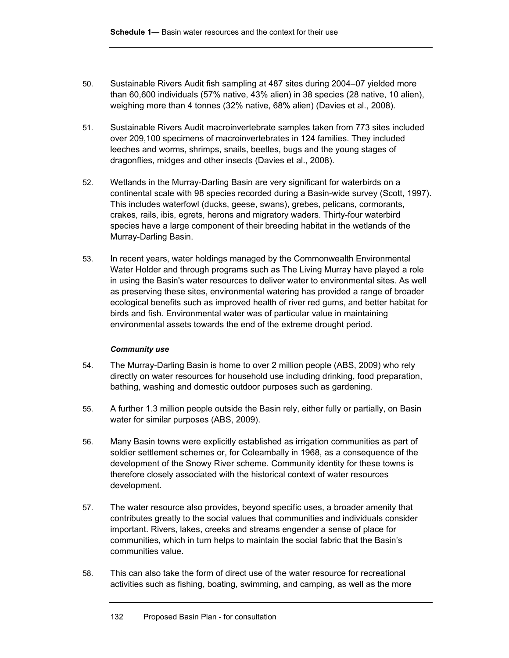- 50. Sustainable Rivers Audit fish sampling at 487 sites during 2004–07 yielded more than 60,600 individuals (57% native, 43% alien) in 38 species (28 native, 10 alien), weighing more than 4 tonnes (32% native, 68% alien) (Davies et al., 2008).
- 51. Sustainable Rivers Audit macroinvertebrate samples taken from 773 sites included over 209,100 specimens of macroinvertebrates in 124 families. They included leeches and worms, shrimps, snails, beetles, bugs and the young stages of dragonflies, midges and other insects (Davies et al., 2008).
- 52. Wetlands in the Murray-Darling Basin are very significant for waterbirds on a continental scale with 98 species recorded during a Basin-wide survey (Scott, 1997). This includes waterfowl (ducks, geese, swans), grebes, pelicans, cormorants, crakes, rails, ibis, egrets, herons and migratory waders. Thirty-four waterbird species have a large component of their breeding habitat in the wetlands of the Murray-Darling Basin.
- 53. In recent years, water holdings managed by the Commonwealth Environmental Water Holder and through programs such as The Living Murray have played a role in using the Basin's water resources to deliver water to environmental sites. As well as preserving these sites, environmental watering has provided a range of broader ecological benefits such as improved health of river red gums, and better habitat for birds and fish. Environmental water was of particular value in maintaining environmental assets towards the end of the extreme drought period.

# *Community use*

- 54. The Murray-Darling Basin is home to over 2 million people (ABS, 2009) who rely directly on water resources for household use including drinking, food preparation, bathing, washing and domestic outdoor purposes such as gardening.
- 55. A further 1.3 million people outside the Basin rely, either fully or partially, on Basin water for similar purposes (ABS, 2009).
- 56. Many Basin towns were explicitly established as irrigation communities as part of soldier settlement schemes or, for Coleambally in 1968, as a consequence of the development of the Snowy River scheme. Community identity for these towns is therefore closely associated with the historical context of water resources development.
- 57. The water resource also provides, beyond specific uses, a broader amenity that contributes greatly to the social values that communities and individuals consider important. Rivers, lakes, creeks and streams engender a sense of place for communities, which in turn helps to maintain the social fabric that the Basin's communities value.
- 58. This can also take the form of direct use of the water resource for recreational activities such as fishing, boating, swimming, and camping, as well as the more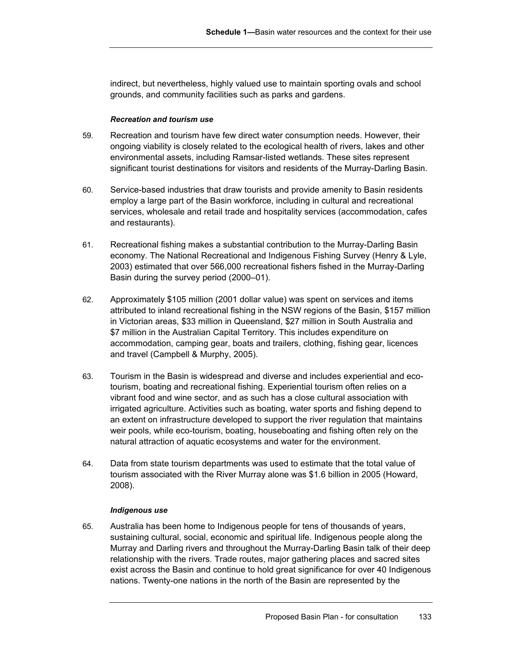indirect, but nevertheless, highly valued use to maintain sporting ovals and school grounds, and community facilities such as parks and gardens.

# *Recreation and tourism use*

- 59. Recreation and tourism have few direct water consumption needs. However, their ongoing viability is closely related to the ecological health of rivers, lakes and other environmental assets, including Ramsar-listed wetlands. These sites represent significant tourist destinations for visitors and residents of the Murray-Darling Basin.
- 60. Service-based industries that draw tourists and provide amenity to Basin residents employ a large part of the Basin workforce, including in cultural and recreational services, wholesale and retail trade and hospitality services (accommodation, cafes and restaurants).
- 61. Recreational fishing makes a substantial contribution to the Murray-Darling Basin economy. The National Recreational and Indigenous Fishing Survey (Henry & Lyle, 2003) estimated that over 566,000 recreational fishers fished in the Murray-Darling Basin during the survey period (2000–01).
- 62. Approximately \$105 million (2001 dollar value) was spent on services and items attributed to inland recreational fishing in the NSW regions of the Basin, \$157 million in Victorian areas, \$33 million in Queensland, \$27 million in South Australia and \$7 million in the Australian Capital Territory. This includes expenditure on accommodation, camping gear, boats and trailers, clothing, fishing gear, licences and travel (Campbell & Murphy, 2005).
- 63. Tourism in the Basin is widespread and diverse and includes experiential and ecotourism, boating and recreational fishing. Experiential tourism often relies on a vibrant food and wine sector, and as such has a close cultural association with irrigated agriculture. Activities such as boating, water sports and fishing depend to an extent on infrastructure developed to support the river regulation that maintains weir pools, while eco-tourism, boating, houseboating and fishing often rely on the natural attraction of aquatic ecosystems and water for the environment.
- 64. Data from state tourism departments was used to estimate that the total value of tourism associated with the River Murray alone was \$1.6 billion in 2005 (Howard, 2008).

### *Indigenous use*

65. Australia has been home to Indigenous people for tens of thousands of years, sustaining cultural, social, economic and spiritual life. Indigenous people along the Murray and Darling rivers and throughout the Murray-Darling Basin talk of their deep relationship with the rivers. Trade routes, major gathering places and sacred sites exist across the Basin and continue to hold great significance for over 40 Indigenous nations. Twenty-one nations in the north of the Basin are represented by the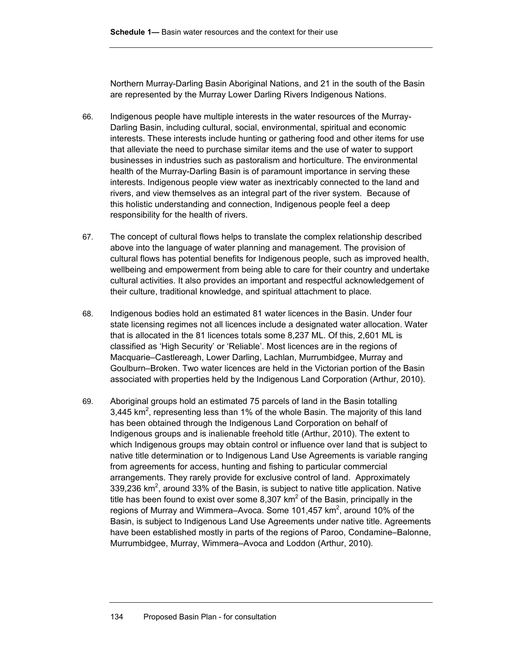Northern Murray-Darling Basin Aboriginal Nations, and 21 in the south of the Basin are represented by the Murray Lower Darling Rivers Indigenous Nations.

- 66. Indigenous people have multiple interests in the water resources of the Murray-Darling Basin, including cultural, social, environmental, spiritual and economic interests. These interests include hunting or gathering food and other items for use that alleviate the need to purchase similar items and the use of water to support businesses in industries such as pastoralism and horticulture. The environmental health of the Murray-Darling Basin is of paramount importance in serving these interests. Indigenous people view water as inextricably connected to the land and rivers, and view themselves as an integral part of the river system. Because of this holistic understanding and connection, Indigenous people feel a deep responsibility for the health of rivers.
- 67. The concept of cultural flows helps to translate the complex relationship described above into the language of water planning and management. The provision of cultural flows has potential benefits for Indigenous people, such as improved health, wellbeing and empowerment from being able to care for their country and undertake cultural activities. It also provides an important and respectful acknowledgement of their culture, traditional knowledge, and spiritual attachment to place.
- 68. Indigenous bodies hold an estimated 81 water licences in the Basin. Under four state licensing regimes not all licences include a designated water allocation. Water that is allocated in the 81 licences totals some 8,237 ML. Of this, 2,601 ML is classified as 'High Security' or 'Reliable'. Most licences are in the regions of Macquarie–Castlereagh, Lower Darling, Lachlan, Murrumbidgee, Murray and Goulburn–Broken. Two water licences are held in the Victorian portion of the Basin associated with properties held by the Indigenous Land Corporation (Arthur, 2010).
- 69. Aboriginal groups hold an estimated 75 parcels of land in the Basin totalling 3,445 km<sup>2</sup>, representing less than 1% of the whole Basin. The majority of this land has been obtained through the Indigenous Land Corporation on behalf of Indigenous groups and is inalienable freehold title (Arthur, 2010). The extent to which Indigenous groups may obtain control or influence over land that is subject to native title determination or to Indigenous Land Use Agreements is variable ranging from agreements for access, hunting and fishing to particular commercial arrangements. They rarely provide for exclusive control of land. Approximately 339,236  $km^2$ , around 33% of the Basin, is subject to native title application. Native title has been found to exist over some 8,307 km<sup>2</sup> of the Basin, principally in the regions of Murray and Wimmera–Avoca. Some 101,457  $km^2$ , around 10% of the Basin, is subject to Indigenous Land Use Agreements under native title. Agreements have been established mostly in parts of the regions of Paroo, Condamine–Balonne, Murrumbidgee, Murray, Wimmera–Avoca and Loddon (Arthur, 2010).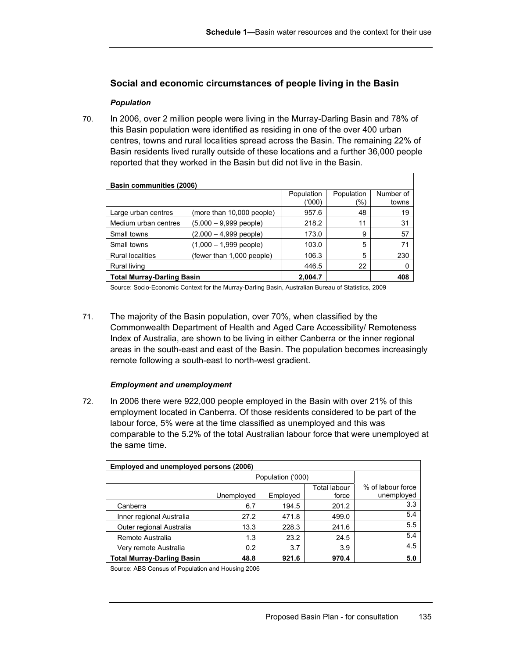# **Social and economic circumstances of people living in the Basin**

# *Population*

70. In 2006, over 2 million people were living in the Murray-Darling Basin and 78% of this Basin population were identified as residing in one of the over 400 urban centres, towns and rural localities spread across the Basin. The remaining 22% of Basin residents lived rurally outside of these locations and a further 36,000 people reported that they worked in the Basin but did not live in the Basin.

| Basin communities (2006)          |                           |                      |            |                    |  |
|-----------------------------------|---------------------------|----------------------|------------|--------------------|--|
|                                   |                           | Population<br>('000) | Population | Number of<br>towns |  |
|                                   |                           |                      | (%)        |                    |  |
| Large urban centres               | (more than 10,000 people) | 957.6                | 48         | 19                 |  |
| Medium urban centres              | $(5,000 - 9,999$ people)  | 218.2                | 11         | 31                 |  |
| Small towns                       | $(2,000 - 4,999$ people)  | 173.0                | 9          | 57                 |  |
| Small towns                       | $(1,000 - 1,999$ people)  | 103.0                | 5          | 71                 |  |
| <b>Rural localities</b>           | (fewer than 1,000 people) | 106.3                | 5          | 230                |  |
| Rural living                      |                           | 446.5                | 22         | 0                  |  |
| <b>Total Murray-Darling Basin</b> |                           | 2,004.7              |            | 408                |  |

Source: Socio-Economic Context for the Murray-Darling Basin, Australian Bureau of Statistics, 2009

71. The majority of the Basin population, over 70%, when classified by the Commonwealth Department of Health and Aged Care Accessibility/ Remoteness Index of Australia, are shown to be living in either Canberra or the inner regional areas in the south-east and east of the Basin. The population becomes increasingly remote following a south-east to north-west gradient.

### *Employment and unemplo***y***ment*

72. In 2006 there were 922,000 people employed in the Basin with over 21% of this employment located in Canberra. Of those residents considered to be part of the labour force, 5% were at the time classified as unemployed and this was comparable to the 5.2% of the total Australian labour force that were unemployed at the same time.

| Employed and unemployed persons (2006) |            |                   |                              |                                 |  |
|----------------------------------------|------------|-------------------|------------------------------|---------------------------------|--|
|                                        |            | Population ('000) |                              |                                 |  |
|                                        | Unemployed | Employed          | <b>Total labour</b><br>force | % of labour force<br>unemployed |  |
| Canberra                               | 6.7        | 194.5             | 201.2                        | 3.3                             |  |
| Inner regional Australia               | 27.2       | 471.8             | 499.0                        | 5.4                             |  |
| Outer regional Australia               | 13.3       | 228.3             | 241.6                        | 5.5                             |  |
| Remote Australia                       | 1.3        | 23.2              | 24.5                         | 5.4                             |  |
| Very remote Australia                  | 0.2        | 3.7               | 3.9                          | 4.5                             |  |
| <b>Total Murray-Darling Basin</b>      | 48.8       | 921.6             | 970.4                        | 5.0                             |  |

Source: ABS Census of Population and Housing 2006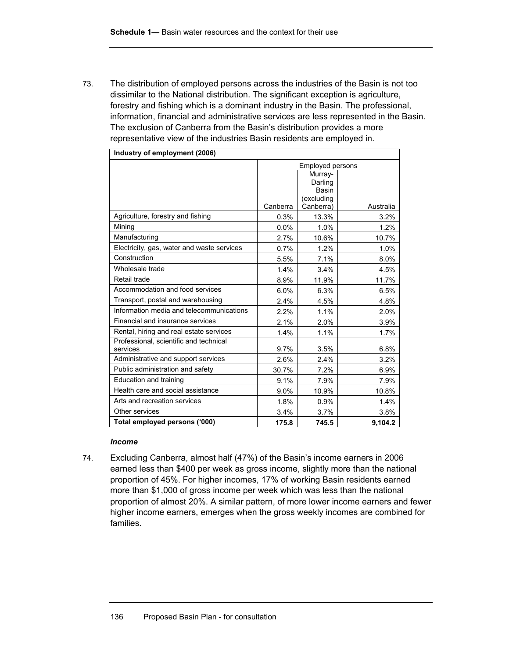73. The distribution of employed persons across the industries of the Basin is not too dissimilar to the National distribution. The significant exception is agriculture, forestry and fishing which is a dominant industry in the Basin. The professional, information, financial and administrative services are less represented in the Basin. The exclusion of Canberra from the Basin's distribution provides a more representative view of the industries Basin residents are employed in.

| Industry of employment (2006)                      |                         |                                                        |           |  |
|----------------------------------------------------|-------------------------|--------------------------------------------------------|-----------|--|
|                                                    | <b>Employed persons</b> |                                                        |           |  |
|                                                    | Canberra                | Murray-<br>Darling<br>Basin<br>(excluding<br>Canberra) | Australia |  |
| Agriculture, forestry and fishing                  | 0.3%                    | 13.3%                                                  | 3.2%      |  |
| Mining                                             | $0.0\%$                 | 1.0%                                                   | 1.2%      |  |
| Manufacturing                                      | 2.7%                    | 10.6%                                                  | 10.7%     |  |
| Electricity, gas, water and waste services         | 0.7%                    | 1.2%                                                   | 1.0%      |  |
| Construction                                       | 5.5%                    | 7.1%                                                   | 8.0%      |  |
| Wholesale trade                                    | 1.4%                    | 3.4%                                                   | 4.5%      |  |
| Retail trade                                       | 8.9%                    | 11.9%                                                  | 11.7%     |  |
| Accommodation and food services                    | 6.0%                    | 6.3%                                                   | 6.5%      |  |
| Transport, postal and warehousing                  | 2.4%                    | 4.5%                                                   | 4.8%      |  |
| Information media and telecommunications           | 2.2%                    | 1.1%                                                   | 2.0%      |  |
| Financial and insurance services                   | 2.1%                    | 2.0%                                                   | 3.9%      |  |
| Rental, hiring and real estate services            | 1.4%                    | 1.1%                                                   | 1.7%      |  |
| Professional, scientific and technical<br>services | $9.7\%$                 | 3.5%                                                   | 6.8%      |  |
| Administrative and support services                | 2.6%                    | 2.4%                                                   | 3.2%      |  |
| Public administration and safety                   | 30.7%                   | 7.2%                                                   | 6.9%      |  |
| Education and training                             | 9.1%                    | 7.9%                                                   | 7.9%      |  |
| Health care and social assistance                  | 9.0%                    | 10.9%                                                  | 10.8%     |  |
| Arts and recreation services                       | 1.8%                    | 0.9%                                                   | 1.4%      |  |
| Other services                                     | 3.4%                    | 3.7%                                                   | 3.8%      |  |
| Total employed persons ('000)                      | 175.8                   | 745.5                                                  | 9.104.2   |  |

### *Income*

74. Excluding Canberra, almost half (47%) of the Basin's income earners in 2006 earned less than \$400 per week as gross income, slightly more than the national proportion of 45%. For higher incomes, 17% of working Basin residents earned more than \$1,000 of gross income per week which was less than the national proportion of almost 20%. A similar pattern, of more lower income earners and fewer higher income earners, emerges when the gross weekly incomes are combined for families.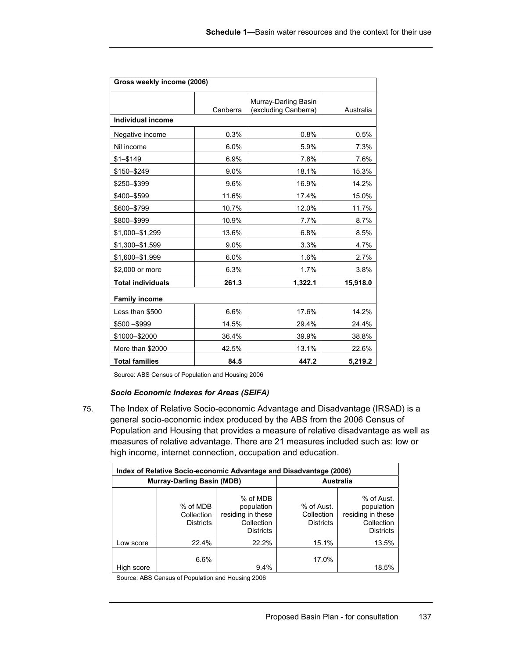| Gross weekly income (2006) |          |                                              |           |  |  |  |
|----------------------------|----------|----------------------------------------------|-----------|--|--|--|
|                            | Canberra | Murray-Darling Basin<br>(excluding Canberra) | Australia |  |  |  |
| <b>Individual income</b>   |          |                                              |           |  |  |  |
| Negative income            | 0.3%     | 0.8%                                         | 0.5%      |  |  |  |
| Nil income                 | 6.0%     | 5.9%                                         | 7.3%      |  |  |  |
| $$1 - $149$                | 6.9%     | 7.8%                                         | 7.6%      |  |  |  |
| \$150-\$249                | 9.0%     | 18.1%                                        | 15.3%     |  |  |  |
| \$250-\$399                | 9.6%     | 16.9%                                        | 14.2%     |  |  |  |
| \$400-\$599                | 11.6%    | 17.4%                                        | 15.0%     |  |  |  |
| \$600-\$799                | 10.7%    | 12.0%                                        | 11.7%     |  |  |  |
| \$800-\$999                | 10.9%    | 7.7%                                         | 8.7%      |  |  |  |
| \$1,000-\$1,299            | 13.6%    | 6.8%                                         | 8.5%      |  |  |  |
| \$1,300-\$1,599            | 9.0%     | 3.3%                                         | 4.7%      |  |  |  |
| \$1,600-\$1,999            | 6.0%     | 1.6%                                         | 2.7%      |  |  |  |
| \$2,000 or more            | 6.3%     | 1.7%                                         | 3.8%      |  |  |  |
| <b>Total individuals</b>   | 261.3    | 1,322.1                                      | 15,918.0  |  |  |  |
| <b>Family income</b>       |          |                                              |           |  |  |  |
| Less than \$500            | 6.6%     | 17.6%                                        | 14.2%     |  |  |  |
| $$500 - $999$              | 14.5%    | 29.4%                                        | 24.4%     |  |  |  |
| \$1000-\$2000              | 36.4%    | 39.9%                                        | 38.8%     |  |  |  |
| More than \$2000           | 42.5%    | 13.1%                                        | 22.6%     |  |  |  |
| <b>Total families</b>      | 84.5     | 447.2                                        | 5,219.2   |  |  |  |

Source: ABS Census of Population and Housing 2006

# *Socio Economic Indexes for Areas (SEIFA)*

75. The Index of Relative Socio-economic Advantage and Disadvantage (IRSAD) is a general socio-economic index produced by the ABS from the 2006 Census of Population and Housing that provides a measure of relative disadvantage as well as measures of relative advantage. There are 21 measures included such as: low or high income, internet connection, occupation and education.

| Index of Relative Socio-economic Advantage and Disadvantage (2006) |                                            |                                                                               |                                              |                                                                                 |  |
|--------------------------------------------------------------------|--------------------------------------------|-------------------------------------------------------------------------------|----------------------------------------------|---------------------------------------------------------------------------------|--|
|                                                                    | <b>Murray-Darling Basin (MDB)</b>          | <b>Australia</b>                                                              |                                              |                                                                                 |  |
|                                                                    | % of MDB<br>Collection<br><b>Districts</b> | % of MDB<br>population<br>residing in these<br>Collection<br><b>Districts</b> | % of Aust.<br>Collection<br><b>Districts</b> | % of Aust.<br>population<br>residing in these<br>Collection<br><b>Districts</b> |  |
| Low score                                                          | 22.4%                                      | 22.2%                                                                         | 15.1%                                        | 13.5%                                                                           |  |
| High score                                                         | 6.6%                                       | 9.4%                                                                          | 17.0%                                        | 18.5%                                                                           |  |

Source: ABS Census of Population and Housing 2006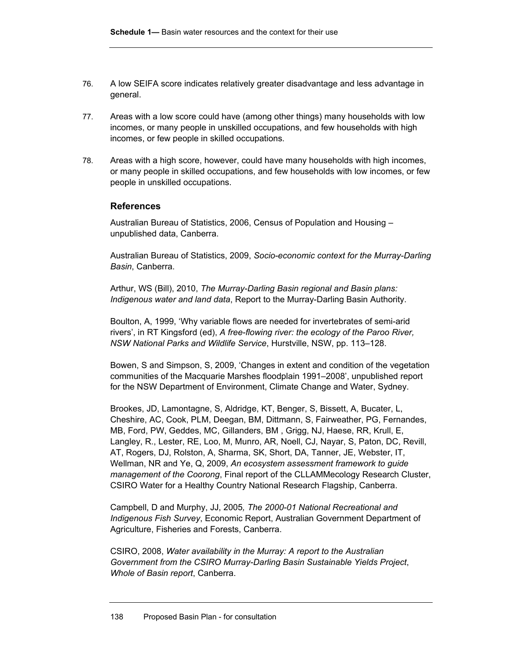- 76. A low SEIFA score indicates relatively greater disadvantage and less advantage in general.
- 77. Areas with a low score could have (among other things) many households with low incomes, or many people in unskilled occupations, and few households with high incomes, or few people in skilled occupations.
- 78. Areas with a high score, however, could have many households with high incomes, or many people in skilled occupations, and few households with low incomes, or few people in unskilled occupations.

# **References**

Australian Bureau of Statistics, 2006, Census of Population and Housing – unpublished data, Canberra.

Australian Bureau of Statistics, 2009, *Socio-economic context for the Murray-Darling Basin*, Canberra.

Arthur, WS (Bill), 2010, *The Murray-Darling Basin regional and Basin plans: Indigenous water and land data*, Report to the Murray-Darling Basin Authority.

Boulton, A, 1999, 'Why variable flows are needed for invertebrates of semi-arid rivers', in RT Kingsford (ed), *A free-flowing river: the ecology of the Paroo River, NSW National Parks and Wildlife Service*, Hurstville, NSW, pp. 113–128.

Bowen, S and Simpson, S, 2009, 'Changes in extent and condition of the vegetation communities of the Macquarie Marshes floodplain 1991–2008', unpublished report for the NSW Department of Environment, Climate Change and Water, Sydney.

Brookes, JD, Lamontagne, S, Aldridge, KT, Benger, S, Bissett, A, Bucater, L, Cheshire, AC, Cook, PLM, Deegan, BM, Dittmann, S, Fairweather, PG, Fernandes, MB, Ford, PW, Geddes, MC, Gillanders, BM , Grigg, NJ, Haese, RR, Krull, E, Langley, R., Lester, RE, Loo, M, Munro, AR, Noell, CJ, Nayar, S, Paton, DC, Revill, AT, Rogers, DJ, Rolston, A, Sharma, SK, Short, DA, Tanner, JE, Webster, IT, Wellman, NR and Ye, Q, 2009, *An ecosystem assessment framework to guide management of the Coorong*, Final report of the CLLAMMecology Research Cluster, CSIRO Water for a Healthy Country National Research Flagship, Canberra.

Campbell, D and Murphy, JJ, 2005*, The 2000-01 National Recreational and Indigenous Fish Survey*, Economic Report, Australian Government Department of Agriculture, Fisheries and Forests, Canberra.

CSIRO, 2008, *Water availability in the Murray: A report to the Australian Government from the CSIRO Murray-Darling Basin Sustainable Yields Project*, *Whole of Basin report*, Canberra.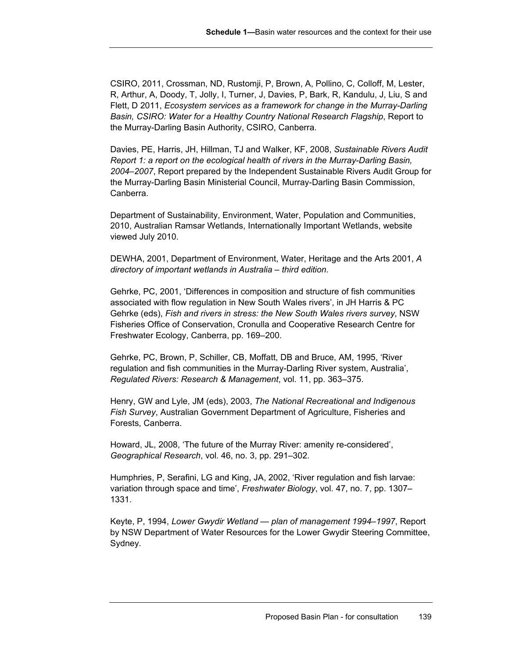CSIRO, 2011, Crossman, ND, Rustomji, P, Brown, A, Pollino, C, Colloff, M, Lester, R, Arthur, A, Doody, T, Jolly, I, Turner, J, Davies, P, Bark, R, Kandulu, J, Liu, S and Flett, D 2011, *Ecosystem services as a framework for change in the Murray-Darling Basin, CSIRO: Water for a Healthy Country National Research Flagship*, Report to the Murray-Darling Basin Authority, CSIRO, Canberra.

Davies, PE, Harris, JH, Hillman, TJ and Walker, KF, 2008, *Sustainable Rivers Audit Report 1: a report on the ecological health of rivers in the Murray-Darling Basin, 2004–2007*, Report prepared by the Independent Sustainable Rivers Audit Group for the Murray-Darling Basin Ministerial Council, Murray-Darling Basin Commission, Canberra.

Department of Sustainability, Environment, Water, Population and Communities, 2010, Australian Ramsar Wetlands, Internationally Important Wetlands, website viewed July 2010.

DEWHA, 2001, Department of Environment, Water, Heritage and the Arts 2001, *A directory of important wetlands in Australia – third edition.*

Gehrke, PC, 2001, 'Differences in composition and structure of fish communities associated with flow regulation in New South Wales rivers', in JH Harris & PC Gehrke (eds), *Fish and rivers in stress: the New South Wales rivers survey*, NSW Fisheries Office of Conservation, Cronulla and Cooperative Research Centre for Freshwater Ecology, Canberra, pp. 169–200.

Gehrke, PC, Brown, P, Schiller, CB, Moffatt, DB and Bruce, AM, 1995, 'River regulation and fish communities in the Murray-Darling River system, Australia', *Regulated Rivers: Research & Management*, vol. 11, pp. 363–375.

Henry, GW and Lyle, JM (eds), 2003, *The National Recreational and Indigenous Fish Survey*, Australian Government Department of Agriculture, Fisheries and Forests, Canberra.

Howard, JL, 2008, 'The future of the Murray River: amenity re-considered', *Geographical Research*, vol. 46, no. 3, pp. 291–302.

Humphries, P, Serafini, LG and King, JA, 2002, 'River regulation and fish larvae: variation through space and time', *Freshwater Biology*, vol. 47, no. 7, pp. 1307– 1331.

Keyte, P, 1994, *Lower Gwydir Wetland — plan of management 1994–1997*, Report by NSW Department of Water Resources for the Lower Gwydir Steering Committee, Sydney.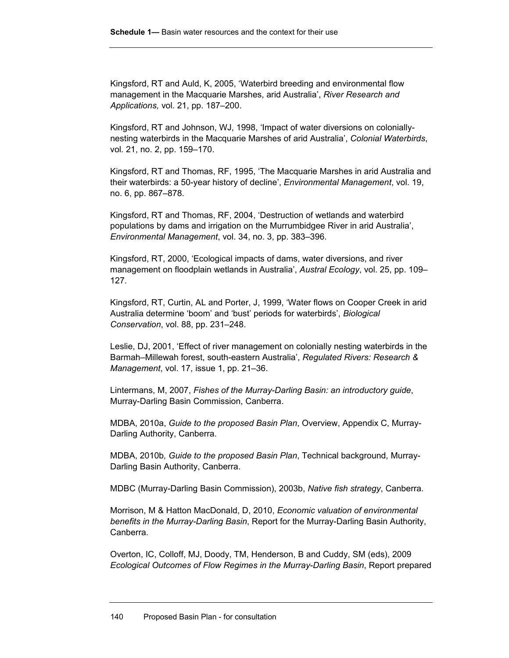Kingsford, RT and Auld, K, 2005, 'Waterbird breeding and environmental flow management in the Macquarie Marshes, arid Australia', *River Research and Applications,* vol. 21, pp. 187–200.

Kingsford, RT and Johnson, WJ, 1998, 'Impact of water diversions on coloniallynesting waterbirds in the Macquarie Marshes of arid Australia', *Colonial Waterbirds*, vol. 21, no. 2, pp. 159–170.

Kingsford, RT and Thomas, RF, 1995, 'The Macquarie Marshes in arid Australia and their waterbirds: a 50-year history of decline', *Environmental Management*, vol. 19, no. 6, pp. 867–878.

Kingsford, RT and Thomas, RF, 2004, 'Destruction of wetlands and waterbird populations by dams and irrigation on the Murrumbidgee River in arid Australia', *Environmental Management*, vol. 34, no. 3, pp. 383–396.

Kingsford, RT, 2000, 'Ecological impacts of dams, water diversions, and river management on floodplain wetlands in Australia', *Austral Ecology*, vol. 25, pp. 109– 127.

Kingsford, RT, Curtin, AL and Porter, J, 1999, 'Water flows on Cooper Creek in arid Australia determine 'boom' and 'bust' periods for waterbirds', *Biological Conservation*, vol. 88, pp. 231–248.

Leslie, DJ, 2001, 'Effect of river management on colonially nesting waterbirds in the Barmah–Millewah forest, south-eastern Australia', *Regulated Rivers: Research & Management*, vol. 17, issue 1, pp. 21–36.

Lintermans, M, 2007, *Fishes of the Murray-Darling Basin: an introductory guide*, Murray-Darling Basin Commission, Canberra.

MDBA, 2010a, *Guide to the proposed Basin Plan*, Overview, Appendix C, Murray-Darling Authority, Canberra.

MDBA, 2010b*, Guide to the proposed Basin Plan*, Technical background*,* Murray-Darling Basin Authority, Canberra.

MDBC (Murray-Darling Basin Commission), 2003b, *Native fish strategy*, Canberra.

Morrison, M & Hatton MacDonald, D, 2010, *Economic valuation of environmental benefits in the Murray-Darling Basin*, Report for the Murray-Darling Basin Authority, Canberra.

Overton, IC, Colloff, MJ, Doody, TM, Henderson, B and Cuddy, SM (eds), 2009 *Ecological Outcomes of Flow Regimes in the Murray-Darling Basin*, Report prepared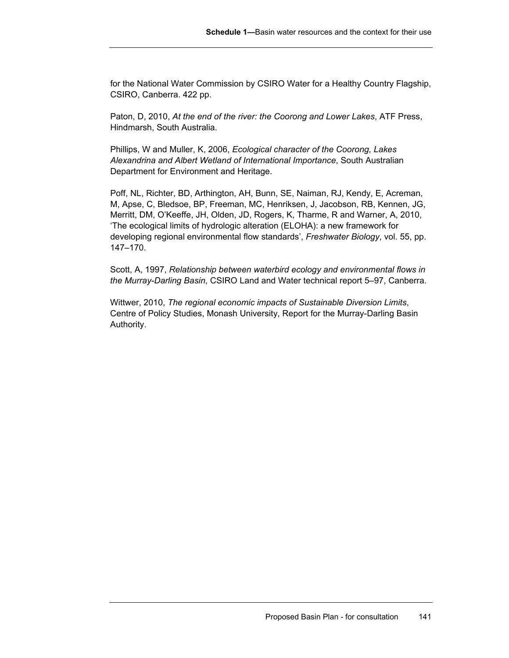for the National Water Commission by CSIRO Water for a Healthy Country Flagship, CSIRO, Canberra. 422 pp.

Paton, D, 2010, *At the end of the river: the Coorong and Lower Lakes*, ATF Press, Hindmarsh, South Australia.

Phillips, W and Muller, K, 2006, *Ecological character of the Coorong, Lakes Alexandrina and Albert Wetland of International Importance*, South Australian Department for Environment and Heritage.

Poff, NL, Richter, BD, Arthington, AH, Bunn, SE, Naiman, RJ, Kendy, E, Acreman, M, Apse, C, Bledsoe, BP, Freeman, MC, Henriksen, J, Jacobson, RB, Kennen, JG, Merritt, DM, O'Keeffe, JH, Olden, JD, Rogers, K, Tharme, R and Warner, A, 2010, 'The ecological limits of hydrologic alteration (ELOHA): a new framework for developing regional environmental flow standards', *Freshwater Biology*, vol. 55, pp. 147–170.

Scott, A, 1997, *Relationship between waterbird ecology and environmental flows in the Murray-Darling Basin*, CSIRO Land and Water technical report 5–97, Canberra.

Wittwer, 2010, *The regional economic impacts of Sustainable Diversion Limits*, Centre of Policy Studies, Monash University, Report for the Murray-Darling Basin Authority.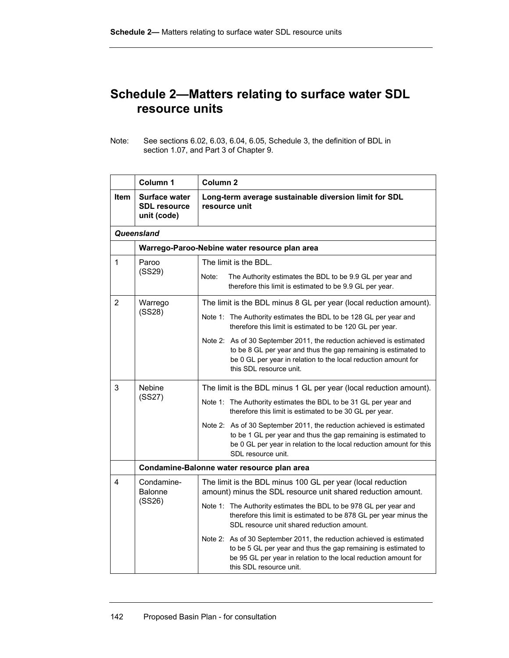# **Schedule 2—Matters relating to surface water SDL resource units**

Note: See sections 6.02, 6.03, 6.04, 6.05, Schedule 3, the definition of BDL in section 1.07, and Part 3 of Chapter 9.

|                | Column 1                                                                                                                                                                             | Column <sub>2</sub>                                                                                                                                                                                                                    |  |  |
|----------------|--------------------------------------------------------------------------------------------------------------------------------------------------------------------------------------|----------------------------------------------------------------------------------------------------------------------------------------------------------------------------------------------------------------------------------------|--|--|
| <b>Item</b>    | Surface water<br><b>SDL resource</b><br>unit (code)                                                                                                                                  | Long-term average sustainable diversion limit for SDL<br>resource unit                                                                                                                                                                 |  |  |
|                | Queensland                                                                                                                                                                           |                                                                                                                                                                                                                                        |  |  |
|                |                                                                                                                                                                                      | Warrego-Paroo-Nebine water resource plan area                                                                                                                                                                                          |  |  |
| $\mathbf{1}$   | Paroo                                                                                                                                                                                | The limit is the BDL.                                                                                                                                                                                                                  |  |  |
|                | (SS29)                                                                                                                                                                               | Note:<br>The Authority estimates the BDL to be 9.9 GL per year and<br>therefore this limit is estimated to be 9.9 GL per year.                                                                                                         |  |  |
| $\overline{2}$ | Warrego                                                                                                                                                                              | The limit is the BDL minus 8 GL per year (local reduction amount).                                                                                                                                                                     |  |  |
|                | (SS28)                                                                                                                                                                               | Note 1: The Authority estimates the BDL to be 128 GL per year and<br>therefore this limit is estimated to be 120 GL per year.                                                                                                          |  |  |
|                |                                                                                                                                                                                      | Note 2: As of 30 September 2011, the reduction achieved is estimated<br>to be 8 GL per year and thus the gap remaining is estimated to<br>be 0 GL per year in relation to the local reduction amount for<br>this SDL resource unit.    |  |  |
| 3              | Nebine                                                                                                                                                                               | The limit is the BDL minus 1 GL per year (local reduction amount).                                                                                                                                                                     |  |  |
|                | (SS27)                                                                                                                                                                               | Note 1: The Authority estimates the BDL to be 31 GL per year and<br>therefore this limit is estimated to be 30 GL per year.                                                                                                            |  |  |
|                |                                                                                                                                                                                      | As of 30 September 2011, the reduction achieved is estimated<br>Note 2:<br>to be 1 GL per year and thus the gap remaining is estimated to<br>be 0 GL per year in relation to the local reduction amount for this<br>SDL resource unit. |  |  |
|                |                                                                                                                                                                                      | Condamine-Balonne water resource plan area                                                                                                                                                                                             |  |  |
| 4              | Condamine-<br><b>Balonne</b>                                                                                                                                                         | The limit is the BDL minus 100 GL per year (local reduction<br>amount) minus the SDL resource unit shared reduction amount.                                                                                                            |  |  |
| (SS26)         | Note 1: The Authority estimates the BDL to be 978 GL per year and<br>therefore this limit is estimated to be 878 GL per year minus the<br>SDL resource unit shared reduction amount. |                                                                                                                                                                                                                                        |  |  |
|                |                                                                                                                                                                                      | Note 2: As of 30 September 2011, the reduction achieved is estimated<br>to be 5 GL per year and thus the gap remaining is estimated to<br>be 95 GL per year in relation to the local reduction amount for<br>this SDL resource unit.   |  |  |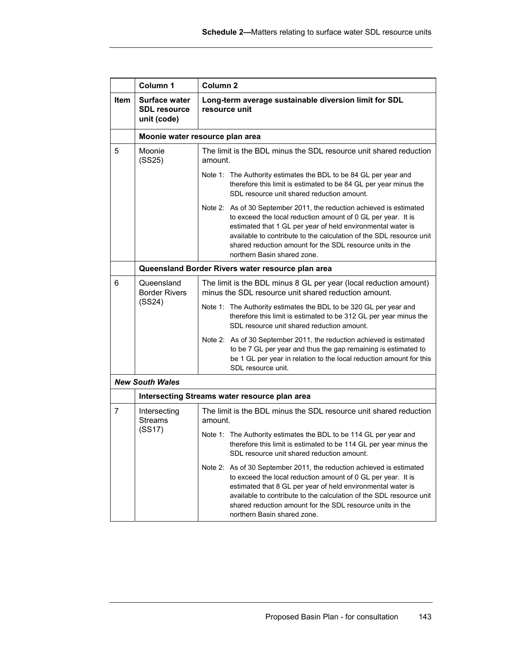|             | Column 1                                                   | Column <sub>2</sub>                                                                                                                                                                                                                                                                                                                                                    |  |  |  |
|-------------|------------------------------------------------------------|------------------------------------------------------------------------------------------------------------------------------------------------------------------------------------------------------------------------------------------------------------------------------------------------------------------------------------------------------------------------|--|--|--|
| <b>Item</b> | <b>Surface water</b><br><b>SDL</b> resource<br>unit (code) | Long-term average sustainable diversion limit for SDL<br>resource unit                                                                                                                                                                                                                                                                                                 |  |  |  |
|             |                                                            | Moonie water resource plan area                                                                                                                                                                                                                                                                                                                                        |  |  |  |
| 5           | Moonie<br>(SS25)                                           | The limit is the BDL minus the SDL resource unit shared reduction<br>amount.                                                                                                                                                                                                                                                                                           |  |  |  |
|             |                                                            | Note 1: The Authority estimates the BDL to be 84 GL per year and<br>therefore this limit is estimated to be 84 GL per year minus the<br>SDL resource unit shared reduction amount.                                                                                                                                                                                     |  |  |  |
|             |                                                            | Note 2: As of 30 September 2011, the reduction achieved is estimated<br>to exceed the local reduction amount of 0 GL per year. It is<br>estimated that 1 GL per year of held environmental water is<br>available to contribute to the calculation of the SDL resource unit<br>shared reduction amount for the SDL resource units in the<br>northern Basin shared zone. |  |  |  |
|             |                                                            | Queensland Border Rivers water resource plan area                                                                                                                                                                                                                                                                                                                      |  |  |  |
| 6           | Queensland<br><b>Border Rivers</b>                         | The limit is the BDL minus 8 GL per year (local reduction amount)<br>minus the SDL resource unit shared reduction amount.                                                                                                                                                                                                                                              |  |  |  |
|             | (SS24)                                                     | Note 1: The Authority estimates the BDL to be 320 GL per year and<br>therefore this limit is estimated to be 312 GL per year minus the<br>SDL resource unit shared reduction amount.                                                                                                                                                                                   |  |  |  |
|             |                                                            | Note 2: As of 30 September 2011, the reduction achieved is estimated<br>to be 7 GL per year and thus the gap remaining is estimated to<br>be 1 GL per year in relation to the local reduction amount for this<br>SDL resource unit.                                                                                                                                    |  |  |  |
|             | <b>New South Wales</b>                                     |                                                                                                                                                                                                                                                                                                                                                                        |  |  |  |
|             |                                                            | Intersecting Streams water resource plan area                                                                                                                                                                                                                                                                                                                          |  |  |  |
| 7           | Intersecting<br><b>Streams</b>                             | The limit is the BDL minus the SDL resource unit shared reduction<br>amount.                                                                                                                                                                                                                                                                                           |  |  |  |
|             | (SS17)                                                     | Note 1: The Authority estimates the BDL to be 114 GL per year and<br>therefore this limit is estimated to be 114 GL per year minus the<br>SDL resource unit shared reduction amount.                                                                                                                                                                                   |  |  |  |
|             |                                                            | Note 2: As of 30 September 2011, the reduction achieved is estimated<br>to exceed the local reduction amount of 0 GL per year. It is<br>estimated that 8 GL per year of held environmental water is<br>available to contribute to the calculation of the SDL resource unit<br>shared reduction amount for the SDL resource units in the<br>northern Basin shared zone. |  |  |  |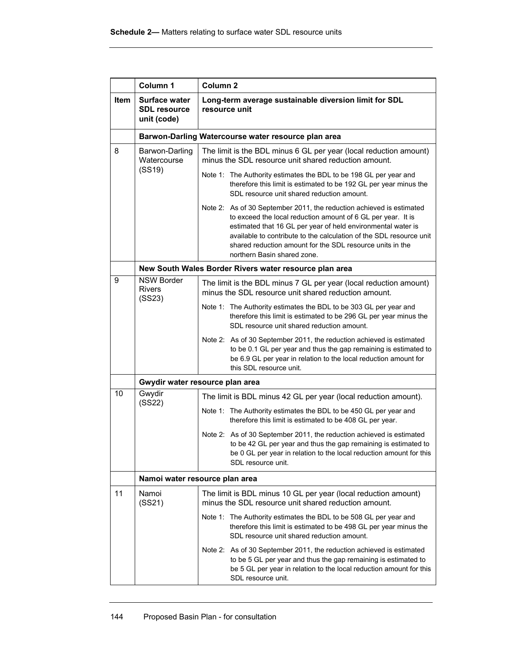|             | Column 1                                                   | Column <sub>2</sub>                                                                                                                                                                                                                                                                                                                                                     |  |  |
|-------------|------------------------------------------------------------|-------------------------------------------------------------------------------------------------------------------------------------------------------------------------------------------------------------------------------------------------------------------------------------------------------------------------------------------------------------------------|--|--|
| <b>Item</b> | <b>Surface water</b><br><b>SDL resource</b><br>unit (code) | Long-term average sustainable diversion limit for SDL<br>resource unit                                                                                                                                                                                                                                                                                                  |  |  |
|             |                                                            | Barwon-Darling Watercourse water resource plan area                                                                                                                                                                                                                                                                                                                     |  |  |
| 8           | Barwon-Darling<br>Watercourse                              | The limit is the BDL minus 6 GL per year (local reduction amount)<br>minus the SDL resource unit shared reduction amount.                                                                                                                                                                                                                                               |  |  |
|             | (SS19)                                                     | Note 1: The Authority estimates the BDL to be 198 GL per year and<br>therefore this limit is estimated to be 192 GL per year minus the<br>SDL resource unit shared reduction amount.                                                                                                                                                                                    |  |  |
|             |                                                            | Note 2: As of 30 September 2011, the reduction achieved is estimated<br>to exceed the local reduction amount of 6 GL per year. It is<br>estimated that 16 GL per year of held environmental water is<br>available to contribute to the calculation of the SDL resource unit<br>shared reduction amount for the SDL resource units in the<br>northern Basin shared zone. |  |  |
|             |                                                            | New South Wales Border Rivers water resource plan area                                                                                                                                                                                                                                                                                                                  |  |  |
| 9           | <b>NSW Border</b><br><b>Rivers</b><br>(SS23)               | The limit is the BDL minus 7 GL per year (local reduction amount)<br>minus the SDL resource unit shared reduction amount.                                                                                                                                                                                                                                               |  |  |
|             |                                                            | Note 1: The Authority estimates the BDL to be 303 GL per year and<br>therefore this limit is estimated to be 296 GL per year minus the<br>SDL resource unit shared reduction amount.                                                                                                                                                                                    |  |  |
|             |                                                            | Note 2: As of 30 September 2011, the reduction achieved is estimated<br>to be 0.1 GL per year and thus the gap remaining is estimated to<br>be 6.9 GL per year in relation to the local reduction amount for<br>this SDL resource unit.                                                                                                                                 |  |  |
|             |                                                            | Gwydir water resource plan area                                                                                                                                                                                                                                                                                                                                         |  |  |
| 10          | Gwydir<br>(SS22)                                           | The limit is BDL minus 42 GL per year (local reduction amount).                                                                                                                                                                                                                                                                                                         |  |  |
|             |                                                            | Note 1: The Authority estimates the BDL to be 450 GL per year and<br>therefore this limit is estimated to be 408 GL per year.                                                                                                                                                                                                                                           |  |  |
|             |                                                            | Note 2: As of 30 September 2011, the reduction achieved is estimated<br>to be 42 GL per year and thus the gap remaining is estimated to<br>be 0 GL per year in relation to the local reduction amount for this<br>SDL resource unit.                                                                                                                                    |  |  |
|             |                                                            | Namoi water resource plan area                                                                                                                                                                                                                                                                                                                                          |  |  |
| 11          | Namoi<br>(SS21)                                            | The limit is BDL minus 10 GL per year (local reduction amount)<br>minus the SDL resource unit shared reduction amount.                                                                                                                                                                                                                                                  |  |  |
|             |                                                            | Note 1: The Authority estimates the BDL to be 508 GL per year and<br>therefore this limit is estimated to be 498 GL per year minus the<br>SDL resource unit shared reduction amount.                                                                                                                                                                                    |  |  |
|             |                                                            | Note 2: As of 30 September 2011, the reduction achieved is estimated<br>to be 5 GL per year and thus the gap remaining is estimated to<br>be 5 GL per year in relation to the local reduction amount for this<br>SDL resource unit.                                                                                                                                     |  |  |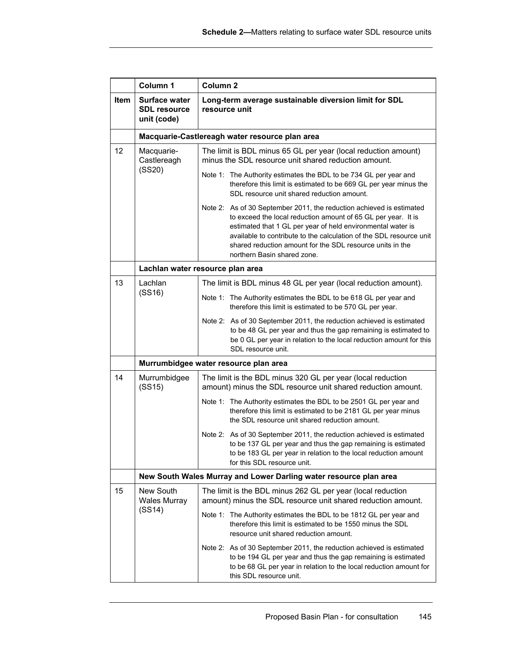|             | Column 1                                                          | Column <sub>2</sub>                                                                                                                                                                                                                                                                                                                                                     |  |  |
|-------------|-------------------------------------------------------------------|-------------------------------------------------------------------------------------------------------------------------------------------------------------------------------------------------------------------------------------------------------------------------------------------------------------------------------------------------------------------------|--|--|
| <b>Item</b> | <b>Surface water</b><br><b>SDL resource</b><br>unit (code)        | Long-term average sustainable diversion limit for SDL<br>resource unit                                                                                                                                                                                                                                                                                                  |  |  |
|             |                                                                   | Macquarie-Castlereagh water resource plan area                                                                                                                                                                                                                                                                                                                          |  |  |
| 12          | Macquarie-<br>Castlereagh                                         | The limit is BDL minus 65 GL per year (local reduction amount)<br>minus the SDL resource unit shared reduction amount.                                                                                                                                                                                                                                                  |  |  |
|             | (SS20)                                                            | Note 1: The Authority estimates the BDL to be 734 GL per year and<br>therefore this limit is estimated to be 669 GL per year minus the<br>SDL resource unit shared reduction amount.                                                                                                                                                                                    |  |  |
|             |                                                                   | Note 2: As of 30 September 2011, the reduction achieved is estimated<br>to exceed the local reduction amount of 65 GL per year. It is<br>estimated that 1 GL per year of held environmental water is<br>available to contribute to the calculation of the SDL resource unit<br>shared reduction amount for the SDL resource units in the<br>northern Basin shared zone. |  |  |
|             |                                                                   | Lachlan water resource plan area                                                                                                                                                                                                                                                                                                                                        |  |  |
| 13          | Lachlan                                                           | The limit is BDL minus 48 GL per year (local reduction amount).                                                                                                                                                                                                                                                                                                         |  |  |
|             | (SS16)                                                            | Note 1: The Authority estimates the BDL to be 618 GL per year and<br>therefore this limit is estimated to be 570 GL per year.                                                                                                                                                                                                                                           |  |  |
|             |                                                                   | Note 2: As of 30 September 2011, the reduction achieved is estimated<br>to be 48 GL per year and thus the gap remaining is estimated to<br>be 0 GL per year in relation to the local reduction amount for this<br>SDL resource unit.                                                                                                                                    |  |  |
|             |                                                                   | Murrumbidgee water resource plan area                                                                                                                                                                                                                                                                                                                                   |  |  |
| 14          | Murrumbidgee<br>(SS15)                                            | The limit is the BDL minus 320 GL per year (local reduction<br>amount) minus the SDL resource unit shared reduction amount.                                                                                                                                                                                                                                             |  |  |
|             |                                                                   | Note 1: The Authority estimates the BDL to be 2501 GL per year and<br>therefore this limit is estimated to be 2181 GL per year minus<br>the SDL resource unit shared reduction amount.                                                                                                                                                                                  |  |  |
|             |                                                                   | Note 2: As of 30 September 2011, the reduction achieved is estimated<br>to be 137 GL per year and thus the gap remaining is estimated<br>to be 183 GL per year in relation to the local reduction amount<br>for this SDL resource unit.                                                                                                                                 |  |  |
|             | New South Wales Murray and Lower Darling water resource plan area |                                                                                                                                                                                                                                                                                                                                                                         |  |  |
| 15          | New South<br><b>Wales Murray</b>                                  | The limit is the BDL minus 262 GL per year (local reduction<br>amount) minus the SDL resource unit shared reduction amount.                                                                                                                                                                                                                                             |  |  |
|             | (SS14)                                                            | Note 1: The Authority estimates the BDL to be 1812 GL per year and<br>therefore this limit is estimated to be 1550 minus the SDL<br>resource unit shared reduction amount.                                                                                                                                                                                              |  |  |
|             |                                                                   | Note 2: As of 30 September 2011, the reduction achieved is estimated<br>to be 194 GL per year and thus the gap remaining is estimated<br>to be 68 GL per year in relation to the local reduction amount for<br>this SDL resource unit.                                                                                                                                  |  |  |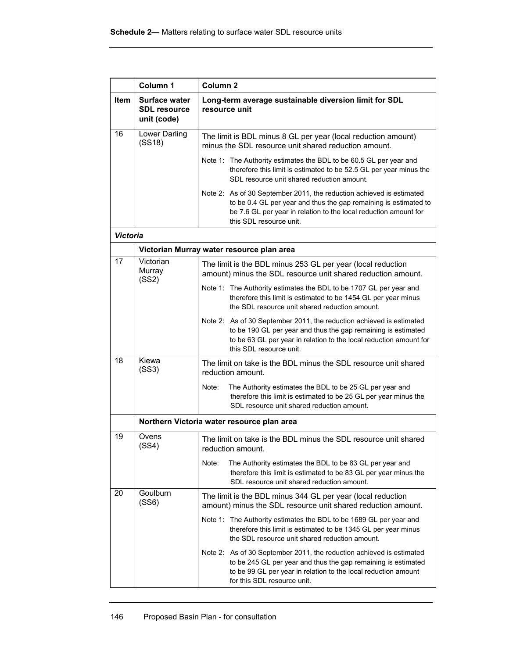|                 | Column 1                                            | Column <sub>2</sub>                                                                                                                                                                                                                     |
|-----------------|-----------------------------------------------------|-----------------------------------------------------------------------------------------------------------------------------------------------------------------------------------------------------------------------------------------|
| <b>Item</b>     | Surface water<br><b>SDL resource</b><br>unit (code) | Long-term average sustainable diversion limit for SDL<br>resource unit                                                                                                                                                                  |
| 16              | Lower Darling<br>(SS18)                             | The limit is BDL minus 8 GL per year (local reduction amount)<br>minus the SDL resource unit shared reduction amount.                                                                                                                   |
|                 |                                                     | Note 1: The Authority estimates the BDL to be 60.5 GL per year and<br>therefore this limit is estimated to be 52.5 GL per year minus the<br>SDL resource unit shared reduction amount.                                                  |
|                 |                                                     | Note 2: As of 30 September 2011, the reduction achieved is estimated<br>to be 0.4 GL per year and thus the gap remaining is estimated to<br>be 7.6 GL per year in relation to the local reduction amount for<br>this SDL resource unit. |
| <b>Victoria</b> |                                                     |                                                                                                                                                                                                                                         |
|                 |                                                     | Victorian Murray water resource plan area                                                                                                                                                                                               |
| 17              | Victorian<br>Murray<br>(SS2)                        | The limit is the BDL minus 253 GL per year (local reduction<br>amount) minus the SDL resource unit shared reduction amount.                                                                                                             |
|                 |                                                     | Note 1: The Authority estimates the BDL to be 1707 GL per year and<br>therefore this limit is estimated to be 1454 GL per year minus<br>the SDL resource unit shared reduction amount.                                                  |
|                 |                                                     | Note 2: As of 30 September 2011, the reduction achieved is estimated<br>to be 190 GL per year and thus the gap remaining is estimated<br>to be 63 GL per year in relation to the local reduction amount for<br>this SDL resource unit.  |
| 18              | Kiewa<br>(SS3)                                      | The limit on take is the BDL minus the SDL resource unit shared<br>reduction amount.                                                                                                                                                    |
|                 |                                                     | The Authority estimates the BDL to be 25 GL per year and<br>Note:<br>therefore this limit is estimated to be 25 GL per year minus the<br>SDL resource unit shared reduction amount.                                                     |
|                 |                                                     | Northern Victoria water resource plan area                                                                                                                                                                                              |
| 19              | Ovens<br>(SS4)                                      | The limit on take is the BDL minus the SDL resource unit shared<br>reduction amount.                                                                                                                                                    |
|                 |                                                     | Note:<br>The Authority estimates the BDL to be 83 GL per year and<br>therefore this limit is estimated to be 83 GL per year minus the<br>SDL resource unit shared reduction amount.                                                     |
| 20              | Goulburn<br>(SS6)                                   | The limit is the BDL minus 344 GL per year (local reduction<br>amount) minus the SDL resource unit shared reduction amount.                                                                                                             |
|                 |                                                     | Note 1: The Authority estimates the BDL to be 1689 GL per year and<br>therefore this limit is estimated to be 1345 GL per year minus<br>the SDL resource unit shared reduction amount.                                                  |
|                 |                                                     | Note 2: As of 30 September 2011, the reduction achieved is estimated<br>to be 245 GL per year and thus the gap remaining is estimated<br>to be 99 GL per year in relation to the local reduction amount<br>for this SDL resource unit.  |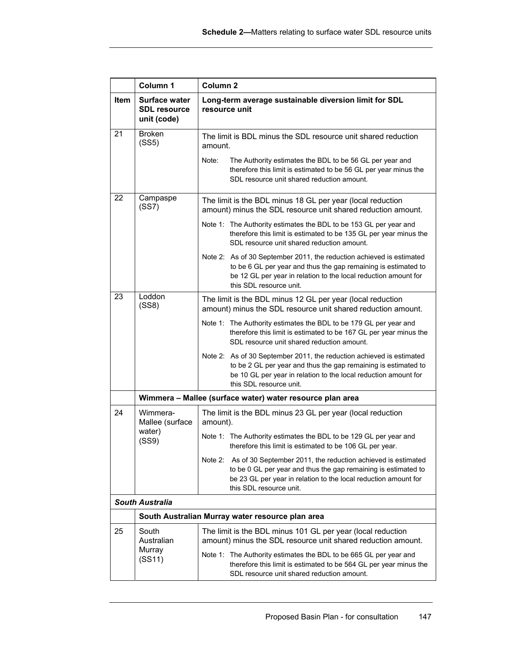|             | Column 1                                            | Column <sub>2</sub>                                                                                                                                                                                                                  |
|-------------|-----------------------------------------------------|--------------------------------------------------------------------------------------------------------------------------------------------------------------------------------------------------------------------------------------|
| <b>Item</b> | Surface water<br><b>SDL resource</b><br>unit (code) | Long-term average sustainable diversion limit for SDL<br>resource unit                                                                                                                                                               |
| 21          | <b>Broken</b><br>(SS5)                              | The limit is BDL minus the SDL resource unit shared reduction<br>amount.                                                                                                                                                             |
|             |                                                     | The Authority estimates the BDL to be 56 GL per year and<br>Note:<br>therefore this limit is estimated to be 56 GL per year minus the<br>SDL resource unit shared reduction amount.                                                  |
| 22          | Campaspe<br>(SS7)                                   | The limit is the BDL minus 18 GL per year (local reduction<br>amount) minus the SDL resource unit shared reduction amount.                                                                                                           |
|             |                                                     | Note 1: The Authority estimates the BDL to be 153 GL per year and<br>therefore this limit is estimated to be 135 GL per year minus the<br>SDL resource unit shared reduction amount.                                                 |
|             |                                                     | Note 2: As of 30 September 2011, the reduction achieved is estimated<br>to be 6 GL per year and thus the gap remaining is estimated to<br>be 12 GL per year in relation to the local reduction amount for<br>this SDL resource unit. |
| 23          | Loddon<br>(SS8)                                     | The limit is the BDL minus 12 GL per year (local reduction<br>amount) minus the SDL resource unit shared reduction amount.                                                                                                           |
|             |                                                     | Note 1: The Authority estimates the BDL to be 179 GL per year and<br>therefore this limit is estimated to be 167 GL per year minus the<br>SDL resource unit shared reduction amount.                                                 |
|             |                                                     | Note 2: As of 30 September 2011, the reduction achieved is estimated<br>to be 2 GL per year and thus the gap remaining is estimated to<br>be 10 GL per year in relation to the local reduction amount for<br>this SDL resource unit. |
|             |                                                     | Wimmera - Mallee (surface water) water resource plan area                                                                                                                                                                            |
| 24          | Wimmera-<br>Mallee (surface<br>water)<br>(SS9)      | The limit is the BDL minus 23 GL per year (local reduction<br>amount).                                                                                                                                                               |
|             |                                                     | Note 1: The Authority estimates the BDL to be 129 GL per year and<br>therefore this limit is estimated to be 106 GL per year.                                                                                                        |
|             |                                                     | Note 2: As of 30 September 2011, the reduction achieved is estimated<br>to be 0 GL per year and thus the gap remaining is estimated to<br>be 23 GL per year in relation to the local reduction amount for<br>this SDL resource unit. |
|             | <b>South Australia</b>                              |                                                                                                                                                                                                                                      |
|             |                                                     | South Australian Murray water resource plan area                                                                                                                                                                                     |
| 25          | South<br>Australian<br>Murray<br>(SS11)             | The limit is the BDL minus 101 GL per year (local reduction<br>amount) minus the SDL resource unit shared reduction amount.                                                                                                          |
|             |                                                     | Note 1: The Authority estimates the BDL to be 665 GL per year and<br>therefore this limit is estimated to be 564 GL per year minus the<br>SDL resource unit shared reduction amount.                                                 |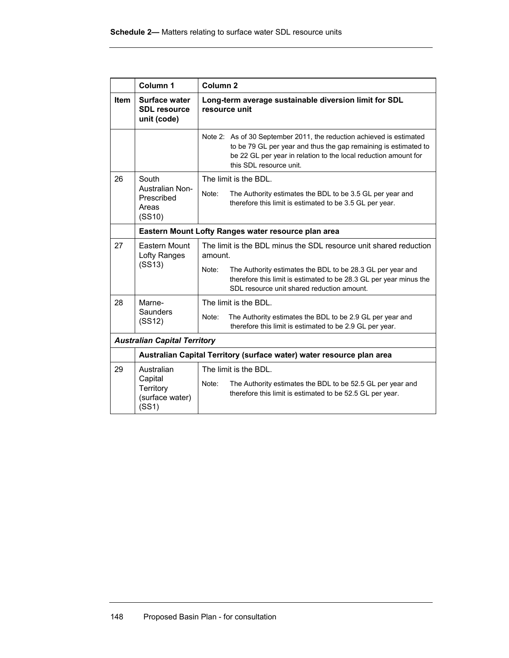|             | Column 1                                            | Column <sub>2</sub>                                                                                                                                                                                                                   |  |
|-------------|-----------------------------------------------------|---------------------------------------------------------------------------------------------------------------------------------------------------------------------------------------------------------------------------------------|--|
| <b>Item</b> | Surface water<br><b>SDL resource</b><br>unit (code) | Long-term average sustainable diversion limit for SDL<br>resource unit                                                                                                                                                                |  |
|             |                                                     | Note 2: As of 30 September 2011, the reduction achieved is estimated<br>to be 79 GL per year and thus the gap remaining is estimated to<br>be 22 GL per year in relation to the local reduction amount for<br>this SDL resource unit. |  |
| 26          | South                                               | The limit is the BDL.                                                                                                                                                                                                                 |  |
|             | Australian Non-<br>Prescribed<br>Areas<br>(SS10)    | Note:<br>The Authority estimates the BDL to be 3.5 GL per year and<br>therefore this limit is estimated to be 3.5 GL per year.                                                                                                        |  |
|             |                                                     | Eastern Mount Lofty Ranges water resource plan area                                                                                                                                                                                   |  |
| 27          | Eastern Mount<br>Lofty Ranges<br>(SS13)             | The limit is the BDL minus the SDL resource unit shared reduction<br>amount.                                                                                                                                                          |  |
|             |                                                     | Note:<br>The Authority estimates the BDL to be 28.3 GL per year and<br>therefore this limit is estimated to be 28.3 GL per year minus the<br>SDL resource unit shared reduction amount.                                               |  |
| 28          | Marne-                                              | The limit is the BDL.                                                                                                                                                                                                                 |  |
|             | Saunders<br>(SS12)                                  | Note:<br>The Authority estimates the BDL to be 2.9 GL per year and<br>therefore this limit is estimated to be 2.9 GL per year.                                                                                                        |  |
|             | <b>Australian Capital Territory</b>                 |                                                                                                                                                                                                                                       |  |
|             |                                                     | Australian Capital Territory (surface water) water resource plan area                                                                                                                                                                 |  |
| 29          | Australian                                          | The limit is the BDL.                                                                                                                                                                                                                 |  |
|             | Capital<br>Territory<br>(surface water)<br>(SS1)    | The Authority estimates the BDL to be 52.5 GL per year and<br>Note:<br>therefore this limit is estimated to be 52.5 GL per year.                                                                                                      |  |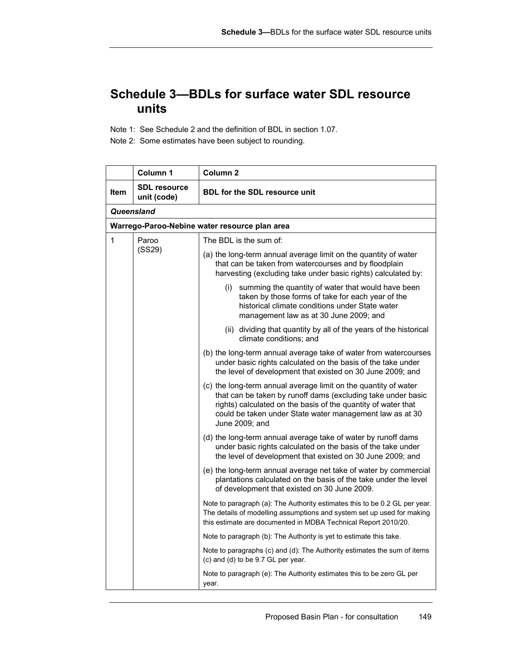# **Schedule 3—BDLs for surface water SDL resource units**

Note 1: See Schedule 2 and the definition of BDL in section 1.07.

Note 2: Some estimates have been subject to rounding.

|      | Column 1                           | Column 2                                                                                                                                                                                                                                                                       |
|------|------------------------------------|--------------------------------------------------------------------------------------------------------------------------------------------------------------------------------------------------------------------------------------------------------------------------------|
| ltem | <b>SDL</b> resource<br>unit (code) | <b>BDL for the SDL resource unit</b>                                                                                                                                                                                                                                           |
|      | Queensland                         |                                                                                                                                                                                                                                                                                |
|      |                                    | Warrego-Paroo-Nebine water resource plan area                                                                                                                                                                                                                                  |
| 1    | Paroo<br>(SS29)                    | The BDL is the sum of:                                                                                                                                                                                                                                                         |
|      |                                    | (a) the long-term annual average limit on the quantity of water<br>that can be taken from watercourses and by floodplain<br>harvesting (excluding take under basic rights) calculated by:                                                                                      |
|      |                                    | summing the quantity of water that would have been<br>(i)<br>taken by those forms of take for each year of the<br>historical climate conditions under State water<br>management law as at 30 June 2009; and                                                                    |
|      |                                    | (ii) dividing that quantity by all of the years of the historical<br>climate conditions; and                                                                                                                                                                                   |
|      |                                    | (b) the long-term annual average take of water from watercourses<br>under basic rights calculated on the basis of the take under<br>the level of development that existed on 30 June 2009; and                                                                                 |
|      |                                    | (c) the long-term annual average limit on the quantity of water<br>that can be taken by runoff dams (excluding take under basic<br>rights) calculated on the basis of the quantity of water that<br>could be taken under State water management law as at 30<br>June 2009; and |
|      |                                    | (d) the long-term annual average take of water by runoff dams<br>under basic rights calculated on the basis of the take under<br>the level of development that existed on 30 June 2009; and                                                                                    |
|      |                                    | (e) the long-term annual average net take of water by commercial<br>plantations calculated on the basis of the take under the level<br>of development that existed on 30 June 2009.                                                                                            |
|      |                                    | Note to paragraph (a): The Authority estimates this to be 0.2 GL per year.<br>The details of modelling assumptions and system set up used for making<br>this estimate are documented in MDBA Technical Report 2010/20.                                                         |
|      |                                    | Note to paragraph (b). The Authority is yet to estimate this take.                                                                                                                                                                                                             |
|      |                                    | Note to paragraphs (c) and (d): The Authority estimates the sum of items<br>(c) and (d) to be 9.7 GL per year.                                                                                                                                                                 |
|      |                                    | Note to paragraph (e): The Authority estimates this to be zero GL per<br>year.                                                                                                                                                                                                 |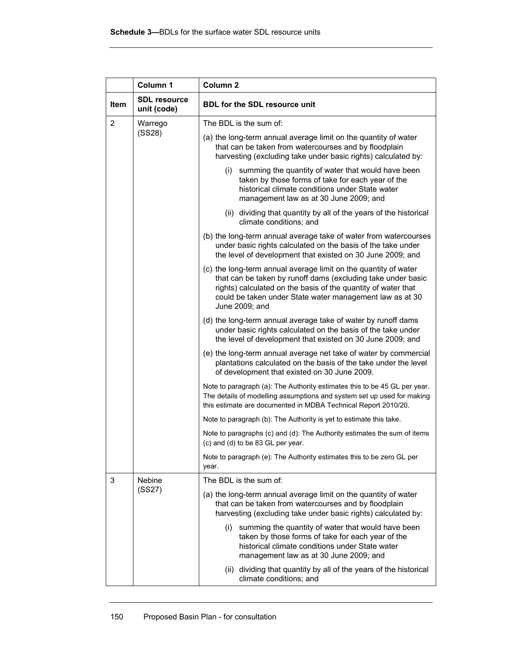|                | Column 1                           | Column <sub>2</sub>                                                                                                                                                                                                                                                            |
|----------------|------------------------------------|--------------------------------------------------------------------------------------------------------------------------------------------------------------------------------------------------------------------------------------------------------------------------------|
| <b>Item</b>    | <b>SDL resource</b><br>unit (code) | <b>BDL for the SDL resource unit</b>                                                                                                                                                                                                                                           |
| $\overline{2}$ | Warrego                            | The BDL is the sum of:                                                                                                                                                                                                                                                         |
|                | (SS28)                             | (a) the long-term annual average limit on the quantity of water<br>that can be taken from watercourses and by floodplain<br>harvesting (excluding take under basic rights) calculated by:                                                                                      |
|                |                                    | summing the quantity of water that would have been<br>(i)<br>taken by those forms of take for each year of the<br>historical climate conditions under State water<br>management law as at 30 June 2009; and                                                                    |
|                |                                    | (ii) dividing that quantity by all of the years of the historical<br>climate conditions; and                                                                                                                                                                                   |
|                |                                    | (b) the long-term annual average take of water from watercourses<br>under basic rights calculated on the basis of the take under<br>the level of development that existed on 30 June 2009; and                                                                                 |
|                |                                    | (c) the long-term annual average limit on the quantity of water<br>that can be taken by runoff dams (excluding take under basic<br>rights) calculated on the basis of the quantity of water that<br>could be taken under State water management law as at 30<br>June 2009; and |
|                |                                    | (d) the long-term annual average take of water by runoff dams<br>under basic rights calculated on the basis of the take under<br>the level of development that existed on 30 June 2009; and                                                                                    |
|                |                                    | (e) the long-term annual average net take of water by commercial<br>plantations calculated on the basis of the take under the level<br>of development that existed on 30 June 2009.                                                                                            |
|                |                                    | Note to paragraph (a). The Authority estimates this to be 45 GL per year.<br>The details of modelling assumptions and system set up used for making<br>this estimate are documented in MDBA Technical Report 2010/20.                                                          |
|                |                                    | Note to paragraph (b): The Authority is yet to estimate this take.                                                                                                                                                                                                             |
|                |                                    | Note to paragraphs (c) and (d): The Authority estimates the sum of items<br>(c) and (d) to be 83 GL per year.                                                                                                                                                                  |
|                |                                    | Note to paragraph (e): The Authority estimates this to be zero GL per<br>year.                                                                                                                                                                                                 |
| 3              | <b>Nebine</b>                      | The BDL is the sum of:                                                                                                                                                                                                                                                         |
|                | (SS27)                             | (a) the long-term annual average limit on the quantity of water<br>that can be taken from watercourses and by floodplain<br>harvesting (excluding take under basic rights) calculated by:                                                                                      |
|                |                                    | summing the quantity of water that would have been<br>(i)<br>taken by those forms of take for each year of the<br>historical climate conditions under State water<br>management law as at 30 June 2009; and                                                                    |
|                |                                    | (ii) dividing that quantity by all of the years of the historical<br>climate conditions; and                                                                                                                                                                                   |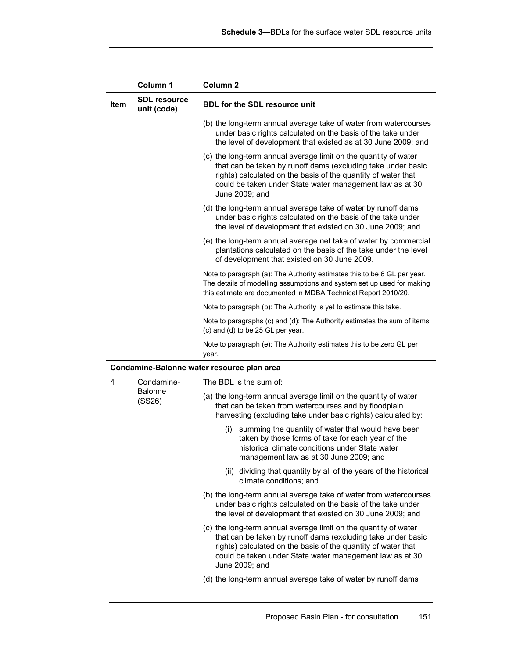|      | Column 1                           | Column <sub>2</sub>                                                                                                                                                                                                                                                            |
|------|------------------------------------|--------------------------------------------------------------------------------------------------------------------------------------------------------------------------------------------------------------------------------------------------------------------------------|
| Item | <b>SDL resource</b><br>unit (code) | BDL for the SDL resource unit                                                                                                                                                                                                                                                  |
|      |                                    | (b) the long-term annual average take of water from watercourses<br>under basic rights calculated on the basis of the take under<br>the level of development that existed as at 30 June 2009; and                                                                              |
|      |                                    | (c) the long-term annual average limit on the quantity of water<br>that can be taken by runoff dams (excluding take under basic<br>rights) calculated on the basis of the quantity of water that<br>could be taken under State water management law as at 30<br>June 2009; and |
|      |                                    | (d) the long-term annual average take of water by runoff dams<br>under basic rights calculated on the basis of the take under<br>the level of development that existed on 30 June 2009; and                                                                                    |
|      |                                    | (e) the long-term annual average net take of water by commercial<br>plantations calculated on the basis of the take under the level<br>of development that existed on 30 June 2009.                                                                                            |
|      |                                    | Note to paragraph (a): The Authority estimates this to be 6 GL per year.<br>The details of modelling assumptions and system set up used for making<br>this estimate are documented in MDBA Technical Report 2010/20.                                                           |
|      |                                    | Note to paragraph (b). The Authority is yet to estimate this take.                                                                                                                                                                                                             |
|      |                                    | Note to paragraphs (c) and (d): The Authority estimates the sum of items<br>(c) and (d) to be 25 GL per year.                                                                                                                                                                  |
|      |                                    | Note to paragraph (e): The Authority estimates this to be zero GL per<br>year.                                                                                                                                                                                                 |
|      |                                    | Condamine-Balonne water resource plan area                                                                                                                                                                                                                                     |
| 4    | Condamine-                         | The BDL is the sum of:                                                                                                                                                                                                                                                         |
|      | <b>Balonne</b><br>(SS26)           | (a) the long-term annual average limit on the quantity of water<br>that can be taken from watercourses and by floodplain<br>harvesting (excluding take under basic rights) calculated by:                                                                                      |
|      |                                    | summing the quantity of water that would have been<br>(i)<br>taken by those forms of take for each year of the<br>historical climate conditions under State water<br>management law as at 30 June 2009; and                                                                    |
|      |                                    | (ii) dividing that quantity by all of the years of the historical<br>climate conditions; and                                                                                                                                                                                   |
|      |                                    | (b) the long-term annual average take of water from watercourses<br>under basic rights calculated on the basis of the take under<br>the level of development that existed on 30 June 2009; and                                                                                 |
|      |                                    | (c) the long-term annual average limit on the quantity of water<br>that can be taken by runoff dams (excluding take under basic<br>rights) calculated on the basis of the quantity of water that<br>could be taken under State water management law as at 30<br>June 2009; and |
|      |                                    | (d) the long-term annual average take of water by runoff dams                                                                                                                                                                                                                  |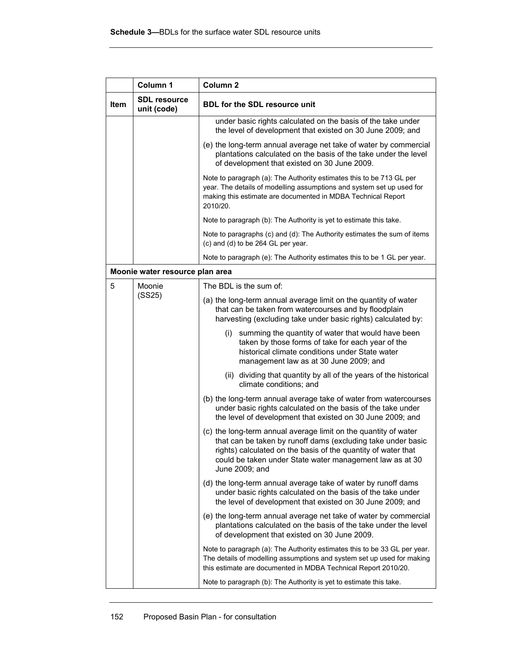|             | Column 1                           | Column <sub>2</sub>                                                                                                                                                                                                                                                            |
|-------------|------------------------------------|--------------------------------------------------------------------------------------------------------------------------------------------------------------------------------------------------------------------------------------------------------------------------------|
| <b>Item</b> | <b>SDL resource</b><br>unit (code) | <b>BDL for the SDL resource unit</b>                                                                                                                                                                                                                                           |
|             |                                    | under basic rights calculated on the basis of the take under<br>the level of development that existed on 30 June 2009; and                                                                                                                                                     |
|             |                                    | (e) the long-term annual average net take of water by commercial<br>plantations calculated on the basis of the take under the level<br>of development that existed on 30 June 2009.                                                                                            |
|             |                                    | Note to paragraph (a): The Authority estimates this to be 713 GL per<br>year. The details of modelling assumptions and system set up used for<br>making this estimate are documented in MDBA Technical Report<br>2010/20.                                                      |
|             |                                    | Note to paragraph (b): The Authority is yet to estimate this take.                                                                                                                                                                                                             |
|             |                                    | Note to paragraphs (c) and (d): The Authority estimates the sum of items<br>(c) and (d) to be 264 GL per year.                                                                                                                                                                 |
|             |                                    | Note to paragraph (e): The Authority estimates this to be 1 GL per year.                                                                                                                                                                                                       |
|             | Moonie water resource plan area    |                                                                                                                                                                                                                                                                                |
| 5           | Moonie                             | The BDL is the sum of:                                                                                                                                                                                                                                                         |
|             | (SS25)                             | (a) the long-term annual average limit on the quantity of water<br>that can be taken from watercourses and by floodplain<br>harvesting (excluding take under basic rights) calculated by:                                                                                      |
|             |                                    | (i) summing the quantity of water that would have been<br>taken by those forms of take for each year of the<br>historical climate conditions under State water<br>management law as at 30 June 2009; and                                                                       |
|             |                                    | (ii) dividing that quantity by all of the years of the historical<br>climate conditions; and                                                                                                                                                                                   |
|             |                                    | (b) the long-term annual average take of water from watercourses<br>under basic rights calculated on the basis of the take under<br>the level of development that existed on 30 June 2009; and                                                                                 |
|             |                                    | (c) the long-term annual average limit on the quantity of water<br>that can be taken by runoff dams (excluding take under basic<br>rights) calculated on the basis of the quantity of water that<br>could be taken under State water management law as at 30<br>June 2009; and |
|             |                                    | (d) the long-term annual average take of water by runoff dams<br>under basic rights calculated on the basis of the take under<br>the level of development that existed on 30 June 2009; and                                                                                    |
|             |                                    | (e) the long-term annual average net take of water by commercial<br>plantations calculated on the basis of the take under the level<br>of development that existed on 30 June 2009.                                                                                            |
|             |                                    | Note to paragraph (a): The Authority estimates this to be 33 GL per year.<br>The details of modelling assumptions and system set up used for making<br>this estimate are documented in MDBA Technical Report 2010/20.                                                          |
|             |                                    | Note to paragraph (b): The Authority is yet to estimate this take.                                                                                                                                                                                                             |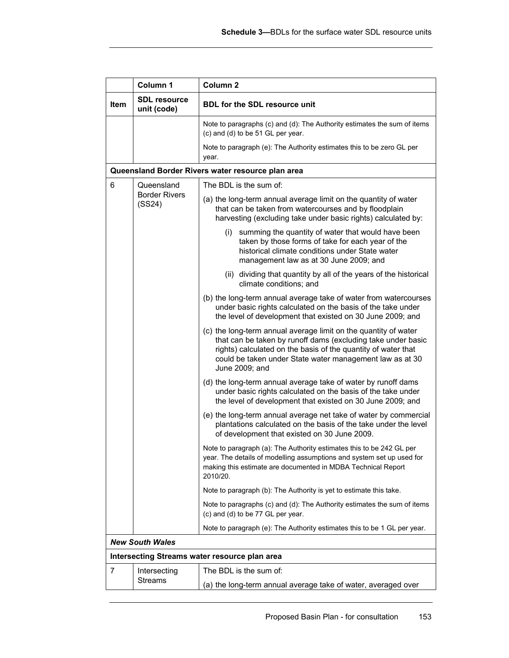|             | Column 1                                     | Column <sub>2</sub>                                                                                                                                                                                                                                                            |
|-------------|----------------------------------------------|--------------------------------------------------------------------------------------------------------------------------------------------------------------------------------------------------------------------------------------------------------------------------------|
| <b>Item</b> | <b>SDL resource</b><br>unit (code)           | <b>BDL for the SDL resource unit</b>                                                                                                                                                                                                                                           |
|             |                                              | Note to paragraphs (c) and (d): The Authority estimates the sum of items<br>(c) and (d) to be 51 GL per year.                                                                                                                                                                  |
|             |                                              | Note to paragraph (e): The Authority estimates this to be zero GL per<br>year.                                                                                                                                                                                                 |
|             |                                              | Queensland Border Rivers water resource plan area                                                                                                                                                                                                                              |
| 6           | Queensland<br><b>Border Rivers</b><br>(SS24) | The BDL is the sum of:                                                                                                                                                                                                                                                         |
|             |                                              | (a) the long-term annual average limit on the quantity of water<br>that can be taken from watercourses and by floodplain<br>harvesting (excluding take under basic rights) calculated by:                                                                                      |
|             |                                              | summing the quantity of water that would have been<br>(i)<br>taken by those forms of take for each year of the<br>historical climate conditions under State water<br>management law as at 30 June 2009; and                                                                    |
|             |                                              | (ii) dividing that quantity by all of the years of the historical<br>climate conditions; and                                                                                                                                                                                   |
|             |                                              | (b) the long-term annual average take of water from watercourses<br>under basic rights calculated on the basis of the take under<br>the level of development that existed on 30 June 2009; and                                                                                 |
|             |                                              | (c) the long-term annual average limit on the quantity of water<br>that can be taken by runoff dams (excluding take under basic<br>rights) calculated on the basis of the quantity of water that<br>could be taken under State water management law as at 30<br>June 2009; and |
|             |                                              | (d) the long-term annual average take of water by runoff dams<br>under basic rights calculated on the basis of the take under<br>the level of development that existed on 30 June 2009; and                                                                                    |
|             |                                              | (e) the long-term annual average net take of water by commercial<br>plantations calculated on the basis of the take under the level<br>of development that existed on 30 June 2009.                                                                                            |
|             |                                              | Note to paragraph (a): The Authority estimates this to be 242 GL per<br>year. The details of modelling assumptions and system set up used for<br>making this estimate are documented in MDBA Technical Report<br>2010/20.                                                      |
|             |                                              | Note to paragraph (b): The Authority is yet to estimate this take.                                                                                                                                                                                                             |
|             |                                              | Note to paragraphs (c) and (d): The Authority estimates the sum of items<br>(c) and (d) to be 77 GL per year.                                                                                                                                                                  |
|             |                                              | Note to paragraph (e): The Authority estimates this to be 1 GL per year.                                                                                                                                                                                                       |
|             | <b>New South Wales</b>                       |                                                                                                                                                                                                                                                                                |
|             |                                              | Intersecting Streams water resource plan area                                                                                                                                                                                                                                  |
| 7           | Intersecting                                 | The BDL is the sum of:                                                                                                                                                                                                                                                         |
|             | <b>Streams</b>                               | (a) the long-term annual average take of water, averaged over                                                                                                                                                                                                                  |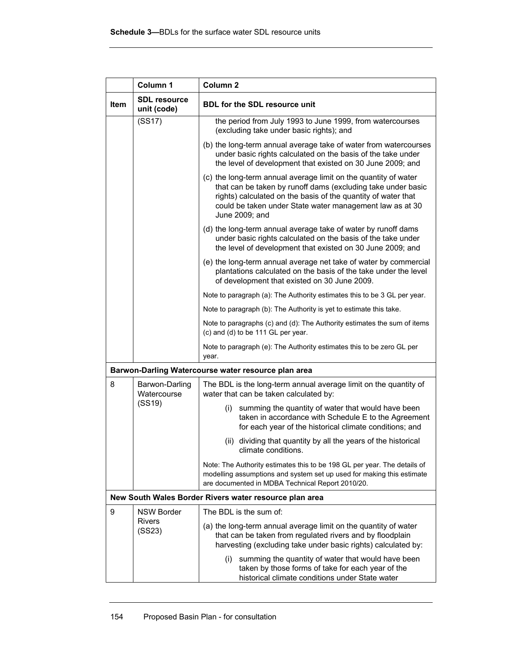|             | Column 1                           | Column <sub>2</sub>                                                                                                                                                                                                                                                            |
|-------------|------------------------------------|--------------------------------------------------------------------------------------------------------------------------------------------------------------------------------------------------------------------------------------------------------------------------------|
| <b>Item</b> | <b>SDL resource</b><br>unit (code) | <b>BDL for the SDL resource unit</b>                                                                                                                                                                                                                                           |
|             | (SS17)                             | the period from July 1993 to June 1999, from watercourses<br>(excluding take under basic rights); and                                                                                                                                                                          |
|             |                                    | (b) the long-term annual average take of water from watercourses<br>under basic rights calculated on the basis of the take under<br>the level of development that existed on 30 June 2009; and                                                                                 |
|             |                                    | (c) the long-term annual average limit on the quantity of water<br>that can be taken by runoff dams (excluding take under basic<br>rights) calculated on the basis of the quantity of water that<br>could be taken under State water management law as at 30<br>June 2009; and |
|             |                                    | (d) the long-term annual average take of water by runoff dams<br>under basic rights calculated on the basis of the take under<br>the level of development that existed on 30 June 2009; and                                                                                    |
|             |                                    | (e) the long-term annual average net take of water by commercial<br>plantations calculated on the basis of the take under the level<br>of development that existed on 30 June 2009.                                                                                            |
|             |                                    | Note to paragraph (a): The Authority estimates this to be 3 GL per year.                                                                                                                                                                                                       |
|             |                                    | Note to paragraph (b): The Authority is yet to estimate this take.                                                                                                                                                                                                             |
|             |                                    | Note to paragraphs (c) and (d): The Authority estimates the sum of items<br>(c) and (d) to be 111 GL per year.                                                                                                                                                                 |
|             |                                    | Note to paragraph (e): The Authority estimates this to be zero GL per<br>year.                                                                                                                                                                                                 |
|             |                                    | Barwon-Darling Watercourse water resource plan area                                                                                                                                                                                                                            |
| 8           | Barwon-Darling<br>Watercourse      | The BDL is the long-term annual average limit on the quantity of<br>water that can be taken calculated by:                                                                                                                                                                     |
|             | (SS19)                             | summing the quantity of water that would have been<br>(i)<br>taken in accordance with Schedule E to the Agreement<br>for each year of the historical climate conditions; and                                                                                                   |
|             |                                    | (ii) dividing that quantity by all the years of the historical<br>climate conditions.                                                                                                                                                                                          |
|             |                                    | Note: The Authority estimates this to be 198 GL per year. The details of<br>modelling assumptions and system set up used for making this estimate<br>are documented in MDBA Technical Report 2010/20.                                                                          |
|             |                                    | New South Wales Border Rivers water resource plan area                                                                                                                                                                                                                         |
| 9           | <b>NSW Border</b>                  | The BDL is the sum of:                                                                                                                                                                                                                                                         |
|             | <b>Rivers</b><br>(SS23)            | (a) the long-term annual average limit on the quantity of water<br>that can be taken from regulated rivers and by floodplain<br>harvesting (excluding take under basic rights) calculated by:                                                                                  |
|             |                                    | summing the quantity of water that would have been<br>(i)<br>taken by those forms of take for each year of the<br>historical climate conditions under State water                                                                                                              |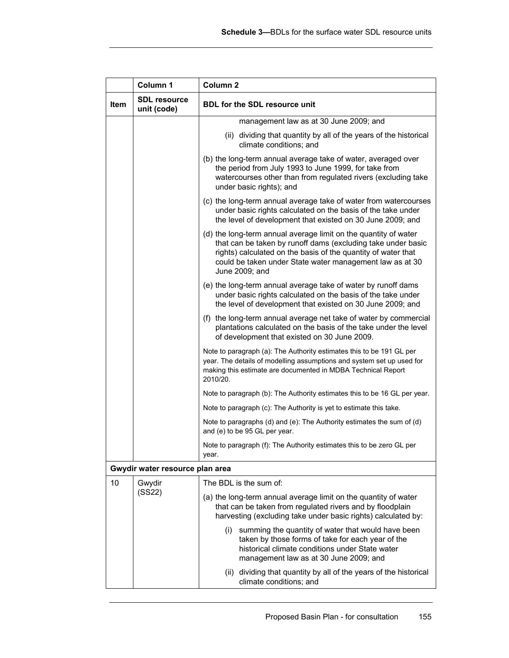|             | Column 1                           | Column <sub>2</sub>                                                                                                                                                                                                                                                            |
|-------------|------------------------------------|--------------------------------------------------------------------------------------------------------------------------------------------------------------------------------------------------------------------------------------------------------------------------------|
| <b>Item</b> | <b>SDL</b> resource<br>unit (code) | <b>BDL for the SDL resource unit</b>                                                                                                                                                                                                                                           |
|             |                                    | management law as at 30 June 2009; and                                                                                                                                                                                                                                         |
|             |                                    | (ii) dividing that quantity by all of the years of the historical<br>climate conditions; and                                                                                                                                                                                   |
|             |                                    | (b) the long-term annual average take of water, averaged over<br>the period from July 1993 to June 1999, for take from<br>watercourses other than from regulated rivers (excluding take<br>under basic rights); and                                                            |
|             |                                    | (c) the long-term annual average take of water from watercourses<br>under basic rights calculated on the basis of the take under<br>the level of development that existed on 30 June 2009; and                                                                                 |
|             |                                    | (d) the long-term annual average limit on the quantity of water<br>that can be taken by runoff dams (excluding take under basic<br>rights) calculated on the basis of the quantity of water that<br>could be taken under State water management law as at 30<br>June 2009; and |
|             |                                    | (e) the long-term annual average take of water by runoff dams<br>under basic rights calculated on the basis of the take under<br>the level of development that existed on 30 June 2009; and                                                                                    |
|             |                                    | (f) the long-term annual average net take of water by commercial<br>plantations calculated on the basis of the take under the level<br>of development that existed on 30 June 2009.                                                                                            |
|             |                                    | Note to paragraph (a): The Authority estimates this to be 191 GL per<br>year. The details of modelling assumptions and system set up used for<br>making this estimate are documented in MDBA Technical Report<br>2010/20.                                                      |
|             |                                    | Note to paragraph (b). The Authority estimates this to be 16 GL per year.                                                                                                                                                                                                      |
|             |                                    | Note to paragraph (c): The Authority is yet to estimate this take.                                                                                                                                                                                                             |
|             |                                    | Note to paragraphs (d) and (e): The Authority estimates the sum of (d)<br>and (e) to be 95 GL per year.                                                                                                                                                                        |
|             |                                    | Note to paragraph (f): The Authority estimates this to be zero GL per<br>year.                                                                                                                                                                                                 |
|             | Gwydir water resource plan area    |                                                                                                                                                                                                                                                                                |
| 10          | Gwydir                             | The BDL is the sum of:                                                                                                                                                                                                                                                         |
|             | (SS22)                             | (a) the long-term annual average limit on the quantity of water<br>that can be taken from regulated rivers and by floodplain<br>harvesting (excluding take under basic rights) calculated by:                                                                                  |
|             |                                    | summing the quantity of water that would have been<br>(i)<br>taken by those forms of take for each year of the<br>historical climate conditions under State water<br>management law as at 30 June 2009; and                                                                    |
|             |                                    | (ii) dividing that quantity by all of the years of the historical<br>climate conditions; and                                                                                                                                                                                   |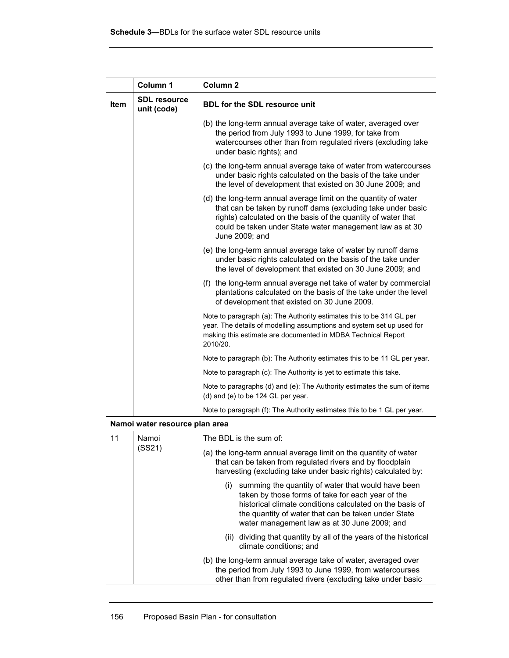|             | Column 1                           | Column <sub>2</sub>                                                                                                                                                                                                                                                               |
|-------------|------------------------------------|-----------------------------------------------------------------------------------------------------------------------------------------------------------------------------------------------------------------------------------------------------------------------------------|
| <b>Item</b> | <b>SDL resource</b><br>unit (code) | <b>BDL for the SDL resource unit</b>                                                                                                                                                                                                                                              |
|             |                                    | (b) the long-term annual average take of water, averaged over<br>the period from July 1993 to June 1999, for take from<br>watercourses other than from regulated rivers (excluding take<br>under basic rights); and                                                               |
|             |                                    | (c) the long-term annual average take of water from watercourses<br>under basic rights calculated on the basis of the take under<br>the level of development that existed on 30 June 2009; and                                                                                    |
|             |                                    | (d) the long-term annual average limit on the quantity of water<br>that can be taken by runoff dams (excluding take under basic<br>rights) calculated on the basis of the quantity of water that<br>could be taken under State water management law as at 30<br>June 2009; and    |
|             |                                    | (e) the long-term annual average take of water by runoff dams<br>under basic rights calculated on the basis of the take under<br>the level of development that existed on 30 June 2009; and                                                                                       |
|             |                                    | (f) the long-term annual average net take of water by commercial<br>plantations calculated on the basis of the take under the level<br>of development that existed on 30 June 2009.                                                                                               |
|             |                                    | Note to paragraph (a): The Authority estimates this to be 314 GL per<br>year. The details of modelling assumptions and system set up used for<br>making this estimate are documented in MDBA Technical Report<br>2010/20.                                                         |
|             |                                    | Note to paragraph (b). The Authority estimates this to be 11 GL per year.                                                                                                                                                                                                         |
|             |                                    | Note to paragraph (c): The Authority is yet to estimate this take.                                                                                                                                                                                                                |
|             |                                    | Note to paragraphs (d) and (e): The Authority estimates the sum of items<br>(d) and (e) to be 124 GL per year.                                                                                                                                                                    |
|             |                                    | Note to paragraph (f): The Authority estimates this to be 1 GL per year.                                                                                                                                                                                                          |
|             | Namoi water resource plan area     |                                                                                                                                                                                                                                                                                   |
| 11          | Namoi                              | The BDL is the sum of:                                                                                                                                                                                                                                                            |
|             | (SS21)                             | (a) the long-term annual average limit on the quantity of water<br>that can be taken from regulated rivers and by floodplain<br>harvesting (excluding take under basic rights) calculated by:                                                                                     |
|             |                                    | summing the quantity of water that would have been<br>(i)<br>taken by those forms of take for each year of the<br>historical climate conditions calculated on the basis of<br>the quantity of water that can be taken under State<br>water management law as at 30 June 2009; and |
|             |                                    | (ii) dividing that quantity by all of the years of the historical<br>climate conditions; and                                                                                                                                                                                      |
|             |                                    | (b) the long-term annual average take of water, averaged over<br>the period from July 1993 to June 1999, from watercourses<br>other than from regulated rivers (excluding take under basic                                                                                        |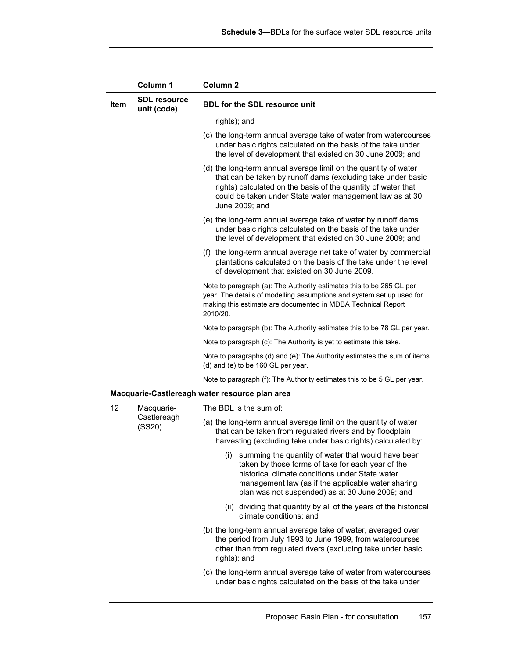|      | Column 1                           | Column <sub>2</sub>                                                                                                                                                                                                                                                            |
|------|------------------------------------|--------------------------------------------------------------------------------------------------------------------------------------------------------------------------------------------------------------------------------------------------------------------------------|
| Item | <b>SDL resource</b><br>unit (code) | <b>BDL for the SDL resource unit</b>                                                                                                                                                                                                                                           |
|      |                                    | rights); and                                                                                                                                                                                                                                                                   |
|      |                                    | (c) the long-term annual average take of water from watercourses<br>under basic rights calculated on the basis of the take under<br>the level of development that existed on 30 June 2009; and                                                                                 |
|      |                                    | (d) the long-term annual average limit on the quantity of water<br>that can be taken by runoff dams (excluding take under basic<br>rights) calculated on the basis of the quantity of water that<br>could be taken under State water management law as at 30<br>June 2009; and |
|      |                                    | (e) the long-term annual average take of water by runoff dams<br>under basic rights calculated on the basis of the take under<br>the level of development that existed on 30 June 2009; and                                                                                    |
|      |                                    | (f) the long-term annual average net take of water by commercial<br>plantations calculated on the basis of the take under the level<br>of development that existed on 30 June 2009.                                                                                            |
|      |                                    | Note to paragraph (a): The Authority estimates this to be 265 GL per<br>year. The details of modelling assumptions and system set up used for<br>making this estimate are documented in MDBA Technical Report<br>2010/20.                                                      |
|      |                                    | Note to paragraph (b): The Authority estimates this to be 78 GL per year.                                                                                                                                                                                                      |
|      |                                    | Note to paragraph (c): The Authority is yet to estimate this take.                                                                                                                                                                                                             |
|      |                                    | Note to paragraphs (d) and (e): The Authority estimates the sum of items<br>(d) and (e) to be 160 GL per year.                                                                                                                                                                 |
|      |                                    | Note to paragraph (f): The Authority estimates this to be 5 GL per year.                                                                                                                                                                                                       |
|      |                                    | Macquarie-Castlereagh water resource plan area                                                                                                                                                                                                                                 |
| 12   | Macquarie-                         | The BDL is the sum of:                                                                                                                                                                                                                                                         |
|      | Castlereagh<br>(SS20)              | (a) the long-term annual average limit on the quantity of water<br>that can be taken from regulated rivers and by floodplain<br>harvesting (excluding take under basic rights) calculated by:                                                                                  |
|      |                                    | summing the quantity of water that would have been<br>(i)<br>taken by those forms of take for each year of the<br>historical climate conditions under State water<br>management law (as if the applicable water sharing<br>plan was not suspended) as at 30 June 2009; and     |
|      |                                    | (ii) dividing that quantity by all of the years of the historical<br>climate conditions; and                                                                                                                                                                                   |
|      |                                    | (b) the long-term annual average take of water, averaged over<br>the period from July 1993 to June 1999, from watercourses<br>other than from regulated rivers (excluding take under basic<br>rights); and                                                                     |
|      |                                    | (c) the long-term annual average take of water from watercourses<br>under basic rights calculated on the basis of the take under                                                                                                                                               |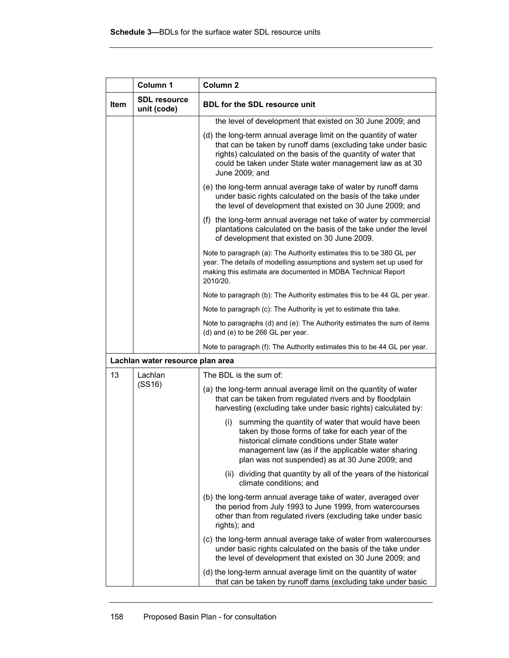|             | Column 1                           | Column <sub>2</sub>                                                                                                                                                                                                                                                            |
|-------------|------------------------------------|--------------------------------------------------------------------------------------------------------------------------------------------------------------------------------------------------------------------------------------------------------------------------------|
| <b>Item</b> | <b>SDL resource</b><br>unit (code) | <b>BDL for the SDL resource unit</b>                                                                                                                                                                                                                                           |
|             |                                    | the level of development that existed on 30 June 2009; and                                                                                                                                                                                                                     |
|             |                                    | (d) the long-term annual average limit on the quantity of water<br>that can be taken by runoff dams (excluding take under basic<br>rights) calculated on the basis of the quantity of water that<br>could be taken under State water management law as at 30<br>June 2009; and |
|             |                                    | (e) the long-term annual average take of water by runoff dams<br>under basic rights calculated on the basis of the take under<br>the level of development that existed on 30 June 2009; and                                                                                    |
|             |                                    | (f) the long-term annual average net take of water by commercial<br>plantations calculated on the basis of the take under the level<br>of development that existed on 30 June 2009.                                                                                            |
|             |                                    | Note to paragraph (a): The Authority estimates this to be 380 GL per<br>year. The details of modelling assumptions and system set up used for<br>making this estimate are documented in MDBA Technical Report<br>2010/20.                                                      |
|             |                                    | Note to paragraph (b). The Authority estimates this to be 44 GL per year.                                                                                                                                                                                                      |
|             |                                    | Note to paragraph (c): The Authority is yet to estimate this take.                                                                                                                                                                                                             |
|             |                                    | Note to paragraphs (d) and (e): The Authority estimates the sum of items<br>(d) and (e) to be 266 GL per year.                                                                                                                                                                 |
|             |                                    | Note to paragraph (f): The Authority estimates this to be 44 GL per year.                                                                                                                                                                                                      |
|             | Lachlan water resource plan area   |                                                                                                                                                                                                                                                                                |
| 13          | Lachlan                            | The BDL is the sum of:                                                                                                                                                                                                                                                         |
|             | (SS16)                             | (a) the long-term annual average limit on the quantity of water<br>that can be taken from regulated rivers and by floodplain<br>harvesting (excluding take under basic rights) calculated by:                                                                                  |
|             |                                    | (i) summing the quantity of water that would have been<br>taken by those forms of take for each year of the<br>historical climate conditions under State water<br>management law (as if the applicable water sharing<br>plan was not suspended) as at 30 June 2009; and        |
|             |                                    | (ii) dividing that quantity by all of the years of the historical<br>climate conditions; and                                                                                                                                                                                   |
|             |                                    | (b) the long-term annual average take of water, averaged over<br>the period from July 1993 to June 1999, from watercourses<br>other than from regulated rivers (excluding take under basic<br>rights); and                                                                     |
|             |                                    | (c) the long-term annual average take of water from watercourses<br>under basic rights calculated on the basis of the take under<br>the level of development that existed on 30 June 2009; and                                                                                 |
|             |                                    | (d) the long-term annual average limit on the quantity of water<br>that can be taken by runoff dams (excluding take under basic                                                                                                                                                |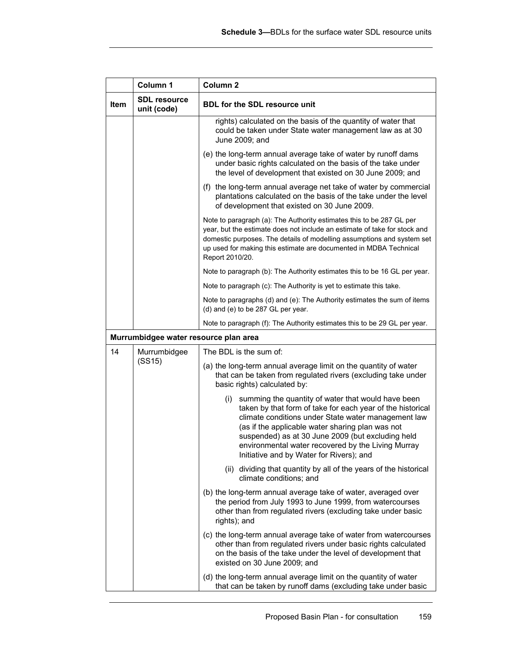|      | Column 1                              | Column <sub>2</sub>                                                                                                                                                                                                                                                                                                                                                                       |
|------|---------------------------------------|-------------------------------------------------------------------------------------------------------------------------------------------------------------------------------------------------------------------------------------------------------------------------------------------------------------------------------------------------------------------------------------------|
| Item | <b>SDL resource</b><br>unit (code)    | <b>BDL for the SDL resource unit</b>                                                                                                                                                                                                                                                                                                                                                      |
|      |                                       | rights) calculated on the basis of the quantity of water that<br>could be taken under State water management law as at 30<br>June 2009; and                                                                                                                                                                                                                                               |
|      |                                       | (e) the long-term annual average take of water by runoff dams<br>under basic rights calculated on the basis of the take under<br>the level of development that existed on 30 June 2009; and                                                                                                                                                                                               |
|      |                                       | (f) the long-term annual average net take of water by commercial<br>plantations calculated on the basis of the take under the level<br>of development that existed on 30 June 2009.                                                                                                                                                                                                       |
|      |                                       | Note to paragraph (a): The Authority estimates this to be 287 GL per<br>year, but the estimate does not include an estimate of take for stock and<br>domestic purposes. The details of modelling assumptions and system set<br>up used for making this estimate are documented in MDBA Technical<br>Report 2010/20.                                                                       |
|      |                                       | Note to paragraph (b): The Authority estimates this to be 16 GL per year.                                                                                                                                                                                                                                                                                                                 |
|      |                                       | Note to paragraph (c): The Authority is yet to estimate this take.                                                                                                                                                                                                                                                                                                                        |
|      |                                       | Note to paragraphs (d) and (e): The Authority estimates the sum of items<br>(d) and (e) to be 287 GL per year.                                                                                                                                                                                                                                                                            |
|      |                                       | Note to paragraph (f): The Authority estimates this to be 29 GL per year.                                                                                                                                                                                                                                                                                                                 |
|      | Murrumbidgee water resource plan area |                                                                                                                                                                                                                                                                                                                                                                                           |
| 14   | Murrumbidgee                          | The BDL is the sum of:                                                                                                                                                                                                                                                                                                                                                                    |
|      | (SS15)                                | (a) the long-term annual average limit on the quantity of water<br>that can be taken from regulated rivers (excluding take under<br>basic rights) calculated by:                                                                                                                                                                                                                          |
|      |                                       | summing the quantity of water that would have been<br>(i)<br>taken by that form of take for each year of the historical<br>climate conditions under State water management law<br>(as if the applicable water sharing plan was not<br>suspended) as at 30 June 2009 (but excluding held<br>environmental water recovered by the Living Murray<br>Initiative and by Water for Rivers); and |
|      |                                       | (ii) dividing that quantity by all of the years of the historical<br>climate conditions; and                                                                                                                                                                                                                                                                                              |
|      |                                       | (b) the long-term annual average take of water, averaged over<br>the period from July 1993 to June 1999, from watercourses<br>other than from regulated rivers (excluding take under basic<br>rights); and                                                                                                                                                                                |
|      |                                       | (c) the long-term annual average take of water from watercourses<br>other than from regulated rivers under basic rights calculated<br>on the basis of the take under the level of development that<br>existed on 30 June 2009; and                                                                                                                                                        |
|      |                                       | (d) the long-term annual average limit on the quantity of water<br>that can be taken by runoff dams (excluding take under basic                                                                                                                                                                                                                                                           |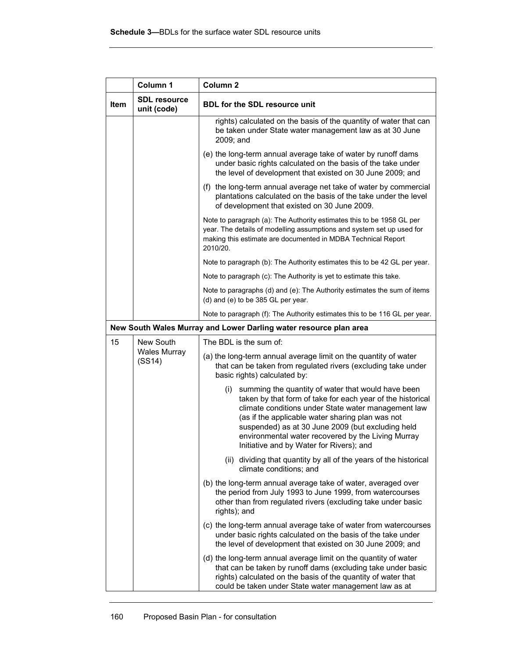|             | Column 1                           | Column <sub>2</sub>                                                                                                                                                                                                                                                                                                                                                                    |
|-------------|------------------------------------|----------------------------------------------------------------------------------------------------------------------------------------------------------------------------------------------------------------------------------------------------------------------------------------------------------------------------------------------------------------------------------------|
| <b>Item</b> | <b>SDL resource</b><br>unit (code) | <b>BDL for the SDL resource unit</b>                                                                                                                                                                                                                                                                                                                                                   |
|             |                                    | rights) calculated on the basis of the quantity of water that can<br>be taken under State water management law as at 30 June<br>2009; and                                                                                                                                                                                                                                              |
|             |                                    | (e) the long-term annual average take of water by runoff dams<br>under basic rights calculated on the basis of the take under<br>the level of development that existed on 30 June 2009; and                                                                                                                                                                                            |
|             |                                    | (f) the long-term annual average net take of water by commercial<br>plantations calculated on the basis of the take under the level<br>of development that existed on 30 June 2009.                                                                                                                                                                                                    |
|             |                                    | Note to paragraph (a): The Authority estimates this to be 1958 GL per<br>year. The details of modelling assumptions and system set up used for<br>making this estimate are documented in MDBA Technical Report<br>2010/20.                                                                                                                                                             |
|             |                                    | Note to paragraph (b): The Authority estimates this to be 42 GL per year.                                                                                                                                                                                                                                                                                                              |
|             |                                    | Note to paragraph (c): The Authority is yet to estimate this take.                                                                                                                                                                                                                                                                                                                     |
|             |                                    | Note to paragraphs (d) and (e): The Authority estimates the sum of items<br>(d) and (e) to be 385 GL per year.                                                                                                                                                                                                                                                                         |
|             |                                    | Note to paragraph (f): The Authority estimates this to be 116 GL per year.                                                                                                                                                                                                                                                                                                             |
|             |                                    | New South Wales Murray and Lower Darling water resource plan area                                                                                                                                                                                                                                                                                                                      |
| 15          | New South                          | The BDL is the sum of:                                                                                                                                                                                                                                                                                                                                                                 |
|             | <b>Wales Murray</b><br>(SS14)      | (a) the long-term annual average limit on the quantity of water<br>that can be taken from regulated rivers (excluding take under<br>basic rights) calculated by:                                                                                                                                                                                                                       |
|             |                                    | (i) summing the quantity of water that would have been<br>taken by that form of take for each year of the historical<br>climate conditions under State water management law<br>(as if the applicable water sharing plan was not<br>suspended) as at 30 June 2009 (but excluding held<br>environmental water recovered by the Living Murray<br>Initiative and by Water for Rivers), and |
|             |                                    | (ii) dividing that quantity by all of the years of the historical<br>climate conditions; and                                                                                                                                                                                                                                                                                           |
|             |                                    | (b) the long-term annual average take of water, averaged over<br>the period from July 1993 to June 1999, from watercourses<br>other than from regulated rivers (excluding take under basic<br>rights); and                                                                                                                                                                             |
|             |                                    | (c) the long-term annual average take of water from watercourses<br>under basic rights calculated on the basis of the take under<br>the level of development that existed on 30 June 2009; and                                                                                                                                                                                         |
|             |                                    | (d) the long-term annual average limit on the quantity of water<br>that can be taken by runoff dams (excluding take under basic<br>rights) calculated on the basis of the quantity of water that<br>could be taken under State water management law as at                                                                                                                              |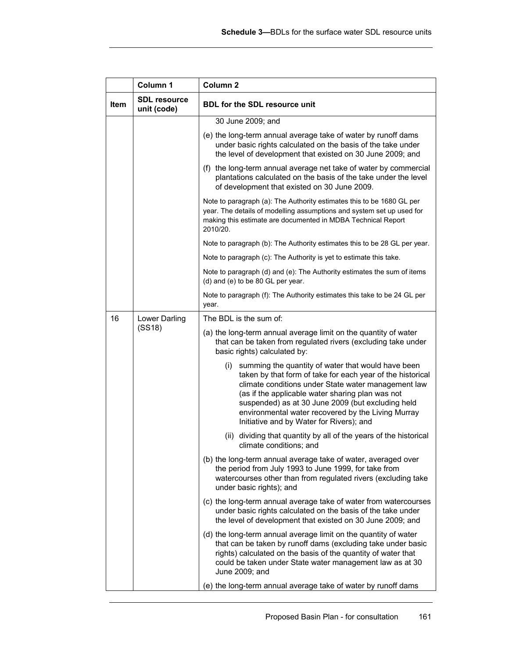|      | Column 1                           | Column <sub>2</sub>                                                                                                                                                                                                                                                                                                                                                                    |
|------|------------------------------------|----------------------------------------------------------------------------------------------------------------------------------------------------------------------------------------------------------------------------------------------------------------------------------------------------------------------------------------------------------------------------------------|
| Item | <b>SDL resource</b><br>unit (code) | <b>BDL for the SDL resource unit</b>                                                                                                                                                                                                                                                                                                                                                   |
|      |                                    | 30 June 2009; and                                                                                                                                                                                                                                                                                                                                                                      |
|      |                                    | (e) the long-term annual average take of water by runoff dams<br>under basic rights calculated on the basis of the take under<br>the level of development that existed on 30 June 2009; and                                                                                                                                                                                            |
|      |                                    | (f) the long-term annual average net take of water by commercial<br>plantations calculated on the basis of the take under the level<br>of development that existed on 30 June 2009.                                                                                                                                                                                                    |
|      |                                    | Note to paragraph (a): The Authority estimates this to be 1680 GL per<br>year. The details of modelling assumptions and system set up used for<br>making this estimate are documented in MDBA Technical Report<br>2010/20.                                                                                                                                                             |
|      |                                    | Note to paragraph (b). The Authority estimates this to be 28 GL per year.                                                                                                                                                                                                                                                                                                              |
|      |                                    | Note to paragraph (c): The Authority is yet to estimate this take.                                                                                                                                                                                                                                                                                                                     |
|      |                                    | Note to paragraph (d) and (e): The Authority estimates the sum of items<br>(d) and (e) to be 80 GL per year.                                                                                                                                                                                                                                                                           |
|      |                                    | Note to paragraph (f): The Authority estimates this take to be 24 GL per<br>year.                                                                                                                                                                                                                                                                                                      |
| 16   | Lower Darling                      | The BDL is the sum of:                                                                                                                                                                                                                                                                                                                                                                 |
|      | (SS18)                             | (a) the long-term annual average limit on the quantity of water<br>that can be taken from regulated rivers (excluding take under<br>basic rights) calculated by:                                                                                                                                                                                                                       |
|      |                                    | (i) summing the quantity of water that would have been<br>taken by that form of take for each year of the historical<br>climate conditions under State water management law<br>(as if the applicable water sharing plan was not<br>suspended) as at 30 June 2009 (but excluding held<br>environmental water recovered by the Living Murray<br>Initiative and by Water for Rivers); and |
|      |                                    | (ii) dividing that quantity by all of the years of the historical<br>climate conditions; and                                                                                                                                                                                                                                                                                           |
|      |                                    | (b) the long-term annual average take of water, averaged over<br>the period from July 1993 to June 1999, for take from<br>watercourses other than from regulated rivers (excluding take<br>under basic rights); and                                                                                                                                                                    |
|      |                                    | (c) the long-term annual average take of water from watercourses<br>under basic rights calculated on the basis of the take under<br>the level of development that existed on 30 June 2009; and                                                                                                                                                                                         |
|      |                                    | (d) the long-term annual average limit on the quantity of water<br>that can be taken by runoff dams (excluding take under basic<br>rights) calculated on the basis of the quantity of water that<br>could be taken under State water management law as at 30<br>June 2009; and                                                                                                         |
|      |                                    | (e) the long-term annual average take of water by runoff dams                                                                                                                                                                                                                                                                                                                          |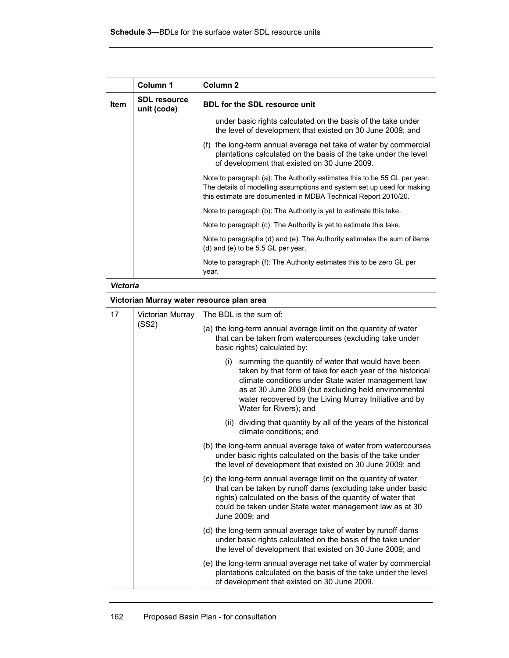|                 | Column 1                           | Column <sub>2</sub>                                                                                                                                                                                                                                                                                                        |
|-----------------|------------------------------------|----------------------------------------------------------------------------------------------------------------------------------------------------------------------------------------------------------------------------------------------------------------------------------------------------------------------------|
| <b>Item</b>     | <b>SDL resource</b><br>unit (code) | <b>BDL for the SDL resource unit</b>                                                                                                                                                                                                                                                                                       |
|                 |                                    | under basic rights calculated on the basis of the take under<br>the level of development that existed on 30 June 2009; and                                                                                                                                                                                                 |
|                 |                                    | (f) the long-term annual average net take of water by commercial<br>plantations calculated on the basis of the take under the level<br>of development that existed on 30 June 2009.                                                                                                                                        |
|                 |                                    | Note to paragraph (a): The Authority estimates this to be 55 GL per year.<br>The details of modelling assumptions and system set up used for making<br>this estimate are documented in MDBA Technical Report 2010/20.                                                                                                      |
|                 |                                    | Note to paragraph (b). The Authority is yet to estimate this take.                                                                                                                                                                                                                                                         |
|                 |                                    | Note to paragraph (c): The Authority is yet to estimate this take.                                                                                                                                                                                                                                                         |
|                 |                                    | Note to paragraphs (d) and (e): The Authority estimates the sum of items<br>(d) and (e) to be 5.5 GL per year.                                                                                                                                                                                                             |
|                 |                                    | Note to paragraph (f): The Authority estimates this to be zero GL per<br>year.                                                                                                                                                                                                                                             |
| <b>Victoria</b> |                                    |                                                                                                                                                                                                                                                                                                                            |
|                 |                                    | Victorian Murray water resource plan area                                                                                                                                                                                                                                                                                  |
| 17              | Victorian Murray                   | The BDL is the sum of:                                                                                                                                                                                                                                                                                                     |
|                 | (SS2)                              | (a) the long-term annual average limit on the quantity of water<br>that can be taken from watercourses (excluding take under<br>basic rights) calculated by:                                                                                                                                                               |
|                 |                                    | summing the quantity of water that would have been<br>(i)<br>taken by that form of take for each year of the historical<br>climate conditions under State water management law<br>as at 30 June 2009 (but excluding held environmental<br>water recovered by the Living Murray Initiative and by<br>Water for Rivers); and |
|                 |                                    | (ii) dividing that quantity by all of the years of the historical<br>climate conditions; and                                                                                                                                                                                                                               |
|                 |                                    | (b) the long-term annual average take of water from watercourses<br>under basic rights calculated on the basis of the take under<br>the level of development that existed on 30 June 2009; and                                                                                                                             |
|                 |                                    | (c) the long-term annual average limit on the quantity of water<br>that can be taken by runoff dams (excluding take under basic<br>rights) calculated on the basis of the quantity of water that<br>could be taken under State water management law as at 30<br>June 2009; and                                             |
|                 |                                    | (d) the long-term annual average take of water by runoff dams<br>under basic rights calculated on the basis of the take under<br>the level of development that existed on 30 June 2009; and                                                                                                                                |
|                 |                                    | (e) the long-term annual average net take of water by commercial<br>plantations calculated on the basis of the take under the level<br>of development that existed on 30 June 2009.                                                                                                                                        |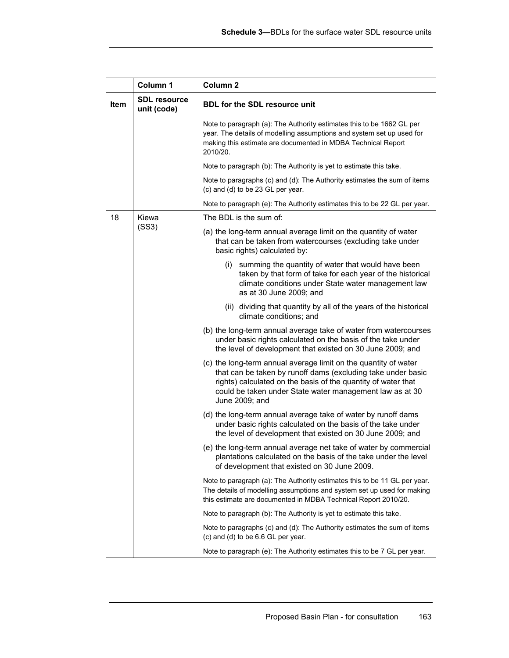|             | Column 1                           | Column <sub>2</sub>                                                                                                                                                                                                                                                            |
|-------------|------------------------------------|--------------------------------------------------------------------------------------------------------------------------------------------------------------------------------------------------------------------------------------------------------------------------------|
| <b>Item</b> | <b>SDL</b> resource<br>unit (code) | <b>BDL for the SDL resource unit</b>                                                                                                                                                                                                                                           |
|             |                                    | Note to paragraph (a): The Authority estimates this to be 1662 GL per<br>year. The details of modelling assumptions and system set up used for<br>making this estimate are documented in MDBA Technical Report<br>2010/20.                                                     |
|             |                                    | Note to paragraph (b): The Authority is yet to estimate this take.                                                                                                                                                                                                             |
|             |                                    | Note to paragraphs (c) and (d): The Authority estimates the sum of items<br>(c) and (d) to be 23 GL per year.                                                                                                                                                                  |
|             |                                    | Note to paragraph (e): The Authority estimates this to be 22 GL per year.                                                                                                                                                                                                      |
| 18          | Kiewa                              | The BDL is the sum of:                                                                                                                                                                                                                                                         |
|             | (SS3)                              | (a) the long-term annual average limit on the quantity of water<br>that can be taken from watercourses (excluding take under<br>basic rights) calculated by:                                                                                                                   |
|             |                                    | (i) summing the quantity of water that would have been<br>taken by that form of take for each year of the historical<br>climate conditions under State water management law<br>as at 30 June 2009; and                                                                         |
|             |                                    | (ii) dividing that quantity by all of the years of the historical<br>climate conditions; and                                                                                                                                                                                   |
|             |                                    | (b) the long-term annual average take of water from watercourses<br>under basic rights calculated on the basis of the take under<br>the level of development that existed on 30 June 2009; and                                                                                 |
|             |                                    | (c) the long-term annual average limit on the quantity of water<br>that can be taken by runoff dams (excluding take under basic<br>rights) calculated on the basis of the quantity of water that<br>could be taken under State water management law as at 30<br>June 2009; and |
|             |                                    | (d) the long-term annual average take of water by runoff dams<br>under basic rights calculated on the basis of the take under<br>the level of development that existed on 30 June 2009; and                                                                                    |
|             |                                    | (e) the long-term annual average net take of water by commercial<br>plantations calculated on the basis of the take under the level<br>of development that existed on 30 June 2009.                                                                                            |
|             |                                    | Note to paragraph (a). The Authority estimates this to be 11 GL per year.<br>The details of modelling assumptions and system set up used for making<br>this estimate are documented in MDBA Technical Report 2010/20.                                                          |
|             |                                    | Note to paragraph (b): The Authority is yet to estimate this take.                                                                                                                                                                                                             |
|             |                                    | Note to paragraphs (c) and (d): The Authority estimates the sum of items<br>(c) and (d) to be 6.6 GL per year.                                                                                                                                                                 |
|             |                                    | Note to paragraph (e). The Authority estimates this to be 7 GL per year.                                                                                                                                                                                                       |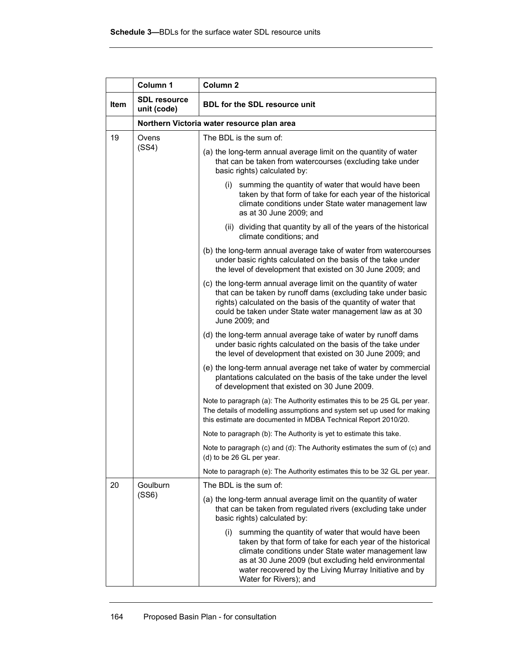|             | Column 1                           | Column <sub>2</sub>                                                                                                                                                                                                                                                                                                        |
|-------------|------------------------------------|----------------------------------------------------------------------------------------------------------------------------------------------------------------------------------------------------------------------------------------------------------------------------------------------------------------------------|
| <b>Item</b> | <b>SDL resource</b><br>unit (code) | <b>BDL for the SDL resource unit</b>                                                                                                                                                                                                                                                                                       |
|             |                                    | Northern Victoria water resource plan area                                                                                                                                                                                                                                                                                 |
| 19          | Ovens<br>(SS4)                     | The BDL is the sum of:                                                                                                                                                                                                                                                                                                     |
|             |                                    | (a) the long-term annual average limit on the quantity of water<br>that can be taken from watercourses (excluding take under<br>basic rights) calculated by:                                                                                                                                                               |
|             |                                    | (i) summing the quantity of water that would have been<br>taken by that form of take for each year of the historical<br>climate conditions under State water management law<br>as at 30 June 2009; and                                                                                                                     |
|             |                                    | (ii) dividing that quantity by all of the years of the historical<br>climate conditions; and                                                                                                                                                                                                                               |
|             |                                    | (b) the long-term annual average take of water from watercourses<br>under basic rights calculated on the basis of the take under<br>the level of development that existed on 30 June 2009; and                                                                                                                             |
|             |                                    | (c) the long-term annual average limit on the quantity of water<br>that can be taken by runoff dams (excluding take under basic<br>rights) calculated on the basis of the quantity of water that<br>could be taken under State water management law as at 30<br>June 2009; and                                             |
|             |                                    | (d) the long-term annual average take of water by runoff dams<br>under basic rights calculated on the basis of the take under<br>the level of development that existed on 30 June 2009; and                                                                                                                                |
|             |                                    | (e) the long-term annual average net take of water by commercial<br>plantations calculated on the basis of the take under the level<br>of development that existed on 30 June 2009.                                                                                                                                        |
|             |                                    | Note to paragraph (a): The Authority estimates this to be 25 GL per year.<br>The details of modelling assumptions and system set up used for making<br>this estimate are documented in MDBA Technical Report 2010/20.                                                                                                      |
|             |                                    | Note to paragraph (b). The Authority is yet to estimate this take.                                                                                                                                                                                                                                                         |
|             |                                    | Note to paragraph (c) and (d): The Authority estimates the sum of (c) and<br>(d) to be 26 GL per year.                                                                                                                                                                                                                     |
|             |                                    | Note to paragraph (e): The Authority estimates this to be 32 GL per year.                                                                                                                                                                                                                                                  |
| 20          | Goulburn<br>(SS6)                  | The BDL is the sum of:                                                                                                                                                                                                                                                                                                     |
|             |                                    | (a) the long-term annual average limit on the quantity of water<br>that can be taken from regulated rivers (excluding take under<br>basic rights) calculated by:                                                                                                                                                           |
|             |                                    | summing the quantity of water that would have been<br>(i)<br>taken by that form of take for each year of the historical<br>climate conditions under State water management law<br>as at 30 June 2009 (but excluding held environmental<br>water recovered by the Living Murray Initiative and by<br>Water for Rivers); and |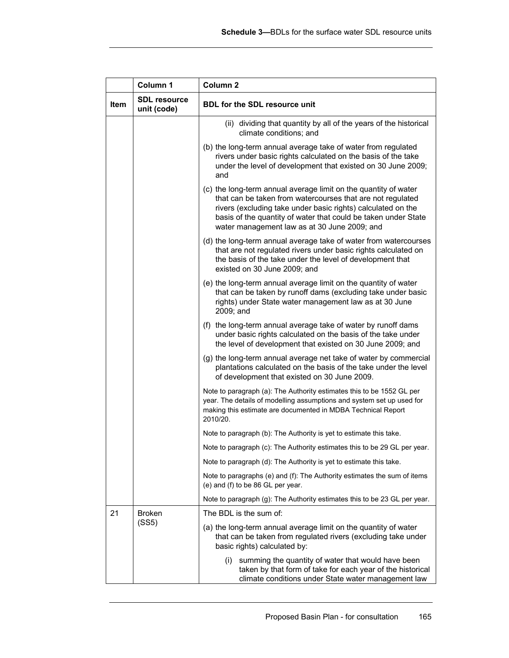|             | Column 1                           | Column <sub>2</sub>                                                                                                                                                                                                                                                                                             |  |  |
|-------------|------------------------------------|-----------------------------------------------------------------------------------------------------------------------------------------------------------------------------------------------------------------------------------------------------------------------------------------------------------------|--|--|
| <b>Item</b> | <b>SDL resource</b><br>unit (code) | <b>BDL for the SDL resource unit</b>                                                                                                                                                                                                                                                                            |  |  |
|             |                                    | (ii) dividing that quantity by all of the years of the historical<br>climate conditions; and                                                                                                                                                                                                                    |  |  |
|             |                                    | (b) the long-term annual average take of water from regulated<br>rivers under basic rights calculated on the basis of the take<br>under the level of development that existed on 30 June 2009;<br>and                                                                                                           |  |  |
|             |                                    | (c) the long-term annual average limit on the quantity of water<br>that can be taken from watercourses that are not regulated<br>rivers (excluding take under basic rights) calculated on the<br>basis of the quantity of water that could be taken under State<br>water management law as at 30 June 2009; and |  |  |
|             |                                    | (d) the long-term annual average take of water from watercourses<br>that are not regulated rivers under basic rights calculated on<br>the basis of the take under the level of development that<br>existed on 30 June 2009; and                                                                                 |  |  |
|             |                                    | (e) the long-term annual average limit on the quantity of water<br>that can be taken by runoff dams (excluding take under basic<br>rights) under State water management law as at 30 June<br>2009; and                                                                                                          |  |  |
|             |                                    | (f) the long-term annual average take of water by runoff dams<br>under basic rights calculated on the basis of the take under<br>the level of development that existed on 30 June 2009; and                                                                                                                     |  |  |
|             |                                    | (g) the long-term annual average net take of water by commercial<br>plantations calculated on the basis of the take under the level<br>of development that existed on 30 June 2009.                                                                                                                             |  |  |
|             |                                    | Note to paragraph (a): The Authority estimates this to be 1552 GL per<br>year. The details of modelling assumptions and system set up used for<br>making this estimate are documented in MDBA Technical Report<br>2010/20.                                                                                      |  |  |
|             |                                    | Note to paragraph (b): The Authority is yet to estimate this take.                                                                                                                                                                                                                                              |  |  |
|             |                                    | Note to paragraph (c). The Authority estimates this to be 29 GL per year.                                                                                                                                                                                                                                       |  |  |
|             |                                    | Note to paragraph (d). The Authority is yet to estimate this take.                                                                                                                                                                                                                                              |  |  |
|             |                                    | Note to paragraphs (e) and (f). The Authority estimates the sum of items<br>(e) and (f) to be 86 GL per year.                                                                                                                                                                                                   |  |  |
|             |                                    | Note to paragraph (g): The Authority estimates this to be 23 GL per year.                                                                                                                                                                                                                                       |  |  |
| 21          | <b>Broken</b>                      | The BDL is the sum of:                                                                                                                                                                                                                                                                                          |  |  |
|             | (SS5)                              | (a) the long-term annual average limit on the quantity of water<br>that can be taken from regulated rivers (excluding take under<br>basic rights) calculated by:                                                                                                                                                |  |  |
|             |                                    | summing the quantity of water that would have been<br>(i)<br>taken by that form of take for each year of the historical<br>climate conditions under State water management law                                                                                                                                  |  |  |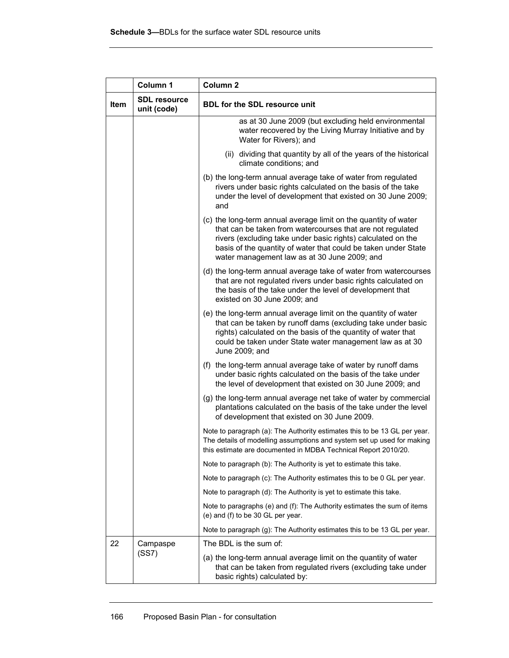|             | Column 1                           | Column <sub>2</sub>                                                                                                                                                                                                                                                                                             |  |  |
|-------------|------------------------------------|-----------------------------------------------------------------------------------------------------------------------------------------------------------------------------------------------------------------------------------------------------------------------------------------------------------------|--|--|
| <b>Item</b> | <b>SDL resource</b><br>unit (code) | <b>BDL for the SDL resource unit</b>                                                                                                                                                                                                                                                                            |  |  |
|             |                                    | as at 30 June 2009 (but excluding held environmental<br>water recovered by the Living Murray Initiative and by<br>Water for Rivers); and                                                                                                                                                                        |  |  |
|             |                                    | (ii) dividing that quantity by all of the years of the historical<br>climate conditions; and                                                                                                                                                                                                                    |  |  |
|             |                                    | (b) the long-term annual average take of water from regulated<br>rivers under basic rights calculated on the basis of the take<br>under the level of development that existed on 30 June 2009;<br>and                                                                                                           |  |  |
|             |                                    | (c) the long-term annual average limit on the quantity of water<br>that can be taken from watercourses that are not regulated<br>rivers (excluding take under basic rights) calculated on the<br>basis of the quantity of water that could be taken under State<br>water management law as at 30 June 2009; and |  |  |
|             |                                    | (d) the long-term annual average take of water from watercourses<br>that are not regulated rivers under basic rights calculated on<br>the basis of the take under the level of development that<br>existed on 30 June 2009; and                                                                                 |  |  |
|             |                                    | (e) the long-term annual average limit on the quantity of water<br>that can be taken by runoff dams (excluding take under basic<br>rights) calculated on the basis of the quantity of water that<br>could be taken under State water management law as at 30<br>June 2009; and                                  |  |  |
|             |                                    | (f) the long-term annual average take of water by runoff dams<br>under basic rights calculated on the basis of the take under<br>the level of development that existed on 30 June 2009; and                                                                                                                     |  |  |
|             |                                    | (g) the long-term annual average net take of water by commercial<br>plantations calculated on the basis of the take under the level<br>of development that existed on 30 June 2009.                                                                                                                             |  |  |
|             |                                    | Note to paragraph (a): The Authority estimates this to be 13 GL per year.<br>The details of modelling assumptions and system set up used for making<br>this estimate are documented in MDBA Technical Report 2010/20.                                                                                           |  |  |
|             |                                    | Note to paragraph (b). The Authority is yet to estimate this take.                                                                                                                                                                                                                                              |  |  |
|             |                                    | Note to paragraph (c): The Authority estimates this to be 0 GL per year.                                                                                                                                                                                                                                        |  |  |
|             |                                    | Note to paragraph (d): The Authority is yet to estimate this take.                                                                                                                                                                                                                                              |  |  |
|             |                                    | Note to paragraphs (e) and (f): The Authority estimates the sum of items<br>(e) and (f) to be 30 GL per year.                                                                                                                                                                                                   |  |  |
|             |                                    | Note to paragraph (g). The Authority estimates this to be 13 GL per year.                                                                                                                                                                                                                                       |  |  |
| 22          | Campaspe                           | The BDL is the sum of:                                                                                                                                                                                                                                                                                          |  |  |
|             | (SS7)                              | (a) the long-term annual average limit on the quantity of water<br>that can be taken from regulated rivers (excluding take under<br>basic rights) calculated by:                                                                                                                                                |  |  |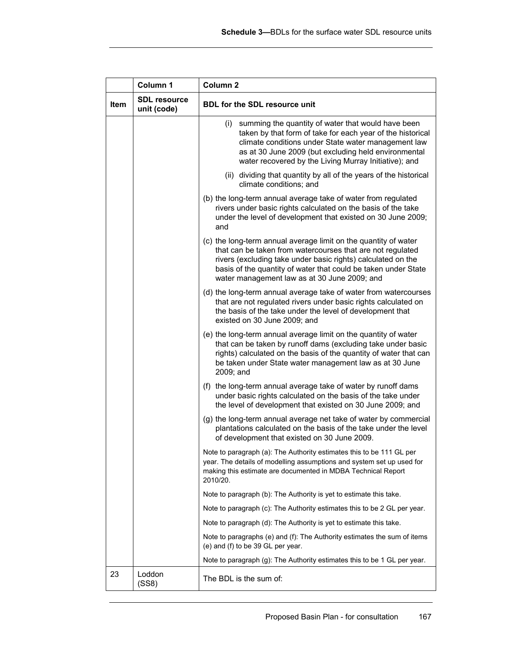|             | Column 1                           | Column <sub>2</sub>                                                                                                                                                                                                                                                                                             |  |  |
|-------------|------------------------------------|-----------------------------------------------------------------------------------------------------------------------------------------------------------------------------------------------------------------------------------------------------------------------------------------------------------------|--|--|
| <b>Item</b> | <b>SDL resource</b><br>unit (code) | <b>BDL for the SDL resource unit</b>                                                                                                                                                                                                                                                                            |  |  |
|             |                                    | (i) summing the quantity of water that would have been<br>taken by that form of take for each year of the historical<br>climate conditions under State water management law<br>as at 30 June 2009 (but excluding held environmental<br>water recovered by the Living Murray Initiative); and                    |  |  |
|             |                                    | (ii) dividing that quantity by all of the years of the historical<br>climate conditions; and                                                                                                                                                                                                                    |  |  |
|             |                                    | (b) the long-term annual average take of water from regulated<br>rivers under basic rights calculated on the basis of the take<br>under the level of development that existed on 30 June 2009;<br>and                                                                                                           |  |  |
|             |                                    | (c) the long-term annual average limit on the quantity of water<br>that can be taken from watercourses that are not regulated<br>rivers (excluding take under basic rights) calculated on the<br>basis of the quantity of water that could be taken under State<br>water management law as at 30 June 2009; and |  |  |
|             |                                    | (d) the long-term annual average take of water from watercourses<br>that are not regulated rivers under basic rights calculated on<br>the basis of the take under the level of development that<br>existed on 30 June 2009; and                                                                                 |  |  |
|             |                                    | (e) the long-term annual average limit on the quantity of water<br>that can be taken by runoff dams (excluding take under basic<br>rights) calculated on the basis of the quantity of water that can<br>be taken under State water management law as at 30 June<br>2009; and                                    |  |  |
|             |                                    | (f) the long-term annual average take of water by runoff dams<br>under basic rights calculated on the basis of the take under<br>the level of development that existed on 30 June 2009; and                                                                                                                     |  |  |
|             |                                    | (g) the long-term annual average net take of water by commercial<br>plantations calculated on the basis of the take under the level<br>of development that existed on 30 June 2009.                                                                                                                             |  |  |
|             |                                    | Note to paragraph (a): The Authority estimates this to be 111 GL per<br>year. The details of modelling assumptions and system set up used for<br>making this estimate are documented in MDBA Technical Report<br>2010/20.                                                                                       |  |  |
|             |                                    | Note to paragraph (b): The Authority is yet to estimate this take.                                                                                                                                                                                                                                              |  |  |
|             |                                    | Note to paragraph (c): The Authority estimates this to be 2 GL per year.                                                                                                                                                                                                                                        |  |  |
|             |                                    | Note to paragraph (d): The Authority is yet to estimate this take.                                                                                                                                                                                                                                              |  |  |
|             |                                    | Note to paragraphs (e) and (f). The Authority estimates the sum of items<br>(e) and (f) to be 39 GL per year.                                                                                                                                                                                                   |  |  |
|             |                                    | Note to paragraph (g). The Authority estimates this to be 1 GL per year.                                                                                                                                                                                                                                        |  |  |
| 23          | Loddon<br>(SS8)                    | The BDL is the sum of:                                                                                                                                                                                                                                                                                          |  |  |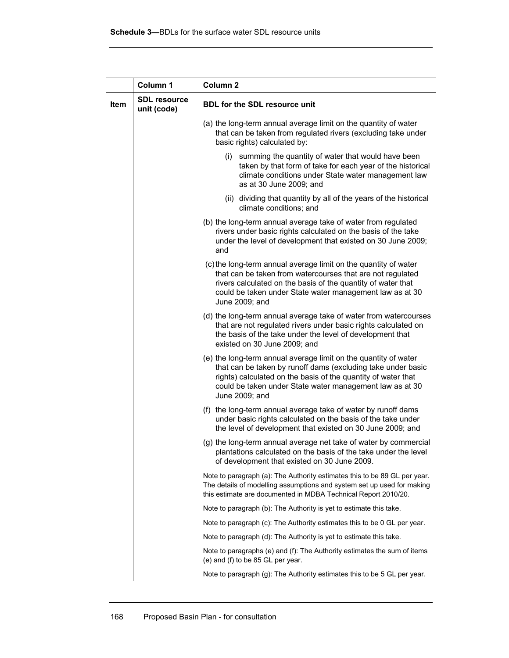|      | Column 1                           | Column <sub>2</sub>                                                                                                                                                                                                                                                            |  |
|------|------------------------------------|--------------------------------------------------------------------------------------------------------------------------------------------------------------------------------------------------------------------------------------------------------------------------------|--|
| Item | <b>SDL resource</b><br>unit (code) | <b>BDL for the SDL resource unit</b>                                                                                                                                                                                                                                           |  |
|      |                                    | (a) the long-term annual average limit on the quantity of water<br>that can be taken from regulated rivers (excluding take under<br>basic rights) calculated by:                                                                                                               |  |
|      |                                    | (i) summing the quantity of water that would have been<br>taken by that form of take for each year of the historical<br>climate conditions under State water management law<br>as at 30 June 2009; and                                                                         |  |
|      |                                    | (ii) dividing that quantity by all of the years of the historical<br>climate conditions; and                                                                                                                                                                                   |  |
|      |                                    | (b) the long-term annual average take of water from regulated<br>rivers under basic rights calculated on the basis of the take<br>under the level of development that existed on 30 June 2009;<br>and                                                                          |  |
|      |                                    | (c) the long-term annual average limit on the quantity of water<br>that can be taken from watercourses that are not regulated<br>rivers calculated on the basis of the quantity of water that<br>could be taken under State water management law as at 30<br>June 2009; and    |  |
|      |                                    | (d) the long-term annual average take of water from watercourses<br>that are not regulated rivers under basic rights calculated on<br>the basis of the take under the level of development that<br>existed on 30 June 2009; and                                                |  |
|      |                                    | (e) the long-term annual average limit on the quantity of water<br>that can be taken by runoff dams (excluding take under basic<br>rights) calculated on the basis of the quantity of water that<br>could be taken under State water management law as at 30<br>June 2009; and |  |
|      |                                    | (f) the long-term annual average take of water by runoff dams<br>under basic rights calculated on the basis of the take under<br>the level of development that existed on 30 June 2009; and                                                                                    |  |
|      |                                    | (g) the long-term annual average net take of water by commercial<br>plantations calculated on the basis of the take under the level<br>of development that existed on 30 June 2009.                                                                                            |  |
|      |                                    | Note to paragraph (a). The Authority estimates this to be 89 GL per year.<br>The details of modelling assumptions and system set up used for making<br>this estimate are documented in MDBA Technical Report 2010/20.                                                          |  |
|      |                                    | Note to paragraph (b): The Authority is yet to estimate this take.                                                                                                                                                                                                             |  |
|      |                                    | Note to paragraph (c): The Authority estimates this to be 0 GL per year.                                                                                                                                                                                                       |  |
|      |                                    | Note to paragraph (d). The Authority is yet to estimate this take.                                                                                                                                                                                                             |  |
|      |                                    | Note to paragraphs (e) and (f). The Authority estimates the sum of items<br>(e) and (f) to be 85 GL per year.                                                                                                                                                                  |  |
|      |                                    | Note to paragraph (g). The Authority estimates this to be 5 GL per year.                                                                                                                                                                                                       |  |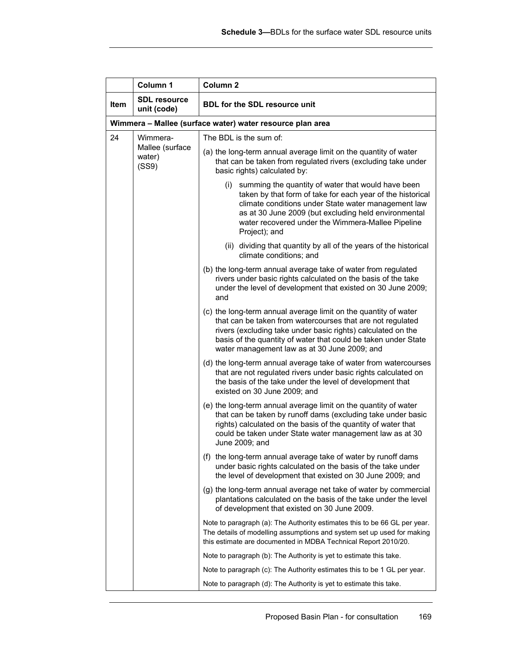|      | Column 1                                                  | Column <sub>2</sub>                                                                                                                                                                                                                                                                                             |  |  |
|------|-----------------------------------------------------------|-----------------------------------------------------------------------------------------------------------------------------------------------------------------------------------------------------------------------------------------------------------------------------------------------------------------|--|--|
| Item | <b>SDL resource</b><br>unit (code)                        | <b>BDL for the SDL resource unit</b>                                                                                                                                                                                                                                                                            |  |  |
|      | Wimmera - Mallee (surface water) water resource plan area |                                                                                                                                                                                                                                                                                                                 |  |  |
| 24   | Wimmera-                                                  | The BDL is the sum of:                                                                                                                                                                                                                                                                                          |  |  |
|      | Mallee (surface<br>water)<br>(SS9)                        | (a) the long-term annual average limit on the quantity of water<br>that can be taken from regulated rivers (excluding take under<br>basic rights) calculated by:                                                                                                                                                |  |  |
|      |                                                           | (i) summing the quantity of water that would have been<br>taken by that form of take for each year of the historical<br>climate conditions under State water management law<br>as at 30 June 2009 (but excluding held environmental<br>water recovered under the Wimmera-Mallee Pipeline<br>Project); and       |  |  |
|      |                                                           | (ii) dividing that quantity by all of the years of the historical<br>climate conditions; and                                                                                                                                                                                                                    |  |  |
| and  |                                                           | (b) the long-term annual average take of water from regulated<br>rivers under basic rights calculated on the basis of the take<br>under the level of development that existed on 30 June 2009;                                                                                                                  |  |  |
|      |                                                           | (c) the long-term annual average limit on the quantity of water<br>that can be taken from watercourses that are not regulated<br>rivers (excluding take under basic rights) calculated on the<br>basis of the quantity of water that could be taken under State<br>water management law as at 30 June 2009; and |  |  |
|      |                                                           | (d) the long-term annual average take of water from watercourses<br>that are not regulated rivers under basic rights calculated on<br>the basis of the take under the level of development that<br>existed on 30 June 2009; and                                                                                 |  |  |
|      |                                                           | (e) the long-term annual average limit on the quantity of water<br>that can be taken by runoff dams (excluding take under basic<br>rights) calculated on the basis of the quantity of water that<br>could be taken under State water management law as at 30<br>June 2009; and                                  |  |  |
|      |                                                           | (f) the long-term annual average take of water by runoff dams<br>under basic rights calculated on the basis of the take under<br>the level of development that existed on 30 June 2009; and                                                                                                                     |  |  |
|      |                                                           | (g) the long-term annual average net take of water by commercial<br>plantations calculated on the basis of the take under the level<br>of development that existed on 30 June 2009.                                                                                                                             |  |  |
|      |                                                           | Note to paragraph (a). The Authority estimates this to be 66 GL per year.<br>The details of modelling assumptions and system set up used for making<br>this estimate are documented in MDBA Technical Report 2010/20.                                                                                           |  |  |
|      |                                                           | Note to paragraph (b): The Authority is yet to estimate this take.                                                                                                                                                                                                                                              |  |  |
|      |                                                           | Note to paragraph (c): The Authority estimates this to be 1 GL per year.                                                                                                                                                                                                                                        |  |  |
|      |                                                           | Note to paragraph (d): The Authority is yet to estimate this take.                                                                                                                                                                                                                                              |  |  |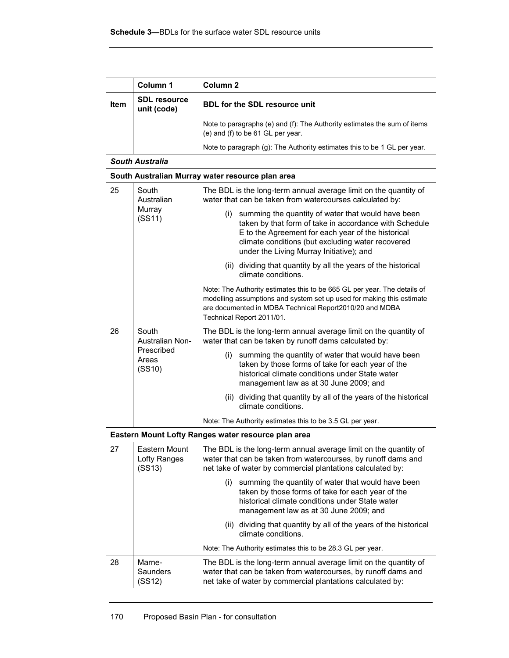|             | Column 1                           | Column <sub>2</sub>                                                                                                                                                                                                                                                        |  |
|-------------|------------------------------------|----------------------------------------------------------------------------------------------------------------------------------------------------------------------------------------------------------------------------------------------------------------------------|--|
| <b>Item</b> | <b>SDL resource</b><br>unit (code) | <b>BDL for the SDL resource unit</b>                                                                                                                                                                                                                                       |  |
|             |                                    | Note to paragraphs (e) and (f): The Authority estimates the sum of items<br>(e) and (f) to be 61 GL per year.                                                                                                                                                              |  |
|             |                                    | Note to paragraph (g): The Authority estimates this to be 1 GL per year.                                                                                                                                                                                                   |  |
|             | <b>South Australia</b>             |                                                                                                                                                                                                                                                                            |  |
|             |                                    | South Australian Murray water resource plan area                                                                                                                                                                                                                           |  |
| 25          | South<br>Australian                | The BDL is the long-term annual average limit on the quantity of<br>water that can be taken from watercourses calculated by:                                                                                                                                               |  |
|             | Murray<br>(SS11)                   | summing the quantity of water that would have been<br>(i)<br>taken by that form of take in accordance with Schedule<br>E to the Agreement for each year of the historical<br>climate conditions (but excluding water recovered<br>under the Living Murray Initiative); and |  |
|             |                                    | (ii) dividing that quantity by all the years of the historical<br>climate conditions.                                                                                                                                                                                      |  |
|             |                                    | Note: The Authority estimates this to be 665 GL per year. The details of<br>modelling assumptions and system set up used for making this estimate<br>are documented in MDBA Technical Report2010/20 and MDBA<br>Technical Report 2011/01.                                  |  |
| 26          | South<br>Australian Non-           | The BDL is the long-term annual average limit on the quantity of<br>water that can be taken by runoff dams calculated by:                                                                                                                                                  |  |
|             | Prescribed<br>Areas<br>(SS10)      | (i) summing the quantity of water that would have been<br>taken by those forms of take for each year of the<br>historical climate conditions under State water<br>management law as at 30 June 2009; and                                                                   |  |
|             |                                    | (ii) dividing that quantity by all of the years of the historical<br>climate conditions.                                                                                                                                                                                   |  |
|             |                                    | Note: The Authority estimates this to be 3.5 GL per year.                                                                                                                                                                                                                  |  |
|             |                                    | Eastern Mount Lofty Ranges water resource plan area                                                                                                                                                                                                                        |  |
| 27          | Lofty Ranges<br>(SS13)             | Eastern Mount   The BDL is the long-term annual average limit on the quantity of<br>water that can be taken from watercourses, by runoff dams and<br>net take of water by commercial plantations calculated by:                                                            |  |
|             |                                    | summing the quantity of water that would have been<br>(i)<br>taken by those forms of take for each year of the<br>historical climate conditions under State water<br>management law as at 30 June 2009; and                                                                |  |
|             |                                    | (ii) dividing that quantity by all of the years of the historical<br>climate conditions.                                                                                                                                                                                   |  |
|             |                                    | Note: The Authority estimates this to be 28.3 GL per year.                                                                                                                                                                                                                 |  |
| 28          | Marne-<br>Saunders<br>(SS12)       | The BDL is the long-term annual average limit on the quantity of<br>water that can be taken from watercourses, by runoff dams and<br>net take of water by commercial plantations calculated by:                                                                            |  |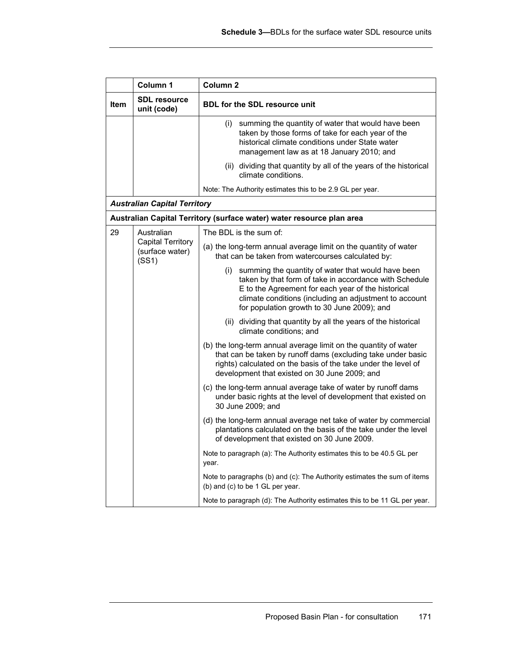|             | Column 1                                             | Column <sub>2</sub>                                                                                                                                                                                                                                                             |  |
|-------------|------------------------------------------------------|---------------------------------------------------------------------------------------------------------------------------------------------------------------------------------------------------------------------------------------------------------------------------------|--|
| <b>Item</b> | <b>SDL resource</b><br>unit (code)                   | <b>BDL for the SDL resource unit</b>                                                                                                                                                                                                                                            |  |
|             |                                                      | (i) summing the quantity of water that would have been<br>taken by those forms of take for each year of the<br>historical climate conditions under State water<br>management law as at 18 January 2010; and                                                                     |  |
|             |                                                      | (ii) dividing that quantity by all of the years of the historical<br>climate conditions.                                                                                                                                                                                        |  |
|             |                                                      | Note: The Authority estimates this to be 2.9 GL per year.                                                                                                                                                                                                                       |  |
|             | <b>Australian Capital Territory</b>                  |                                                                                                                                                                                                                                                                                 |  |
|             |                                                      | Australian Capital Territory (surface water) water resource plan area                                                                                                                                                                                                           |  |
| 29          | Australian<br>The BDL is the sum of:                 |                                                                                                                                                                                                                                                                                 |  |
|             | <b>Capital Territory</b><br>(surface water)<br>(SS1) | (a) the long-term annual average limit on the quantity of water<br>that can be taken from watercourses calculated by:                                                                                                                                                           |  |
|             |                                                      | (i) summing the quantity of water that would have been<br>taken by that form of take in accordance with Schedule<br>E to the Agreement for each year of the historical<br>climate conditions (including an adjustment to account<br>for population growth to 30 June 2009); and |  |
|             |                                                      | (ii) dividing that quantity by all the years of the historical<br>climate conditions; and                                                                                                                                                                                       |  |
|             |                                                      | (b) the long-term annual average limit on the quantity of water<br>that can be taken by runoff dams (excluding take under basic<br>rights) calculated on the basis of the take under the level of<br>development that existed on 30 June 2009; and                              |  |
|             |                                                      | (c) the long-term annual average take of water by runoff dams<br>under basic rights at the level of development that existed on<br>30 June 2009; and                                                                                                                            |  |
|             |                                                      | (d) the long-term annual average net take of water by commercial<br>plantations calculated on the basis of the take under the level<br>of development that existed on 30 June 2009.                                                                                             |  |
|             |                                                      | Note to paragraph (a): The Authority estimates this to be 40.5 GL per<br>year.                                                                                                                                                                                                  |  |
|             |                                                      | Note to paragraphs (b) and (c): The Authority estimates the sum of items<br>(b) and (c) to be 1 GL per year.                                                                                                                                                                    |  |
|             |                                                      | Note to paragraph (d): The Authority estimates this to be 11 GL per year.                                                                                                                                                                                                       |  |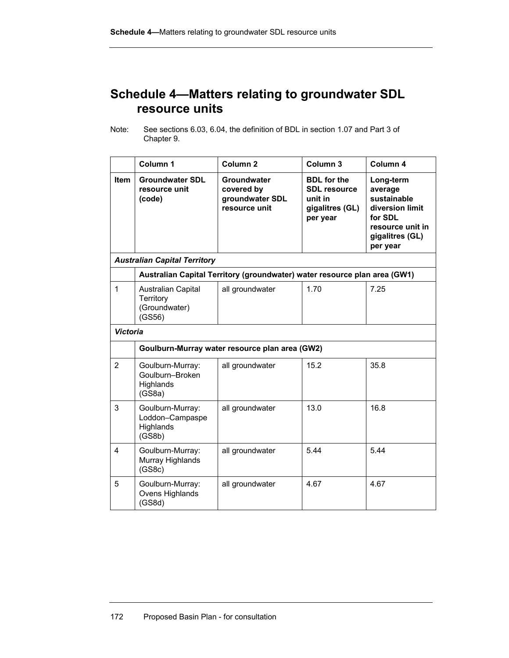## **Schedule 4—Matters relating to groundwater SDL resource units**

Note: See sections 6.03, 6.04, the definition of BDL in section 1.07 and Part 3 of Chapter 9.

|                 | Column <sub>1</sub>                                        | Column <sub>2</sub>                                                       | Column 3                                                                            | Column 4                                                                                                             |
|-----------------|------------------------------------------------------------|---------------------------------------------------------------------------|-------------------------------------------------------------------------------------|----------------------------------------------------------------------------------------------------------------------|
| Item            | <b>Groundwater SDL</b><br>resource unit<br>(code)          | Groundwater<br>covered by<br>groundwater SDL<br>resource unit             | <b>BDL</b> for the<br><b>SDL resource</b><br>unit in<br>gigalitres (GL)<br>per year | Long-term<br>average<br>sustainable<br>diversion limit<br>for SDL<br>resource unit in<br>gigalitres (GL)<br>per year |
|                 | <b>Australian Capital Territory</b>                        |                                                                           |                                                                                     |                                                                                                                      |
|                 |                                                            | Australian Capital Territory (groundwater) water resource plan area (GW1) |                                                                                     |                                                                                                                      |
| 1               | Australian Capital<br>Territory<br>(Groundwater)<br>(GS56) | all groundwater                                                           | 1.70                                                                                | 7.25                                                                                                                 |
| <b>Victoria</b> |                                                            |                                                                           |                                                                                     |                                                                                                                      |
|                 |                                                            | Goulburn-Murray water resource plan area (GW2)                            |                                                                                     |                                                                                                                      |
| $\overline{2}$  | Goulburn-Murray:<br>Goulburn-Broken<br>Highlands<br>(GS8a) | all groundwater                                                           | 15.2                                                                                | 35.8                                                                                                                 |
| 3               | Goulburn-Murray:<br>Loddon-Campaspe<br>Highlands<br>(GS8b) | all groundwater                                                           | 13.0                                                                                | 16.8                                                                                                                 |
| $\overline{4}$  | Goulburn-Murray:<br>Murray Highlands<br>(GS8c)             | all groundwater                                                           | 5.44                                                                                | 5.44                                                                                                                 |
| 5               | Goulburn-Murray:<br>Ovens Highlands<br>(GS8d)              | all groundwater                                                           | 4.67                                                                                | 4.67                                                                                                                 |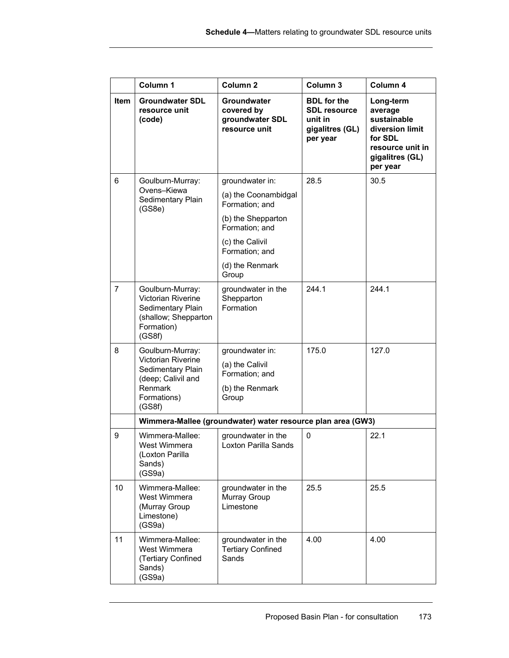|                | Column 1                                                                                                              | Column <sub>2</sub>                                                              | Column 3                                                                            | Column 4                                                                                                             |
|----------------|-----------------------------------------------------------------------------------------------------------------------|----------------------------------------------------------------------------------|-------------------------------------------------------------------------------------|----------------------------------------------------------------------------------------------------------------------|
| Item           | <b>Groundwater SDL</b><br>resource unit<br>(code)                                                                     | Groundwater<br>covered by<br>groundwater SDL<br>resource unit                    | <b>BDL</b> for the<br><b>SDL resource</b><br>unit in<br>gigalitres (GL)<br>per year | Long-term<br>average<br>sustainable<br>diversion limit<br>for SDL<br>resource unit in<br>gigalitres (GL)<br>per year |
| 6              | Goulburn-Murray:<br>Ovens-Kiewa                                                                                       | groundwater in:                                                                  | 28.5                                                                                | 30.5                                                                                                                 |
|                | Sedimentary Plain<br>(GS8e)                                                                                           | (a) the Coonambidgal<br>Formation; and                                           |                                                                                     |                                                                                                                      |
|                |                                                                                                                       | (b) the Shepparton<br>Formation; and                                             |                                                                                     |                                                                                                                      |
|                |                                                                                                                       | (c) the Calivil<br>Formation; and                                                |                                                                                     |                                                                                                                      |
|                |                                                                                                                       | (d) the Renmark<br>Group                                                         |                                                                                     |                                                                                                                      |
| $\overline{7}$ | Goulburn-Murray:<br>Victorian Riverine<br>Sedimentary Plain<br>(shallow; Shepparton<br>Formation)<br>(GS8f)           | groundwater in the<br>Shepparton<br>Formation                                    | 244.1                                                                               | 244.1                                                                                                                |
| 8              | Goulburn-Murray:<br>Victorian Riverine<br>Sedimentary Plain<br>(deep; Calivil and<br>Renmark<br>Formations)<br>(GS8f) | groundwater in:<br>(a) the Calivil<br>Formation; and<br>(b) the Renmark<br>Group | 175.0                                                                               | 127.0                                                                                                                |
|                |                                                                                                                       | Wimmera-Mallee (groundwater) water resource plan area (GW3)                      |                                                                                     |                                                                                                                      |
| 9              | Wimmera-Mallee:<br>West Wimmera<br>(Loxton Parilla<br>Sands)<br>(GS9a)                                                | groundwater in the<br>Loxton Parilla Sands                                       | 0                                                                                   | 22.1                                                                                                                 |
| 10             | Wimmera-Mallee:<br>West Wimmera<br>(Murray Group<br>Limestone)<br>(GS9a)                                              | groundwater in the<br>Murray Group<br>Limestone                                  | 25.5                                                                                | 25.5                                                                                                                 |
| 11             | Wimmera-Mallee:<br>West Wimmera<br>(Tertiary Confined<br>Sands)<br>(GS9a)                                             | groundwater in the<br><b>Tertiary Confined</b><br>Sands                          | 4.00                                                                                | 4.00                                                                                                                 |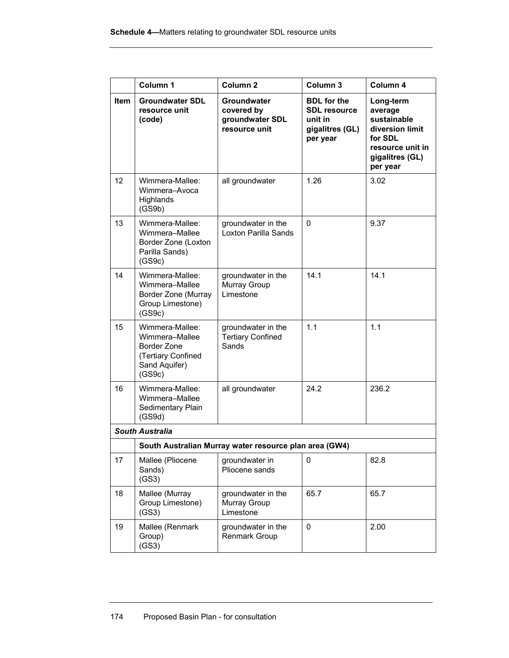|      | Column 1                                                                                          | Column <sub>2</sub>                                           | Column <sub>3</sub>                                                                 | Column 4                                                                                                             |
|------|---------------------------------------------------------------------------------------------------|---------------------------------------------------------------|-------------------------------------------------------------------------------------|----------------------------------------------------------------------------------------------------------------------|
| Item | <b>Groundwater SDL</b><br>resource unit<br>(code)                                                 | Groundwater<br>covered by<br>groundwater SDL<br>resource unit | <b>BDL</b> for the<br><b>SDL resource</b><br>unit in<br>gigalitres (GL)<br>per year | Long-term<br>average<br>sustainable<br>diversion limit<br>for SDL<br>resource unit in<br>gigalitres (GL)<br>per year |
| 12   | Wimmera-Mallee:<br>Wimmera-Avoca<br>Highlands<br>(GS9b)                                           | all groundwater                                               | 1.26                                                                                | 3.02                                                                                                                 |
| 13   | Wimmera-Mallee:<br>Wimmera-Mallee<br>Border Zone (Loxton<br>Parilla Sands)<br>(GS9c)              | groundwater in the<br>Loxton Parilla Sands                    | $\Omega$                                                                            | 9.37                                                                                                                 |
| 14   | Wimmera-Mallee:<br>Wimmera-Mallee<br>Border Zone (Murray<br>Group Limestone)<br>(GS9c)            | groundwater in the<br>Murray Group<br>Limestone               | 14.1                                                                                | 14.1                                                                                                                 |
| 15   | Wimmera-Mallee:<br>Wimmera-Mallee<br>Border Zone<br>(Tertiary Confined<br>Sand Aquifer)<br>(GS9c) | groundwater in the<br><b>Tertiary Confined</b><br>Sands       | 1.1                                                                                 | 1.1                                                                                                                  |
| 16   | Wimmera-Mallee:<br>Wimmera-Mallee<br>Sedimentary Plain<br>(GS9d)                                  | all groundwater                                               | 24.2                                                                                | 236.2                                                                                                                |
|      | <b>South Australia</b>                                                                            |                                                               |                                                                                     |                                                                                                                      |
|      |                                                                                                   | South Australian Murray water resource plan area (GW4)        |                                                                                     |                                                                                                                      |
| 17   | Mallee (Pliocene<br>Sands)<br>(GS3)                                                               | groundwater in<br>Pliocene sands                              | 0                                                                                   | 82.8                                                                                                                 |
| 18   | Mallee (Murray<br>Group Limestone)<br>(GS3)                                                       | groundwater in the<br>Murray Group<br>Limestone               | 65.7                                                                                | 65.7                                                                                                                 |
| 19   | Mallee (Renmark<br>Group)<br>(GS3)                                                                | groundwater in the<br>Renmark Group                           | 0                                                                                   | 2.00                                                                                                                 |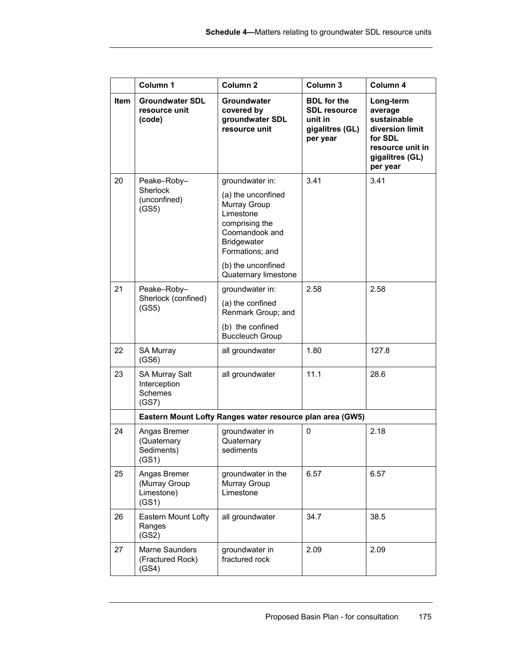|      | Column 1                                                         | Column <sub>2</sub>                                                                                                          | Column 3                                                                            | Column 4                                                                                                             |
|------|------------------------------------------------------------------|------------------------------------------------------------------------------------------------------------------------------|-------------------------------------------------------------------------------------|----------------------------------------------------------------------------------------------------------------------|
| Item | <b>Groundwater SDL</b><br>resource unit<br>(code)                | Groundwater<br>covered by<br>groundwater SDL<br>resource unit                                                                | <b>BDL</b> for the<br><b>SDL resource</b><br>unit in<br>gigalitres (GL)<br>per year | Long-term<br>average<br>sustainable<br>diversion limit<br>for SDL<br>resource unit in<br>gigalitres (GL)<br>per year |
| 20   | Peake-Roby-                                                      | groundwater in:                                                                                                              | 3.41                                                                                | 3.41                                                                                                                 |
|      | <b>Sherlock</b><br>(unconfined)<br>(GS5)                         | (a) the unconfined<br>Murray Group<br>Limestone<br>comprising the<br>Coomandook and<br><b>Bridgewater</b><br>Formations; and |                                                                                     |                                                                                                                      |
|      |                                                                  | (b) the unconfined<br>Quaternary limestone                                                                                   |                                                                                     |                                                                                                                      |
| 21   | Peake-Roby-                                                      | groundwater in:                                                                                                              | 2.58                                                                                | 2.58                                                                                                                 |
|      | Sherlock (confined)<br>(GS5)                                     | (a) the confined<br>Renmark Group; and                                                                                       |                                                                                     |                                                                                                                      |
|      |                                                                  | (b) the confined<br><b>Buccleuch Group</b>                                                                                   |                                                                                     |                                                                                                                      |
| 22   | SA Murray<br>(GS6)                                               | all groundwater                                                                                                              | 1.80                                                                                | 127.8                                                                                                                |
| 23   | <b>SA Murray Salt</b><br>Interception<br><b>Schemes</b><br>(GS7) | all groundwater                                                                                                              | 11.1                                                                                | 28.6                                                                                                                 |
|      |                                                                  | Eastern Mount Lofty Ranges water resource plan area (GW5)                                                                    |                                                                                     |                                                                                                                      |
| 24   | Angas Bremer<br>(Quaternary<br>Sediments)<br>(GS1)               | groundwater in<br>Quaternary<br>sediments                                                                                    | 0                                                                                   | 2.18                                                                                                                 |
| 25   | Angas Bremer<br>(Murray Group<br>Limestone)<br>(GS1)             | groundwater in the<br>Murray Group<br>Limestone                                                                              | 6.57                                                                                | 6.57                                                                                                                 |
| 26   | Eastern Mount Lofty<br>Ranges<br>(GS2)                           | all groundwater                                                                                                              | 34.7                                                                                | 38.5                                                                                                                 |
| 27   | Marne Saunders<br>(Fractured Rock)<br>(GS4)                      | groundwater in<br>fractured rock                                                                                             | 2.09                                                                                | 2.09                                                                                                                 |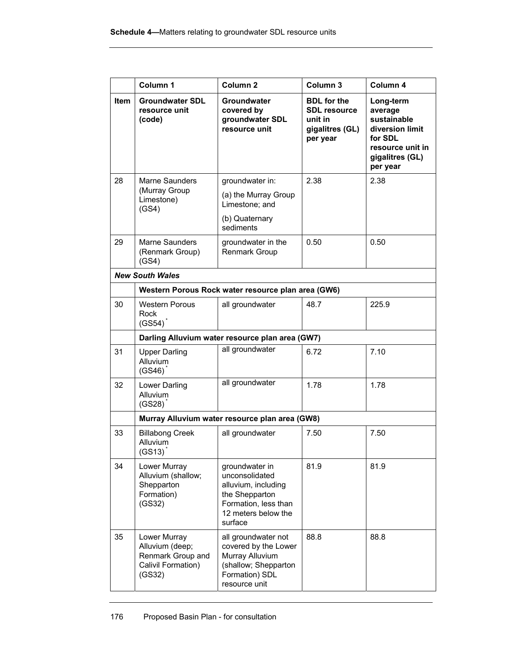|             | Column 1                                                                             | Column <sub>2</sub>                                                                                                                 | Column 3                                                                            | Column 4                                                                                                             |
|-------------|--------------------------------------------------------------------------------------|-------------------------------------------------------------------------------------------------------------------------------------|-------------------------------------------------------------------------------------|----------------------------------------------------------------------------------------------------------------------|
| <b>Item</b> | <b>Groundwater SDL</b><br>resource unit<br>(code)                                    | Groundwater<br>covered by<br>groundwater SDL<br>resource unit                                                                       | <b>BDL</b> for the<br><b>SDL resource</b><br>unit in<br>gigalitres (GL)<br>per year | Long-term<br>average<br>sustainable<br>diversion limit<br>for SDL<br>resource unit in<br>gigalitres (GL)<br>per year |
| 28          | Marne Saunders                                                                       | groundwater in:                                                                                                                     | 2.38                                                                                | 2.38                                                                                                                 |
|             | (Murray Group<br>Limestone)<br>(GS4)                                                 | (a) the Murray Group<br>Limestone; and                                                                                              |                                                                                     |                                                                                                                      |
|             |                                                                                      | (b) Quaternary<br>sediments                                                                                                         |                                                                                     |                                                                                                                      |
| 29          | Marne Saunders<br>(Renmark Group)<br>(GS4)                                           | groundwater in the<br>Renmark Group                                                                                                 | 0.50                                                                                | 0.50                                                                                                                 |
|             | <b>New South Wales</b>                                                               |                                                                                                                                     |                                                                                     |                                                                                                                      |
|             |                                                                                      | Western Porous Rock water resource plan area (GW6)                                                                                  |                                                                                     |                                                                                                                      |
| 30          | <b>Western Porous</b><br>Rock<br>(GS54)                                              | all groundwater                                                                                                                     | 48.7                                                                                | 225.9                                                                                                                |
|             |                                                                                      | Darling Alluvium water resource plan area (GW7)                                                                                     |                                                                                     |                                                                                                                      |
| 31          | <b>Upper Darling</b><br>Alluvium<br>$(GS46)$ <sup>*</sup>                            | all groundwater                                                                                                                     | 6.72                                                                                | 7.10                                                                                                                 |
| 32          | Lower Darling<br><b>Alluvium</b><br>(GS28)                                           | all groundwater                                                                                                                     | 1.78                                                                                | 1.78                                                                                                                 |
|             |                                                                                      | Murray Alluvium water resource plan area (GW8)                                                                                      |                                                                                     |                                                                                                                      |
| 33          | <b>Billabong Creek</b><br>Alluvium<br>(GS13)                                         | all groundwater                                                                                                                     | 7.50                                                                                | 7.50                                                                                                                 |
| 34          | Lower Murray<br>Alluvium (shallow;<br>Shepparton<br>Formation)<br>(GS32)             | groundwater in<br>unconsolidated<br>alluvium, including<br>the Shepparton<br>Formation, less than<br>12 meters below the<br>surface | 81.9                                                                                | 81.9                                                                                                                 |
| 35          | Lower Murray<br>Alluvium (deep;<br>Renmark Group and<br>Calivil Formation)<br>(GS32) | all groundwater not<br>covered by the Lower<br>Murray Alluvium<br>(shallow; Shepparton<br>Formation) SDL<br>resource unit           | 88.8                                                                                | 88.8                                                                                                                 |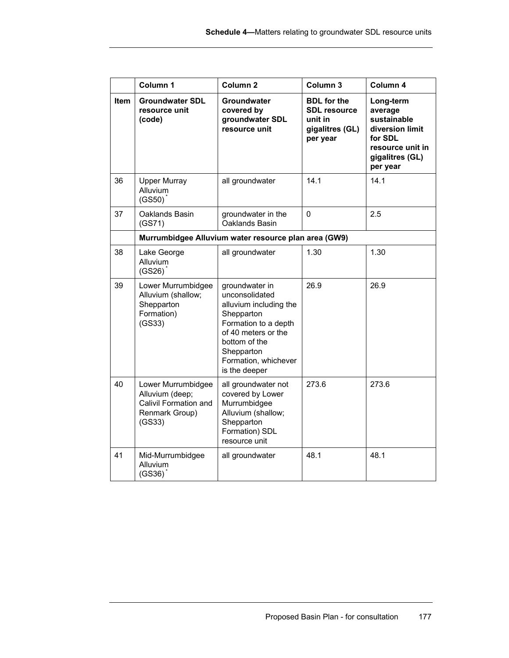|             | Column 1                                                                                   | Column <sub>2</sub>                                                                                                                                                                             | Column 3                                                                            | Column 4                                                                                                             |
|-------------|--------------------------------------------------------------------------------------------|-------------------------------------------------------------------------------------------------------------------------------------------------------------------------------------------------|-------------------------------------------------------------------------------------|----------------------------------------------------------------------------------------------------------------------|
| <b>Item</b> | <b>Groundwater SDL</b><br>resource unit<br>(code)                                          | <b>Groundwater</b><br>covered by<br>groundwater SDL<br>resource unit                                                                                                                            | <b>BDL</b> for the<br><b>SDL resource</b><br>unit in<br>gigalitres (GL)<br>per year | Long-term<br>average<br>sustainable<br>diversion limit<br>for SDL<br>resource unit in<br>gigalitres (GL)<br>per year |
| 36          | <b>Upper Murray</b><br>Alluvium<br>(GS50)                                                  | all groundwater                                                                                                                                                                                 | 14.1                                                                                | 14.1                                                                                                                 |
| 37          | Oaklands Basin<br>(GS71)                                                                   | groundwater in the<br>Oaklands Basin                                                                                                                                                            | $\Omega$                                                                            | 2.5                                                                                                                  |
|             |                                                                                            | Murrumbidgee Alluvium water resource plan area (GW9)                                                                                                                                            |                                                                                     |                                                                                                                      |
| 38          | Lake George<br>Alluvium<br>(GS26)                                                          | all groundwater                                                                                                                                                                                 | 1.30                                                                                | 1.30                                                                                                                 |
| 39          | Lower Murrumbidgee<br>Alluvium (shallow;<br>Shepparton<br>Formation)<br>(GS33)             | groundwater in<br>unconsolidated<br>alluvium including the<br>Shepparton<br>Formation to a depth<br>of 40 meters or the<br>bottom of the<br>Shepparton<br>Formation, whichever<br>is the deeper | 26.9                                                                                | 26.9                                                                                                                 |
| 40          | Lower Murrumbidgee<br>Alluvium (deep;<br>Calivil Formation and<br>Renmark Group)<br>(GS33) | all groundwater not<br>covered by Lower<br>Murrumbidgee<br>Alluvium (shallow;<br>Shepparton<br>Formation) SDL<br>resource unit                                                                  | 273.6                                                                               | 273.6                                                                                                                |
| 41          | Mid-Murrumbidgee<br>Alluvium<br>(GS36)                                                     | all groundwater                                                                                                                                                                                 | 48.1                                                                                | 48.1                                                                                                                 |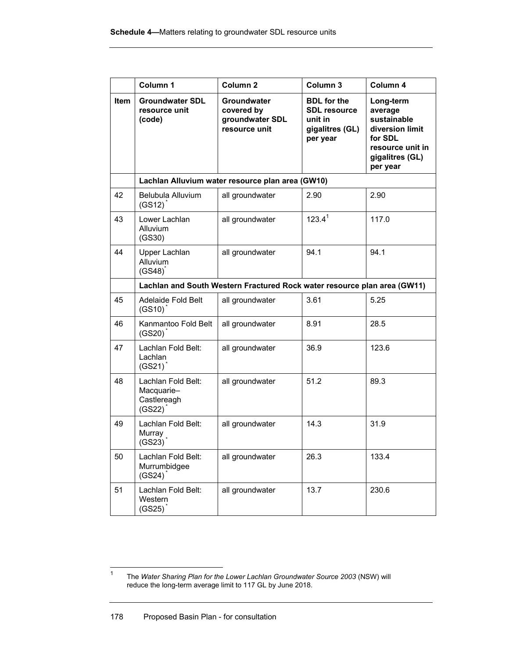|      | Column 1                                                  | Column <sub>2</sub>                                                      | Column 3                                                                            | Column 4                                                                                                             |
|------|-----------------------------------------------------------|--------------------------------------------------------------------------|-------------------------------------------------------------------------------------|----------------------------------------------------------------------------------------------------------------------|
| Item | <b>Groundwater SDL</b><br>resource unit<br>(code)         | <b>Groundwater</b><br>covered by<br>groundwater SDL<br>resource unit     | <b>BDL</b> for the<br><b>SDL resource</b><br>unit in<br>gigalitres (GL)<br>per year | Long-term<br>average<br>sustainable<br>diversion limit<br>for SDL<br>resource unit in<br>gigalitres (GL)<br>per year |
|      |                                                           | Lachlan Alluvium water resource plan area (GW10)                         |                                                                                     |                                                                                                                      |
| 42   | Belubula Alluvium<br>$(GS12)^{^*}$                        | all groundwater                                                          | 2.90                                                                                | 2.90                                                                                                                 |
| 43   | Lower Lachlan<br>Alluvium<br>(GS30)                       | all groundwater                                                          | $123.4^1$                                                                           | 117.0                                                                                                                |
| 44   | Upper Lachlan<br>Alluvium<br>(GS48)                       | all groundwater                                                          | 94.1                                                                                | 94.1                                                                                                                 |
|      |                                                           | Lachlan and South Western Fractured Rock water resource plan area (GW11) |                                                                                     |                                                                                                                      |
| 45   | Adelaide Fold Belt<br>$(GS10)^T$                          | all groundwater                                                          | 3.61                                                                                | 5.25                                                                                                                 |
| 46   | Kanmantoo Fold Belt<br>(GS20)                             | all groundwater                                                          | 8.91                                                                                | 28.5                                                                                                                 |
| 47   | Lachlan Fold Belt:<br>Lachlan<br>$(GS21)^{^{\star}}$      | all groundwater                                                          | 36.9                                                                                | 123.6                                                                                                                |
| 48   | Lachlan Fold Belt:<br>Macquarie-<br>Castlereagh<br>(GS22) | all groundwater                                                          | 51.2                                                                                | 89.3                                                                                                                 |
| 49   | Lachlan Fold Belt:<br>Murray<br>(GS23)                    | all groundwater                                                          | 14.3                                                                                | 31.9                                                                                                                 |
| 50   | Lachlan Fold Belt:<br>Murrumbidgee<br>(GS24)              | all groundwater                                                          | 26.3                                                                                | 133.4                                                                                                                |
| 51   | Lachlan Fold Belt:<br>Western<br>(GS25)                   | all groundwater                                                          | 13.7                                                                                | 230.6                                                                                                                |

 $\frac{1}{1}$  The *Water Sharing Plan for the Lower Lachlan Groundwater Source 2003* (NSW) will reduce the long-term average limit to 117 GL by June 2018.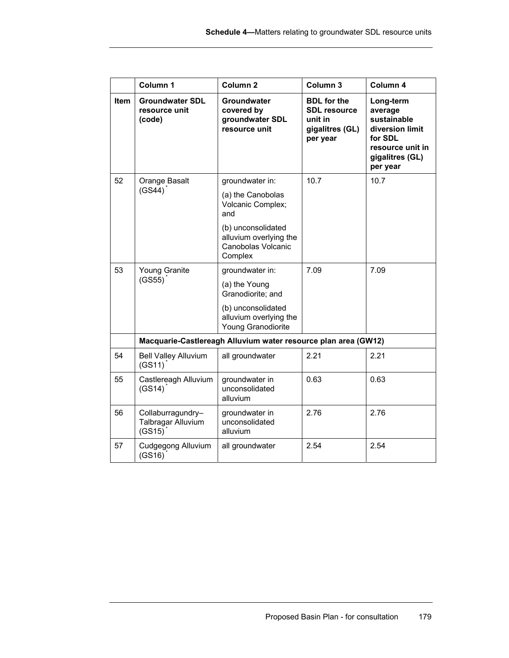|             | Column 1                                          | Column <sub>2</sub>                                                           | Column 3                                                                            | Column 4                                                                                                             |  |
|-------------|---------------------------------------------------|-------------------------------------------------------------------------------|-------------------------------------------------------------------------------------|----------------------------------------------------------------------------------------------------------------------|--|
| <b>Item</b> | <b>Groundwater SDL</b><br>resource unit<br>(code) | Groundwater<br>covered by<br>groundwater SDL<br>resource unit                 | <b>BDL</b> for the<br><b>SDL resource</b><br>unit in<br>gigalitres (GL)<br>per year | Long-term<br>average<br>sustainable<br>diversion limit<br>for SDL<br>resource unit in<br>gigalitres (GL)<br>per year |  |
| 52          | Orange Basalt                                     | groundwater in:                                                               | 10.7                                                                                | 10.7                                                                                                                 |  |
|             | (GS44)                                            | (a) the Canobolas<br>Volcanic Complex;<br>and                                 |                                                                                     |                                                                                                                      |  |
|             |                                                   | (b) unconsolidated<br>alluvium overlying the<br>Canobolas Volcanic<br>Complex |                                                                                     |                                                                                                                      |  |
| 53          | Young Granite                                     | groundwater in:                                                               | 7.09                                                                                | 7.09                                                                                                                 |  |
|             | (GS55)                                            | (a) the Young<br>Granodiorite; and                                            |                                                                                     |                                                                                                                      |  |
|             |                                                   | (b) unconsolidated<br>alluvium overlying the<br>Young Granodiorite            |                                                                                     |                                                                                                                      |  |
|             |                                                   | Macquarie-Castlereagh Alluvium water resource plan area (GW12)                |                                                                                     |                                                                                                                      |  |
| 54          | <b>Bell Valley Alluvium</b><br>$(GS11)^{^*}$      | all groundwater                                                               | 2.21                                                                                | 2.21                                                                                                                 |  |
| 55          | Castlereagh Alluvium<br>(GS14)                    | groundwater in<br>unconsolidated<br>alluvium                                  | 0.63                                                                                | 0.63                                                                                                                 |  |
| 56          | Collaburragundry-<br>Talbragar Alluvium<br>(GS15) | groundwater in<br>unconsolidated<br>alluvium                                  | 2.76                                                                                | 2.76                                                                                                                 |  |
| 57          | Cudgegong Alluvium<br>(GS16)                      | all groundwater                                                               | 2.54                                                                                | 2.54                                                                                                                 |  |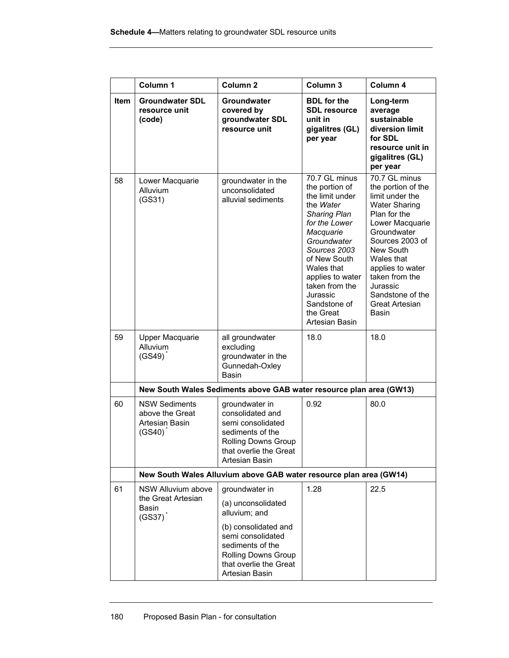|      | Column 1                                                            | Column <sub>2</sub>                                                                                                                            | Column 3                                                                                                                                                                                                                                                                           | Column 4                                                                                                                                                                                                                                                                               |
|------|---------------------------------------------------------------------|------------------------------------------------------------------------------------------------------------------------------------------------|------------------------------------------------------------------------------------------------------------------------------------------------------------------------------------------------------------------------------------------------------------------------------------|----------------------------------------------------------------------------------------------------------------------------------------------------------------------------------------------------------------------------------------------------------------------------------------|
| Item | <b>Groundwater SDL</b><br>resource unit<br>(code)                   | Groundwater<br>covered by<br>groundwater SDL<br>resource unit                                                                                  | <b>BDL</b> for the<br><b>SDL resource</b><br>unit in<br>gigalitres (GL)<br>per year                                                                                                                                                                                                | Long-term<br>average<br>sustainable<br>diversion limit<br>for SDL<br>resource unit in<br>gigalitres (GL)<br>per year                                                                                                                                                                   |
| 58   | Lower Macquarie<br>Alluvium<br>(GS31)                               | groundwater in the<br>unconsolidated<br>alluvial sediments                                                                                     | 70.7 GL minus<br>the portion of<br>the limit under<br>the Water<br><b>Sharing Plan</b><br>for the Lower<br>Macquarie<br>Groundwater<br>Sources 2003<br>of New South<br>Wales that<br>applies to water<br>taken from the<br>Jurassic<br>Sandstone of<br>the Great<br>Artesian Basin | 70.7 GL minus<br>the portion of the<br>limit under the<br><b>Water Sharing</b><br>Plan for the<br>Lower Macquarie<br>Groundwater<br>Sources 2003 of<br>New South<br>Wales that<br>applies to water<br>taken from the<br>Jurassic<br>Sandstone of the<br><b>Great Artesian</b><br>Basin |
| 59   | <b>Upper Macquarie</b><br>Alluvium<br>(GS49)                        | all groundwater<br>excluding<br>groundwater in the<br>Gunnedah-Oxley<br><b>Basin</b>                                                           | 18.0                                                                                                                                                                                                                                                                               | 18.0                                                                                                                                                                                                                                                                                   |
|      |                                                                     | New South Wales Sediments above GAB water resource plan area (GW13)                                                                            |                                                                                                                                                                                                                                                                                    |                                                                                                                                                                                                                                                                                        |
| 60   | <b>NSW Sediments</b><br>above the Great<br>Artesian Basin<br>(GS40) | groundwater in<br>consolidated and<br>semi consolidated<br>sediments of the<br>Rolling Downs Group<br>that overlie the Great<br>Artesian Basin | 0.92                                                                                                                                                                                                                                                                               | 80.0                                                                                                                                                                                                                                                                                   |
|      |                                                                     | New South Wales Alluvium above GAB water resource plan area (GW14)                                                                             |                                                                                                                                                                                                                                                                                    |                                                                                                                                                                                                                                                                                        |
| 61   | NSW Alluvium above<br>the Great Artesian<br>Basin<br>(GS37)         | groundwater in<br>(a) unconsolidated<br>alluvium; and                                                                                          | 1.28                                                                                                                                                                                                                                                                               | 22.5                                                                                                                                                                                                                                                                                   |
|      |                                                                     | (b) consolidated and<br>semi consolidated<br>sediments of the<br><b>Rolling Downs Group</b><br>that overlie the Great<br>Artesian Basin        |                                                                                                                                                                                                                                                                                    |                                                                                                                                                                                                                                                                                        |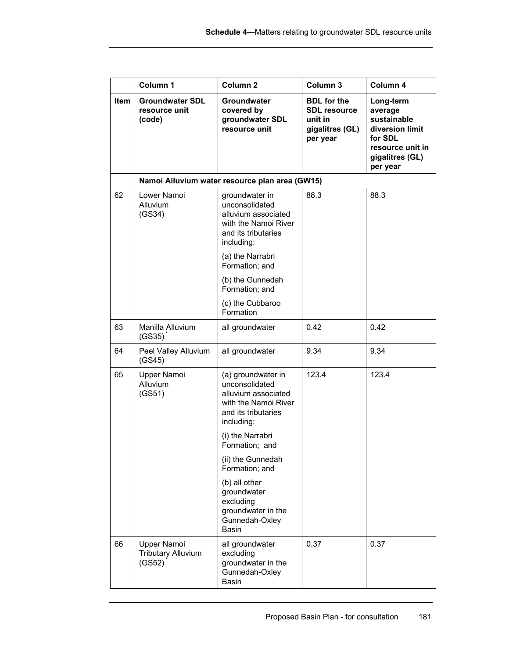|      | Column 1                                           | Column <sub>2</sub>                                                                                                      | Column 3                                                                            | Column 4                                                                                                             |
|------|----------------------------------------------------|--------------------------------------------------------------------------------------------------------------------------|-------------------------------------------------------------------------------------|----------------------------------------------------------------------------------------------------------------------|
| Item | <b>Groundwater SDL</b><br>resource unit<br>(code)  | Groundwater<br>covered by<br>groundwater SDL<br>resource unit                                                            | <b>BDL</b> for the<br><b>SDL resource</b><br>unit in<br>gigalitres (GL)<br>per year | Long-term<br>average<br>sustainable<br>diversion limit<br>for SDL<br>resource unit in<br>gigalitres (GL)<br>per year |
|      |                                                    | Namoi Alluvium water resource plan area (GW15)                                                                           |                                                                                     |                                                                                                                      |
| 62   | Lower Namoi<br>Alluvium<br>(GS34)                  | groundwater in<br>unconsolidated<br>alluvium associated<br>with the Namoi River<br>and its tributaries<br>including:     | 88.3                                                                                | 88.3                                                                                                                 |
|      |                                                    | (a) the Narrabri<br>Formation; and                                                                                       |                                                                                     |                                                                                                                      |
|      |                                                    | (b) the Gunnedah<br>Formation; and                                                                                       |                                                                                     |                                                                                                                      |
|      |                                                    | (c) the Cubbaroo<br>Formation                                                                                            |                                                                                     |                                                                                                                      |
| 63   | Manilla Alluvium<br>(GS35)                         | all groundwater                                                                                                          | 0.42                                                                                | 0.42                                                                                                                 |
| 64   | Peel Valley Alluvium<br>(GS45)                     | all groundwater                                                                                                          | 9.34                                                                                | 9.34                                                                                                                 |
| 65   | Upper Namoi<br>Alluvium<br>(GS51)                  | (a) groundwater in<br>unconsolidated<br>alluvium associated<br>with the Namoi River<br>and its tributaries<br>including: | 123.4                                                                               | 123.4                                                                                                                |
|      |                                                    | (i) the Narrabri<br>Formation; and                                                                                       |                                                                                     |                                                                                                                      |
|      |                                                    | (ii) the Gunnedah<br>Formation; and                                                                                      |                                                                                     |                                                                                                                      |
|      |                                                    | (b) all other<br>groundwater<br>excluding<br>groundwater in the<br>Gunnedah-Oxley<br>Basin                               |                                                                                     |                                                                                                                      |
| 66   | Upper Namoi<br><b>Tributary Alluvium</b><br>(GS52) | all groundwater<br>excluding<br>groundwater in the<br>Gunnedah-Oxley<br>Basin                                            | 0.37                                                                                | 0.37                                                                                                                 |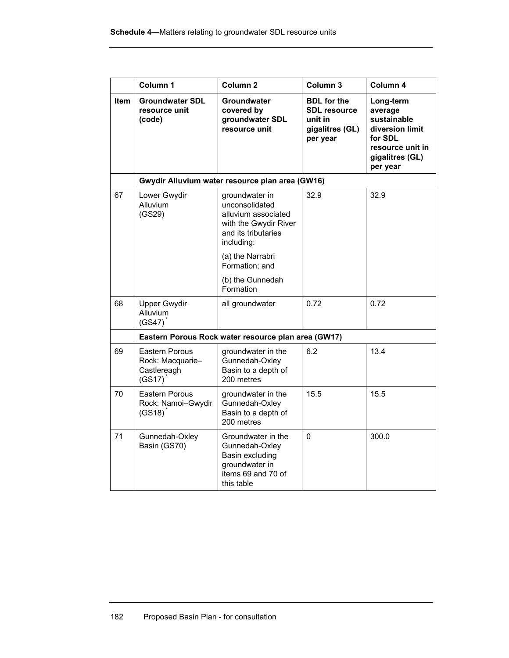|             | Column 1                                                    | Column <sub>2</sub>                                                                                                   | Column 3                                                                            | Column 4                                                                                                             |
|-------------|-------------------------------------------------------------|-----------------------------------------------------------------------------------------------------------------------|-------------------------------------------------------------------------------------|----------------------------------------------------------------------------------------------------------------------|
| <b>Item</b> | <b>Groundwater SDL</b><br>resource unit<br>(code)           | <b>Groundwater</b><br>covered by<br>groundwater SDL<br>resource unit                                                  | <b>BDL</b> for the<br><b>SDL resource</b><br>unit in<br>gigalitres (GL)<br>per year | Long-term<br>average<br>sustainable<br>diversion limit<br>for SDL<br>resource unit in<br>gigalitres (GL)<br>per year |
|             |                                                             | Gwydir Alluvium water resource plan area (GW16)                                                                       |                                                                                     |                                                                                                                      |
| 67          | Lower Gwydir<br><b>Alluvium</b><br>(GS29)                   | groundwater in<br>unconsolidated<br>alluvium associated<br>with the Gwydir River<br>and its tributaries<br>including: | 32.9                                                                                | 32.9                                                                                                                 |
|             |                                                             | (a) the Narrabri<br>Formation; and                                                                                    |                                                                                     |                                                                                                                      |
|             |                                                             | (b) the Gunnedah<br>Formation                                                                                         |                                                                                     |                                                                                                                      |
| 68          | <b>Upper Gwydir</b><br>Alluvium<br>(GS47)                   | all groundwater                                                                                                       | 0.72                                                                                | 0.72                                                                                                                 |
|             |                                                             | Eastern Porous Rock water resource plan area (GW17)                                                                   |                                                                                     |                                                                                                                      |
| 69          | Eastern Porous<br>Rock: Macquarie-<br>Castlereagh<br>(GS17) | groundwater in the<br>Gunnedah-Oxley<br>Basin to a depth of<br>200 metres                                             | 6.2                                                                                 | 13.4                                                                                                                 |
| 70          | Eastern Porous<br>Rock: Namoi-Gwydir<br>(GS18)              | groundwater in the<br>Gunnedah-Oxley<br>Basin to a depth of<br>200 metres                                             | 15.5                                                                                | 15.5                                                                                                                 |
| 71          | Gunnedah-Oxley<br>Basin (GS70)                              | Groundwater in the<br>Gunnedah-Oxley<br>Basin excluding<br>groundwater in<br>items 69 and 70 of<br>this table         | $\Omega$                                                                            | 300.0                                                                                                                |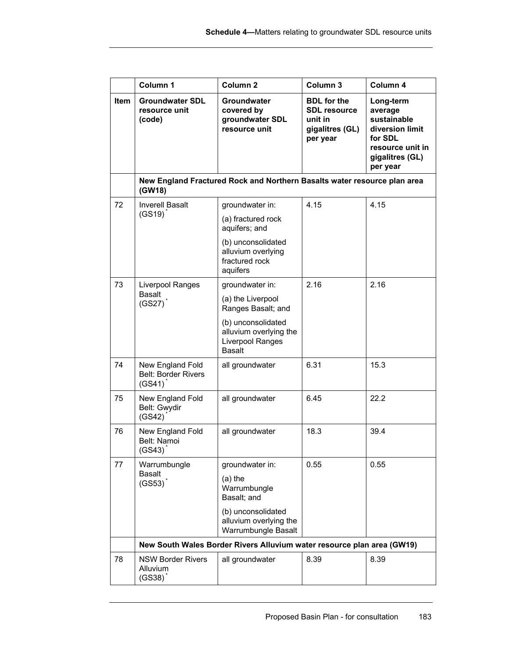|      | Column 1                                                             | Column <sub>2</sub>                                                                                                                        | Column 3                                                                            | Column 4                                                                                                             |
|------|----------------------------------------------------------------------|--------------------------------------------------------------------------------------------------------------------------------------------|-------------------------------------------------------------------------------------|----------------------------------------------------------------------------------------------------------------------|
| Item | <b>Groundwater SDL</b><br>resource unit<br>(code)                    | <b>Groundwater</b><br>covered by<br>groundwater SDL<br>resource unit                                                                       | <b>BDL</b> for the<br><b>SDL resource</b><br>unit in<br>gigalitres (GL)<br>per year | Long-term<br>average<br>sustainable<br>diversion limit<br>for SDL<br>resource unit in<br>gigalitres (GL)<br>per year |
|      | (GW18)                                                               | New England Fractured Rock and Northern Basalts water resource plan area                                                                   |                                                                                     |                                                                                                                      |
| 72   | <b>Inverell Basalt</b><br>$(GS19)^T$                                 | groundwater in:<br>(a) fractured rock<br>aquifers; and<br>(b) unconsolidated<br>alluvium overlying<br>fractured rock                       | 4.15                                                                                | 4.15                                                                                                                 |
| 73   | Liverpool Ranges<br><b>Basalt</b><br>(GS27)                          | aquifers<br>groundwater in:<br>(a) the Liverpool<br>Ranges Basalt; and<br>(b) unconsolidated<br>alluvium overlying the<br>Liverpool Ranges | 2.16                                                                                | 2.16                                                                                                                 |
| 74   | New England Fold<br><b>Belt: Border Rivers</b><br>(GS41)             | <b>Basalt</b><br>all groundwater                                                                                                           | 6.31                                                                                | 15.3                                                                                                                 |
| 75   | New England Fold<br>Belt: Gwydir<br>(GS42)                           | all groundwater                                                                                                                            | 6.45                                                                                | 22.2                                                                                                                 |
| 76   | New England Fold<br>Belt: Namoi<br>$(GS43)$ <sup>*</sup>             | all groundwater                                                                                                                            | 18.3                                                                                | 39.4                                                                                                                 |
| 77   | Warrumbungle<br><b>Basalt</b><br>(GS53)                              | groundwater in:<br>$(a)$ the<br>Warrumbungle<br>Basalt; and<br>(b) unconsolidated<br>alluvium overlying the<br>Warrumbungle Basalt         | 0.55                                                                                | 0.55                                                                                                                 |
|      |                                                                      | New South Wales Border Rivers Alluvium water resource plan area (GW19)                                                                     |                                                                                     |                                                                                                                      |
| 78   | <b>NSW Border Rivers</b><br><b>Alluvium</b><br>$(GS38)$ <sup>*</sup> | all groundwater                                                                                                                            | 8.39                                                                                | 8.39                                                                                                                 |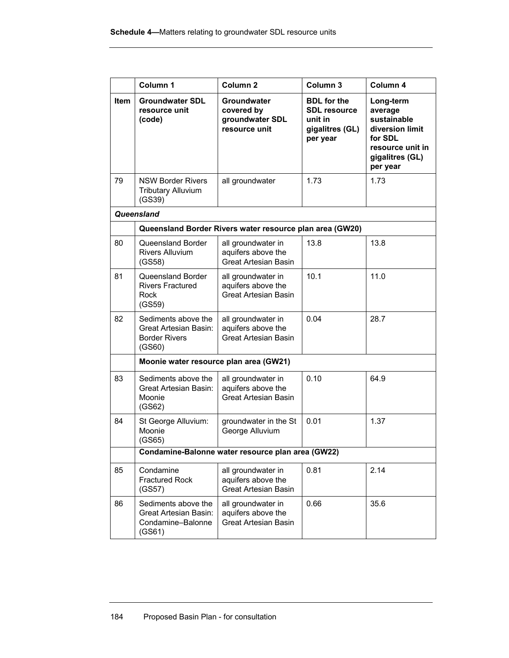|      | Column 1                                                                                                                                                                      | Column <sub>2</sub>                                                     | Column 3                                                                            | Column 4                                                                                                             |
|------|-------------------------------------------------------------------------------------------------------------------------------------------------------------------------------|-------------------------------------------------------------------------|-------------------------------------------------------------------------------------|----------------------------------------------------------------------------------------------------------------------|
| Item | <b>Groundwater SDL</b><br>resource unit<br>(code)                                                                                                                             | Groundwater<br>covered by<br>groundwater SDL<br>resource unit           | <b>BDL</b> for the<br><b>SDL resource</b><br>unit in<br>gigalitres (GL)<br>per year | Long-term<br>average<br>sustainable<br>diversion limit<br>for SDL<br>resource unit in<br>gigalitres (GL)<br>per year |
| 79   | <b>NSW Border Rivers</b><br><b>Tributary Alluvium</b><br>(GS39)                                                                                                               | all groundwater                                                         | 1.73                                                                                | 1.73                                                                                                                 |
|      | Queensland                                                                                                                                                                    |                                                                         |                                                                                     |                                                                                                                      |
|      |                                                                                                                                                                               | Queensland Border Rivers water resource plan area (GW20)                |                                                                                     |                                                                                                                      |
| 80   | Queensland Border<br><b>Rivers Alluvium</b><br>(GS58)                                                                                                                         | all groundwater in<br>aquifers above the<br><b>Great Artesian Basin</b> | 13.8                                                                                | 13.8                                                                                                                 |
| 81   | Queensland Border<br><b>Rivers Fractured</b><br>Rock<br>(GS59)                                                                                                                | all groundwater in<br>aquifers above the<br><b>Great Artesian Basin</b> | 10.1                                                                                | 11.0                                                                                                                 |
| 82   | Sediments above the<br>Great Artesian Basin:<br><b>Border Rivers</b><br>(GS60)                                                                                                | all groundwater in<br>aquifers above the<br><b>Great Artesian Basin</b> | 0.04                                                                                | 28.7                                                                                                                 |
|      | Moonie water resource plan area (GW21)                                                                                                                                        |                                                                         |                                                                                     |                                                                                                                      |
| 83   | Sediments above the<br>Great Artesian Basin:<br>Moonie<br>(GS62)                                                                                                              | all groundwater in<br>aquifers above the<br><b>Great Artesian Basin</b> | 0.10                                                                                | 64.9                                                                                                                 |
| 84   | St George Alluvium:<br>Moonie<br>(GS65)                                                                                                                                       | groundwater in the St<br>George Alluvium                                | 0.01                                                                                | 1.37                                                                                                                 |
|      |                                                                                                                                                                               | Condamine-Balonne water resource plan area (GW22)                       |                                                                                     |                                                                                                                      |
| 85   | Condamine<br><b>Fractured Rock</b><br>(GS57)                                                                                                                                  | all groundwater in<br>aquifers above the<br><b>Great Artesian Basin</b> | 0.81                                                                                | 2.14                                                                                                                 |
| 86   | Sediments above the<br>all groundwater in<br>0.66<br>35.6<br><b>Great Artesian Basin:</b><br>aquifers above the<br><b>Great Artesian Basin</b><br>Condamine-Balonne<br>(GS61) |                                                                         |                                                                                     |                                                                                                                      |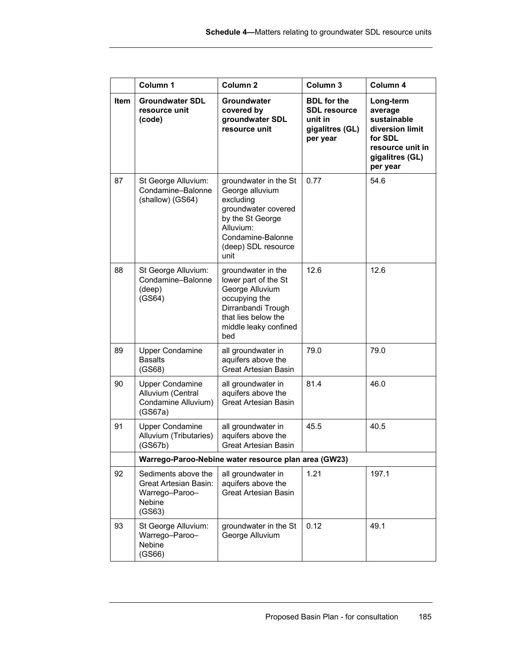|      | Column 1                                                                           | Column <sub>2</sub>                                                                                                                                               | Column 3                                                                            | Column 4                                                                                                             |
|------|------------------------------------------------------------------------------------|-------------------------------------------------------------------------------------------------------------------------------------------------------------------|-------------------------------------------------------------------------------------|----------------------------------------------------------------------------------------------------------------------|
| Item | <b>Groundwater SDL</b><br>resource unit<br>(code)                                  | Groundwater<br>covered by<br>groundwater SDL<br>resource unit                                                                                                     | <b>BDL</b> for the<br><b>SDL resource</b><br>unit in<br>gigalitres (GL)<br>per year | Long-term<br>average<br>sustainable<br>diversion limit<br>for SDL<br>resource unit in<br>gigalitres (GL)<br>per year |
| 87   | St George Alluvium:<br>Condamine-Balonne<br>(shallow) (GS64)                       | groundwater in the St<br>George alluvium<br>excluding<br>groundwater covered<br>by the St George<br>Alluvium:<br>Condamine-Balonne<br>(deep) SDL resource<br>unit | 0.77                                                                                | 54.6                                                                                                                 |
| 88   | St George Alluvium:<br>Condamine-Balonne<br>(deep)<br>(GS64)                       | groundwater in the<br>lower part of the St<br>George Alluvium<br>occupying the<br>Dirranbandi Trough<br>that lies below the<br>middle leaky confined<br>bed       | 12.6                                                                                | 12.6                                                                                                                 |
| 89   | <b>Upper Condamine</b><br><b>Basalts</b><br>(GS68)                                 | all groundwater in<br>aquifers above the<br><b>Great Artesian Basin</b>                                                                                           | 79.0                                                                                | 79.0                                                                                                                 |
| 90   | <b>Upper Condamine</b><br>Alluvium (Central<br>Condamine Alluvium)<br>(GS67a)      | all groundwater in<br>aquifers above the<br><b>Great Artesian Basin</b>                                                                                           | 81.4                                                                                | 46.0                                                                                                                 |
| 91   | <b>Upper Condamine</b><br>Alluvium (Tributaries)<br>(GS67b)                        | all groundwater in<br>aquifers above the<br>Great Artesian Basin                                                                                                  | 45.5                                                                                | 40.5                                                                                                                 |
|      |                                                                                    | Warrego-Paroo-Nebine water resource plan area (GW23)                                                                                                              |                                                                                     |                                                                                                                      |
| 92   | Sediments above the<br>Great Artesian Basin:<br>Warrego-Paroo-<br>Nebine<br>(GS63) | all groundwater in<br>aquifers above the<br><b>Great Artesian Basin</b>                                                                                           | 1.21                                                                                | 197.1                                                                                                                |
| 93   | St George Alluvium:<br>Warrego-Paroo-<br>Nebine<br>(GS66)                          | groundwater in the St<br>George Alluvium                                                                                                                          | 0.12                                                                                | 49.1                                                                                                                 |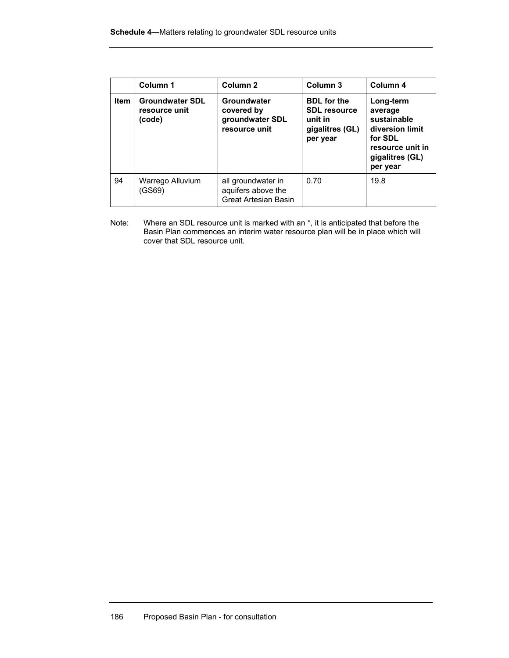|      | Column 1<br>Column <sub>2</sub>                   |                                                                  | Column <sub>3</sub>                                                                 | Column 4                                                                                                             |  |
|------|---------------------------------------------------|------------------------------------------------------------------|-------------------------------------------------------------------------------------|----------------------------------------------------------------------------------------------------------------------|--|
| Item | <b>Groundwater SDL</b><br>resource unit<br>(code) | Groundwater<br>covered by<br>groundwater SDL<br>resource unit    | <b>BDL</b> for the<br><b>SDL</b> resource<br>unit in<br>gigalitres (GL)<br>per year | Long-term<br>average<br>sustainable<br>diversion limit<br>for SDL<br>resource unit in<br>gigalitres (GL)<br>per year |  |
| 94   | Warrego Alluvium<br>(GS69)                        | all groundwater in<br>aquifers above the<br>Great Artesian Basin | 0.70                                                                                | 19.8                                                                                                                 |  |

Note: Where an SDL resource unit is marked with an  $*$ , it is anticipated that before the Basin Plan commences an interim water resource plan will be in place which will cover that SDL resource unit.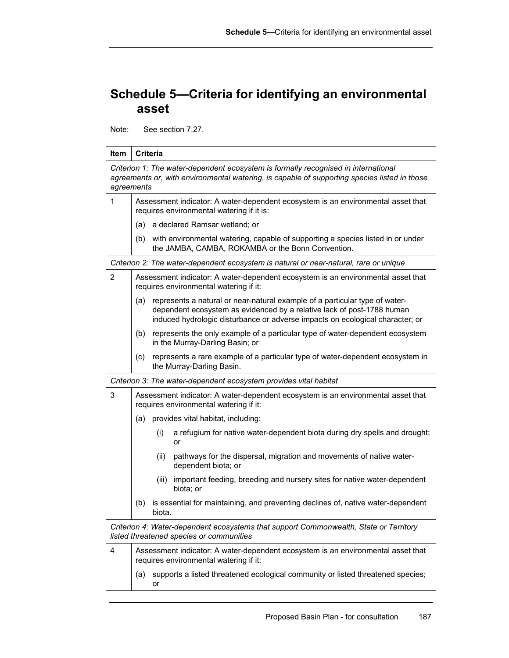## **Schedule 5—Criteria for identifying an environmental asset**

Note: See section 7.27.

| Item       |                                                                                                                               | <b>Criteria</b> |                                                                                                                                                                                                                                        |
|------------|-------------------------------------------------------------------------------------------------------------------------------|-----------------|----------------------------------------------------------------------------------------------------------------------------------------------------------------------------------------------------------------------------------------|
| agreements |                                                                                                                               |                 | Criterion 1: The water-dependent ecosystem is formally recognised in international<br>agreements or, with environmental watering, is capable of supporting species listed in those                                                     |
| 1          | Assessment indicator: A water-dependent ecosystem is an environmental asset that<br>requires environmental watering if it is: |                 |                                                                                                                                                                                                                                        |
|            |                                                                                                                               |                 | (a) a declared Ramsar wetland; or                                                                                                                                                                                                      |
|            |                                                                                                                               |                 | (b) with environmental watering, capable of supporting a species listed in or under<br>the JAMBA, CAMBA, ROKAMBA or the Bonn Convention.                                                                                               |
|            |                                                                                                                               |                 | Criterion 2: The water-dependent ecosystem is natural or near-natural, rare or unique                                                                                                                                                  |
| 2          |                                                                                                                               |                 | Assessment indicator: A water-dependent ecosystem is an environmental asset that<br>requires environmental watering if it:                                                                                                             |
|            | (a)                                                                                                                           |                 | represents a natural or near-natural example of a particular type of water-<br>dependent ecosystem as evidenced by a relative lack of post-1788 human<br>induced hydrologic disturbance or adverse impacts on ecological character; or |
|            | (b)                                                                                                                           |                 | represents the only example of a particular type of water-dependent ecosystem<br>in the Murray-Darling Basin; or                                                                                                                       |
|            | (c)                                                                                                                           |                 | represents a rare example of a particular type of water-dependent ecosystem in<br>the Murray-Darling Basin.                                                                                                                            |
|            |                                                                                                                               |                 | Criterion 3: The water-dependent ecosystem provides vital habitat                                                                                                                                                                      |
| 3          |                                                                                                                               |                 | Assessment indicator: A water-dependent ecosystem is an environmental asset that<br>requires environmental watering if it:                                                                                                             |
|            | (a)                                                                                                                           |                 | provides vital habitat, including:                                                                                                                                                                                                     |
|            |                                                                                                                               | (i)             | a refugium for native water-dependent biota during dry spells and drought;<br>or                                                                                                                                                       |
|            |                                                                                                                               | (ii)            | pathways for the dispersal, migration and movements of native water-<br>dependent biota; or                                                                                                                                            |
|            |                                                                                                                               | (iii)           | important feeding, breeding and nursery sites for native water-dependent<br>biota; or                                                                                                                                                  |
|            | (b)                                                                                                                           | biota.          | is essential for maintaining, and preventing declines of, native water-dependent                                                                                                                                                       |
|            |                                                                                                                               |                 | Criterion 4: Water-dependent ecosystems that support Commonwealth, State or Territory<br>listed threatened species or communities                                                                                                      |
| 4          |                                                                                                                               |                 | Assessment indicator: A water-dependent ecosystem is an environmental asset that<br>requires environmental watering if it:                                                                                                             |
|            | (a)                                                                                                                           | or              | supports a listed threatened ecological community or listed threatened species;                                                                                                                                                        |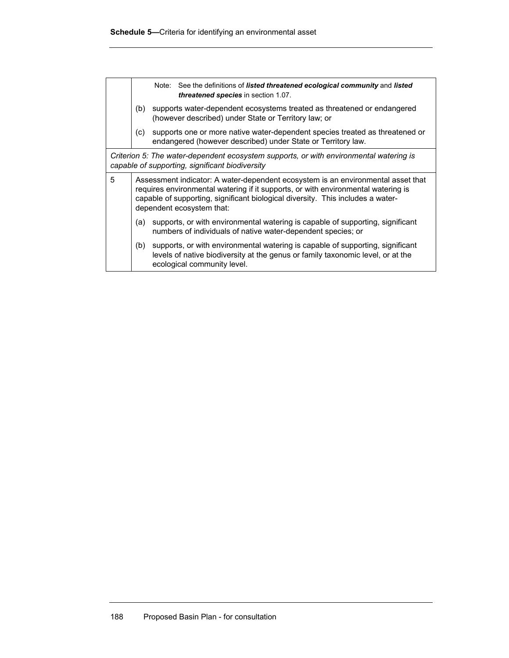|   |                                                                                                                                                                                                                                                                                       | Note: See the definitions of listed threatened ecological community and listed<br>threatened species in section 1.07.                                                                            |
|---|---------------------------------------------------------------------------------------------------------------------------------------------------------------------------------------------------------------------------------------------------------------------------------------|--------------------------------------------------------------------------------------------------------------------------------------------------------------------------------------------------|
|   | (b)                                                                                                                                                                                                                                                                                   | supports water-dependent ecosystems treated as threatened or endangered<br>(however described) under State or Territory law; or                                                                  |
|   | (c)                                                                                                                                                                                                                                                                                   | supports one or more native water-dependent species treated as threatened or<br>endangered (however described) under State or Territory law.                                                     |
|   |                                                                                                                                                                                                                                                                                       | Criterion 5: The water-dependent ecosystem supports, or with environmental watering is<br>capable of supporting, significant biodiversity                                                        |
| 5 | Assessment indicator: A water-dependent ecosystem is an environmental asset that<br>requires environmental watering if it supports, or with environmental watering is<br>capable of supporting, significant biological diversity. This includes a water-<br>dependent ecosystem that: |                                                                                                                                                                                                  |
|   | (a)                                                                                                                                                                                                                                                                                   | supports, or with environmental watering is capable of supporting, significant<br>numbers of individuals of native water-dependent species; or                                                   |
|   | (b)                                                                                                                                                                                                                                                                                   | supports, or with environmental watering is capable of supporting, significant<br>levels of native biodiversity at the genus or family taxonomic level, or at the<br>ecological community level. |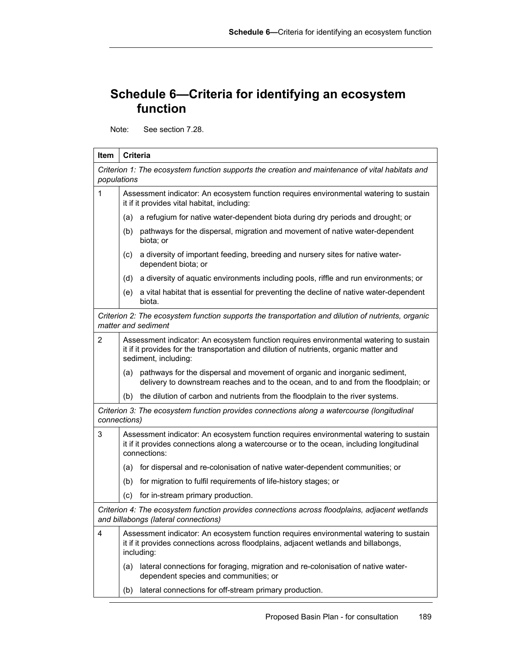## **Schedule 6—Criteria for identifying an ecosystem function**

Note: See section 7.28.

| Item                                                                                                                      | <b>Criteria</b>                                                                                                                                                                                          |  |  |  |  |  |  |
|---------------------------------------------------------------------------------------------------------------------------|----------------------------------------------------------------------------------------------------------------------------------------------------------------------------------------------------------|--|--|--|--|--|--|
| populations                                                                                                               | Criterion 1: The ecosystem function supports the creation and maintenance of vital habitats and                                                                                                          |  |  |  |  |  |  |
| 1                                                                                                                         | Assessment indicator: An ecosystem function requires environmental watering to sustain<br>it if it provides vital habitat, including:                                                                    |  |  |  |  |  |  |
|                                                                                                                           | a refugium for native water-dependent biota during dry periods and drought; or<br>(a)                                                                                                                    |  |  |  |  |  |  |
|                                                                                                                           | pathways for the dispersal, migration and movement of native water-dependent<br>(b)<br>biota; or                                                                                                         |  |  |  |  |  |  |
|                                                                                                                           | a diversity of important feeding, breeding and nursery sites for native water-<br>(c)<br>dependent biota; or                                                                                             |  |  |  |  |  |  |
|                                                                                                                           | a diversity of aquatic environments including pools, riffle and run environments; or<br>(d)                                                                                                              |  |  |  |  |  |  |
|                                                                                                                           | a vital habitat that is essential for preventing the decline of native water-dependent<br>(e)<br>biota.                                                                                                  |  |  |  |  |  |  |
| Criterion 2: The ecosystem function supports the transportation and dilution of nutrients, organic<br>matter and sediment |                                                                                                                                                                                                          |  |  |  |  |  |  |
| $\mathbf{2}$                                                                                                              | Assessment indicator: An ecosystem function requires environmental watering to sustain<br>it if it provides for the transportation and dilution of nutrients, organic matter and<br>sediment, including: |  |  |  |  |  |  |
|                                                                                                                           | pathways for the dispersal and movement of organic and inorganic sediment,<br>(a)<br>delivery to downstream reaches and to the ocean, and to and from the floodplain; or                                 |  |  |  |  |  |  |
|                                                                                                                           | the dilution of carbon and nutrients from the floodplain to the river systems.<br>(b)                                                                                                                    |  |  |  |  |  |  |
|                                                                                                                           | Criterion 3: The ecosystem function provides connections along a watercourse (longitudinal<br>connections)                                                                                               |  |  |  |  |  |  |
| 3                                                                                                                         | Assessment indicator: An ecosystem function requires environmental watering to sustain<br>it if it provides connections along a watercourse or to the ocean, including longitudinal<br>connections:      |  |  |  |  |  |  |
|                                                                                                                           | for dispersal and re-colonisation of native water-dependent communities; or<br>(a)                                                                                                                       |  |  |  |  |  |  |
|                                                                                                                           | for migration to fulfil requirements of life-history stages; or<br>(b)                                                                                                                                   |  |  |  |  |  |  |
|                                                                                                                           | (c)<br>for in-stream primary production.                                                                                                                                                                 |  |  |  |  |  |  |
|                                                                                                                           | Criterion 4: The ecosystem function provides connections across floodplains, adjacent wetlands<br>and billabongs (lateral connections)                                                                   |  |  |  |  |  |  |
| 4                                                                                                                         | Assessment indicator: An ecosystem function requires environmental watering to sustain<br>it if it provides connections across floodplains, adjacent wetlands and billabongs,<br>including:              |  |  |  |  |  |  |
|                                                                                                                           | lateral connections for foraging, migration and re-colonisation of native water-<br>(a)<br>dependent species and communities; or                                                                         |  |  |  |  |  |  |
|                                                                                                                           | lateral connections for off-stream primary production.<br>(b)                                                                                                                                            |  |  |  |  |  |  |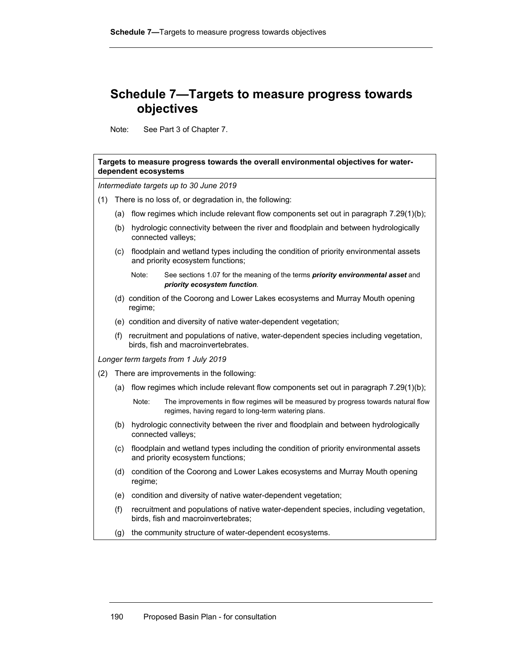## **Schedule 7—Targets to measure progress towards objectives**

Note: See Part 3 of Chapter 7.

|     |                                                                                                                                    | dependent ecosystems                                              | Targets to measure progress towards the overall environmental objectives for water-                                                       |  |  |  |  |  |  |  |  |  |
|-----|------------------------------------------------------------------------------------------------------------------------------------|-------------------------------------------------------------------|-------------------------------------------------------------------------------------------------------------------------------------------|--|--|--|--|--|--|--|--|--|
|     |                                                                                                                                    |                                                                   | Intermediate targets up to 30 June 2019                                                                                                   |  |  |  |  |  |  |  |  |  |
| (1) |                                                                                                                                    |                                                                   | There is no loss of, or degradation in, the following:                                                                                    |  |  |  |  |  |  |  |  |  |
|     |                                                                                                                                    |                                                                   | (a) flow regimes which include relevant flow components set out in paragraph 7.29(1)(b);                                                  |  |  |  |  |  |  |  |  |  |
|     | (b)                                                                                                                                |                                                                   | hydrologic connectivity between the river and floodplain and between hydrologically<br>connected valleys;                                 |  |  |  |  |  |  |  |  |  |
|     | (c)                                                                                                                                |                                                                   | floodplain and wetland types including the condition of priority environmental assets<br>and priority ecosystem functions;                |  |  |  |  |  |  |  |  |  |
|     |                                                                                                                                    | Note:                                                             | See sections 1.07 for the meaning of the terms priority environmental asset and<br>priority ecosystem function.                           |  |  |  |  |  |  |  |  |  |
|     | (d) condition of the Coorong and Lower Lakes ecosystems and Murray Mouth opening<br>regime;                                        |                                                                   |                                                                                                                                           |  |  |  |  |  |  |  |  |  |
|     |                                                                                                                                    | (e) condition and diversity of native water-dependent vegetation; |                                                                                                                                           |  |  |  |  |  |  |  |  |  |
|     | recruitment and populations of native, water-dependent species including vegetation,<br>(f)<br>birds, fish and macroinvertebrates. |                                                                   |                                                                                                                                           |  |  |  |  |  |  |  |  |  |
|     |                                                                                                                                    |                                                                   | Longer term targets from 1 July 2019                                                                                                      |  |  |  |  |  |  |  |  |  |
| (2) |                                                                                                                                    |                                                                   | There are improvements in the following:                                                                                                  |  |  |  |  |  |  |  |  |  |
|     | (a)                                                                                                                                |                                                                   | flow regimes which include relevant flow components set out in paragraph 7.29(1)(b);                                                      |  |  |  |  |  |  |  |  |  |
|     |                                                                                                                                    | Note:                                                             | The improvements in flow regimes will be measured by progress towards natural flow<br>regimes, having regard to long-term watering plans. |  |  |  |  |  |  |  |  |  |
|     | (b)                                                                                                                                |                                                                   | hydrologic connectivity between the river and floodplain and between hydrologically<br>connected valleys;                                 |  |  |  |  |  |  |  |  |  |
|     | (c)                                                                                                                                |                                                                   | floodplain and wetland types including the condition of priority environmental assets<br>and priority ecosystem functions;                |  |  |  |  |  |  |  |  |  |
|     | (d)                                                                                                                                | regime;                                                           | condition of the Coorong and Lower Lakes ecosystems and Murray Mouth opening                                                              |  |  |  |  |  |  |  |  |  |
|     | (e)                                                                                                                                |                                                                   | condition and diversity of native water-dependent vegetation;                                                                             |  |  |  |  |  |  |  |  |  |
|     | (f)                                                                                                                                |                                                                   | recruitment and populations of native water-dependent species, including vegetation,<br>birds, fish and macroinvertebrates;               |  |  |  |  |  |  |  |  |  |
|     | (g)                                                                                                                                |                                                                   | the community structure of water-dependent ecosystems.                                                                                    |  |  |  |  |  |  |  |  |  |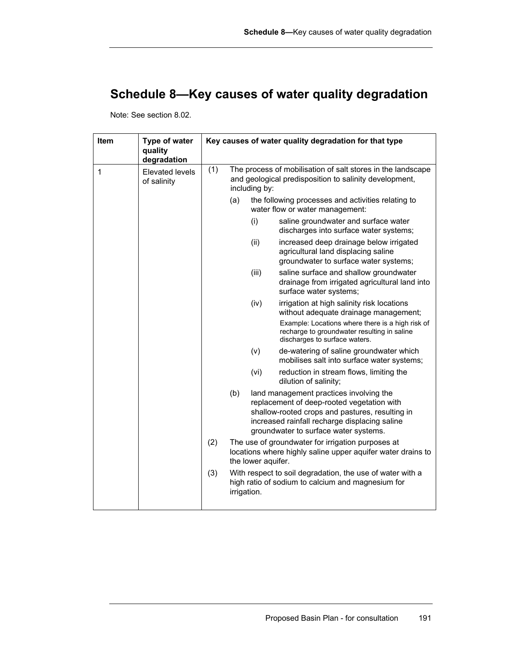# **Schedule 8—Key causes of water quality degradation**

Note: See section 8.02.

| <b>Item</b>  | Type of water<br>quality<br>degradation |     |     |                                                                                                                                        | Key causes of water quality degradation for that type                                                                                                                                                                              |  |  |  |  |
|--------------|-----------------------------------------|-----|-----|----------------------------------------------------------------------------------------------------------------------------------------|------------------------------------------------------------------------------------------------------------------------------------------------------------------------------------------------------------------------------------|--|--|--|--|
| $\mathbf{1}$ | Elevated levels<br>of salinity          | (1) |     | including by:                                                                                                                          | The process of mobilisation of salt stores in the landscape<br>and geological predisposition to salinity development,                                                                                                              |  |  |  |  |
|              |                                         |     | (a) |                                                                                                                                        | the following processes and activities relating to<br>water flow or water management:                                                                                                                                              |  |  |  |  |
|              |                                         |     |     | (i)                                                                                                                                    | saline groundwater and surface water<br>discharges into surface water systems;                                                                                                                                                     |  |  |  |  |
|              |                                         |     |     | (ii)                                                                                                                                   | increased deep drainage below irrigated<br>agricultural land displacing saline<br>groundwater to surface water systems;                                                                                                            |  |  |  |  |
|              |                                         |     |     | (iii)                                                                                                                                  | saline surface and shallow groundwater<br>drainage from irrigated agricultural land into<br>surface water systems;                                                                                                                 |  |  |  |  |
|              |                                         |     |     | (iv)                                                                                                                                   | irrigation at high salinity risk locations<br>without adequate drainage management;                                                                                                                                                |  |  |  |  |
|              |                                         |     |     |                                                                                                                                        | Example: Locations where there is a high risk of<br>recharge to groundwater resulting in saline<br>discharges to surface waters.                                                                                                   |  |  |  |  |
|              |                                         |     |     | (v)                                                                                                                                    | de-watering of saline groundwater which<br>mobilises salt into surface water systems;                                                                                                                                              |  |  |  |  |
|              |                                         |     |     | (vi)                                                                                                                                   | reduction in stream flows, limiting the<br>dilution of salinity;                                                                                                                                                                   |  |  |  |  |
|              |                                         |     | (b) |                                                                                                                                        | land management practices involving the<br>replacement of deep-rooted vegetation with<br>shallow-rooted crops and pastures, resulting in<br>increased rainfall recharge displacing saline<br>groundwater to surface water systems. |  |  |  |  |
|              |                                         | (2) |     | The use of groundwater for irrigation purposes at<br>locations where highly saline upper aquifer water drains to<br>the lower aquifer. |                                                                                                                                                                                                                                    |  |  |  |  |
|              |                                         | (3) |     | irrigation.                                                                                                                            | With respect to soil degradation, the use of water with a<br>high ratio of sodium to calcium and magnesium for                                                                                                                     |  |  |  |  |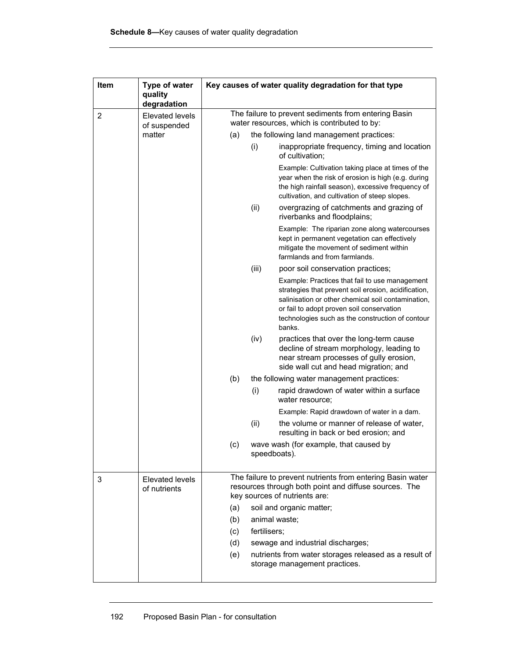| Item           | Type of water<br>quality               |                      | Key causes of water quality degradation for that type |                                                                                                                                                                                                                                                                         |  |  |  |  |  |
|----------------|----------------------------------------|----------------------|-------------------------------------------------------|-------------------------------------------------------------------------------------------------------------------------------------------------------------------------------------------------------------------------------------------------------------------------|--|--|--|--|--|
|                | degradation                            |                      |                                                       | The failure to prevent sediments from entering Basin                                                                                                                                                                                                                    |  |  |  |  |  |
| $\overline{2}$ | Elevated levels<br>of suspended        |                      |                                                       | water resources, which is contributed to by:                                                                                                                                                                                                                            |  |  |  |  |  |
|                | matter                                 | (a)                  |                                                       | the following land management practices:                                                                                                                                                                                                                                |  |  |  |  |  |
|                |                                        |                      | (i)                                                   | inappropriate frequency, timing and location<br>of cultivation;                                                                                                                                                                                                         |  |  |  |  |  |
|                |                                        |                      |                                                       | Example: Cultivation taking place at times of the<br>year when the risk of erosion is high (e.g. during<br>the high rainfall season), excessive frequency of<br>cultivation, and cultivation of steep slopes.                                                           |  |  |  |  |  |
|                |                                        |                      | (ii)                                                  | overgrazing of catchments and grazing of<br>riverbanks and floodplains;                                                                                                                                                                                                 |  |  |  |  |  |
|                |                                        |                      |                                                       | Example: The riparian zone along watercourses<br>kept in permanent vegetation can effectively<br>mitigate the movement of sediment within<br>farmlands and from farmlands.                                                                                              |  |  |  |  |  |
|                |                                        |                      | (iii)                                                 | poor soil conservation practices;                                                                                                                                                                                                                                       |  |  |  |  |  |
|                |                                        |                      |                                                       | Example: Practices that fail to use management<br>strategies that prevent soil erosion, acidification,<br>salinisation or other chemical soil contamination,<br>or fail to adopt proven soil conservation<br>technologies such as the construction of contour<br>banks. |  |  |  |  |  |
|                |                                        |                      | (iv)                                                  | practices that over the long-term cause<br>decline of stream morphology, leading to<br>near stream processes of gully erosion,<br>side wall cut and head migration; and                                                                                                 |  |  |  |  |  |
|                |                                        | (b)                  |                                                       | the following water management practices:                                                                                                                                                                                                                               |  |  |  |  |  |
|                |                                        |                      | (i)                                                   | rapid drawdown of water within a surface<br>water resource;                                                                                                                                                                                                             |  |  |  |  |  |
|                |                                        |                      |                                                       | Example: Rapid drawdown of water in a dam.                                                                                                                                                                                                                              |  |  |  |  |  |
|                |                                        |                      | (ii)                                                  | the volume or manner of release of water,<br>resulting in back or bed erosion; and                                                                                                                                                                                      |  |  |  |  |  |
|                |                                        | (c)                  |                                                       | wave wash (for example, that caused by<br>speedboats).                                                                                                                                                                                                                  |  |  |  |  |  |
| 3              | <b>Elevated levels</b><br>of nutrients |                      |                                                       | The failure to prevent nutrients from entering Basin water<br>resources through both point and diffuse sources. The<br>key sources of nutrients are:                                                                                                                    |  |  |  |  |  |
|                |                                        | (a)                  | soil and organic matter;                              |                                                                                                                                                                                                                                                                         |  |  |  |  |  |
|                |                                        | animal waste;<br>(b) |                                                       |                                                                                                                                                                                                                                                                         |  |  |  |  |  |
|                |                                        | (c)                  | fertilisers;                                          |                                                                                                                                                                                                                                                                         |  |  |  |  |  |
|                |                                        | (d)                  |                                                       | sewage and industrial discharges;                                                                                                                                                                                                                                       |  |  |  |  |  |
|                |                                        | (e)                  |                                                       | nutrients from water storages released as a result of<br>storage management practices.                                                                                                                                                                                  |  |  |  |  |  |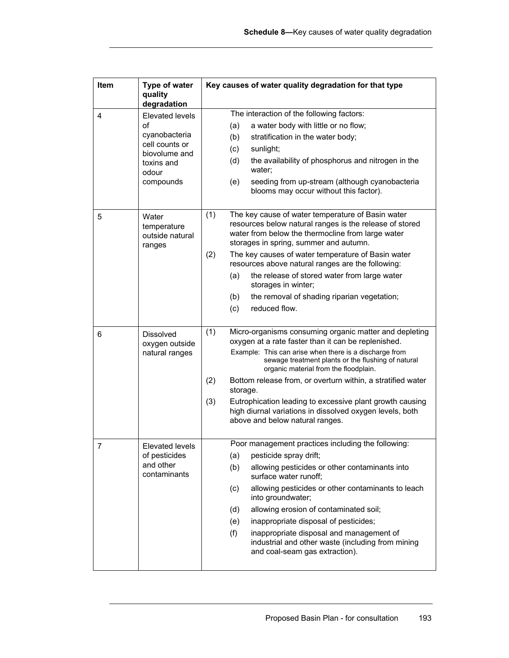| Item | Type of water<br>quality<br>degradation                                                                              | Key causes of water quality degradation for that type                                                                                                                                                                                                                                                                                                                                                                                                                                                                             |
|------|----------------------------------------------------------------------------------------------------------------------|-----------------------------------------------------------------------------------------------------------------------------------------------------------------------------------------------------------------------------------------------------------------------------------------------------------------------------------------------------------------------------------------------------------------------------------------------------------------------------------------------------------------------------------|
| 4    | <b>Elevated levels</b><br>of<br>cyanobacteria<br>cell counts or<br>biovolume and<br>toxins and<br>odour<br>compounds | The interaction of the following factors:<br>a water body with little or no flow;<br>(a)<br>(b)<br>stratification in the water body;<br>(c)<br>sunlight;<br>(d)<br>the availability of phosphorus and nitrogen in the<br>water;<br>seeding from up-stream (although cyanobacteria<br>(e)<br>blooms may occur without this factor).                                                                                                                                                                                                |
| 5    | Water<br>temperature<br>outside natural<br>ranges                                                                    | (1)<br>The key cause of water temperature of Basin water<br>resources below natural ranges is the release of stored<br>water from below the thermocline from large water<br>storages in spring, summer and autumn.<br>(2)<br>The key causes of water temperature of Basin water<br>resources above natural ranges are the following:<br>the release of stored water from large water<br>(a)<br>storages in winter;<br>(b)<br>the removal of shading riparian vegetation;<br>reduced flow.<br>(c)                                  |
| 6    | <b>Dissolved</b><br>oxygen outside<br>natural ranges                                                                 | (1)<br>Micro-organisms consuming organic matter and depleting<br>oxygen at a rate faster than it can be replenished.<br>Example: This can arise when there is a discharge from<br>sewage treatment plants or the flushing of natural<br>organic material from the floodplain.<br>Bottom release from, or overturn within, a stratified water<br>(2)<br>storage.<br>Eutrophication leading to excessive plant growth causing<br>(3)<br>high diurnal variations in dissolved oxygen levels, both<br>above and below natural ranges. |
| 7    | Elevated levels<br>of pesticides<br>and other<br>contaminants                                                        | Poor management practices including the following:<br>pesticide spray drift;<br>(a)<br>allowing pesticides or other contaminants into<br>(b)<br>surface water runoff;<br>allowing pesticides or other contaminants to leach<br>(c)<br>into groundwater;<br>allowing erosion of contaminated soil;<br>(d)<br>inappropriate disposal of pesticides;<br>(e)<br>(f)<br>inappropriate disposal and management of<br>industrial and other waste (including from mining<br>and coal-seam gas extraction).                                |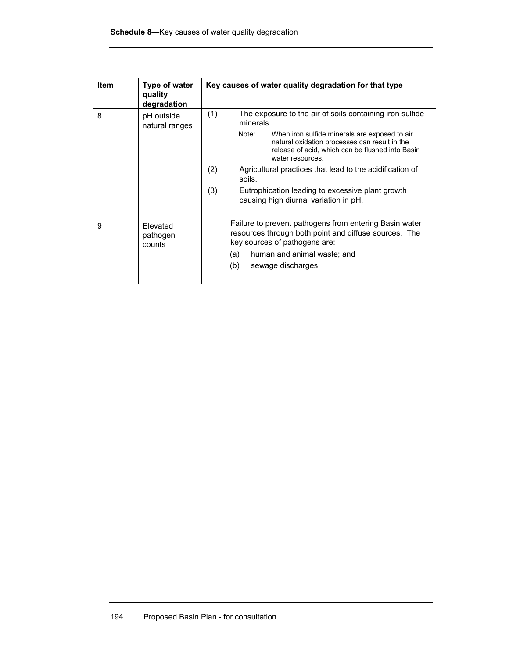| Item | Type of water<br>quality<br>degradation | Key causes of water quality degradation for that type                                                                                                                                  |
|------|-----------------------------------------|----------------------------------------------------------------------------------------------------------------------------------------------------------------------------------------|
| 8    | pH outside<br>natural ranges            | (1)<br>The exposure to the air of soils containing iron sulfide<br>minerals.                                                                                                           |
|      |                                         | Note:<br>When iron sulfide minerals are exposed to air<br>natural oxidation processes can result in the<br>release of acid, which can be flushed into Basin<br>water resources         |
|      |                                         | (2)<br>Agricultural practices that lead to the acidification of<br>soils.                                                                                                              |
|      |                                         | (3)<br>Eutrophication leading to excessive plant growth<br>causing high diurnal variation in pH.                                                                                       |
| 9    | Elevated<br>pathogen<br>counts          | Failure to prevent pathogens from entering Basin water<br>resources through both point and diffuse sources. The<br>key sources of pathogens are:<br>human and animal waste; and<br>(a) |
|      |                                         | (b)<br>sewage discharges.                                                                                                                                                              |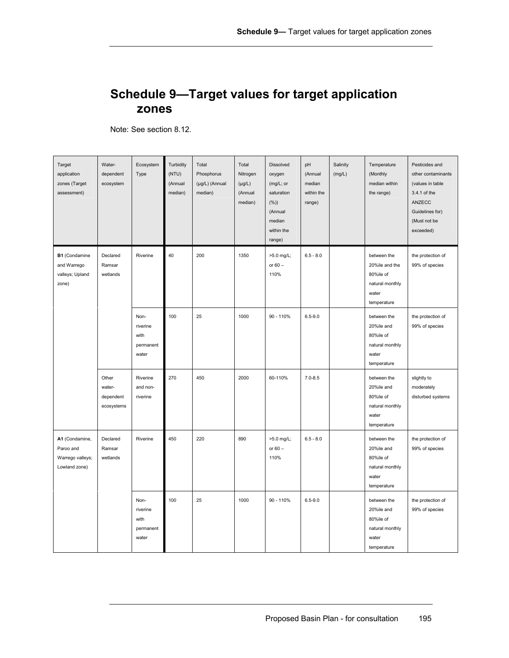#### **Schedule 9—Target values for target application zones**

Note: See section 8.12.

| Target<br>application<br>zones (Target<br>assessment)            | Water-<br>dependent<br>ecosystem           | Ecosystem<br>Type                              | Turbidity<br>(NTU)<br>(Annual<br>median) | Total<br>Phosphorus<br>(µg/L) (Annual<br>median) | Total<br>Nitrogen<br>$(\mu g/L)$<br>(Annual<br>median) | Dissolved<br>oxygen<br>(mg/L; or<br>saturation<br>$(\%)$<br>(Annual<br>median<br>within the<br>range) | pH<br>(Annual<br>median<br>within the<br>range) | Salinity<br>(mg/L) | Temperature<br>(Monthly<br>median within<br>the range)                                | Pesticides and<br>other contaminants<br>(values in table<br>3.4.1 of the<br>ANZECC<br>Guidelines for)<br>(Must not be<br>exceeded) |
|------------------------------------------------------------------|--------------------------------------------|------------------------------------------------|------------------------------------------|--------------------------------------------------|--------------------------------------------------------|-------------------------------------------------------------------------------------------------------|-------------------------------------------------|--------------------|---------------------------------------------------------------------------------------|------------------------------------------------------------------------------------------------------------------------------------|
| B1 (Condamine<br>and Warrego<br>valleys; Upland<br>zone)         | Declared<br>Ramsar<br>wetlands             | Riverine                                       | 40                                       | 200                                              | 1350                                                   | >5.0 mg/L;<br>or $60 -$<br>110%                                                                       | $6.5 - 8.0$                                     |                    | between the<br>20%ile and the<br>80%ile of<br>natural monthly<br>water<br>temperature | the protection of<br>99% of species                                                                                                |
|                                                                  |                                            | Non-<br>riverine<br>with<br>permanent<br>water | 100                                      | 25                                               | 1000                                                   | 90 - 110%                                                                                             | $6.5 - 9.0$                                     |                    | between the<br>20%ile and<br>80%ile of<br>natural monthly<br>water<br>temperature     | the protection of<br>99% of species                                                                                                |
|                                                                  | Other<br>water-<br>dependent<br>ecosystems | Riverine<br>and non-<br>riverine               | 270                                      | 450                                              | 2000                                                   | 60-110%                                                                                               | $7.0 - 8.5$                                     |                    | between the<br>20%ile and<br>80%ile of<br>natural monthly<br>water<br>temperature     | slightly to<br>moderately<br>disturbed systems                                                                                     |
| A1 (Condamine,<br>Paroo and<br>Warrego valleys;<br>Lowland zone) | Declared<br>Ramsar<br>wetlands             | Riverine                                       | 450                                      | 220                                              | 890                                                    | >5.0 mg/L;<br>or $60 -$<br>110%                                                                       | $6.5 - 8.0$                                     |                    | between the<br>20%ile and<br>80%ile of<br>natural monthly<br>water<br>temperature     | the protection of<br>99% of species                                                                                                |
|                                                                  |                                            | Non-<br>riverine<br>with<br>permanent<br>water | 100                                      | 25                                               | 1000                                                   | $90 - 110%$                                                                                           | $6.5 - 9.0$                                     |                    | between the<br>20%ile and<br>80%ile of<br>natural monthly<br>water<br>temperature     | the protection of<br>99% of species                                                                                                |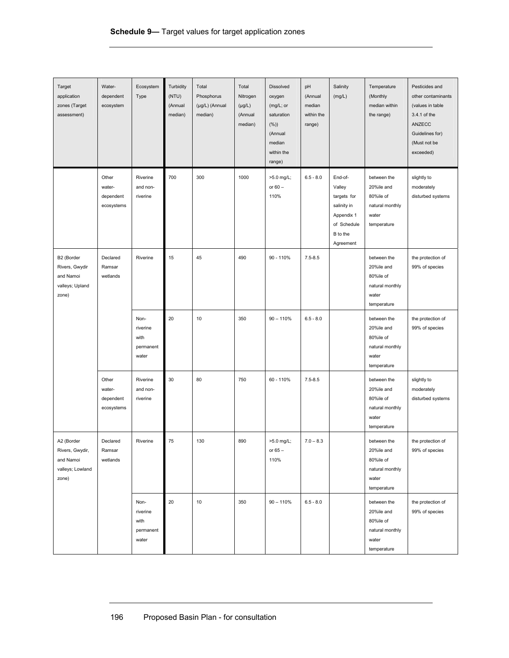| Target<br>application<br>zones (Target<br>assessment)                   | Water-<br>dependent<br>ecosystem           | Ecosystem<br>Type                              | Turbidity<br>(NTU)<br>(Annual<br>median) | Total<br>Phosphorus<br>(µg/L) (Annual<br>median) | Total<br>Nitrogen<br>$(\mu g/L)$<br>(Annual<br>median) | <b>Dissolved</b><br>oxygen<br>(mg/L; or<br>saturation<br>$(\%)$<br>(Annual<br>median<br>within the<br>range) | pH<br>(Annual<br>median<br>within the<br>range) | Salinity<br>(mg/L)                                                                                    | Temperature<br>(Monthly<br>median within<br>the range)                            | Pesticides and<br>other contaminants<br>(values in table<br>3.4.1 of the<br>ANZECC<br>Guidelines for)<br>(Must not be<br>exceeded) |
|-------------------------------------------------------------------------|--------------------------------------------|------------------------------------------------|------------------------------------------|--------------------------------------------------|--------------------------------------------------------|--------------------------------------------------------------------------------------------------------------|-------------------------------------------------|-------------------------------------------------------------------------------------------------------|-----------------------------------------------------------------------------------|------------------------------------------------------------------------------------------------------------------------------------|
|                                                                         | Other<br>water-<br>dependent<br>ecosystems | Riverine<br>and non-<br>riverine               | 700                                      | 300                                              | 1000                                                   | >5.0 mg/L;<br>or $60 -$<br>110%                                                                              | $6.5 - 8.0$                                     | End-of-<br>Valley<br>targets for<br>salinity in<br>Appendix 1<br>of Schedule<br>B to the<br>Agreement | between the<br>20%ile and<br>80%ile of<br>natural monthly<br>water<br>temperature | slightly to<br>moderately<br>disturbed systems                                                                                     |
| B2 (Border<br>Rivers, Gwydir<br>and Namoi<br>valleys; Upland<br>zone)   | Declared<br>Ramsar<br>wetlands             | Riverine                                       | 15                                       | 45                                               | 490                                                    | 90 - 110%                                                                                                    | $7.5 - 8.5$                                     |                                                                                                       | between the<br>20%ile and<br>80%ile of<br>natural monthly<br>water<br>temperature | the protection of<br>99% of species                                                                                                |
|                                                                         |                                            | Non-<br>riverine<br>with<br>permanent<br>water | 20                                       | 10                                               | 350                                                    | $90 - 110%$                                                                                                  | $6.5 - 8.0$                                     |                                                                                                       | between the<br>20%ile and<br>80%ile of<br>natural monthly<br>water<br>temperature | the protection of<br>99% of species                                                                                                |
|                                                                         | Other<br>water-<br>dependent<br>ecosystems | Riverine<br>and non-<br>riverine               | 30                                       | 80                                               | 750                                                    | 60 - 110%                                                                                                    | $7.5 - 8.5$                                     |                                                                                                       | between the<br>20%ile and<br>80%ile of<br>natural monthly<br>water<br>temperature | slightly to<br>moderately<br>disturbed systems                                                                                     |
| A2 (Border<br>Rivers, Gwydir,<br>and Namoi<br>valleys; Lowland<br>zone) | Declared<br>Ramsar<br>wetlands             | Riverine                                       | 75                                       | 130                                              | 890                                                    | >5.0 mg/L;<br>or $65-$<br>110%                                                                               | $7.0 - 8.3$                                     |                                                                                                       | between the<br>20%ile and<br>80%ile of<br>natural monthly<br>water<br>temperature | the protection of<br>99% of species                                                                                                |
|                                                                         |                                            | Non-<br>riverine<br>with<br>permanent<br>water | 20                                       | 10                                               | 350                                                    | $90 - 110%$                                                                                                  | $6.5 - 8.0$                                     |                                                                                                       | between the<br>20%ile and<br>80%ile of<br>natural monthly<br>water<br>temperature | the protection of<br>99% of species                                                                                                |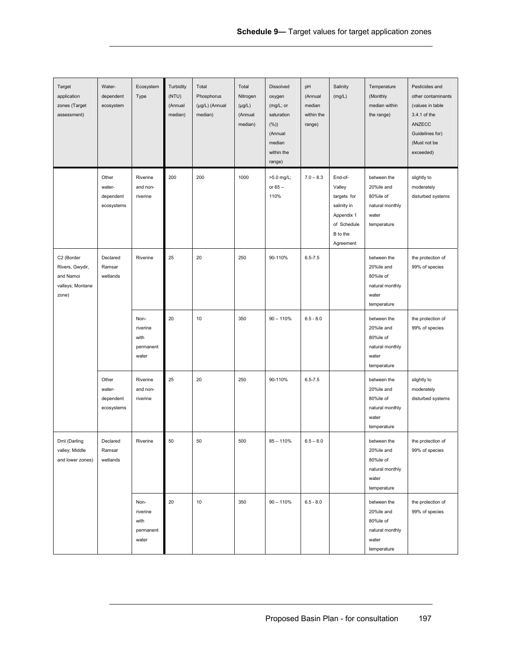| Target<br>application<br>zones (Target<br>assessment)                   | Water-<br>dependent<br>ecosystem           | Ecosystem<br>Type                              | Turbidity<br>(NTU)<br>(Annual<br>median) | Total<br>Phosphorus<br>(µg/L) (Annual<br>median) | Total<br>Nitrogen<br>$(\mu g/L)$<br>(Annual<br>median) | Dissolved<br>oxygen<br>(mg/L; or<br>saturation<br>$(\%)$<br>(Annual<br>median<br>within the<br>range) | pH<br>(Annual<br>median<br>within the<br>range) | Salinity<br>(mg/L)                                                                                    | Temperature<br>(Monthly<br>median within<br>the range)                            | Pesticides and<br>other contaminants<br>(values in table<br>3.4.1 of the<br>ANZECC<br>Guidelines for)<br>(Must not be<br>exceeded) |
|-------------------------------------------------------------------------|--------------------------------------------|------------------------------------------------|------------------------------------------|--------------------------------------------------|--------------------------------------------------------|-------------------------------------------------------------------------------------------------------|-------------------------------------------------|-------------------------------------------------------------------------------------------------------|-----------------------------------------------------------------------------------|------------------------------------------------------------------------------------------------------------------------------------|
|                                                                         | Other<br>water-<br>dependent<br>ecosystems | Riverine<br>and non-<br>riverine               | 200                                      | 200                                              | 1000                                                   | >5.0 mg/L;<br>or $65-$<br>110%                                                                        | $7.0 - 8.3$                                     | End-of-<br>Valley<br>targets for<br>salinity in<br>Appendix 1<br>of Schedule<br>B to the<br>Agreement | between the<br>20%ile and<br>80%ile of<br>natural monthly<br>water<br>temperature | slightly to<br>moderately<br>disturbed systems                                                                                     |
| C2 (Border<br>Rivers, Gwydir,<br>and Namoi<br>valleys; Montane<br>zone) | Declared<br>Ramsar<br>wetlands             | Riverine                                       | 25                                       | 20                                               | 250                                                    | 90-110%                                                                                               | $6.5 - 7.5$                                     |                                                                                                       | between the<br>20%ile and<br>80%ile of<br>natural monthly<br>water<br>temperature | the protection of<br>99% of species                                                                                                |
|                                                                         |                                            | Non-<br>riverine<br>with<br>permanent<br>water | 20                                       | 10                                               | 350                                                    | $90 - 110%$                                                                                           | $6.5 - 8.0$                                     |                                                                                                       | between the<br>20%ile and<br>80%ile of<br>natural monthly<br>water<br>temperature | the protection of<br>99% of species                                                                                                |
|                                                                         | Other<br>water-<br>dependent<br>ecosystems | Riverine<br>and non-<br>riverine               | 25                                       | 20                                               | 250                                                    | 90-110%                                                                                               | $6.5 - 7.5$                                     |                                                                                                       | between the<br>20%ile and<br>80%ile of<br>natural monthly<br>water<br>temperature | slightly to<br>moderately<br>disturbed systems                                                                                     |
| Dml (Darling<br>valley; Middle<br>and lower zones)                      | Declared<br>Ramsar<br>wetlands             | Riverine                                       | 50                                       | 50                                               | 500                                                    | $85 - 110%$                                                                                           | $6.5 - 8.0$                                     |                                                                                                       | between the<br>20%ile and<br>80%ile of<br>natural monthly<br>water<br>temperature | the protection of<br>99% of species                                                                                                |
|                                                                         |                                            | Non-<br>riverine<br>with<br>permanent<br>water | 20                                       | 10                                               | 350                                                    | $90 - 110%$                                                                                           | $6.5 - 8.0$                                     |                                                                                                       | between the<br>20%ile and<br>80%ile of<br>natural monthly<br>water<br>temperature | the protection of<br>99% of species                                                                                                |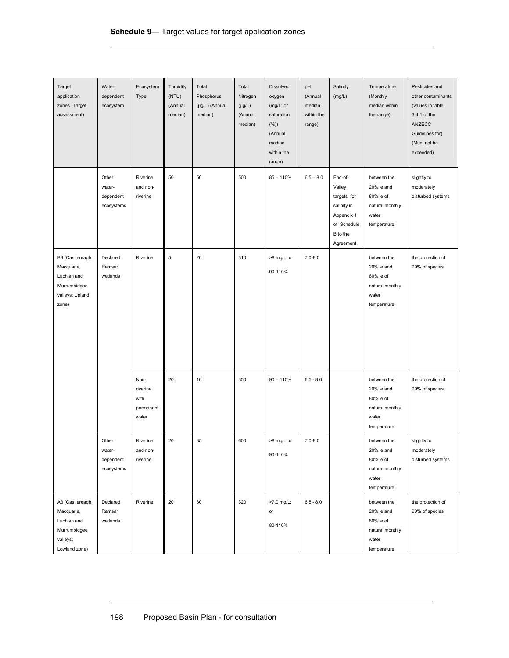| Target<br>application<br>zones (Target<br>assessment)                                      | Water-<br>dependent<br>ecosystem           | Ecosystem<br>Type                              | Turbidity<br>(NTU)<br>(Annual<br>median) | Total<br>Phosphorus<br>(µg/L) (Annual<br>median) | Total<br>Nitrogen<br>$(\mu g/L)$<br>(Annual<br>median) | <b>Dissolved</b><br>oxygen<br>(mg/L; or<br>saturation<br>(%)<br>(Annual<br>median<br>within the<br>range) | pH<br>(Annual<br>median<br>within the<br>range) | Salinity<br>(mg/L)                                                                                    | Temperature<br>(Monthly<br>median within<br>the range)                            | Pesticides and<br>other contaminants<br>(values in table<br>3.4.1 of the<br>ANZECC<br>Guidelines for)<br>(Must not be<br>exceeded) |                                     |
|--------------------------------------------------------------------------------------------|--------------------------------------------|------------------------------------------------|------------------------------------------|--------------------------------------------------|--------------------------------------------------------|-----------------------------------------------------------------------------------------------------------|-------------------------------------------------|-------------------------------------------------------------------------------------------------------|-----------------------------------------------------------------------------------|------------------------------------------------------------------------------------------------------------------------------------|-------------------------------------|
|                                                                                            | Other<br>water-<br>dependent<br>ecosystems | Riverine<br>and non-<br>riverine               | 50                                       | 50                                               | 500                                                    | $85 - 110%$                                                                                               | $6.5 - 8.0$                                     | End-of-<br>Valley<br>targets for<br>salinity in<br>Appendix 1<br>of Schedule<br>B to the<br>Agreement | between the<br>20%ile and<br>80%ile of<br>natural monthly<br>water<br>temperature | slightly to<br>moderately<br>disturbed systems                                                                                     |                                     |
| B3 (Castlereagh,<br>Macquarie,<br>Lachlan and<br>Murrumbidgee<br>valleys; Upland<br>zone)  | Ramsar<br>wetlands                         | Declared                                       | Riverine                                 | 5                                                | 20                                                     | 310                                                                                                       | >8 mg/L; or<br>90-110%                          | $7.0 - 8.0$                                                                                           |                                                                                   | between the<br>20%ile and<br>80%ile of<br>natural monthly<br>water<br>temperature                                                  | the protection of<br>99% of species |
|                                                                                            |                                            | Non-<br>riverine<br>with<br>permanent<br>water | 20                                       | 10                                               | 350                                                    | $90 - 110%$                                                                                               | $6.5 - 8.0$                                     |                                                                                                       | between the<br>20%ile and<br>80%ile of<br>natural monthly<br>water<br>temperature | the protection of<br>99% of species                                                                                                |                                     |
|                                                                                            | Other<br>water-<br>dependent<br>ecosystems | Riverine<br>and non-<br>riverine               | 20                                       | 35                                               | 600                                                    | >8 mg/L; or<br>90-110%                                                                                    | $7.0 - 8.0$                                     |                                                                                                       | between the<br>20%ile and<br>80%ile of<br>natural monthly<br>water<br>temperature | slightly to<br>moderately<br>disturbed systems                                                                                     |                                     |
| A3 (Castlereagh,<br>Macquarie,<br>Lachlan and<br>Murrumbidgee<br>valleys;<br>Lowland zone) | Declared<br>Ramsar<br>wetlands             | Riverine                                       | 20                                       | 30                                               | 320                                                    | >7.0 mg/L;<br>or<br>80-110%                                                                               | $6.5 - 8.0$                                     |                                                                                                       | between the<br>20%ile and<br>80%ile of<br>natural monthly<br>water<br>temperature | the protection of<br>99% of species                                                                                                |                                     |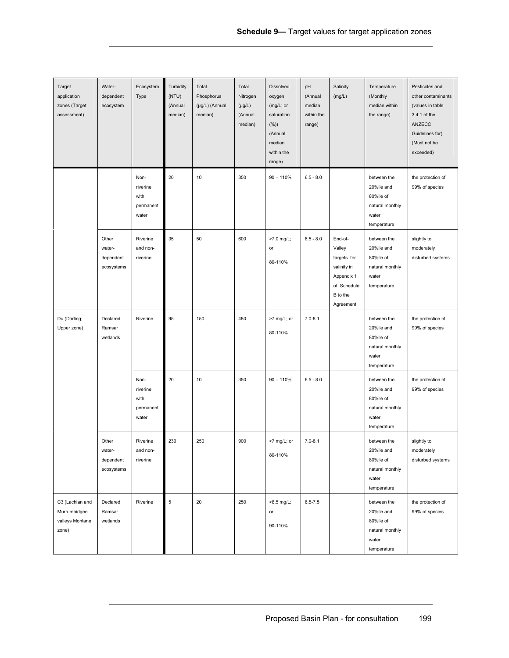| Target<br>application<br>zones (Target<br>assessment)       | Water-<br>dependent<br>ecosystem           | Ecosystem<br>Type                              | Turbidity<br>(NTU)<br>(Annual<br>median) | Total<br>Phosphorus<br>(µg/L) (Annual<br>median) | Total<br>Nitrogen<br>$(\mu g/L)$<br>(Annual<br>median) | <b>Dissolved</b><br>oxygen<br>(mg/L; or<br>saturation<br>$(\%)$<br>(Annual<br>median<br>within the<br>range) | pH<br>(Annual<br>median<br>within the<br>range) | Salinity<br>(mg/L)                                                                                    | Temperature<br>(Monthly<br>median within<br>the range)                            | Pesticides and<br>other contaminants<br>(values in table<br>3.4.1 of the<br>ANZECC<br>Guidelines for)<br>(Must not be<br>exceeded) |
|-------------------------------------------------------------|--------------------------------------------|------------------------------------------------|------------------------------------------|--------------------------------------------------|--------------------------------------------------------|--------------------------------------------------------------------------------------------------------------|-------------------------------------------------|-------------------------------------------------------------------------------------------------------|-----------------------------------------------------------------------------------|------------------------------------------------------------------------------------------------------------------------------------|
|                                                             |                                            | Non-<br>riverine<br>with<br>permanent<br>water | 20                                       | 10                                               | 350                                                    | $90 - 110%$                                                                                                  | $6.5 - 8.0$                                     |                                                                                                       | between the<br>20%ile and<br>80%ile of<br>natural monthly<br>water<br>temperature | the protection of<br>99% of species                                                                                                |
|                                                             | Other<br>water-<br>dependent<br>ecosystems | Riverine<br>and non-<br>riverine               | 35                                       | 50                                               | 600                                                    | >7.0 mg/L;<br>or<br>80-110%                                                                                  | $6.5 - 8.0$                                     | End-of-<br>Valley<br>targets for<br>salinity in<br>Appendix 1<br>of Schedule<br>B to the<br>Agreement | between the<br>20%ile and<br>80%ile of<br>natural monthly<br>water<br>temperature | slightly to<br>moderately<br>disturbed systems                                                                                     |
| Du (Darling;<br>Upper zone)                                 | Declared<br>Ramsar<br>wetlands             | Riverine                                       | 95                                       | 150                                              | 480                                                    | >7 mg/L; or<br>80-110%                                                                                       | $7.0 - 8.1$                                     |                                                                                                       | between the<br>20%ile and<br>80%ile of<br>natural monthly<br>water<br>temperature | the protection of<br>99% of species                                                                                                |
|                                                             |                                            | Non-<br>riverine<br>with<br>permanent<br>water | 20                                       | 10                                               | 350                                                    | $90 - 110%$                                                                                                  | $6.5 - 8.0$                                     |                                                                                                       | between the<br>20%ile and<br>80%ile of<br>natural monthly<br>water<br>temperature | the protection of<br>99% of species                                                                                                |
|                                                             | Other<br>water-<br>dependent<br>ecosystems | Riverine<br>and non-<br>riverine               | 230                                      | 250                                              | 900                                                    | >7 mg/L; or<br>80-110%                                                                                       | $7.0 - 8.1$                                     |                                                                                                       | between the<br>20%ile and<br>80%ile of<br>natural monthly<br>water<br>temperature | slightly to<br>moderately<br>disturbed systems                                                                                     |
| C3 (Lachlan and<br>Murrumbidgee<br>valleys Montane<br>zone) | Declared<br>Ramsar<br>wetlands             | Riverine                                       | 5                                        | 20                                               | 250                                                    | >8.5 mg/L;<br>or<br>90-110%                                                                                  | $6.5 - 7.5$                                     |                                                                                                       | between the<br>20%ile and<br>80%ile of<br>natural monthly<br>water<br>temperature | the protection of<br>99% of species                                                                                                |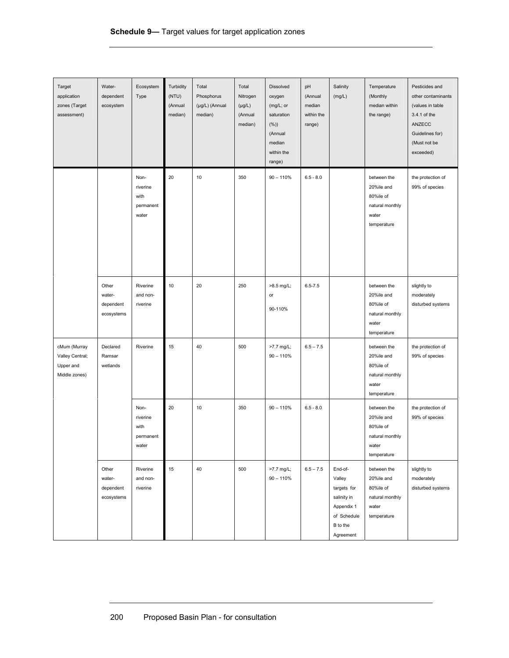| Target<br>application<br>zones (Target<br>assessment)         | Water-<br>dependent<br>ecosystem           | Ecosystem<br>Type                              | Turbidity<br>(NTU)<br>(Annual<br>median) | Total<br>Phosphorus<br>(µg/L) (Annual<br>median) | Total<br>Nitrogen<br>$(\mu g/L)$<br>(Annual<br>median) | Dissolved<br>oxygen<br>(mg/L; or<br>saturation<br>$(\%)$<br>(Annual<br>median<br>within the<br>range) | pH<br>(Annual<br>median<br>within the<br>range) | Salinity<br>(mg/L)                                                                                    | Temperature<br>(Monthly<br>median within<br>the range)                            | Pesticides and<br>other contaminants<br>(values in table<br>3.4.1 of the<br>ANZECC<br>Guidelines for)<br>(Must not be<br>exceeded) |
|---------------------------------------------------------------|--------------------------------------------|------------------------------------------------|------------------------------------------|--------------------------------------------------|--------------------------------------------------------|-------------------------------------------------------------------------------------------------------|-------------------------------------------------|-------------------------------------------------------------------------------------------------------|-----------------------------------------------------------------------------------|------------------------------------------------------------------------------------------------------------------------------------|
|                                                               |                                            | Non-<br>riverine<br>with<br>permanent<br>water | 20                                       | 10                                               | 350                                                    | $90 - 110%$                                                                                           | $6.5 - 8.0$                                     |                                                                                                       | between the<br>20%ile and<br>80%ile of<br>natural monthly<br>water<br>temperature | the protection of<br>99% of species                                                                                                |
|                                                               | Other<br>water-<br>dependent<br>ecosystems | Riverine<br>and non-<br>riverine               | 10                                       | 20                                               | 250                                                    | >8.5 mg/L;<br>or<br>90-110%                                                                           | $6.5 - 7.5$                                     |                                                                                                       | between the<br>20%ile and<br>80%ile of<br>natural monthly<br>water<br>temperature | slightly to<br>moderately<br>disturbed systems                                                                                     |
| cMum (Murray<br>Valley Central;<br>Upper and<br>Middle zones) | Declared<br>Ramsar<br>wetlands             | Riverine                                       | 15                                       | 40                                               | 500                                                    | >7.7 mg/L;<br>$90 - 110%$                                                                             | $6.5 - 7.5$                                     |                                                                                                       | between the<br>20%ile and<br>80%ile of<br>natural monthly<br>water<br>temperature | the protection of<br>99% of species                                                                                                |
|                                                               |                                            | Non-<br>riverine<br>with<br>permanent<br>water | 20                                       | 10                                               | 350                                                    | $90 - 110%$                                                                                           | $6.5 - 8.0$                                     |                                                                                                       | between the<br>20%ile and<br>80%ile of<br>natural monthly<br>water<br>temperature | the protection of<br>99% of species                                                                                                |
|                                                               | Other<br>water-<br>dependent<br>ecosystems | Riverine<br>and non-<br>riverine               | 15                                       | 40                                               | 500                                                    | >7.7 mg/L;<br>$90 - 110%$                                                                             | $6.5 - 7.5$                                     | End-of-<br>Valley<br>targets for<br>salinity in<br>Appendix 1<br>of Schedule<br>B to the<br>Agreement | between the<br>20%ile and<br>80%ile of<br>natural monthly<br>water<br>temperature | slightly to<br>moderately<br>disturbed systems                                                                                     |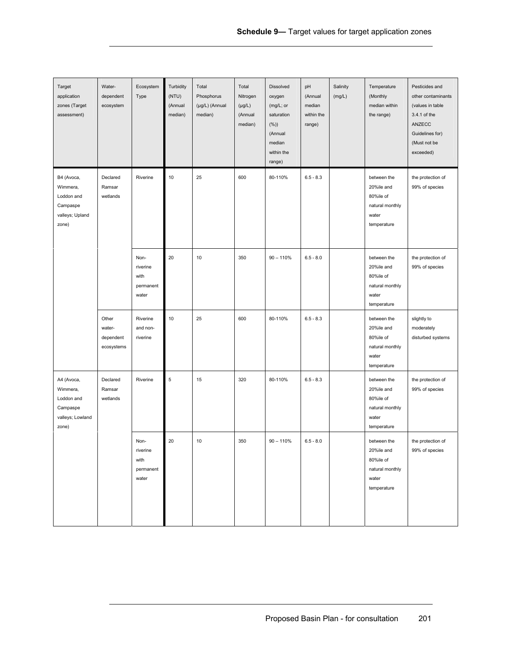| Target<br>application<br>zones (Target<br>assessment)                         | Water-<br>dependent<br>ecosystem           | Ecosystem<br>Type                              | Turbidity<br>(NTU)<br>(Annual<br>median) | Total<br>Phosphorus<br>(µg/L) (Annual<br>median) | Total<br>Nitrogen<br>$(\mu g/L)$<br>(Annual<br>median) | Dissolved<br>oxygen<br>(mg/L; or<br>saturation<br>$(\%)$<br>(Annual<br>median<br>within the<br>range) | pH<br>(Annual<br>median<br>within the<br>range) | Salinity<br>(mg/L) | Temperature<br>(Monthly<br>median within<br>the range)                            | Pesticides and<br>other contaminants<br>(values in table<br>3.4.1 of the<br>ANZECC<br>Guidelines for)<br>(Must not be<br>exceeded) |
|-------------------------------------------------------------------------------|--------------------------------------------|------------------------------------------------|------------------------------------------|--------------------------------------------------|--------------------------------------------------------|-------------------------------------------------------------------------------------------------------|-------------------------------------------------|--------------------|-----------------------------------------------------------------------------------|------------------------------------------------------------------------------------------------------------------------------------|
| B4 (Avoca,<br>Wimmera,<br>Loddon and<br>Campaspe<br>valleys; Upland<br>zone)  | Declared<br>Ramsar<br>wetlands             | Riverine                                       | 10                                       | 25                                               | 600                                                    | 80-110%                                                                                               | $6.5 - 8.3$                                     |                    | between the<br>20%ile and<br>80%ile of<br>natural monthly<br>water<br>temperature | the protection of<br>99% of species                                                                                                |
|                                                                               |                                            | Non-<br>riverine<br>with<br>permanent<br>water | 20                                       | 10                                               | 350                                                    | $90 - 110%$                                                                                           | $6.5 - 8.0$                                     |                    | between the<br>20%ile and<br>80%ile of<br>natural monthly<br>water<br>temperature | the protection of<br>99% of species                                                                                                |
|                                                                               | Other<br>water-<br>dependent<br>ecosystems | Riverine<br>and non-<br>riverine               | 10                                       | 25                                               | 600                                                    | 80-110%                                                                                               | $6.5 - 8.3$                                     |                    | between the<br>20%ile and<br>80%ile of<br>natural monthly<br>water<br>temperature | slightly to<br>moderately<br>disturbed systems                                                                                     |
| A4 (Avoca,<br>Wimmera,<br>Loddon and<br>Campaspe<br>valleys; Lowland<br>zone) | Declared<br>Ramsar<br>wetlands             | Riverine                                       | $\sqrt{5}$                               | 15                                               | 320                                                    | 80-110%                                                                                               | $6.5 - 8.3$                                     |                    | between the<br>20%ile and<br>80%ile of<br>natural monthly<br>water<br>temperature | the protection of<br>99% of species                                                                                                |
|                                                                               |                                            | Non-<br>riverine<br>with<br>permanent<br>water | 20                                       | 10                                               | 350                                                    | $90 - 110%$                                                                                           | $6.5 - 8.0$                                     |                    | between the<br>20%ile and<br>80%ile of<br>natural monthly<br>water<br>temperature | the protection of<br>99% of species                                                                                                |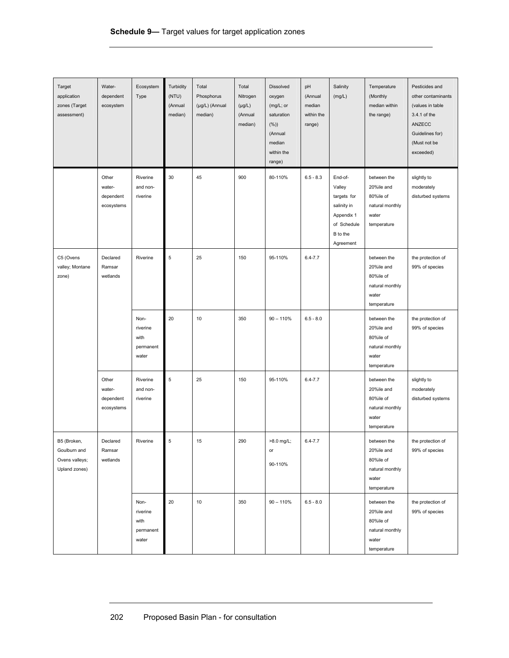| Target<br>application<br>zones (Target<br>assessment)          | Water-<br>dependent<br>ecosystem           | Ecosystem<br>Type                              | Turbidity<br>(NTU)<br>(Annual<br>median) | Total<br>Phosphorus<br>(µg/L) (Annual<br>median) | Total<br>Nitrogen<br>$(\mu g/L)$<br>(Annual<br>median) | <b>Dissolved</b><br>oxygen<br>(mg/L; or<br>saturation<br>(%)<br>(Annual<br>median<br>within the<br>range) | pH<br>(Annual<br>median<br>within the<br>range) | Salinity<br>(mg/L)                                                                                    | Temperature<br>(Monthly<br>median within<br>the range)                            | Pesticides and<br>other contaminants<br>(values in table<br>3.4.1 of the<br>ANZECC<br>Guidelines for)<br>(Must not be<br>exceeded) |
|----------------------------------------------------------------|--------------------------------------------|------------------------------------------------|------------------------------------------|--------------------------------------------------|--------------------------------------------------------|-----------------------------------------------------------------------------------------------------------|-------------------------------------------------|-------------------------------------------------------------------------------------------------------|-----------------------------------------------------------------------------------|------------------------------------------------------------------------------------------------------------------------------------|
|                                                                | Other<br>water-<br>dependent<br>ecosystems | Riverine<br>and non-<br>riverine               | 30                                       | 45                                               | 900                                                    | 80-110%                                                                                                   | $6.5 - 8.3$                                     | End-of-<br>Valley<br>targets for<br>salinity in<br>Appendix 1<br>of Schedule<br>B to the<br>Agreement | between the<br>20%ile and<br>80%ile of<br>natural monthly<br>water<br>temperature | slightly to<br>moderately<br>disturbed systems                                                                                     |
| C5 (Ovens<br>valley; Montane<br>zone)                          | Declared<br>Ramsar<br>wetlands             | Riverine                                       | 5                                        | 25                                               | 150                                                    | 95-110%                                                                                                   | $6.4 - 7.7$                                     |                                                                                                       | between the<br>20%ile and<br>80%ile of<br>natural monthly<br>water<br>temperature | the protection of<br>99% of species                                                                                                |
|                                                                |                                            | Non-<br>riverine<br>with<br>permanent<br>water | 20                                       | 10                                               | 350                                                    | $90 - 110%$                                                                                               | $6.5 - 8.0$                                     |                                                                                                       | between the<br>20%ile and<br>80%ile of<br>natural monthly<br>water<br>temperature | the protection of<br>99% of species                                                                                                |
|                                                                | Other<br>water-<br>dependent<br>ecosystems | Riverine<br>and non-<br>riverine               | 5                                        | 25                                               | 150                                                    | 95-110%                                                                                                   | $6.4 - 7.7$                                     |                                                                                                       | between the<br>20%ile and<br>80%ile of<br>natural monthly<br>water<br>temperature | slightly to<br>moderately<br>disturbed systems                                                                                     |
| B5 (Broken,<br>Goulburn and<br>Ovens valleys;<br>Upland zones) | Declared<br>Ramsar<br>wetlands             | Riverine                                       | 5                                        | 15                                               | 290                                                    | >8.0 mg/L;<br>or<br>90-110%                                                                               | $6.4 - 7.7$                                     |                                                                                                       | between the<br>20%ile and<br>80%ile of<br>natural monthly<br>water<br>temperature | the protection of<br>99% of species                                                                                                |
|                                                                |                                            | Non-<br>riverine<br>with<br>permanent<br>water | 20                                       | 10                                               | 350                                                    | $90 - 110%$                                                                                               | $6.5 - 8.0$                                     |                                                                                                       | between the<br>20%ile and<br>80%ile of<br>natural monthly<br>water<br>temperature | the protection of<br>99% of species                                                                                                |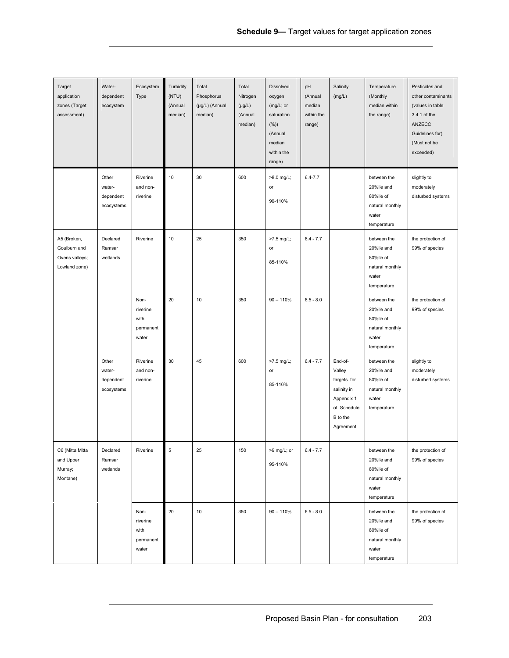| Target<br>application<br>zones (Target<br>assessment)          | Water-<br>dependent<br>ecosystem           | Ecosystem<br>Type                              | Turbidity<br>(NTU)<br>(Annual<br>median) | Total<br>Phosphorus<br>(µg/L) (Annual<br>median) | Total<br>Nitrogen<br>$(\mu g/L)$<br>(Annual<br>median) | <b>Dissolved</b><br>oxygen<br>(mg/L; or<br>saturation<br>$(\%)$<br>(Annual<br>median<br>within the<br>range) | pH<br>(Annual<br>median<br>within the<br>range) | Salinity<br>(mg/L)                                                                                    | Temperature<br>(Monthly<br>median within<br>the range)                            | Pesticides and<br>other contaminants<br>(values in table<br>3.4.1 of the<br>ANZECC<br>Guidelines for)<br>(Must not be<br>exceeded) |
|----------------------------------------------------------------|--------------------------------------------|------------------------------------------------|------------------------------------------|--------------------------------------------------|--------------------------------------------------------|--------------------------------------------------------------------------------------------------------------|-------------------------------------------------|-------------------------------------------------------------------------------------------------------|-----------------------------------------------------------------------------------|------------------------------------------------------------------------------------------------------------------------------------|
|                                                                | Other<br>water-<br>dependent<br>ecosystems | Riverine<br>and non-<br>riverine               | 10                                       | 30                                               | 600                                                    | >8.0 mg/L;<br>or<br>90-110%                                                                                  | $6.4 - 7.7$                                     |                                                                                                       | between the<br>20%ile and<br>80%ile of<br>natural monthly<br>water<br>temperature | slightly to<br>moderately<br>disturbed systems                                                                                     |
| A5 (Broken,<br>Goulburn and<br>Ovens valleys;<br>Lowland zone) | Declared<br>Ramsar<br>wetlands             | Riverine                                       | 10                                       | 25                                               | 350                                                    | >7.5 mg/L;<br>or<br>85-110%                                                                                  | $6.4 - 7.7$                                     |                                                                                                       | between the<br>20%ile and<br>80%ile of<br>natural monthly<br>water<br>temperature | the protection of<br>99% of species                                                                                                |
|                                                                |                                            | Non-<br>riverine<br>with<br>permanent<br>water | 20                                       | 10                                               | 350                                                    | $90 - 110%$                                                                                                  | $6.5 - 8.0$                                     |                                                                                                       | between the<br>20%ile and<br>80%ile of<br>natural monthly<br>water<br>temperature | the protection of<br>99% of species                                                                                                |
|                                                                | Other<br>water-<br>dependent<br>ecosystems | Riverine<br>and non-<br>riverine               | 30                                       | 45                                               | 600                                                    | >7.5 mg/L;<br>or<br>85-110%                                                                                  | $6.4 - 7.7$                                     | End-of-<br>Valley<br>targets for<br>salinity in<br>Appendix 1<br>of Schedule<br>B to the<br>Agreement | between the<br>20%ile and<br>80%ile of<br>natural monthly<br>water<br>temperature | slightly to<br>moderately<br>disturbed systems                                                                                     |
| C6 (Mitta Mitta<br>and Upper<br>Murray;<br>Montane)            | Declared<br>Ramsar<br>wetlands             | Riverine                                       | 5                                        | 25                                               | 150                                                    | >9 mg/L; or<br>95-110%                                                                                       | $6.4 - 7.7$                                     |                                                                                                       | between the<br>20%ile and<br>80%ile of<br>natural monthly<br>water<br>temperature | the protection of<br>99% of species                                                                                                |
|                                                                |                                            | Non-<br>riverine<br>with<br>permanent<br>water | 20                                       | 10                                               | 350                                                    | $90 - 110%$                                                                                                  | $6.5 - 8.0$                                     |                                                                                                       | between the<br>20%ile and<br>80%ile of<br>natural monthly<br>water<br>temperature | the protection of<br>99% of species                                                                                                |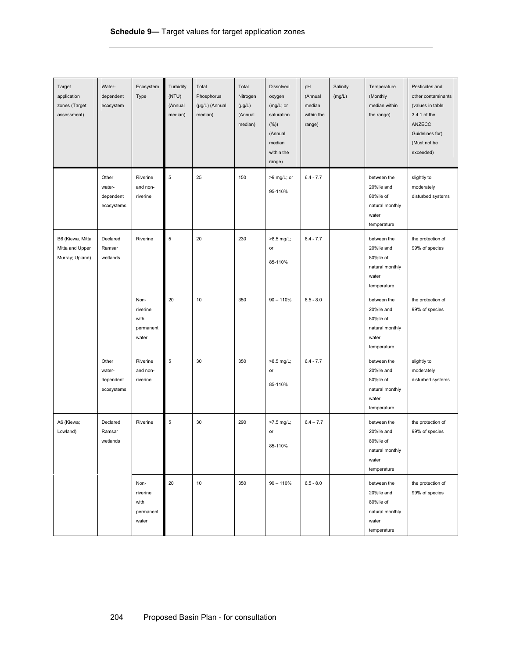| Target<br>application<br>zones (Target<br>assessment)  | Water-<br>dependent<br>ecosystem           | Ecosystem<br>Type                              | Turbidity<br>(NTU)<br>(Annual<br>median) | Total<br>Phosphorus<br>(µg/L) (Annual<br>median) | Total<br>Nitrogen<br>$(\mu g/L)$<br>(Annual<br>median) | Dissolved<br>oxygen<br>(mg/L; or<br>saturation<br>(%)<br>(Annual<br>median<br>within the<br>range) | pH<br>(Annual<br>median<br>within the<br>range) | Salinity<br>(mg/L) | Temperature<br>(Monthly<br>median within<br>the range)                            | Pesticides and<br>other contaminants<br>(values in table<br>3.4.1 of the<br>ANZECC<br>Guidelines for)<br>(Must not be<br>exceeded) |
|--------------------------------------------------------|--------------------------------------------|------------------------------------------------|------------------------------------------|--------------------------------------------------|--------------------------------------------------------|----------------------------------------------------------------------------------------------------|-------------------------------------------------|--------------------|-----------------------------------------------------------------------------------|------------------------------------------------------------------------------------------------------------------------------------|
|                                                        | Other<br>water-<br>dependent<br>ecosystems | Riverine<br>and non-<br>riverine               | 5                                        | 25                                               | 150                                                    | >9 mg/L; or<br>95-110%                                                                             | $6.4 - 7.7$                                     |                    | between the<br>20%ile and<br>80%ile of<br>natural monthly<br>water<br>temperature | slightly to<br>moderately<br>disturbed systems                                                                                     |
| B6 (Kiewa, Mitta<br>Mitta and Upper<br>Murray; Upland) | Declared<br>Ramsar<br>wetlands             | Riverine                                       | 5                                        | 20                                               | 230                                                    | >8.5 mg/L;<br>or<br>85-110%                                                                        | $6.4 - 7.7$                                     |                    | between the<br>20%ile and<br>80%ile of<br>natural monthly<br>water<br>temperature | the protection of<br>99% of species                                                                                                |
|                                                        |                                            | Non-<br>riverine<br>with<br>permanent<br>water | 20                                       | 10                                               | 350                                                    | $90 - 110%$                                                                                        | $6.5 - 8.0$                                     |                    | between the<br>20%ile and<br>80%ile of<br>natural monthly<br>water<br>temperature | the protection of<br>99% of species                                                                                                |
|                                                        | Other<br>water-<br>dependent<br>ecosystems | Riverine<br>and non-<br>riverine               | 5                                        | 30                                               | 350                                                    | >8.5 mg/L;<br>or<br>85-110%                                                                        | $6.4 - 7.7$                                     |                    | between the<br>20%ile and<br>80%ile of<br>natural monthly<br>water<br>temperature | slightly to<br>moderately<br>disturbed systems                                                                                     |
| A6 (Kiewa;<br>Lowland)                                 | Declared<br>Ramsar<br>wetlands             | Riverine                                       | 5                                        | 30                                               | 290                                                    | >7.5 mg/L;<br>or<br>85-110%                                                                        | $6.4 - 7.7$                                     |                    | between the<br>20%ile and<br>80%ile of<br>natural monthly<br>water<br>temperature | the protection of<br>99% of species                                                                                                |
|                                                        |                                            | Non-<br>riverine<br>with<br>permanent<br>water | 20                                       | 10                                               | 350                                                    | $90 - 110%$                                                                                        | $6.5 - 8.0$                                     |                    | between the<br>20%ile and<br>80%ile of<br>natural monthly<br>water<br>temperature | the protection of<br>99% of species                                                                                                |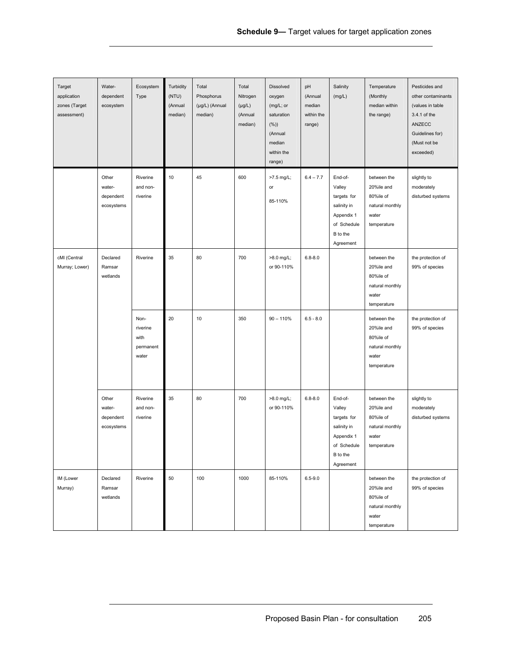| Target<br>application<br>zones (Target<br>assessment) | Water-<br>dependent<br>ecosystem           | Ecosystem<br>Type                              | Turbidity<br>(NTU)<br>(Annual<br>median) | Total<br>Phosphorus<br>(µg/L) (Annual<br>median) | Total<br>Nitrogen<br>$(\mu g/L)$<br>(Annual<br>median) | Dissolved<br>oxygen<br>(mg/L; or<br>saturation<br>$(\%)$<br>(Annual<br>median<br>within the<br>range) | pH<br>(Annual<br>median<br>within the<br>range) | Salinity<br>(mg/L)                                                                                    | Temperature<br>(Monthly<br>median within<br>the range)                            | Pesticides and<br>other contaminants<br>(values in table<br>3.4.1 of the<br>ANZECC<br>Guidelines for)<br>(Must not be<br>exceeded) |
|-------------------------------------------------------|--------------------------------------------|------------------------------------------------|------------------------------------------|--------------------------------------------------|--------------------------------------------------------|-------------------------------------------------------------------------------------------------------|-------------------------------------------------|-------------------------------------------------------------------------------------------------------|-----------------------------------------------------------------------------------|------------------------------------------------------------------------------------------------------------------------------------|
|                                                       | Other<br>water-<br>dependent<br>ecosystems | Riverine<br>and non-<br>riverine               | 10                                       | 45                                               | 600                                                    | >7.5 mg/L;<br>or<br>85-110%                                                                           | $6.4 - 7.7$                                     | End-of-<br>Valley<br>targets for<br>salinity in<br>Appendix 1<br>of Schedule<br>B to the<br>Agreement | between the<br>20%ile and<br>80%ile of<br>natural monthly<br>water<br>temperature | slightly to<br>moderately<br>disturbed systems                                                                                     |
| cMI (Central<br>Murray; Lower)                        | Declared<br>Ramsar<br>wetlands             | Riverine                                       | 35                                       | 80                                               | 700                                                    | >8.0 mg/L;<br>or 90-110%                                                                              | $6.8 - 8.0$                                     |                                                                                                       | between the<br>20%ile and<br>80%ile of<br>natural monthly<br>water<br>temperature | the protection of<br>99% of species                                                                                                |
|                                                       |                                            | Non-<br>riverine<br>with<br>permanent<br>water | 20                                       | 10                                               | 350                                                    | $90 - 110%$                                                                                           | $6.5 - 8.0$                                     |                                                                                                       | between the<br>20%ile and<br>80%ile of<br>natural monthly<br>water<br>temperature | the protection of<br>99% of species                                                                                                |
|                                                       | Other<br>water-<br>dependent<br>ecosystems | Riverine<br>and non-<br>riverine               | 35                                       | 80                                               | 700                                                    | >8.0 mg/L;<br>or 90-110%                                                                              | $6.8 - 8.0$                                     | End-of-<br>Valley<br>targets for<br>salinity in<br>Appendix 1<br>of Schedule<br>B to the<br>Agreement | between the<br>20%ile and<br>80%ile of<br>natural monthly<br>water<br>temperature | slightly to<br>moderately<br>disturbed systems                                                                                     |
| IM (Lower<br>Murray)                                  | Declared<br>Ramsar<br>wetlands             | Riverine                                       | 50                                       | 100                                              | 1000                                                   | 85-110%                                                                                               | $6.5 - 9.0$                                     |                                                                                                       | between the<br>20%ile and<br>80%ile of<br>natural monthly<br>water<br>temperature | the protection of<br>99% of species                                                                                                |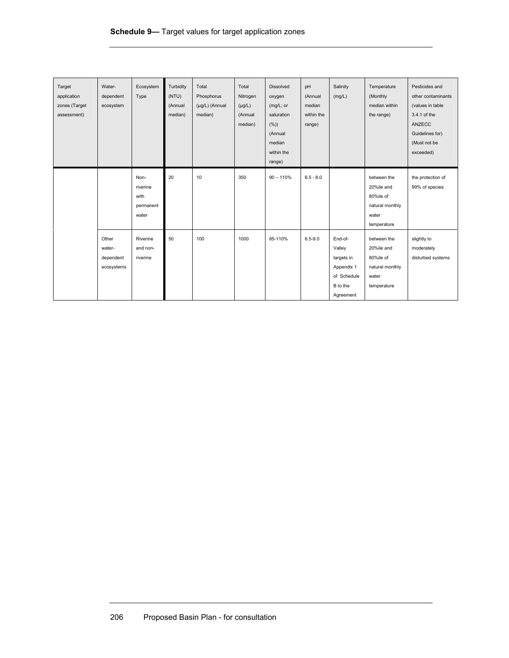| Target<br>application<br>zones (Target<br>assessment) | Water-<br>dependent<br>ecosystem           | Ecosystem<br>Type                              | Turbidity<br>(NTU)<br>(Annual<br>median) | Total<br>Phosphorus<br>(µg/L) (Annual<br>median) | Total<br>Nitrogen<br>$(\mu g/L)$<br>(Annual<br>median) | Dissolved<br>oxygen<br>(mg/L; or<br>saturation<br>(%)<br>(Annual<br>median<br>within the<br>range) | pH<br>(Annual<br>median<br>within the<br>range) | Salinity<br>(mg/L)                                                                    | Temperature<br>(Monthly<br>median within<br>the range)                            | Pesticides and<br>other contaminants<br>(values in table<br>3.4.1 of the<br>ANZECC<br>Guidelines for)<br>(Must not be<br>exceeded) |
|-------------------------------------------------------|--------------------------------------------|------------------------------------------------|------------------------------------------|--------------------------------------------------|--------------------------------------------------------|----------------------------------------------------------------------------------------------------|-------------------------------------------------|---------------------------------------------------------------------------------------|-----------------------------------------------------------------------------------|------------------------------------------------------------------------------------------------------------------------------------|
|                                                       |                                            | Non-<br>riverine<br>with<br>permanent<br>water | 20                                       | 10                                               | 350                                                    | $90 - 110%$                                                                                        | $6.5 - 8.0$                                     |                                                                                       | between the<br>20%ile and<br>80%ile of<br>natural monthly<br>water<br>temperature | the protection of<br>99% of species                                                                                                |
|                                                       | Other<br>water-<br>dependent<br>ecosystems | Riverine<br>and non-<br>riverine               | 50                                       | 100                                              | 1000                                                   | 85-110%                                                                                            | $6.5 - 9.0$                                     | End-of-<br>Valley<br>targets in<br>Appendix 1<br>of Schedule<br>B to the<br>Agreement | between the<br>20%ile and<br>80%ile of<br>natural monthly<br>water<br>temperature | slightly to<br>moderately<br>disturbed systems                                                                                     |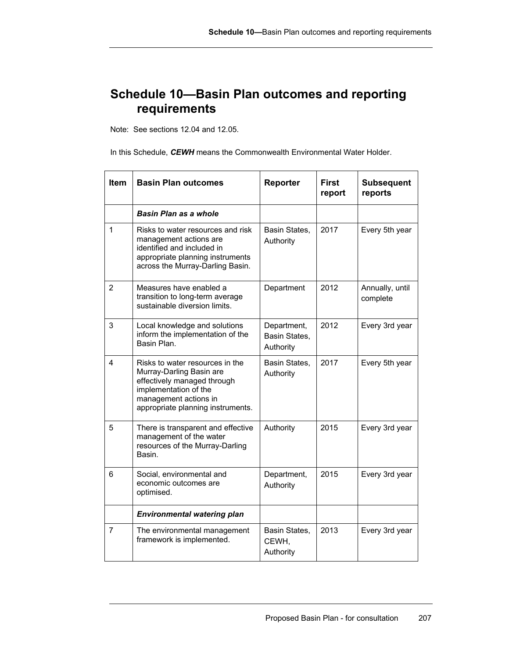## **Schedule 10—Basin Plan outcomes and reporting requirements**

Note: See sections 12.04 and 12.05.

In this Schedule, *CEWH* means the Commonwealth Environmental Water Holder.

| Item           | <b>Basin Plan outcomes</b>                                                                                                                                                        | <b>Reporter</b>                           | <b>First</b><br>report | <b>Subsequent</b><br>reports |
|----------------|-----------------------------------------------------------------------------------------------------------------------------------------------------------------------------------|-------------------------------------------|------------------------|------------------------------|
|                | Basin Plan as a whole                                                                                                                                                             |                                           |                        |                              |
| 1              | Risks to water resources and risk<br>management actions are<br>identified and included in<br>appropriate planning instruments<br>across the Murray-Darling Basin.                 | Basin States,<br>Authority                | 2017                   | Every 5th year               |
| $\overline{2}$ | Measures have enabled a<br>transition to long-term average<br>sustainable diversion limits.                                                                                       | Department                                | 2012                   | Annually, until<br>complete  |
| 3              | Local knowledge and solutions<br>inform the implementation of the<br>Basin Plan.                                                                                                  | Department,<br>Basin States,<br>Authority | 2012                   | Every 3rd year               |
| 4              | Risks to water resources in the<br>Murray-Darling Basin are<br>effectively managed through<br>implementation of the<br>management actions in<br>appropriate planning instruments. | Basin States,<br>Authority                | 2017                   | Every 5th year               |
| 5              | There is transparent and effective<br>management of the water<br>resources of the Murray-Darling<br>Basin.                                                                        | Authority                                 | 2015                   | Every 3rd year               |
| 6              | Social, environmental and<br>economic outcomes are<br>optimised.                                                                                                                  | Department,<br>Authority                  | 2015                   | Every 3rd year               |
|                | <b>Environmental watering plan</b>                                                                                                                                                |                                           |                        |                              |
| 7              | The environmental management<br>framework is implemented.                                                                                                                         | Basin States,<br>CEWH.<br>Authority       | 2013                   | Every 3rd year               |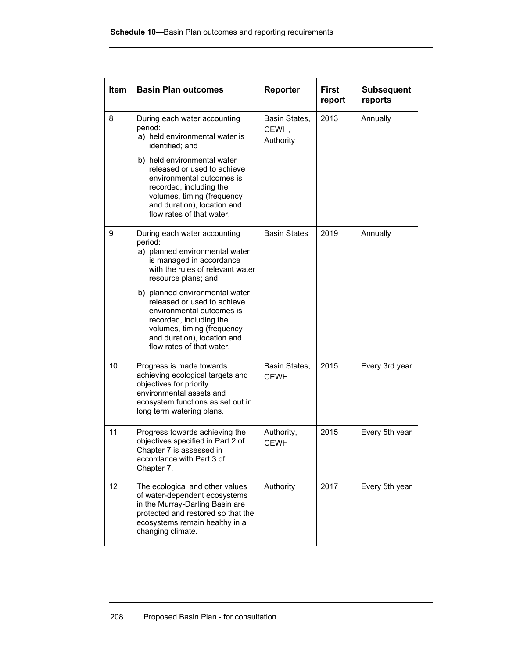| <b>Item</b> | <b>Basin Plan outcomes</b>                                                                                                                                                                                      | Reporter                            | <b>First</b><br>report | <b>Subsequent</b><br>reports |
|-------------|-----------------------------------------------------------------------------------------------------------------------------------------------------------------------------------------------------------------|-------------------------------------|------------------------|------------------------------|
| 8           | During each water accounting<br>period:<br>a) held environmental water is<br>identified; and                                                                                                                    | Basin States,<br>CEWH,<br>Authority | 2013                   | Annually                     |
|             | b) held environmental water<br>released or used to achieve<br>environmental outcomes is<br>recorded, including the<br>volumes, timing (frequency<br>and duration), location and<br>flow rates of that water.    |                                     |                        |                              |
| 9           | During each water accounting<br>period:<br>a) planned environmental water<br>is managed in accordance<br>with the rules of relevant water<br>resource plans; and                                                | <b>Basin States</b>                 | 2019                   | Annually                     |
|             | b) planned environmental water<br>released or used to achieve<br>environmental outcomes is<br>recorded, including the<br>volumes, timing (frequency<br>and duration), location and<br>flow rates of that water. |                                     |                        |                              |
| 10          | Progress is made towards<br>achieving ecological targets and<br>objectives for priority<br>environmental assets and<br>ecosystem functions as set out in<br>long term watering plans.                           | Basin States,<br><b>CEWH</b>        | 2015                   | Every 3rd year               |
| 11          | Progress towards achieving the<br>objectives specified in Part 2 of<br>Chapter 7 is assessed in<br>accordance with Part 3 of<br>Chapter 7.                                                                      | Authority,<br><b>CEWH</b>           | 2015                   | Every 5th year               |
| 12          | The ecological and other values<br>of water-dependent ecosystems<br>in the Murray-Darling Basin are<br>protected and restored so that the<br>ecosystems remain healthy in a<br>changing climate.                | Authority                           | 2017                   | Every 5th year               |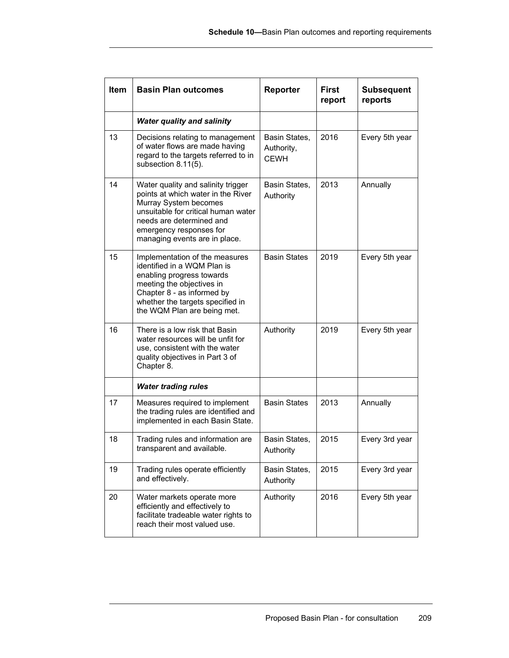| Item | <b>Basin Plan outcomes</b>                                                                                                                                                                                                       | Reporter                                   | <b>First</b><br>report | <b>Subsequent</b><br>reports |
|------|----------------------------------------------------------------------------------------------------------------------------------------------------------------------------------------------------------------------------------|--------------------------------------------|------------------------|------------------------------|
|      | <b>Water quality and salinity</b>                                                                                                                                                                                                |                                            |                        |                              |
| 13   | Decisions relating to management<br>of water flows are made having<br>regard to the targets referred to in<br>subsection 8.11(5).                                                                                                | Basin States,<br>Authority,<br><b>CEWH</b> | 2016                   | Every 5th year               |
| 14   | Water quality and salinity trigger<br>points at which water in the River<br>Murray System becomes<br>unsuitable for critical human water<br>needs are determined and<br>emergency responses for<br>managing events are in place. | Basin States,<br>Authority                 | 2013                   | Annually                     |
| 15   | Implementation of the measures<br>identified in a WOM Plan is<br>enabling progress towards<br>meeting the objectives in<br>Chapter 8 - as informed by<br>whether the targets specified in<br>the WQM Plan are being met.         | <b>Basin States</b>                        | 2019                   | Every 5th year               |
| 16   | There is a low risk that Basin<br>water resources will be unfit for<br>use, consistent with the water<br>quality objectives in Part 3 of<br>Chapter 8.                                                                           | Authority                                  | 2019                   | Every 5th year               |
|      | <b>Water trading rules</b>                                                                                                                                                                                                       |                                            |                        |                              |
| 17   | Measures required to implement<br>the trading rules are identified and<br>implemented in each Basin State.                                                                                                                       | <b>Basin States</b>                        | 2013                   | Annually                     |
| 18   | Trading rules and information are<br>transparent and available.                                                                                                                                                                  | Basin States,<br>Authority                 | 2015                   | Every 3rd year               |
| 19   | Trading rules operate efficiently<br>and effectively.                                                                                                                                                                            | Basin States,<br>Authority                 | 2015                   | Every 3rd year               |
| 20   | Water markets operate more<br>efficiently and effectively to<br>facilitate tradeable water rights to<br>reach their most valued use.                                                                                             | Authority                                  | 2016                   | Every 5th year               |